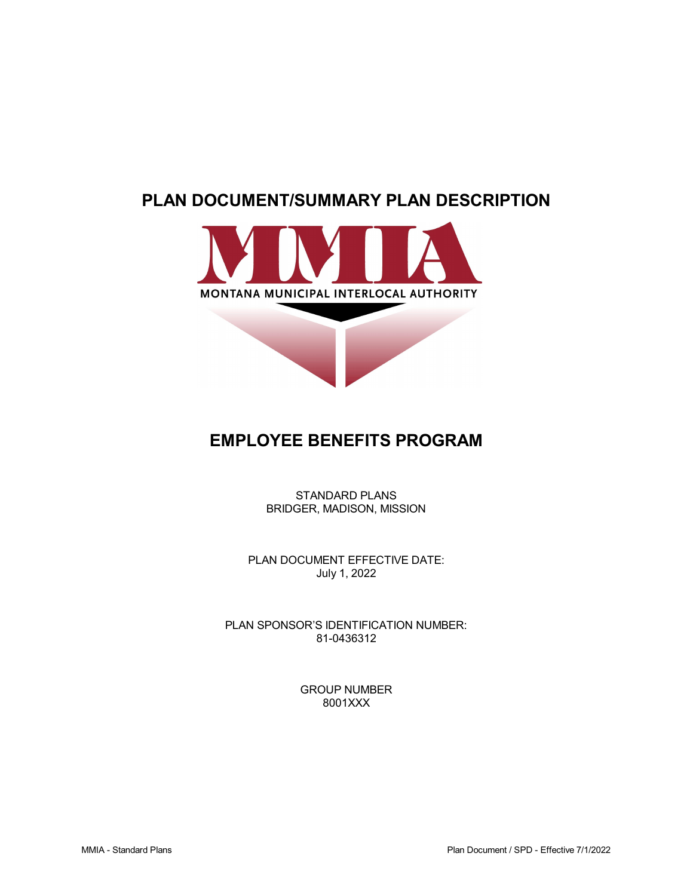# **PLAN DOCUMENT/SUMMARY PLAN DESCRIPTION**



# **EMPLOYEE BENEFITS PROGRAM**

STANDARD PLANS BRIDGER, MADISON, MISSION

PLAN DOCUMENT EFFECTIVE DATE: July 1, 2022

PLAN SPONSOR'S IDENTIFICATION NUMBER: 81-0436312

> GROUP NUMBER 8001XXX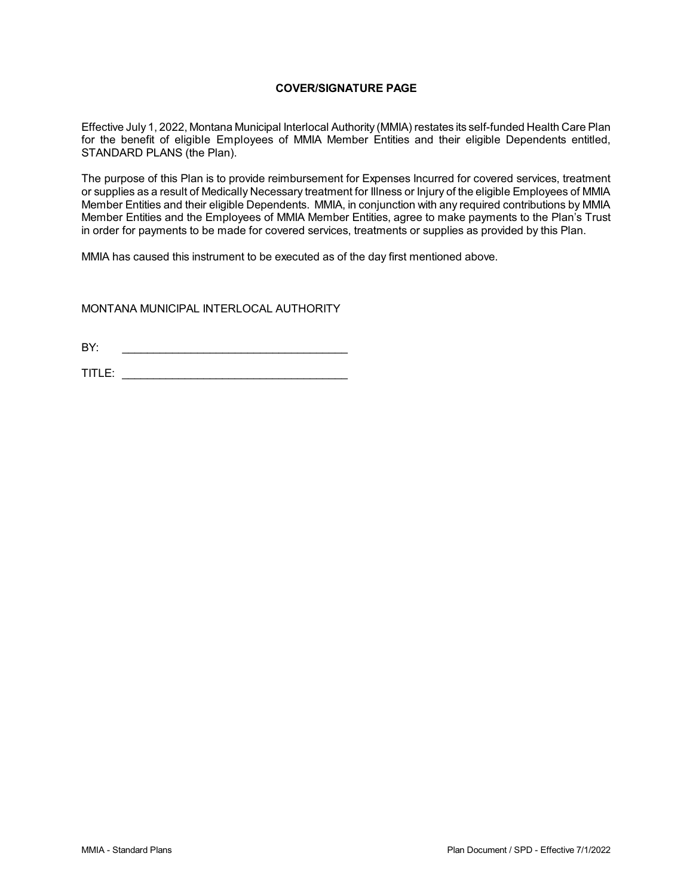# **COVER/SIGNATURE PAGE**

Effective July 1, 2022, Montana Municipal Interlocal Authority (MMIA) restates its self-funded Health Care Plan for the benefit of eligible Employees of MMIA Member Entities and their eligible Dependents entitled, STANDARD PLANS (the Plan).

The purpose of this Plan is to provide reimbursement for Expenses Incurred for covered services, treatment or supplies as a result of Medically Necessary treatment for Illness or Injury of the eligible Employees of MMIA Member Entities and their eligible Dependents. MMIA, in conjunction with any required contributions by MMIA Member Entities and the Employees of MMIA Member Entities, agree to make payments to the Plan's Trust in order for payments to be made for covered services, treatments or supplies as provided by this Plan.

MMIA has caused this instrument to be executed as of the day first mentioned above.

MONTANA MUNICIPAL INTERLOCAL AUTHORITY

BY: \_\_\_\_\_\_\_\_\_\_\_\_\_\_\_\_\_\_\_\_\_\_\_\_\_\_\_\_\_\_\_\_\_\_\_\_

TITLE: \_\_\_\_\_\_\_\_\_\_\_\_\_\_\_\_\_\_\_\_\_\_\_\_\_\_\_\_\_\_\_\_\_\_\_\_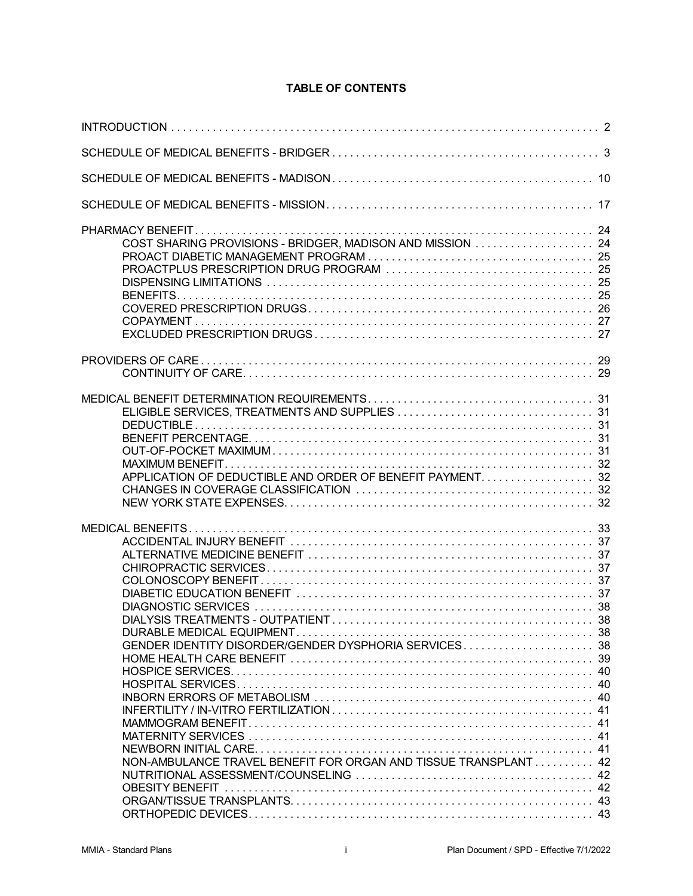# **TABLE OF CONTENTS**

| COST SHARING PROVISIONS - BRIDGER, MADISON AND MISSION  24   |          |
|--------------------------------------------------------------|----------|
|                                                              |          |
| APPLICATION OF DEDUCTIBLE AND ORDER OF BENEFIT PAYMENT 32    |          |
| NON-AMBULANCE TRAVEL BENEFIT FOR ORGAN AND TISSUE TRANSPLANT | 42<br>42 |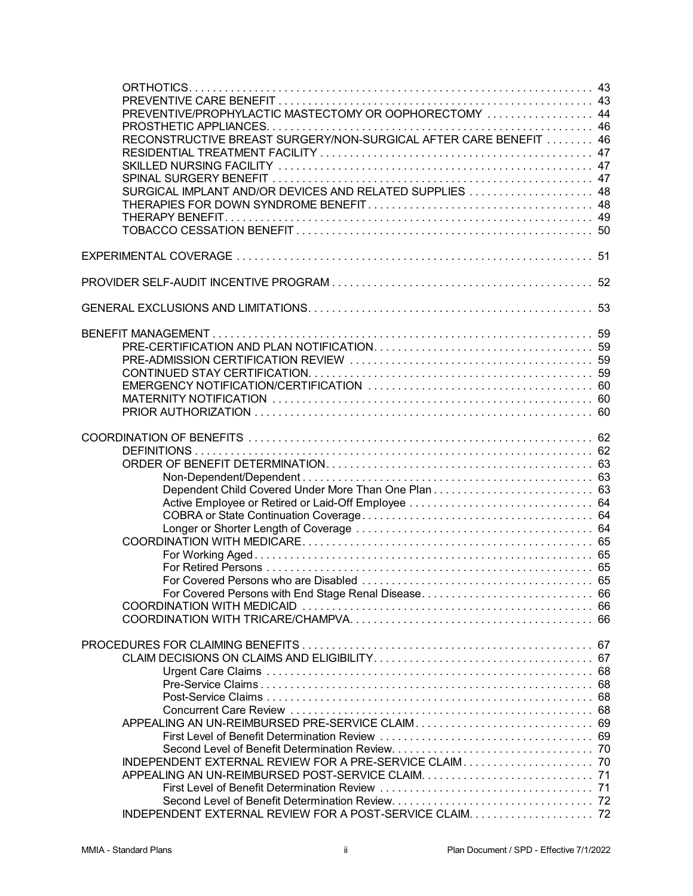| PREVENTIVE/PROPHYLACTIC MASTECTOMY OR OOPHORECTOMY  44            |  |
|-------------------------------------------------------------------|--|
| RECONSTRUCTIVE BREAST SURGERY/NON-SURGICAL AFTER CARE BENEFIT  46 |  |
| SURGICAL IMPLANT AND/OR DEVICES AND RELATED SUPPLIES  48          |  |
|                                                                   |  |
|                                                                   |  |
|                                                                   |  |
|                                                                   |  |
|                                                                   |  |
|                                                                   |  |
|                                                                   |  |
|                                                                   |  |
|                                                                   |  |
|                                                                   |  |
|                                                                   |  |
|                                                                   |  |
|                                                                   |  |
|                                                                   |  |
|                                                                   |  |
|                                                                   |  |
|                                                                   |  |
|                                                                   |  |
|                                                                   |  |
|                                                                   |  |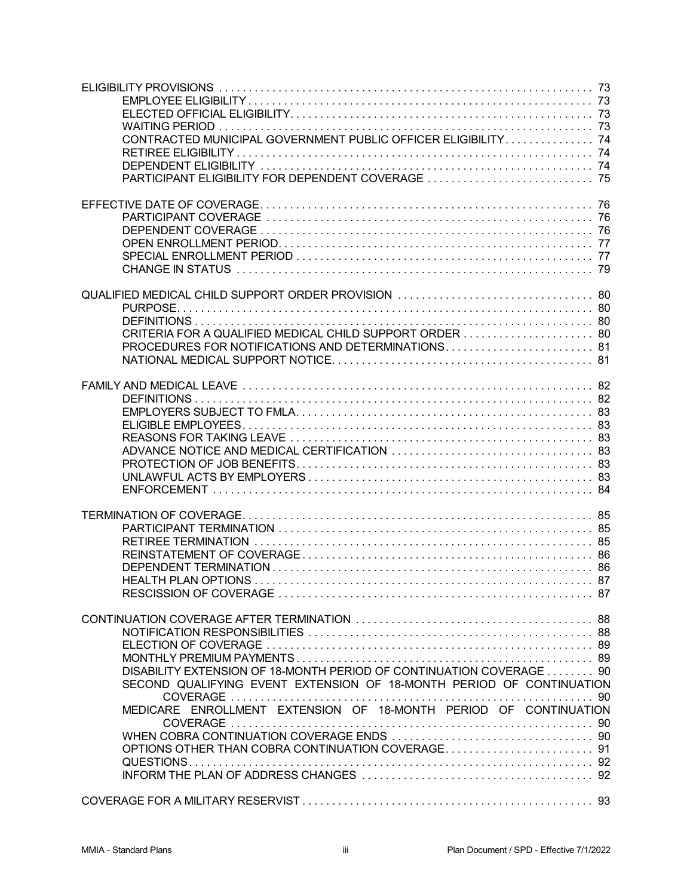| CONTRACTED MUNICIPAL GOVERNMENT PUBLIC OFFICER ELIGIBILITY 74        |  |
|----------------------------------------------------------------------|--|
|                                                                      |  |
| PARTICIPANT ELIGIBILITY FOR DEPENDENT COVERAGE  75                   |  |
|                                                                      |  |
|                                                                      |  |
|                                                                      |  |
|                                                                      |  |
|                                                                      |  |
|                                                                      |  |
|                                                                      |  |
|                                                                      |  |
|                                                                      |  |
| CRITERIA FOR A QUALIFIED MEDICAL CHILD SUPPORT ORDER  80             |  |
|                                                                      |  |
|                                                                      |  |
|                                                                      |  |
|                                                                      |  |
|                                                                      |  |
|                                                                      |  |
|                                                                      |  |
|                                                                      |  |
|                                                                      |  |
|                                                                      |  |
|                                                                      |  |
|                                                                      |  |
|                                                                      |  |
|                                                                      |  |
|                                                                      |  |
|                                                                      |  |
|                                                                      |  |
|                                                                      |  |
|                                                                      |  |
|                                                                      |  |
|                                                                      |  |
| DISABILITY EXTENSION OF 18-MONTH PERIOD OF CONTINUATION COVERAGE 90  |  |
| SECOND QUALIFYING EVENT EXTENSION OF 18-MONTH PERIOD OF CONTINUATION |  |
| MEDICARE ENROLLMENT EXTENSION OF 18-MONTH PERIOD OF CONTINUATION     |  |
|                                                                      |  |
|                                                                      |  |
|                                                                      |  |
|                                                                      |  |
|                                                                      |  |
|                                                                      |  |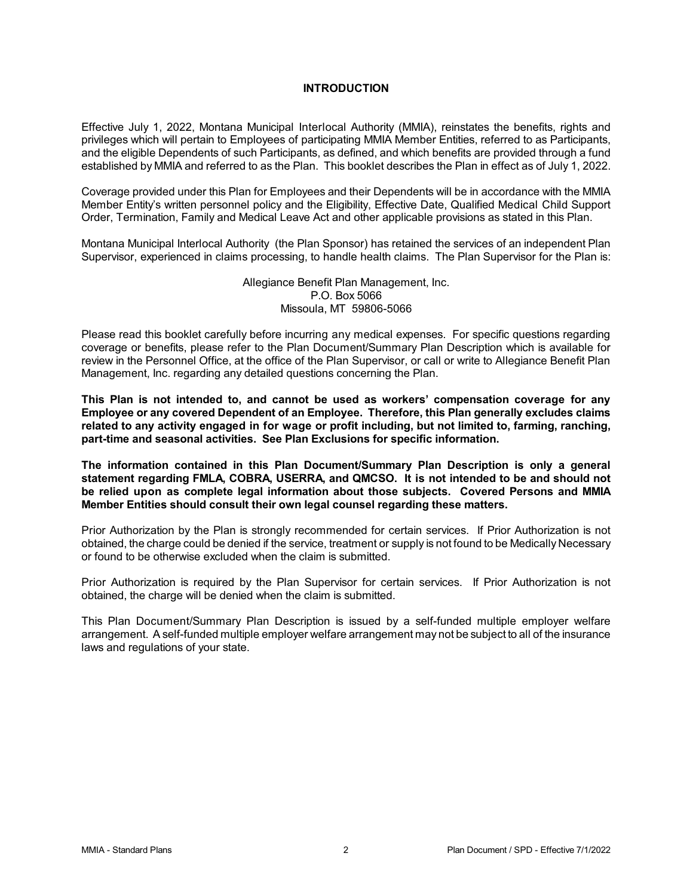### **INTRODUCTION**

Effective July 1, 2022, Montana Municipal Interlocal Authority (MMIA), reinstates the benefits, rights and privileges which will pertain to Employees of participating MMIA Member Entities, referred to as Participants, and the eligible Dependents of such Participants, as defined, and which benefits are provided through a fund established by MMIA and referred to as the Plan. This booklet describes the Plan in effect as of July 1, 2022.

Coverage provided under this Plan for Employees and their Dependents will be in accordance with the MMIA Member Entity's written personnel policy and the Eligibility, Effective Date, Qualified Medical Child Support Order, Termination, Family and Medical Leave Act and other applicable provisions as stated in this Plan.

Montana Municipal Interlocal Authority (the Plan Sponsor) has retained the services of an independent Plan Supervisor, experienced in claims processing, to handle health claims. The Plan Supervisor for the Plan is:

> Allegiance Benefit Plan Management, Inc. P.O. Box 5066 Missoula, MT 59806-5066

Please read this booklet carefully before incurring any medical expenses. For specific questions regarding coverage or benefits, please refer to the Plan Document/Summary Plan Description which is available for review in the Personnel Office, at the office of the Plan Supervisor, or call or write to Allegiance Benefit Plan Management, Inc. regarding any detailed questions concerning the Plan.

**This Plan is not intended to, and cannot be used as workers' compensation coverage for any Employee or any covered Dependent of an Employee. Therefore, this Plan generally excludes claims related to any activity engaged in for wage or profit including, but not limited to, farming, ranching, part-time and seasonal activities. See Plan Exclusions for specific information.**

**The information contained in this Plan Document/Summary Plan Description is only a general statement regarding FMLA, COBRA, USERRA, and QMCSO. It is not intended to be and should not be relied upon as complete legal information about those subjects. Covered Persons and MMIA Member Entities should consult their own legal counsel regarding these matters.**

Prior Authorization by the Plan is strongly recommended for certain services. If Prior Authorization is not obtained, the charge could be denied if the service, treatment or supply is not found to be Medically Necessary or found to be otherwise excluded when the claim is submitted.

Prior Authorization is required by the Plan Supervisor for certain services. If Prior Authorization is not obtained, the charge will be denied when the claim is submitted.

This Plan Document/Summary Plan Description is issued by a self-funded multiple employer welfare arrangement. A self-funded multiple employer welfare arrangement may not be subject to all of the insurance laws and regulations of your state.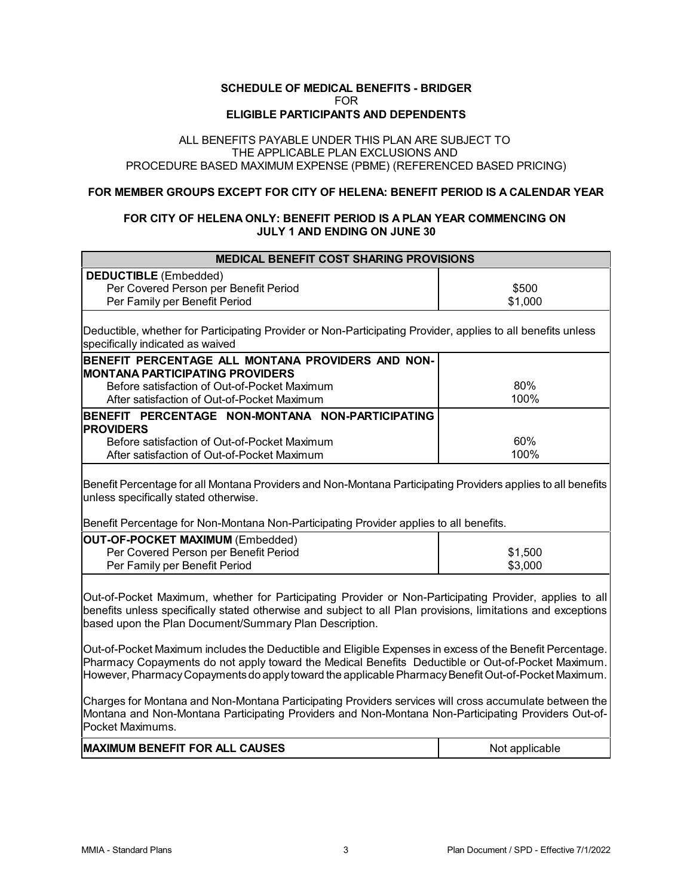### **SCHEDULE OF MEDICAL BENEFITS - BRIDGER** FOR **ELIGIBLE PARTICIPANTS AND DEPENDENTS**

### ALL BENEFITS PAYABLE UNDER THIS PLAN ARE SUBJECT TO THE APPLICABLE PLAN EXCLUSIONS AND PROCEDURE BASED MAXIMUM EXPENSE (PBME) (REFERENCED BASED PRICING)

### **FOR MEMBER GROUPS EXCEPT FOR CITY OF HELENA: BENEFIT PERIOD IS A CALENDAR YEAR**

# **FOR CITY OF HELENA ONLY: BENEFIT PERIOD IS A PLAN YEAR COMMENCING ON JULY 1 AND ENDING ON JUNE 30**

| <b>MEDICAL BENEFIT COST SHARING PROVISIONS</b>                                                                                                                                                                                                                                                                                                                                                                                                                                                                                                                                                            |                |  |
|-----------------------------------------------------------------------------------------------------------------------------------------------------------------------------------------------------------------------------------------------------------------------------------------------------------------------------------------------------------------------------------------------------------------------------------------------------------------------------------------------------------------------------------------------------------------------------------------------------------|----------------|--|
| <b>DEDUCTIBLE</b> (Embedded)                                                                                                                                                                                                                                                                                                                                                                                                                                                                                                                                                                              |                |  |
| Per Covered Person per Benefit Period                                                                                                                                                                                                                                                                                                                                                                                                                                                                                                                                                                     | \$500          |  |
| Per Family per Benefit Period                                                                                                                                                                                                                                                                                                                                                                                                                                                                                                                                                                             | \$1,000        |  |
|                                                                                                                                                                                                                                                                                                                                                                                                                                                                                                                                                                                                           |                |  |
| Deductible, whether for Participating Provider or Non-Participating Provider, applies to all benefits unless                                                                                                                                                                                                                                                                                                                                                                                                                                                                                              |                |  |
| specifically indicated as waived                                                                                                                                                                                                                                                                                                                                                                                                                                                                                                                                                                          |                |  |
| BENEFIT PERCENTAGE ALL MONTANA PROVIDERS AND NON-                                                                                                                                                                                                                                                                                                                                                                                                                                                                                                                                                         |                |  |
| <b>MONTANA PARTICIPATING PROVIDERS</b>                                                                                                                                                                                                                                                                                                                                                                                                                                                                                                                                                                    | 80%            |  |
| Before satisfaction of Out-of-Pocket Maximum                                                                                                                                                                                                                                                                                                                                                                                                                                                                                                                                                              | 100%           |  |
| After satisfaction of Out-of-Pocket Maximum                                                                                                                                                                                                                                                                                                                                                                                                                                                                                                                                                               |                |  |
| BENEFIT PERCENTAGE NON-MONTANA NON-PARTICIPATING                                                                                                                                                                                                                                                                                                                                                                                                                                                                                                                                                          |                |  |
| <b>PROVIDERS</b>                                                                                                                                                                                                                                                                                                                                                                                                                                                                                                                                                                                          | 60%            |  |
| Before satisfaction of Out-of-Pocket Maximum<br>After satisfaction of Out-of-Pocket Maximum                                                                                                                                                                                                                                                                                                                                                                                                                                                                                                               | 100%           |  |
|                                                                                                                                                                                                                                                                                                                                                                                                                                                                                                                                                                                                           |                |  |
| Benefit Percentage for all Montana Providers and Non-Montana Participating Providers applies to all benefits<br>unless specifically stated otherwise.<br>Benefit Percentage for Non-Montana Non-Participating Provider applies to all benefits.                                                                                                                                                                                                                                                                                                                                                           |                |  |
| <b>OUT-OF-POCKET MAXIMUM (Embedded)</b>                                                                                                                                                                                                                                                                                                                                                                                                                                                                                                                                                                   |                |  |
| Per Covered Person per Benefit Period                                                                                                                                                                                                                                                                                                                                                                                                                                                                                                                                                                     | \$1,500        |  |
| Per Family per Benefit Period                                                                                                                                                                                                                                                                                                                                                                                                                                                                                                                                                                             | \$3,000        |  |
|                                                                                                                                                                                                                                                                                                                                                                                                                                                                                                                                                                                                           |                |  |
| Out-of-Pocket Maximum, whether for Participating Provider or Non-Participating Provider, applies to all<br>benefits unless specifically stated otherwise and subject to all Plan provisions, limitations and exceptions<br>based upon the Plan Document/Summary Plan Description.<br>Out-of-Pocket Maximum includes the Deductible and Eligible Expenses in excess of the Benefit Percentage.<br>Pharmacy Copayments do not apply toward the Medical Benefits Deductible or Out-of-Pocket Maximum.<br>However, Pharmacy Copayments do apply toward the applicable Pharmacy Benefit Out-of-Pocket Maximum. |                |  |
| Charges for Montana and Non-Montana Participating Providers services will cross accumulate between the<br>Montana and Non-Montana Participating Providers and Non-Montana Non-Participating Providers Out-of-<br>Pocket Maximums.                                                                                                                                                                                                                                                                                                                                                                         |                |  |
|                                                                                                                                                                                                                                                                                                                                                                                                                                                                                                                                                                                                           |                |  |
| <b>MAXIMUM BENEFIT FOR ALL CAUSES</b>                                                                                                                                                                                                                                                                                                                                                                                                                                                                                                                                                                     | Not applicable |  |
|                                                                                                                                                                                                                                                                                                                                                                                                                                                                                                                                                                                                           |                |  |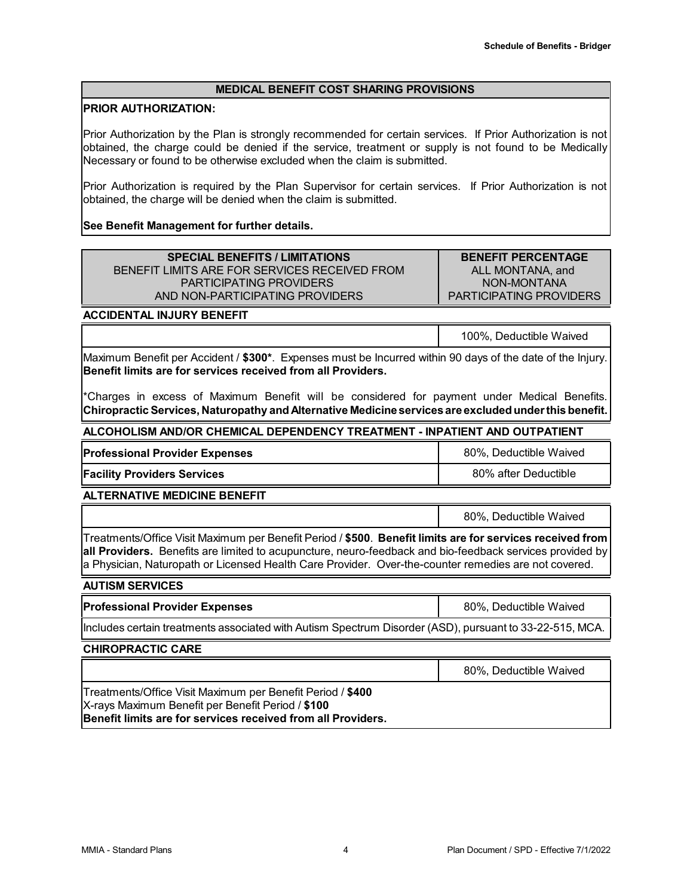### **MEDICAL BENEFIT COST SHARING PROVISIONS**

### **PRIOR AUTHORIZATION:**

Prior Authorization by the Plan is strongly recommended for certain services. If Prior Authorization is not obtained, the charge could be denied if the service, treatment or supply is not found to be Medically Necessary or found to be otherwise excluded when the claim is submitted.

Prior Authorization is required by the Plan Supervisor for certain services. If Prior Authorization is not obtained, the charge will be denied when the claim is submitted.

### **See Benefit Management for further details.**

| <b>SPECIAL BENEFITS / LIMITATIONS</b>         | <b>BENEFIT PERCENTAGE</b>      |
|-----------------------------------------------|--------------------------------|
| BENEFIT LIMITS ARE FOR SERVICES RECEIVED FROM | ALL MONTANA, and               |
| PARTICIPATING PROVIDERS                       | NON-MONTANA                    |
| AND NON-PARTICIPATING PROVIDERS               | <b>PARTICIPATING PROVIDERS</b> |
|                                               |                                |

**ACCIDENTAL INJURY BENEFIT**

100%, Deductible Waived

Maximum Benefit per Accident / **\$300\***. Expenses must be Incurred within 90 days of the date of the Injury. **Benefit limits are for services received from all Providers.**

\*Charges in excess of Maximum Benefit will be considered for payment under Medical Benefits. **Chiropractic Services, Naturopathy and Alternative Medicineservices are excludedunder this benefit.**

### **ALCOHOLISM AND/OR CHEMICAL DEPENDENCY TREATMENT - INPATIENT AND OUTPATIENT**

| <b>Professional Provider Expenses</b> | 80%, Deductible Waived |
|---------------------------------------|------------------------|
| <b>Facility Providers Services</b>    | 80% after Deductible   |

**ALTERNATIVE MEDICINE BENEFIT**

80%, Deductible Waived

Treatments/Office Visit Maximum per Benefit Period / **\$500**. **Benefit limits are for services received from all Providers.** Benefits are limited to acupuncture, neuro-feedback and bio-feedback services provided by a Physician, Naturopath or Licensed Health Care Provider. Over-the-counter remedies are not covered.

### **AUTISM SERVICES**

**Professional Provider Expenses** 80%, Deductible Waived

Includes certain treatments associated with Autism Spectrum Disorder (ASD), pursuant to 33-22-515, MCA.

### **CHIROPRACTIC CARE**

| 80%, Deductible Waived |  |
|------------------------|--|
|                        |  |

Treatments/Office Visit Maximum per Benefit Period / **\$400** X-rays Maximum Benefit per Benefit Period / **\$100 Benefit limits are for services received from all Providers.**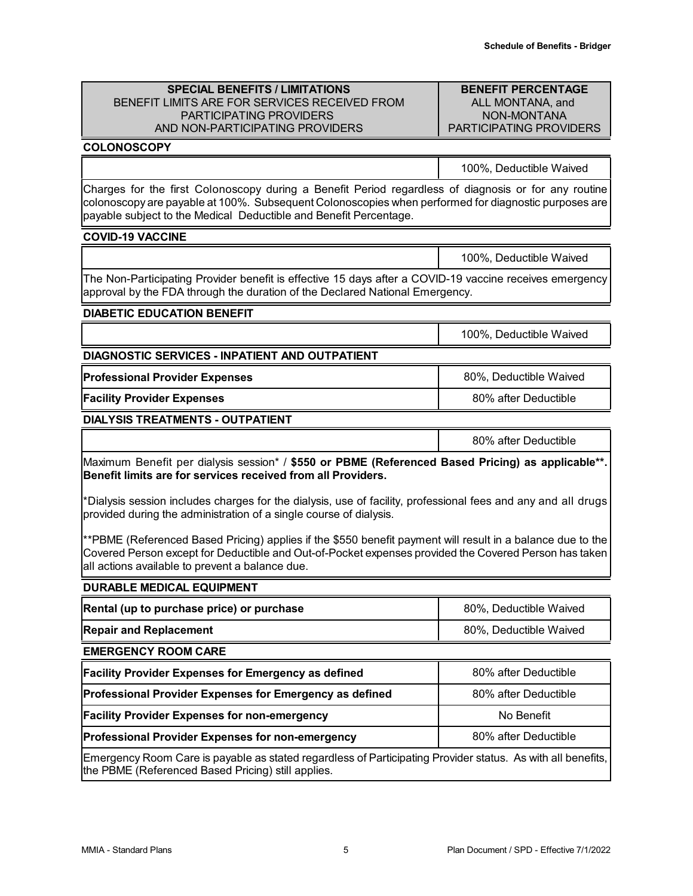### **BENEFIT PERCENTAGE** ALL MONTANA, and NON-MONTANA PARTICIPATING PROVIDERS

#### **COLONOSCOPY**

100%, Deductible Waived

Charges for the first Colonoscopy during a Benefit Period regardless of diagnosis or for any routine colonoscopy are payable at 100%. Subsequent Colonoscopies when performed for diagnostic purposes are payable subject to the Medical Deductible and Benefit Percentage.

### **COVID-19 VACCINE**

100%, Deductible Waived The Non-Participating Provider benefit is effective 15 days after a COVID-19 vaccine receives emergency approval by the FDA through the duration of the Declared National Emergency.

### **DIABETIC EDUCATION BENEFIT**

100%, Deductible Waived

**DIAGNOSTIC SERVICES - INPATIENT AND OUTPATIENT**

**Professional Provider Expenses** 80%, Deductible Waived

**Facility Provider Expenses 80% after Deductible** 

#### **DIALYSIS TREATMENTS - OUTPATIENT**

80% after Deductible

Maximum Benefit per dialysis session\* / **\$550 or PBME (Referenced Based Pricing) as applicable\*\*. Benefit limits are for services received from all Providers.**

\*Dialysis session includes charges for the dialysis, use of facility, professional fees and any and all drugs provided during the administration of a single course of dialysis.

\*\*PBME (Referenced Based Pricing) applies if the \$550 benefit payment will result in a balance due to the Covered Person except for Deductible and Out-of-Pocket expenses provided the Covered Person has taken all actions available to prevent a balance due.

| DUNADLE MEDICAL EQUIFMENT                 |                        |
|-------------------------------------------|------------------------|
| Rental (up to purchase price) or purchase | 80%. Deductible Waived |
| <b>Repair and Replacement</b>             | 80%, Deductible Waived |

**EMERGENCY ROOM CARE**

**DURABLE MEDICAL EQUIPMENT**

| <b>Facility Provider Expenses for Emergency as defined</b>                                                                                                        | 80% after Deductible |
|-------------------------------------------------------------------------------------------------------------------------------------------------------------------|----------------------|
| <b>Professional Provider Expenses for Emergency as defined</b>                                                                                                    | 80% after Deductible |
| <b>Facility Provider Expenses for non-emergency</b>                                                                                                               | No Benefit           |
| 80% after Deductible<br><b>Professional Provider Expenses for non-emergency</b>                                                                                   |                      |
| Emergency Room Care is payable as stated regardless of Participating Provider status. As with all benefits,<br>the PBME (Referenced Based Pricing) still applies. |                      |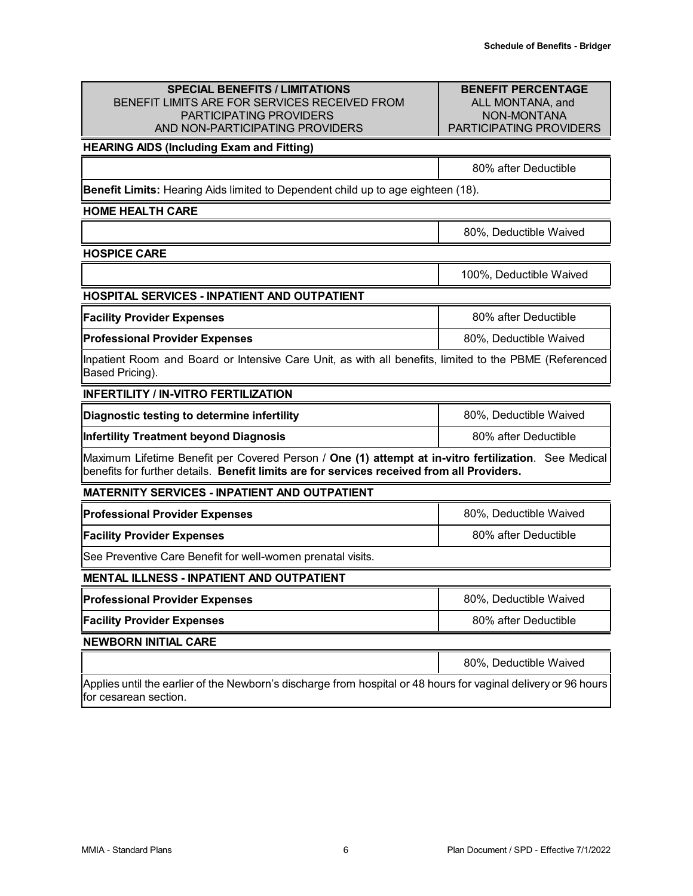### **BENEFIT PERCENTAGE** ALL MONTANA, and NON-MONTANA PARTICIPATING PROVIDERS

80% after Deductible

### **HEARING AIDS (Including Exam and Fitting)**

**Benefit Limits:** Hearing Aids limited to Dependent child up to age eighteen (18).

### **HOME HEALTH CARE**

**HOSPICE CARE**

80%, Deductible Waived

100%, Deductible Waived

| HOSPITAL SERVICES - INPATIENT AND OUTPATIENT                                                                              |                        |
|---------------------------------------------------------------------------------------------------------------------------|------------------------|
| <b>Facility Provider Expenses</b>                                                                                         | 80% after Deductible   |
| <b>Professional Provider Expenses</b>                                                                                     | 80%, Deductible Waived |
| Inpatient Room and Board or Intensive Care Unit, as with all benefits, limited to the PBME (Referenced<br>Based Pricing). |                        |
|                                                                                                                           |                        |

### **INFERTILITY / IN-VITRO FERTILIZATION**

| Diagnostic testing to determine infertility                                                          | 80%, Deductible Waived |
|------------------------------------------------------------------------------------------------------|------------------------|
| Infertility Treatment beyond Diagnosis                                                               | 80% after Deductible   |
| Maximum Lifetime Benefit per Covered Person / One (1) attempt at in-vitro fertilization. See Medical |                        |

benefits for further details. **Benefit limits are for services received from all Providers.**

### **MATERNITY SERVICES - INPATIENT AND OUTPATIENT**

| <b>Professional Provider Expenses</b>                       | 80%, Deductible Waived |
|-------------------------------------------------------------|------------------------|
| <b>Facility Provider Expenses</b>                           | 80% after Deductible   |
| See Preventive Care Benefit for well-women prenatal visits. |                        |

### **MENTAL ILLNESS - INPATIENT AND OUTPATIENT**

| <b>Professional Provider Expenses</b> | 80%, Deductible Waived |
|---------------------------------------|------------------------|
| <b>Facility Provider Expenses</b>     | 80% after Deductible   |

# **NEWBORN INITIAL CARE**

80%, Deductible Waived

Applies until the earlier of the Newborn's discharge from hospital or 48 hours for vaginal delivery or 96 hours for cesarean section.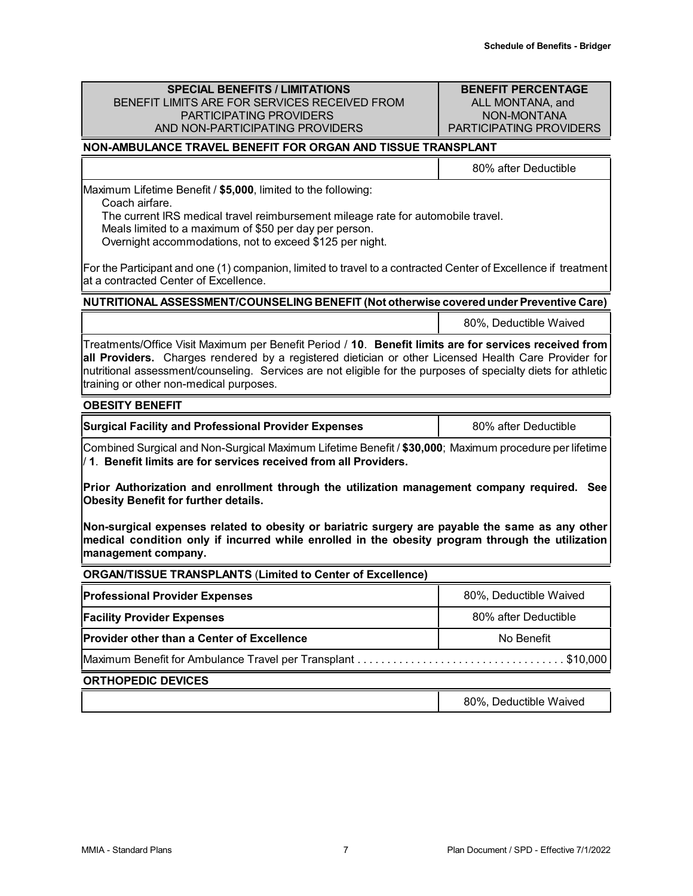### **BENEFIT PERCENTAGE** ALL MONTANA, and NON-MONTANA PARTICIPATING PROVIDERS

# **NON-AMBULANCE TRAVEL BENEFIT FOR ORGAN AND TISSUE TRANSPLANT**

80% after Deductible

Maximum Lifetime Benefit / **\$5,000**, limited to the following:

Coach airfare.

The current IRS medical travel reimbursement mileage rate for automobile travel.

Meals limited to a maximum of \$50 per day per person.

Overnight accommodations, not to exceed \$125 per night.

For the Participant and one (1) companion, limited to travel to a contracted Center of Excellence if treatment at a contracted Center of Excellence.

**NUTRITIONAL ASSESSMENT/COUNSELING BENEFIT (Not otherwise coveredunder Preventive Care)**

80%, Deductible Waived

Treatments/Office Visit Maximum per Benefit Period / **10**. **Benefit limits are for services received from all Providers.** Charges rendered by a registered dietician or other Licensed Health Care Provider for nutritional assessment/counseling. Services are not eligible for the purposes of specialty diets for athletic training or other non-medical purposes.

### **OBESITY BENEFIT**

**Surgical Facility and Professional Provider Expenses <b>80%** after Deductible

Combined Surgical and Non-Surgical Maximum Lifetime Benefit / **\$30,000**; Maximum procedure per lifetime / **1**. **Benefit limits are for services received from all Providers.**

**Prior Authorization and enrollment through the utilization management company required. See Obesity Benefit for further details.**

**Non-surgical expenses related to obesity or bariatric surgery are payable the same as any other medical condition only if incurred while enrolled in the obesity program through the utilization management company.**

# **ORGAN/TISSUE TRANSPLANTS** (**Limited to Center of Excellence)**

| <b>Professional Provider Expenses</b>             | 80%, Deductible Waived |
|---------------------------------------------------|------------------------|
| <b>Facility Provider Expenses</b>                 | 80% after Deductible   |
| <b>Provider other than a Center of Excellence</b> | No Benefit             |
|                                                   |                        |

# **ORTHOPEDIC DEVICES**

80%, Deductible Waived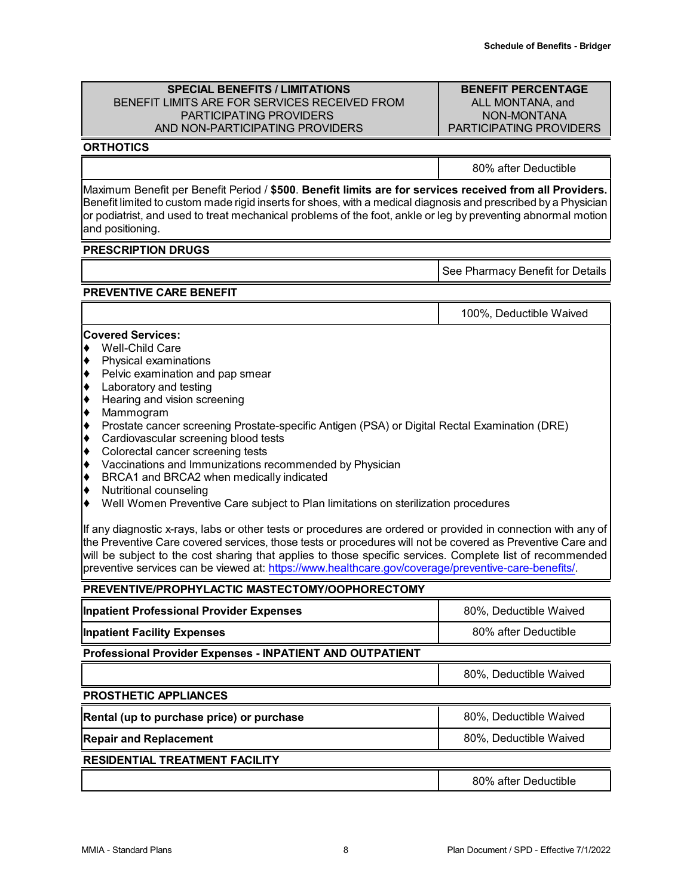**Professional Provider Expenses - INPATIENT AND OUTPATIENT**

### **BENEFIT PERCENTAGE** ALL MONTANA, and NON-MONTANA PARTICIPATING PROVIDERS

### **ORTHOTICS**

80% after Deductible

Maximum Benefit per Benefit Period / **\$500**. **Benefit limits are for services received from all Providers.** Benefit limited to custom made rigid inserts for shoes, with a medical diagnosis and prescribed by a Physician or podiatrist, and used to treat mechanical problems of the foot, ankle or leg by preventing abnormal motion and positioning.

#### **PRESCRIPTION DRUGS**

See Pharmacy Benefit for Details

# **PREVENTIVE CARE BENEFIT**

|                                                                                                                                                                                                                   |                                                                                                                                                                                                                                                                                                                                                                                                                                                                             | 100%, Deductible Waived |
|-------------------------------------------------------------------------------------------------------------------------------------------------------------------------------------------------------------------|-----------------------------------------------------------------------------------------------------------------------------------------------------------------------------------------------------------------------------------------------------------------------------------------------------------------------------------------------------------------------------------------------------------------------------------------------------------------------------|-------------------------|
| ♦<br> ♦<br> ♦<br> ♦<br> ♦<br> ♦<br> ♦<br> ♦<br> ♦                                                                                                                                                                 | <b>Covered Services:</b><br><b>Well-Child Care</b><br>Physical examinations<br>Pelvic examination and pap smear<br>Laboratory and testing<br>Hearing and vision screening<br>Mammogram<br>Prostate cancer screening Prostate-specific Antigen (PSA) or Digital Rectal Examination (DRE)<br>Cardiovascular screening blood tests<br>Colorectal cancer screening tests<br>Vaccinations and Immunizations recommended by Physician<br>BRCA1 and BRCA2 when medically indicated |                         |
| ♦<br> ♦                                                                                                                                                                                                           | Nutritional counseling<br>Well Women Preventive Care subject to Plan limitations on sterilization procedures<br>If any diagnostic x-rays, labs or other tests or procedures are ordered or provided in connection with any of<br>the Preventive Care covered services, those tests or procedures will not be covered as Preventive Care and                                                                                                                                 |                         |
| will be subject to the cost sharing that applies to those specific services. Complete list of recommended<br>preventive services can be viewed at: https://www.healthcare.gov/coverage/preventive-care-benefits/. |                                                                                                                                                                                                                                                                                                                                                                                                                                                                             |                         |
| PREVENTIVE/PROPHYLACTIC MASTECTOMY/OOPHORECTOMY                                                                                                                                                                   |                                                                                                                                                                                                                                                                                                                                                                                                                                                                             |                         |
|                                                                                                                                                                                                                   | <b>Inpatient Professional Provider Expenses</b>                                                                                                                                                                                                                                                                                                                                                                                                                             | 80%, Deductible Waived  |
|                                                                                                                                                                                                                   | <b>Inpatient Facility Expenses</b>                                                                                                                                                                                                                                                                                                                                                                                                                                          | 80% after Deductible    |

**PROSTHETIC APPLIANCES**

**RESIDENTIAL TREATMENT FACILITY**

80% after Deductible

80%, Deductible Waived

**Rental (up to purchase price) or purchase 80%, Deductible Waived 80%, Deductible Waived Repair and Replacement Replacement Repair and Replacement 80%**, Deductible Waived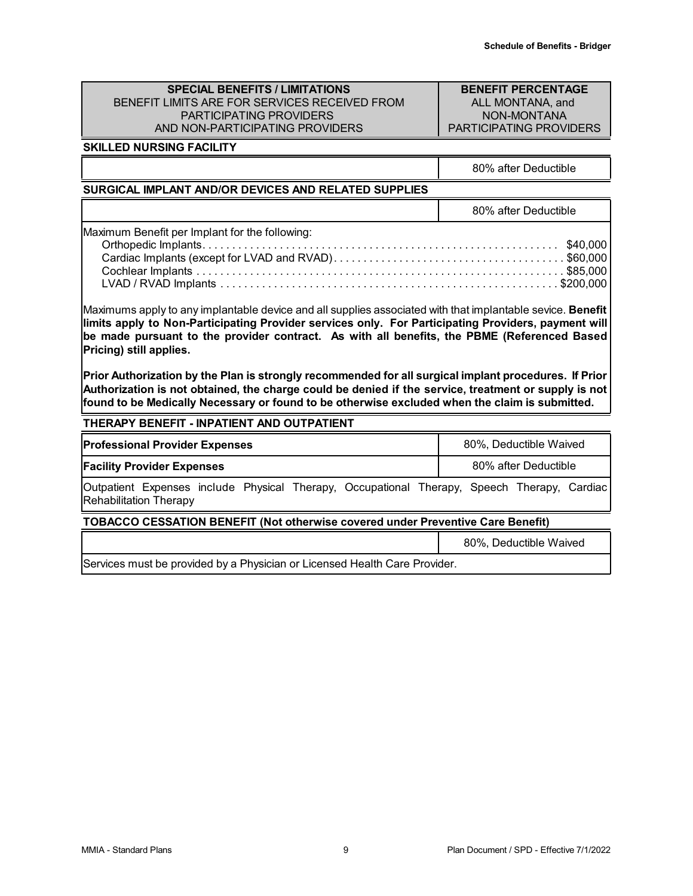### **BENEFIT PERCENTAGE** ALL MONTANA, and NON-MONTANA PARTICIPATING PROVIDERS

# **SKILLED NURSING FACILITY**

80% after Deductible

### **SURGICAL IMPLANT AND/OR DEVICES AND RELATED SUPPLIES**

|                                                | 80% after Deductible |
|------------------------------------------------|----------------------|
| Maximum Benefit per Implant for the following: |                      |
|                                                |                      |
|                                                |                      |
|                                                |                      |
|                                                |                      |

Maximums apply to any implantable device and all supplies associated with that implantable sevice. **Benefit limits apply to Non-Participating Provider services only. For Participating Providers, payment will be made pursuant to the provider contract. As with all benefits, the PBME (Referenced Based Pricing) still applies.**

**Prior Authorization by the Plan is strongly recommended for all surgical implant procedures. If Prior Authorization is not obtained, the charge could be denied if the service, treatment or supply is not found to be Medically Necessary or found to be otherwise excluded when the claim is submitted.**

#### **THERAPY BENEFIT - INPATIENT AND OUTPATIENT**

| <b>Professional Provider Expenses</b>                                                                                        | 80%, Deductible Waived |
|------------------------------------------------------------------------------------------------------------------------------|------------------------|
| <b>Facility Provider Expenses</b>                                                                                            | 80% after Deductible   |
| Outpatient Expenses include Physical Therapy, Occupational Therapy, Speech Therapy, Cardiac<br><b>Rehabilitation Therapy</b> |                        |
| <b>TOBACCO CESSATION BENEFIT (Not otherwise covered under Preventive Care Benefit)</b>                                       |                        |

|                                                                           | $80\%$ .<br>Deductible Waived |
|---------------------------------------------------------------------------|-------------------------------|
| Consiger must be provided by a Dhypigian or Licensed Hoolth Caro Drovider |                               |

Services must be provided by a Physician or Licensed Health Care Provider.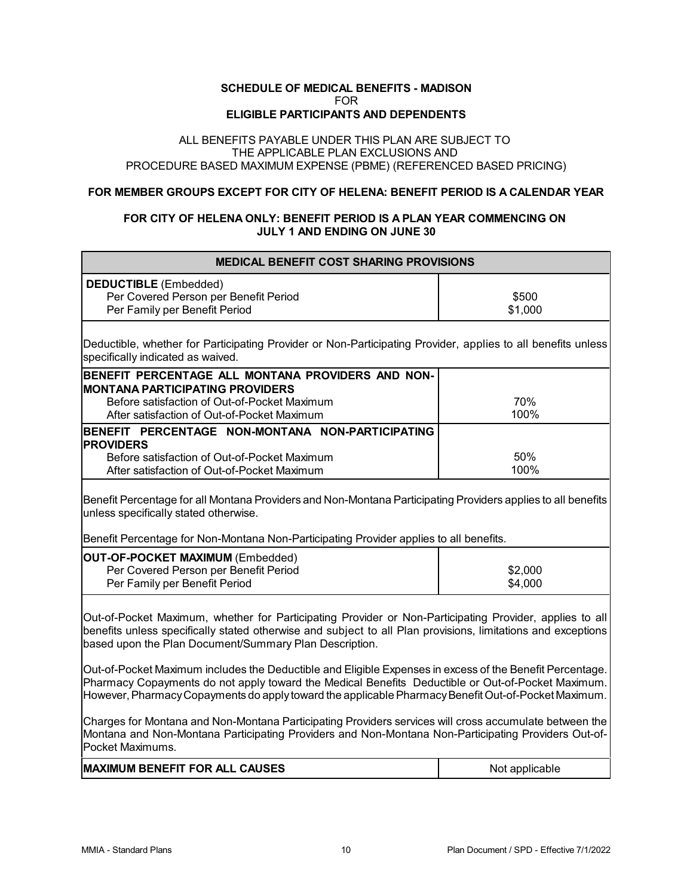### **SCHEDULE OF MEDICAL BENEFITS - MADISON** FOR **ELIGIBLE PARTICIPANTS AND DEPENDENTS**

### ALL BENEFITS PAYABLE UNDER THIS PLAN ARE SUBJECT TO THE APPLICABLE PLAN EXCLUSIONS AND PROCEDURE BASED MAXIMUM EXPENSE (PBME) (REFERENCED BASED PRICING)

### **FOR MEMBER GROUPS EXCEPT FOR CITY OF HELENA: BENEFIT PERIOD IS A CALENDAR YEAR**

### **FOR CITY OF HELENA ONLY: BENEFIT PERIOD IS A PLAN YEAR COMMENCING ON JULY 1 AND ENDING ON JUNE 30**

| <b>MEDICAL BENEFIT COST SHARING PROVISIONS</b>                                                                                                                                                                                                                                                                       |                    |
|----------------------------------------------------------------------------------------------------------------------------------------------------------------------------------------------------------------------------------------------------------------------------------------------------------------------|--------------------|
| <b>DEDUCTIBLE</b> (Embedded)<br>Per Covered Person per Benefit Period<br>Per Family per Benefit Period                                                                                                                                                                                                               | \$500<br>\$1,000   |
| Deductible, whether for Participating Provider or Non-Participating Provider, applies to all benefits unless<br>specifically indicated as waived.                                                                                                                                                                    |                    |
| BENEFIT PERCENTAGE ALL MONTANA PROVIDERS AND NON-                                                                                                                                                                                                                                                                    |                    |
| <b>MONTANA PARTICIPATING PROVIDERS</b><br>Before satisfaction of Out-of-Pocket Maximum<br>After satisfaction of Out-of-Pocket Maximum                                                                                                                                                                                | 70%<br>100%        |
| BENEFIT PERCENTAGE NON-MONTANA NON-PARTICIPATING                                                                                                                                                                                                                                                                     |                    |
| <b>PROVIDERS</b><br>Before satisfaction of Out-of-Pocket Maximum<br>After satisfaction of Out-of-Pocket Maximum                                                                                                                                                                                                      | 50%<br>100%        |
| Benefit Percentage for all Montana Providers and Non-Montana Participating Providers applies to all benefits<br>unless specifically stated otherwise.                                                                                                                                                                |                    |
| Benefit Percentage for Non-Montana Non-Participating Provider applies to all benefits.                                                                                                                                                                                                                               |                    |
| <b>OUT-OF-POCKET MAXIMUM (Embedded)</b><br>Per Covered Person per Benefit Period<br>Per Family per Benefit Period                                                                                                                                                                                                    | \$2,000<br>\$4,000 |
| Out-of-Pocket Maximum, whether for Participating Provider or Non-Participating Provider, applies to all<br>benefits unless specifically stated otherwise and subject to all Plan provisions, limitations and exceptions<br>based upon the Plan Document/Summary Plan Description.                                    |                    |
| Out-of-Pocket Maximum includes the Deductible and Eligible Expenses in excess of the Benefit Percentage.<br>Pharmacy Copayments do not apply toward the Medical Benefits Deductible or Out-of-Pocket Maximum.<br>However, Pharmacy Copayments do apply toward the applicable Pharmacy Benefit Out-of-Pocket Maximum. |                    |
| Charges for Montana and Non-Montana Participating Providers services will cross accumulate between the<br>Montana and Non-Montana Participating Providers and Non-Montana Non-Participating Providers Out-of-<br>Pocket Maximums.                                                                                    |                    |
| <b>MAXIMUM BENEFIT FOR ALL CAUSES</b>                                                                                                                                                                                                                                                                                | Not applicable     |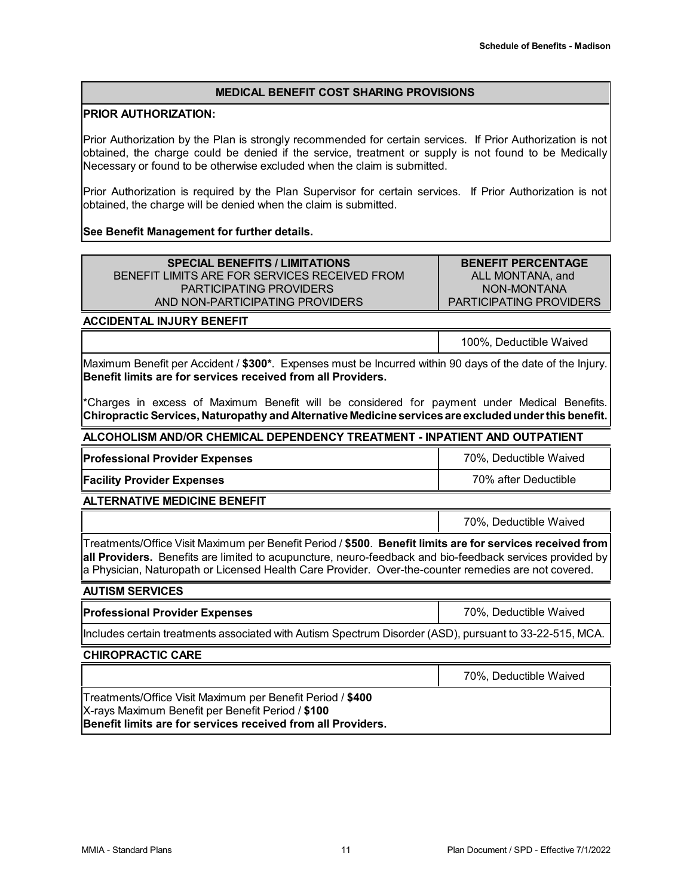### **MEDICAL BENEFIT COST SHARING PROVISIONS**

#### **PRIOR AUTHORIZATION:**

Prior Authorization by the Plan is strongly recommended for certain services. If Prior Authorization is not obtained, the charge could be denied if the service, treatment or supply is not found to be Medically Necessary or found to be otherwise excluded when the claim is submitted.

Prior Authorization is required by the Plan Supervisor for certain services. If Prior Authorization is not obtained, the charge will be denied when the claim is submitted.

#### **See Benefit Management for further details.**

| <b>SPECIAL BENEFITS / LIMITATIONS</b>         | <b>BENEFIT PERCENTAGE</b>      |
|-----------------------------------------------|--------------------------------|
| BENEFIT LIMITS ARE FOR SERVICES RECEIVED FROM | ALL MONTANA, and               |
| PARTICIPATING PROVIDERS                       | NON-MONTANA                    |
| AND NON-PARTICIPATING PROVIDERS               | <b>PARTICIPATING PROVIDERS</b> |

**ACCIDENTAL INJURY BENEFIT**

100%, Deductible Waived

Maximum Benefit per Accident / **\$300\***. Expenses must be Incurred within 90 days of the date of the Injury. **Benefit limits are for services received from all Providers.**

\*Charges in excess of Maximum Benefit will be considered for payment under Medical Benefits. **Chiropractic Services, Naturopathy and Alternative Medicine services are excludedunder this benefit.**

**ALCOHOLISM AND/OR CHEMICAL DEPENDENCY TREATMENT - INPATIENT AND OUTPATIENT**

| Professional Provider Expenses    | 70%, Deductible Waived |
|-----------------------------------|------------------------|
| <b>Facility Provider Expenses</b> | 70% after Deductible   |

**ALTERNATIVE MEDICINE BENEFIT**

70%, Deductible Waived

Treatments/Office Visit Maximum per Benefit Period / **\$500**. **Benefit limits are for services received from all Providers.** Benefits are limited to acupuncture, neuro-feedback and bio-feedback services provided by a Physician, Naturopath or Licensed Health Care Provider. Over-the-counter remedies are not covered.

#### **AUTISM SERVICES**

**Professional Provider Expenses** 70%, Deductible Waived

Includes certain treatments associated with Autism Spectrum Disorder (ASD), pursuant to 33-22-515, MCA.

#### **CHIROPRACTIC CARE**

70%, Deductible Waived

Treatments/Office Visit Maximum per Benefit Period / **\$400** X-rays Maximum Benefit per Benefit Period / **\$100 Benefit limits are for services received from all Providers.**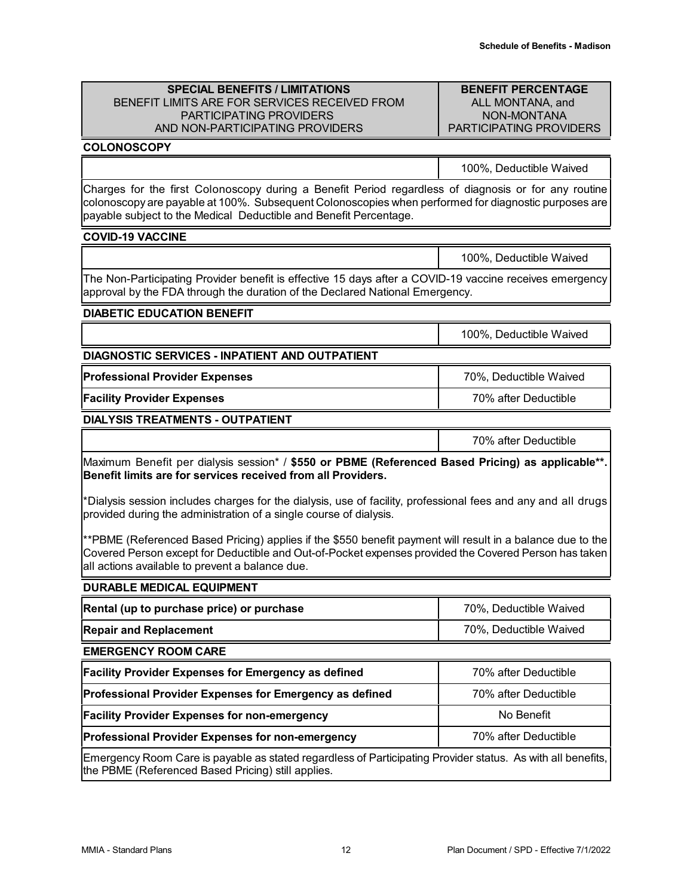### **BENEFIT PERCENTAGE** ALL MONTANA, and NON-MONTANA PARTICIPATING PROVIDERS

#### **COLONOSCOPY**

100%, Deductible Waived

Charges for the first Colonoscopy during a Benefit Period regardless of diagnosis or for any routine colonoscopy are payable at 100%. Subsequent Colonoscopies when performed for diagnostic purposes are payable subject to the Medical Deductible and Benefit Percentage.

#### **COVID-19 VACCINE**

100%, Deductible Waived The Non-Participating Provider benefit is effective 15 days after a COVID-19 vaccine receives emergency approval by the FDA through the duration of the Declared National Emergency.

# **DIABETIC EDUCATION BENEFIT**

100%, Deductible Waived

**DIAGNOSTIC SERVICES - INPATIENT AND OUTPATIENT**

**Professional Provider Expenses** 70%, Deductible Waived

**Facility Provider Expenses The Contract of American Contract 1 and 2**70% after Deductible

#### **DIALYSIS TREATMENTS - OUTPATIENT**

70% after Deductible

Maximum Benefit per dialysis session\* / **\$550 or PBME (Referenced Based Pricing) as applicable\*\*. Benefit limits are for services received from all Providers.**

\*Dialysis session includes charges for the dialysis, use of facility, professional fees and any and all drugs provided during the administration of a single course of dialysis.

\*\*PBME (Referenced Based Pricing) applies if the \$550 benefit payment will result in a balance due to the Covered Person except for Deductible and Out-of-Pocket expenses provided the Covered Person has taken all actions available to prevent a balance due.

| PUNJEL MEPRAL LWUI MENT                   |                        |
|-------------------------------------------|------------------------|
| Rental (up to purchase price) or purchase | 70%. Deductible Waived |
| <b>Repair and Replacement</b>             | 70%, Deductible Waived |
|                                           |                        |

**EMERGENCY ROOM CARE**

**DURABLE MEDICAL EQUIPMENT**

| <b>Facility Provider Expenses for Emergency as defined</b>                                                  | 70% after Deductible |
|-------------------------------------------------------------------------------------------------------------|----------------------|
| Professional Provider Expenses for Emergency as defined                                                     | 70% after Deductible |
| <b>Facility Provider Expenses for non-emergency</b>                                                         | No Benefit           |
| <b>Professional Provider Expenses for non-emergency</b>                                                     | 70% after Deductible |
| Emergency Room Care is payable as stated regardless of Participating Provider status. As with all benefits, |                      |

the PBME (Referenced Based Pricing) still applies.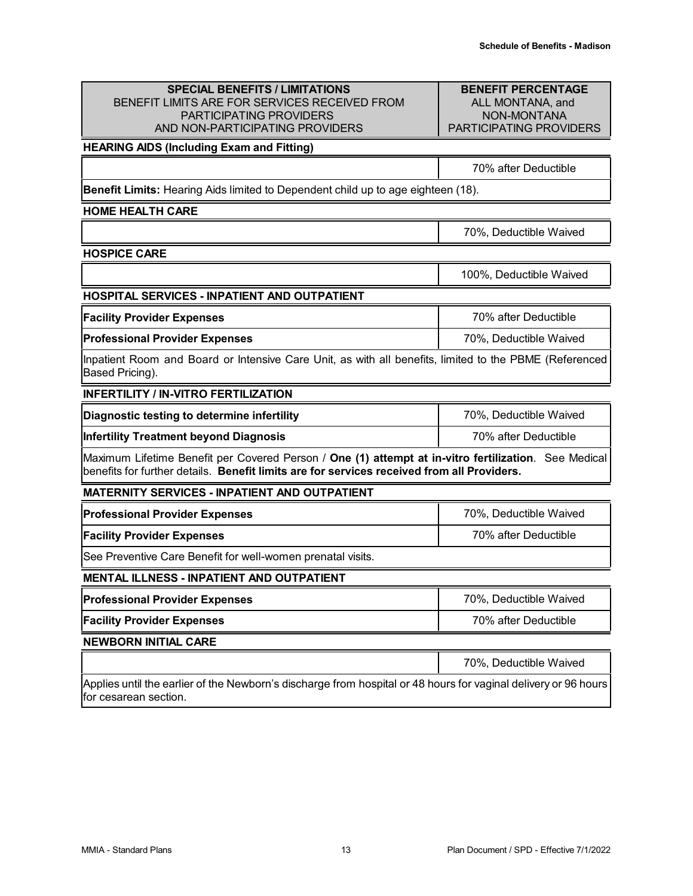### **BENEFIT PERCENTAGE** ALL MONTANA, and NON-MONTANA PARTICIPATING PROVIDERS

### **HEARING AIDS (Including Exam and Fitting)**

**Benefit Limits:** Hearing Aids limited to Dependent child up to age eighteen (18).

### **HOME HEALTH CARE**

**HOSPICE CARE**

70%, Deductible Waived

| 100%, Deductible Waived |
|-------------------------|
|                         |

| <b>HOSPITAL SERVICES - INPATIENT AND OUTPATIENT</b>                                                                       |                        |
|---------------------------------------------------------------------------------------------------------------------------|------------------------|
| <b>Facility Provider Expenses</b>                                                                                         | 70% after Deductible   |
| <b>Professional Provider Expenses</b>                                                                                     | 70%, Deductible Waived |
| Inpatient Room and Board or Intensive Care Unit, as with all benefits, limited to the PBME (Referenced<br>Based Pricing). |                        |

### **INFERTILITY / IN-VITRO FERTILIZATION**

| Diagnostic testing to determine infertility                                                         | 70%, Deductible Waived |
|-----------------------------------------------------------------------------------------------------|------------------------|
| Infertility Treatment beyond Diagnosis                                                              | 70% after Deductible   |
| Maximum Lifetime Repetit per Covered Derson LOne (1) ottompt at in vitro fertilization. See Medical |                        |

Maximum Lifetime Benefit per Covered Person / **One (1) attempt at in-vitro fertilization**. See Medical benefits for further details. **Benefit limits are for services received from all Providers.**

### **MATERNITY SERVICES - INPATIENT AND OUTPATIENT**

| <b>Professional Provider Expenses</b>                       | 70%, Deductible Waived |
|-------------------------------------------------------------|------------------------|
| <b>Facility Provider Expenses</b>                           | 70% after Deductible   |
| See Preventive Care Benefit for well-women prenatal visits. |                        |

### **MENTAL ILLNESS - INPATIENT AND OUTPATIENT**

| <b>Professional Provider Expenses</b> | 70%, Deductible Waived |
|---------------------------------------|------------------------|
| <b>Facility Provider Expenses</b>     | 70% after Deductible   |

# **NEWBORN INITIAL CARE**

70%, Deductible Waived

Applies until the earlier of the Newborn's discharge from hospital or 48 hours for vaginal delivery or 96 hours for cesarean section.

70% after Deductible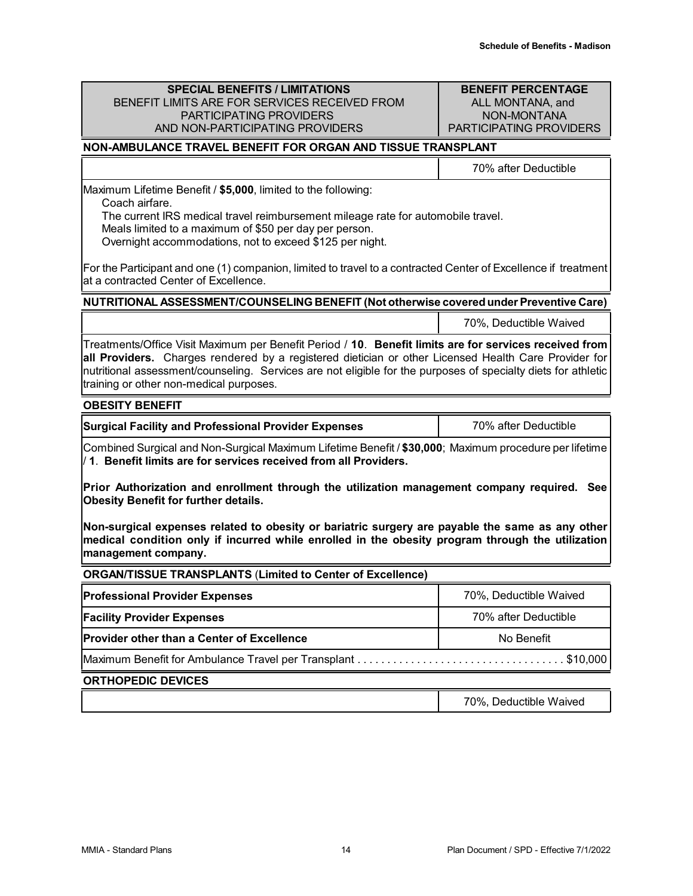**BENEFIT PERCENTAGE** ALL MONTANA, and NON-MONTANA PARTICIPATING PROVIDERS

# **NON-AMBULANCE TRAVEL BENEFIT FOR ORGAN AND TISSUE TRANSPLANT**

|                                                                                                                                                | 70% after Deductible |
|------------------------------------------------------------------------------------------------------------------------------------------------|----------------------|
| $\mathbf{L}$ if a time as $\mathbf{D}$ and $\mathbf{L}$ if $\mathbf{F}$ $\mathbf{D}$ $\mathbf{D}$ as $\mathbf{L}$ is ideal to the fall assumes |                      |

Maximum Lifetime Benefit / **\$5,000**, limited to the following:

Coach airfare.

The current IRS medical travel reimbursement mileage rate for automobile travel.

Meals limited to a maximum of \$50 per day per person.

Overnight accommodations, not to exceed \$125 per night.

For the Participant and one (1) companion, limited to travel to a contracted Center of Excellence if treatment at a contracted Center of Excellence.

**NUTRITIONAL ASSESSMENT/COUNSELING BENEFIT (Not otherwise coveredunder Preventive Care)**

70%, Deductible Waived

Treatments/Office Visit Maximum per Benefit Period / **10**. **Benefit limits are for services received from all Providers.** Charges rendered by a registered dietician or other Licensed Health Care Provider for nutritional assessment/counseling. Services are not eligible for the purposes of specialty diets for athletic training or other non-medical purposes.

### **OBESITY BENEFIT**

**Surgical Facility and Professional Provider Expenses** 70% after Deductible

Combined Surgical and Non-Surgical Maximum Lifetime Benefit / **\$30,000**; Maximum procedure per lifetime / **1**. **Benefit limits are for services received from all Providers.**

**Prior Authorization and enrollment through the utilization management company required. See Obesity Benefit for further details.**

**Non-surgical expenses related to obesity or bariatric surgery are payable the same as any other medical condition only if incurred while enrolled in the obesity program through the utilization management company.**

# **ORGAN/TISSUE TRANSPLANTS** (**Limited to Center of Excellence)**

| <b>Professional Provider Expenses</b>             | 70%, Deductible Waived |
|---------------------------------------------------|------------------------|
| <b>Facility Provider Expenses</b>                 | 70% after Deductible   |
| <b>Provider other than a Center of Excellence</b> | No Benefit             |
|                                                   |                        |

# **ORTHOPEDIC DEVICES**

70%, Deductible Waived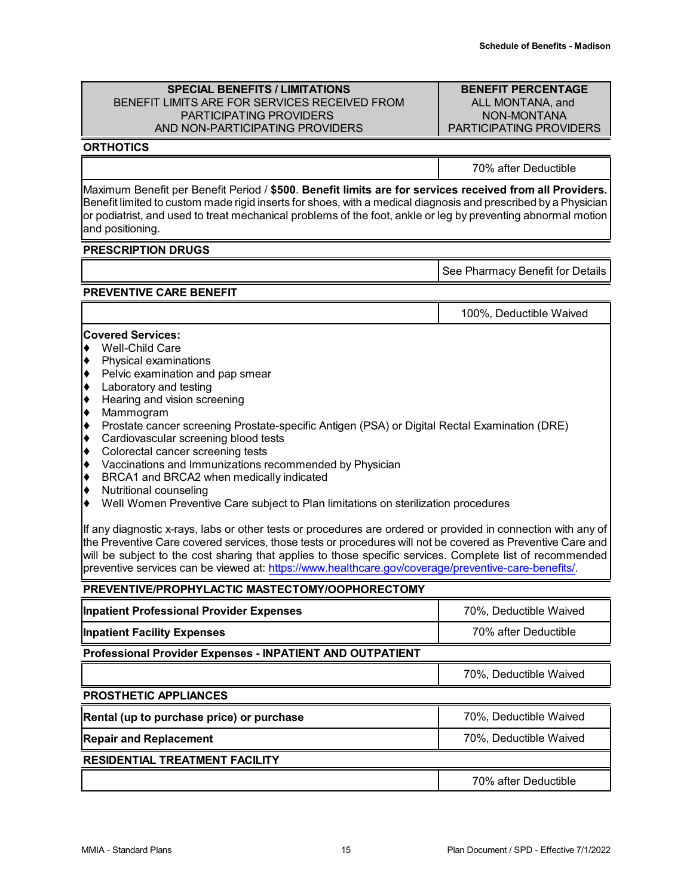### **BENEFIT PERCENTAGE** ALL MONTANA, and NON-MONTANA PARTICIPATING PROVIDERS

### **ORTHOTICS**

70% after Deductible

Maximum Benefit per Benefit Period / **\$500**. **Benefit limits are for services received from all Providers.** Benefit limited to custom made rigid inserts for shoes, with a medical diagnosis and prescribed by a Physician or podiatrist, and used to treat mechanical problems of the foot, ankle or leg by preventing abnormal motion and positioning.

#### **PRESCRIPTION DRUGS**

See Pharmacy Benefit for Details

# **PREVENTIVE CARE BENEFIT**

|                                                                                                                                                                                                                                                                                                                                                                                                                                                                                                                                              |                                                                                                                                                                                                                                                                                                                                                                                                                                                                                                       | 100%, Deductible Waived |
|----------------------------------------------------------------------------------------------------------------------------------------------------------------------------------------------------------------------------------------------------------------------------------------------------------------------------------------------------------------------------------------------------------------------------------------------------------------------------------------------------------------------------------------------|-------------------------------------------------------------------------------------------------------------------------------------------------------------------------------------------------------------------------------------------------------------------------------------------------------------------------------------------------------------------------------------------------------------------------------------------------------------------------------------------------------|-------------------------|
| ♦<br> ♦<br> ♦<br> ♦<br> ♦<br> ♦<br> ♦<br> ♦<br> ♦<br> ♦<br> ♦                                                                                                                                                                                                                                                                                                                                                                                                                                                                                | <b>Covered Services:</b><br><b>Well-Child Care</b><br>Physical examinations<br>Pelvic examination and pap smear<br>Laboratory and testing<br>Hearing and vision screening<br>Mammogram<br>Prostate cancer screening Prostate-specific Antigen (PSA) or Digital Rectal Examination (DRE)<br>Cardiovascular screening blood tests<br>Colorectal cancer screening tests<br>Vaccinations and Immunizations recommended by Physician<br>BRCA1 and BRCA2 when medically indicated<br>Nutritional counseling |                         |
| Well Women Preventive Care subject to Plan limitations on sterilization procedures<br> ♦<br>If any diagnostic x-rays, labs or other tests or procedures are ordered or provided in connection with any of<br>the Preventive Care covered services, those tests or procedures will not be covered as Preventive Care and<br>will be subject to the cost sharing that applies to those specific services. Complete list of recommended<br>preventive services can be viewed at: https://www.healthcare.gov/coverage/preventive-care-benefits/. |                                                                                                                                                                                                                                                                                                                                                                                                                                                                                                       |                         |
| PREVENTIVE/PROPHYLACTIC MASTECTOMY/OOPHORECTOMY                                                                                                                                                                                                                                                                                                                                                                                                                                                                                              |                                                                                                                                                                                                                                                                                                                                                                                                                                                                                                       |                         |
|                                                                                                                                                                                                                                                                                                                                                                                                                                                                                                                                              | 70%, Deductible Waived<br><b>Inpatient Professional Provider Expenses</b>                                                                                                                                                                                                                                                                                                                                                                                                                             |                         |
|                                                                                                                                                                                                                                                                                                                                                                                                                                                                                                                                              | 70% after Deductible<br><b>Inpatient Facility Expenses</b>                                                                                                                                                                                                                                                                                                                                                                                                                                            |                         |

**Professional Provider Expenses - INPATIENT AND OUTPATIENT**

|                                           | 70%, Deductible Waived |
|-------------------------------------------|------------------------|
| <b>PROSTHETIC APPLIANCES</b>              |                        |
| Rental (up to purchase price) or purchase | 70%, Deductible Waived |
| <b>Repair and Replacement</b>             | 70%, Deductible Waived |
| <b>RESIDENTIAL TREATMENT FACILITY</b>     |                        |
|                                           | 70% after Deductible   |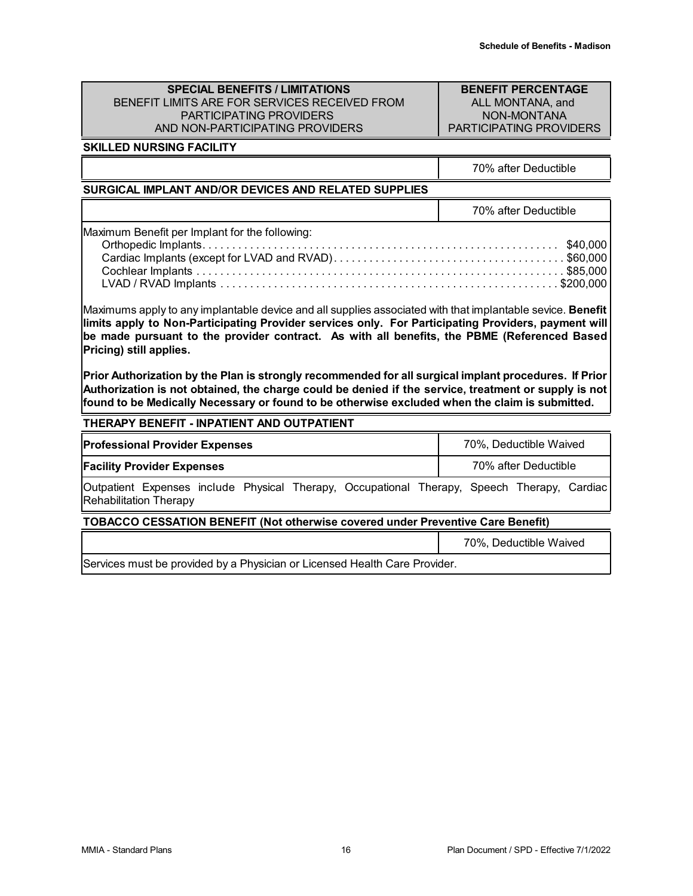### **BENEFIT PERCENTAGE** ALL MONTANA, and NON-MONTANA PARTICIPATING PROVIDERS

## **SKILLED NURSING FACILITY**

70% after Deductible

### **SURGICAL IMPLANT AND/OR DEVICES AND RELATED SUPPLIES**

|                                                | 70% after Deductible |
|------------------------------------------------|----------------------|
| Maximum Benefit per Implant for the following: |                      |
|                                                |                      |
|                                                |                      |
|                                                |                      |
|                                                |                      |

Maximums apply to any implantable device and all supplies associated with that implantable sevice. **Benefit limits apply to Non-Participating Provider services only. For Participating Providers, payment will be made pursuant to the provider contract. As with all benefits, the PBME (Referenced Based Pricing) still applies.**

**Prior Authorization by the Plan is strongly recommended for all surgical implant procedures. If Prior Authorization is not obtained, the charge could be denied if the service, treatment or supply is not found to be Medically Necessary or found to be otherwise excluded when the claim is submitted.**

### **THERAPY BENEFIT - INPATIENT AND OUTPATIENT**

| <b>Professional Provider Expenses</b>                                                                                        | 70%, Deductible Waived |  |
|------------------------------------------------------------------------------------------------------------------------------|------------------------|--|
| <b>Facility Provider Expenses</b>                                                                                            | 70% after Deductible   |  |
| Outpatient Expenses include Physical Therapy, Occupational Therapy, Speech Therapy, Cardiac<br><b>Rehabilitation Therapy</b> |                        |  |
| <b>TOBACCO CESSATION BENEFIT (Not otherwise covered under Preventive Care Benefit)</b>                                       |                        |  |

|                                                                           | 70%, Deductible Waived |
|---------------------------------------------------------------------------|------------------------|
| Services must be provided by a Physician or Licensed Health Care Provider |                        |

iervices must be provided by a Physician or Licensed Health Care Provider.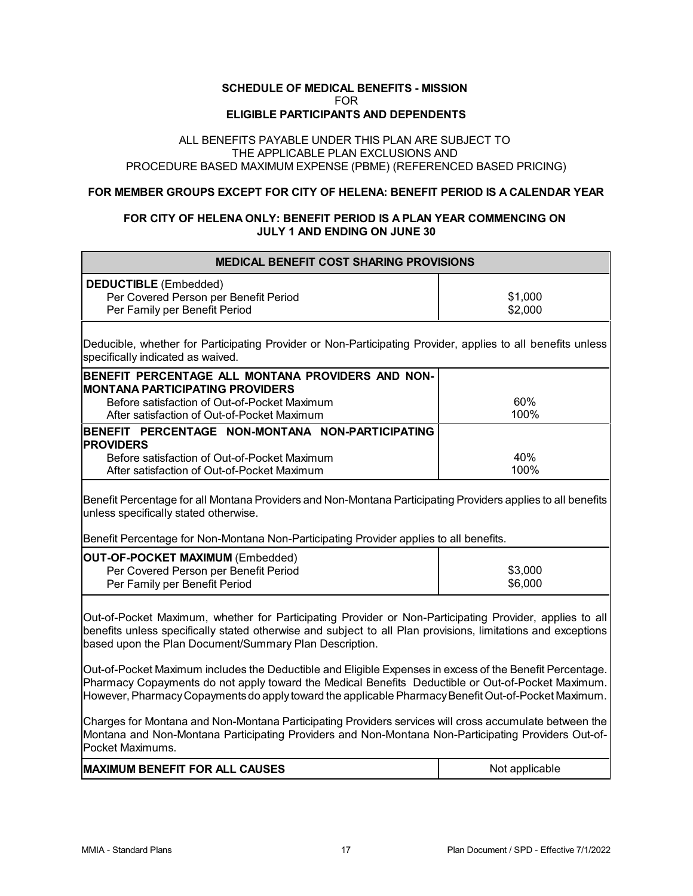### **SCHEDULE OF MEDICAL BENEFITS - MISSION** FOR **ELIGIBLE PARTICIPANTS AND DEPENDENTS**

### ALL BENEFITS PAYABLE UNDER THIS PLAN ARE SUBJECT TO THE APPLICABLE PLAN EXCLUSIONS AND PROCEDURE BASED MAXIMUM EXPENSE (PBME) (REFERENCED BASED PRICING)

### **FOR MEMBER GROUPS EXCEPT FOR CITY OF HELENA: BENEFIT PERIOD IS A CALENDAR YEAR**

### **FOR CITY OF HELENA ONLY: BENEFIT PERIOD IS A PLAN YEAR COMMENCING ON JULY 1 AND ENDING ON JUNE 30**

| <b>MEDICAL BENEFIT COST SHARING PROVISIONS</b>                                                                                                                                                                                                                                                                       |                    |
|----------------------------------------------------------------------------------------------------------------------------------------------------------------------------------------------------------------------------------------------------------------------------------------------------------------------|--------------------|
| <b>DEDUCTIBLE</b> (Embedded)<br>Per Covered Person per Benefit Period<br>Per Family per Benefit Period                                                                                                                                                                                                               | \$1,000<br>\$2,000 |
| Deducible, whether for Participating Provider or Non-Participating Provider, applies to all benefits unless<br>specifically indicated as waived.                                                                                                                                                                     |                    |
| BENEFIT PERCENTAGE ALL MONTANA PROVIDERS AND NON-                                                                                                                                                                                                                                                                    |                    |
| <b>MONTANA PARTICIPATING PROVIDERS</b><br>Before satisfaction of Out-of-Pocket Maximum<br>After satisfaction of Out-of-Pocket Maximum                                                                                                                                                                                | 60%<br>100%        |
| BENEFIT PERCENTAGE NON-MONTANA NON-PARTICIPATING                                                                                                                                                                                                                                                                     |                    |
| <b>PROVIDERS</b><br>Before satisfaction of Out-of-Pocket Maximum<br>After satisfaction of Out-of-Pocket Maximum                                                                                                                                                                                                      | 40%<br>100%        |
| Benefit Percentage for all Montana Providers and Non-Montana Participating Providers applies to all benefits<br>unless specifically stated otherwise.                                                                                                                                                                |                    |
| Benefit Percentage for Non-Montana Non-Participating Provider applies to all benefits.                                                                                                                                                                                                                               |                    |
| <b>OUT-OF-POCKET MAXIMUM (Embedded)</b><br>Per Covered Person per Benefit Period<br>Per Family per Benefit Period                                                                                                                                                                                                    | \$3,000<br>\$6,000 |
| Out-of-Pocket Maximum, whether for Participating Provider or Non-Participating Provider, applies to all<br>benefits unless specifically stated otherwise and subject to all Plan provisions, limitations and exceptions<br>based upon the Plan Document/Summary Plan Description.                                    |                    |
| Out-of-Pocket Maximum includes the Deductible and Eligible Expenses in excess of the Benefit Percentage.<br>Pharmacy Copayments do not apply toward the Medical Benefits Deductible or Out-of-Pocket Maximum.<br>However, Pharmacy Copayments do apply toward the applicable Pharmacy Benefit Out-of-Pocket Maximum. |                    |
| Charges for Montana and Non-Montana Participating Providers services will cross accumulate between the<br>Montana and Non-Montana Participating Providers and Non-Montana Non-Participating Providers Out-of-<br>Pocket Maximums.                                                                                    |                    |
| <b>MAXIMUM BENEFIT FOR ALL CAUSES</b>                                                                                                                                                                                                                                                                                | Not applicable     |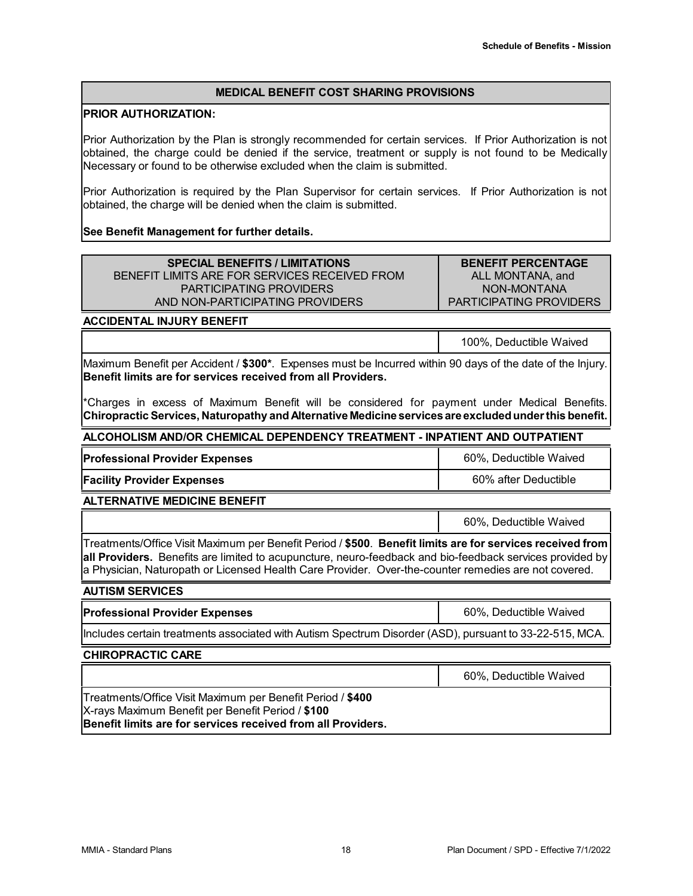### **MEDICAL BENEFIT COST SHARING PROVISIONS**

#### **PRIOR AUTHORIZATION:**

Prior Authorization by the Plan is strongly recommended for certain services. If Prior Authorization is not obtained, the charge could be denied if the service, treatment or supply is not found to be Medically Necessary or found to be otherwise excluded when the claim is submitted.

Prior Authorization is required by the Plan Supervisor for certain services. If Prior Authorization is not obtained, the charge will be denied when the claim is submitted.

#### **See Benefit Management for further details.**

| <b>SPECIAL BENEFITS / LIMITATIONS</b>         | <b>BENEFIT PERCENTAGE</b>      |
|-----------------------------------------------|--------------------------------|
| BENEFIT LIMITS ARE FOR SERVICES RECEIVED FROM | ALL MONTANA, and               |
| PARTICIPATING PROVIDERS                       | NON-MONTANA                    |
| AND NON-PARTICIPATING PROVIDERS               | <b>PARTICIPATING PROVIDERS</b> |

**ACCIDENTAL INJURY BENEFIT**

100%, Deductible Waived

Maximum Benefit per Accident / **\$300\***. Expenses must be Incurred within 90 days of the date of the Injury. **Benefit limits are for services received from all Providers.**

\*Charges in excess of Maximum Benefit will be considered for payment under Medical Benefits. **Chiropractic Services, Naturopathy and Alternative Medicine services are excludedunder this benefit.**

**ALCOHOLISM AND/OR CHEMICAL DEPENDENCY TREATMENT - INPATIENT AND OUTPATIENT**

| <b>Professional Provider Expenses</b> | 60%, Deductible Waived |
|---------------------------------------|------------------------|
| <b>Facility Provider Expenses</b>     | 60% after Deductible   |

**ALTERNATIVE MEDICINE BENEFIT**

60%, Deductible Waived

Treatments/Office Visit Maximum per Benefit Period / **\$500**. **Benefit limits are for services received from all Providers.** Benefits are limited to acupuncture, neuro-feedback and bio-feedback services provided by a Physician, Naturopath or Licensed Health Care Provider. Over-the-counter remedies are not covered.

#### **AUTISM SERVICES**

**Professional Provider Expenses** 60%, Deductible Waived

Includes certain treatments associated with Autism Spectrum Disorder (ASD), pursuant to 33-22-515, MCA.

#### **CHIROPRACTIC CARE**

60%, Deductible Waived

Treatments/Office Visit Maximum per Benefit Period / **\$400** X-rays Maximum Benefit per Benefit Period / **\$100 Benefit limits are for services received from all Providers.**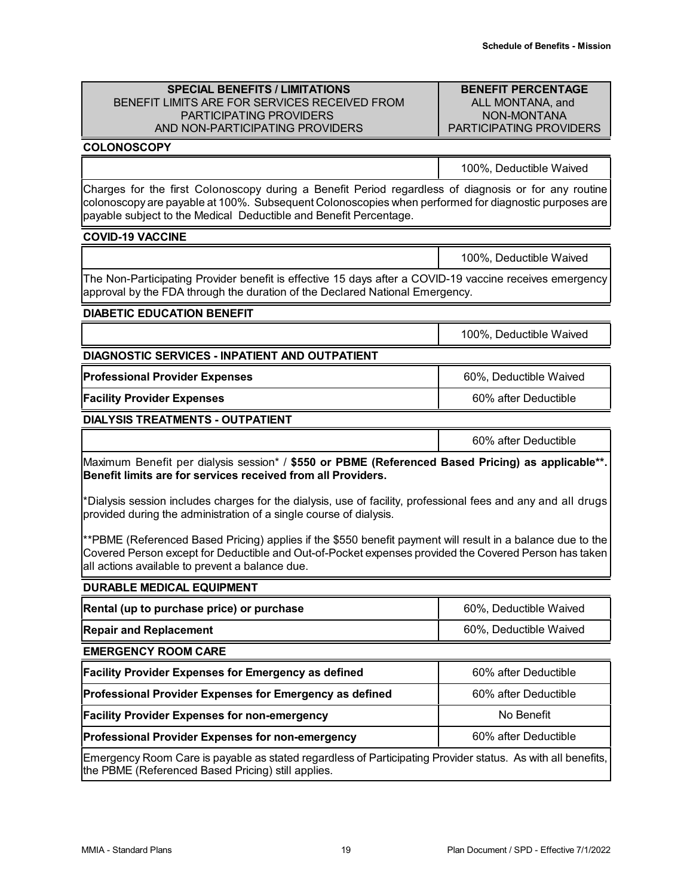### **BENEFIT PERCENTAGE** ALL MONTANA, and NON-MONTANA PARTICIPATING PROVIDERS

#### **COLONOSCOPY**

100%, Deductible Waived

Charges for the first Colonoscopy during a Benefit Period regardless of diagnosis or for any routine colonoscopy are payable at 100%. Subsequent Colonoscopies when performed for diagnostic purposes are payable subject to the Medical Deductible and Benefit Percentage.

### **COVID-19 VACCINE**

|                                                                                                         | 100%, Deductible Waived |
|---------------------------------------------------------------------------------------------------------|-------------------------|
| The Non-Participating Provider benefit is effective 15 days after a COVID-19 vaccine receives emergency |                         |
| approval by the FDA through the duration of the Declared National Emergency.                            |                         |

### **DIABETIC EDUCATION BENEFIT**

100%, Deductible Waived

**DIAGNOSTIC SERVICES - INPATIENT AND OUTPATIENT**

**Professional Provider Expenses** 60%, Deductible Waived

**Facility Provider Expenses** 60% after Deductible 60% after Deductible

#### **DIALYSIS TREATMENTS - OUTPATIENT**

60% after Deductible

Maximum Benefit per dialysis session\* / **\$550 or PBME (Referenced Based Pricing) as applicable\*\*. Benefit limits are for services received from all Providers.**

\*Dialysis session includes charges for the dialysis, use of facility, professional fees and any and all drugs provided during the administration of a single course of dialysis.

\*\*PBME (Referenced Based Pricing) applies if the \$550 benefit payment will result in a balance due to the Covered Person except for Deductible and Out-of-Pocket expenses provided the Covered Person has taken all actions available to prevent a balance due.

| DOIVADLE MEDICAE EQUITMENT                |                        |
|-------------------------------------------|------------------------|
| Rental (up to purchase price) or purchase | 60%. Deductible Waived |
| <b>Repair and Replacement</b>             | 60%, Deductible Waived |
|                                           |                        |

**EMERGENCY ROOM CARE**

**DURABLE MEDICAL EQUIPMENT**

| <b>Facility Provider Expenses for Emergency as defined</b>                                                  | 60% after Deductible |
|-------------------------------------------------------------------------------------------------------------|----------------------|
| Professional Provider Expenses for Emergency as defined                                                     | 60% after Deductible |
| <b>Facility Provider Expenses for non-emergency</b>                                                         | No Benefit           |
| <b>Professional Provider Expenses for non-emergency</b>                                                     | 60% after Deductible |
| Emergency Room Care is payable as stated regardless of Participating Provider status. As with all benefits, |                      |

the PBME (Referenced Based Pricing) still applies.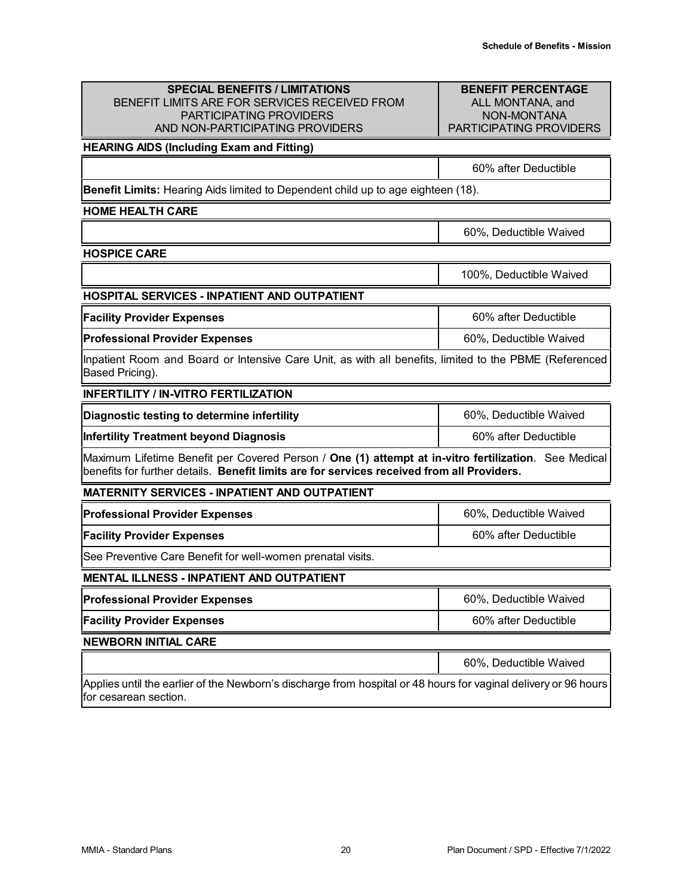### **BENEFIT PERCENTAGE** ALL MONTANA, and NON-MONTANA PARTICIPATING PROVIDERS

60% after Deductible

### **HEARING AIDS (Including Exam and Fitting)**

**Benefit Limits:** Hearing Aids limited to Dependent child up to age eighteen (18).

### **HOME HEALTH CARE**

**HOSPICE CARE**

60%, Deductible Waived

100%, Deductible Waived

| <b>HOSPITAL SERVICES - INPATIENT AND OUTPATIENT</b>                                                                        |                        |  |
|----------------------------------------------------------------------------------------------------------------------------|------------------------|--|
| <b>Facility Provider Expenses</b>                                                                                          | 60% after Deductible   |  |
| <b>Professional Provider Expenses</b>                                                                                      | 60%, Deductible Waived |  |
| linpatient Room and Board or Intensive Care Unit, as with all benefits, limited to the PBME (Referenced<br>Based Pricing). |                        |  |

### **INFERTILITY / IN-VITRO FERTILIZATION**

| Diagnostic testing to determine infertility                                                          | 60%, Deductible Waived |
|------------------------------------------------------------------------------------------------------|------------------------|
| <b>Infertility Treatment beyond Diagnosis</b>                                                        | 60% after Deductible   |
| Maximum Lifetime Benefit per Covered Person / One (1) attempt at in-vitro fertilization. See Medical |                        |

Maximum Lifetime Benefit per Covered Person / **One (1) attempt at in-vitro fertilization**. See Medical benefits for further details. **Benefit limits are for services received from all Providers.**

### **MATERNITY SERVICES - INPATIENT AND OUTPATIENT**

| <b>Professional Provider Expenses</b>                       | 60%, Deductible Waived |
|-------------------------------------------------------------|------------------------|
| <b>Facility Provider Expenses</b>                           | 60% after Deductible   |
| See Preventive Care Benefit for well-women prenatal visits. |                        |

### **MENTAL ILLNESS - INPATIENT AND OUTPATIENT**

| <b>Professional Provider Expenses</b> | 60%, Deductible Waived |
|---------------------------------------|------------------------|
| <b>Facility Provider Expenses</b>     | 60% after Deductible   |

# **NEWBORN INITIAL CARE**

60%, Deductible Waived

Applies until the earlier of the Newborn's discharge from hospital or 48 hours for vaginal delivery or 96 hours for cesarean section.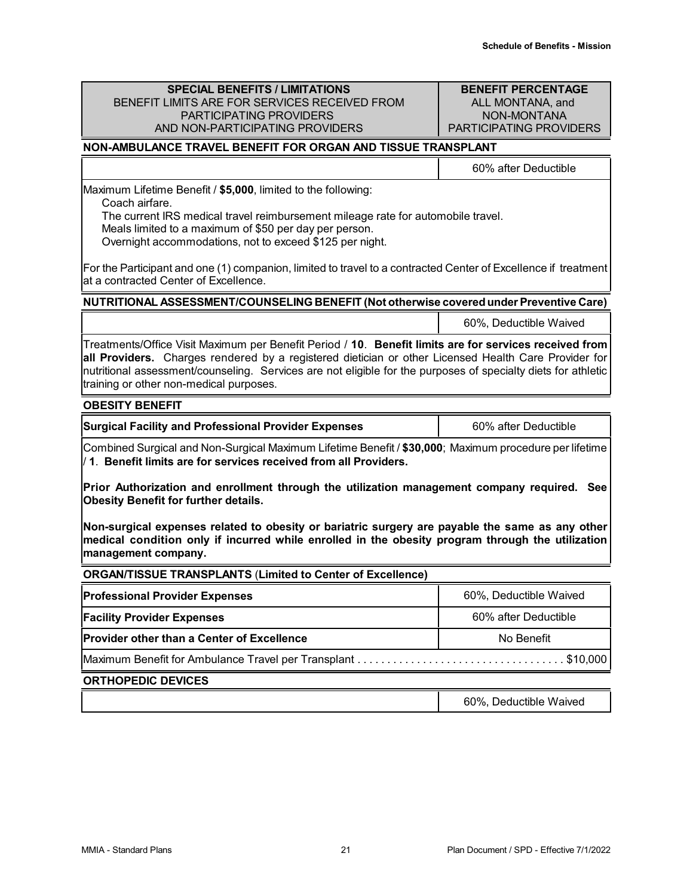**BENEFIT PERCENTAGE** ALL MONTANA, and NON-MONTANA PARTICIPATING PROVIDERS

# **NON-AMBULANCE TRAVEL BENEFIT FOR ORGAN AND TISSUE TRANSPLANT**

|                                                                                                                                                                                                                                                                    | 60% after Deductible |
|--------------------------------------------------------------------------------------------------------------------------------------------------------------------------------------------------------------------------------------------------------------------|----------------------|
| $\mathcal{L}$ . The same is the set of the set of the set of the set of the set of the set of the set of the set of the set of the set of the set of the set of the set of the set of the set of the set of the set of the set of<br>$\mathbf{r}$ and $\mathbf{r}$ |                      |

Maximum Lifetime Benefit / **\$5,000**, limited to the following:

Coach airfare.

The current IRS medical travel reimbursement mileage rate for automobile travel.

Meals limited to a maximum of \$50 per day per person.

Overnight accommodations, not to exceed \$125 per night.

For the Participant and one (1) companion, limited to travel to a contracted Center of Excellence if treatment at a contracted Center of Excellence.

**NUTRITIONAL ASSESSMENT/COUNSELING BENEFIT (Not otherwise coveredunder Preventive Care)**

60%, Deductible Waived

Treatments/Office Visit Maximum per Benefit Period / **10**. **Benefit limits are for services received from all Providers.** Charges rendered by a registered dietician or other Licensed Health Care Provider for nutritional assessment/counseling. Services are not eligible for the purposes of specialty diets for athletic training or other non-medical purposes.

### **OBESITY BENEFIT**

**Surgical Facility and Professional Provider Expenses <b>Acceleration** 60% after Deductible

Combined Surgical and Non-Surgical Maximum Lifetime Benefit / **\$30,000**; Maximum procedure per lifetime / **1**. **Benefit limits are for services received from all Providers.**

**Prior Authorization and enrollment through the utilization management company required. See Obesity Benefit for further details.**

**Non-surgical expenses related to obesity or bariatric surgery are payable the same as any other medical condition only if incurred while enrolled in the obesity program through the utilization management company.**

# **ORGAN/TISSUE TRANSPLANTS** (**Limited to Center of Excellence)**

| <b>Professional Provider Expenses</b>             | 60%, Deductible Waived |
|---------------------------------------------------|------------------------|
| <b>Facility Provider Expenses</b>                 | 60% after Deductible   |
| <b>Provider other than a Center of Excellence</b> | No Benefit             |
|                                                   |                        |

# **ORTHOPEDIC DEVICES**

60%, Deductible Waived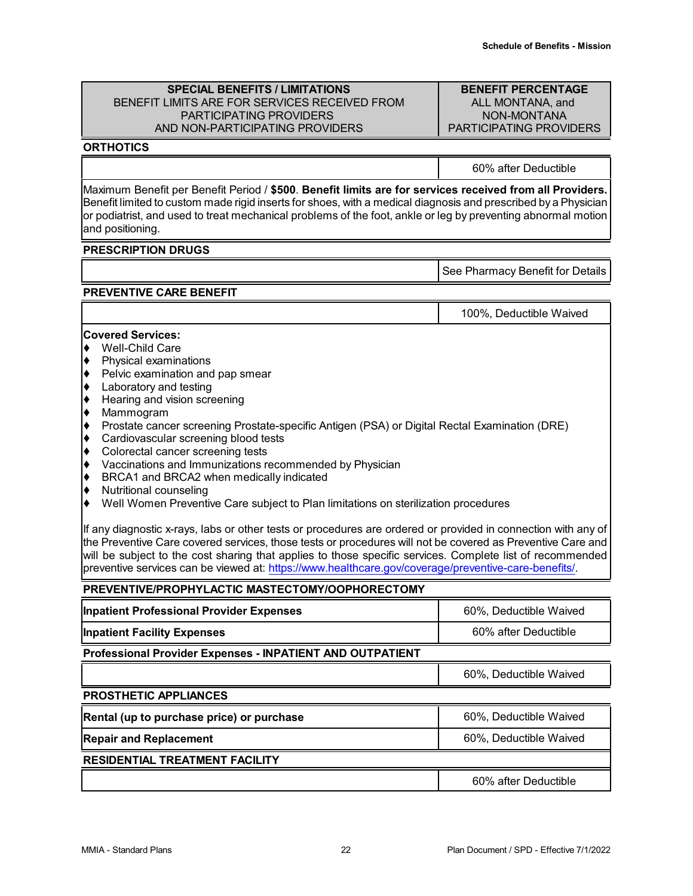### **BENEFIT PERCENTAGE** ALL MONTANA, and NON-MONTANA PARTICIPATING PROVIDERS

### **ORTHOTICS**

60% after Deductible

Maximum Benefit per Benefit Period / **\$500**. **Benefit limits are for services received from all Providers.** Benefit limited to custom made rigid inserts for shoes, with a medical diagnosis and prescribed by a Physician or podiatrist, and used to treat mechanical problems of the foot, ankle or leg by preventing abnormal motion and positioning.

#### **PRESCRIPTION DRUGS**

See Pharmacy Benefit for Details

# **PREVENTIVE CARE BENEFIT**

|                                                                                                                                                                                                                                                                                                                                                                                                                                                                                                                                                                                                                                                                                                                                                                                                                                                                                              | 100%, Deductible Waived |  |  |  |
|----------------------------------------------------------------------------------------------------------------------------------------------------------------------------------------------------------------------------------------------------------------------------------------------------------------------------------------------------------------------------------------------------------------------------------------------------------------------------------------------------------------------------------------------------------------------------------------------------------------------------------------------------------------------------------------------------------------------------------------------------------------------------------------------------------------------------------------------------------------------------------------------|-------------------------|--|--|--|
| <b>Covered Services:</b><br><b>Well-Child Care</b><br>Physical examinations<br>Pelvic examination and pap smear<br> ♦<br>Laboratory and testing<br> ♦<br> ♦<br>Hearing and vision screening<br> ♦<br>Mammogram<br> ♦<br>Prostate cancer screening Prostate-specific Antigen (PSA) or Digital Rectal Examination (DRE)<br>Cardiovascular screening blood tests<br> ♦<br>Colorectal cancer screening tests<br> ♦<br> ♦<br>Vaccinations and Immunizations recommended by Physician<br>BRCA1 and BRCA2 when medically indicated<br> ♦<br>Nutritional counseling<br> ♦<br>Well Women Preventive Care subject to Plan limitations on sterilization procedures<br> ♦<br>If any diagnostic x-rays, labs or other tests or procedures are ordered or provided in connection with any of<br>the Preventive Care covered services, those tests or procedures will not be covered as Preventive Care and |                         |  |  |  |
| will be subject to the cost sharing that applies to those specific services. Complete list of recommended<br>preventive services can be viewed at: https://www.healthcare.gov/coverage/preventive-care-benefits/.                                                                                                                                                                                                                                                                                                                                                                                                                                                                                                                                                                                                                                                                            |                         |  |  |  |
| PREVENTIVE/PROPHYLACTIC MASTECTOMY/OOPHORECTOMY                                                                                                                                                                                                                                                                                                                                                                                                                                                                                                                                                                                                                                                                                                                                                                                                                                              |                         |  |  |  |
| <b>Inpatient Professional Provider Expenses</b>                                                                                                                                                                                                                                                                                                                                                                                                                                                                                                                                                                                                                                                                                                                                                                                                                                              | 60%, Deductible Waived  |  |  |  |
| 60% after Deductible<br><b>Inpatient Facility Expenses</b>                                                                                                                                                                                                                                                                                                                                                                                                                                                                                                                                                                                                                                                                                                                                                                                                                                   |                         |  |  |  |

**Professional Provider Expenses - INPATIENT AND OUTPATIENT**

60%, Deductible Waived **PROSTHETIC APPLIANCES Rental (up to purchase price) or purchase 60%, Deductible Waived 60%, Deductible Waived Repair and Replacement Replacement Repair and Replacement Repair and Replacement 60%**, Deductible Waived **RESIDENTIAL TREATMENT FACILITY** 60% after Deductible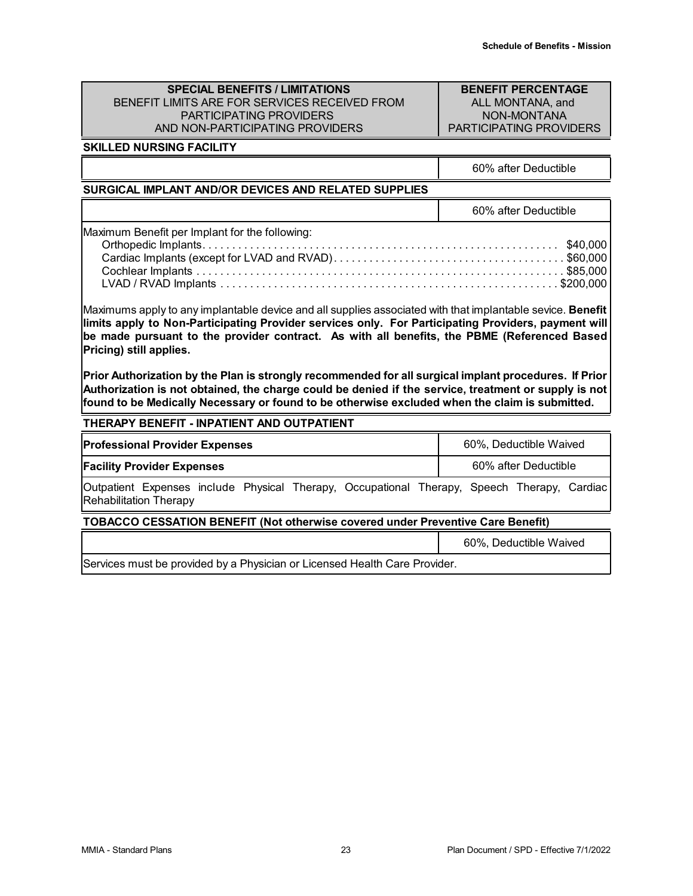### **BENEFIT PERCENTAGE** ALL MONTANA, and NON-MONTANA PARTICIPATING PROVIDERS

# **SKILLED NURSING FACILITY**

60% after Deductible

### **SURGICAL IMPLANT AND/OR DEVICES AND RELATED SUPPLIES**

|                                                | 60% after Deductible |
|------------------------------------------------|----------------------|
| Maximum Benefit per Implant for the following: |                      |
|                                                |                      |
|                                                |                      |
|                                                |                      |
|                                                |                      |

Maximums apply to any implantable device and all supplies associated with that implantable sevice. **Benefit limits apply to Non-Participating Provider services only. For Participating Providers, payment will be made pursuant to the provider contract. As with all benefits, the PBME (Referenced Based Pricing) still applies.**

**Prior Authorization by the Plan is strongly recommended for all surgical implant procedures. If Prior Authorization is not obtained, the charge could be denied if the service, treatment or supply is not found to be Medically Necessary or found to be otherwise excluded when the claim is submitted.**

### **THERAPY BENEFIT - INPATIENT AND OUTPATIENT**

| <b>Professional Provider Expenses</b>                                                                                        | 60%, Deductible Waived |  |
|------------------------------------------------------------------------------------------------------------------------------|------------------------|--|
| <b>Facility Provider Expenses</b>                                                                                            | 60% after Deductible   |  |
| Outpatient Expenses include Physical Therapy, Occupational Therapy, Speech Therapy, Cardiac<br><b>Rehabilitation Therapy</b> |                        |  |
| <b>TOBACCO CESSATION BENEFIT (Not otherwise covered under Preventive Care Benefit)</b>                                       |                        |  |

|                                                                           | 60%, Deductible Waived |  |
|---------------------------------------------------------------------------|------------------------|--|
| Services must be provided by a Physician or Licensed Health Care Provider |                        |  |

Services must be provided by a Physician or Licensed Health Care Provider.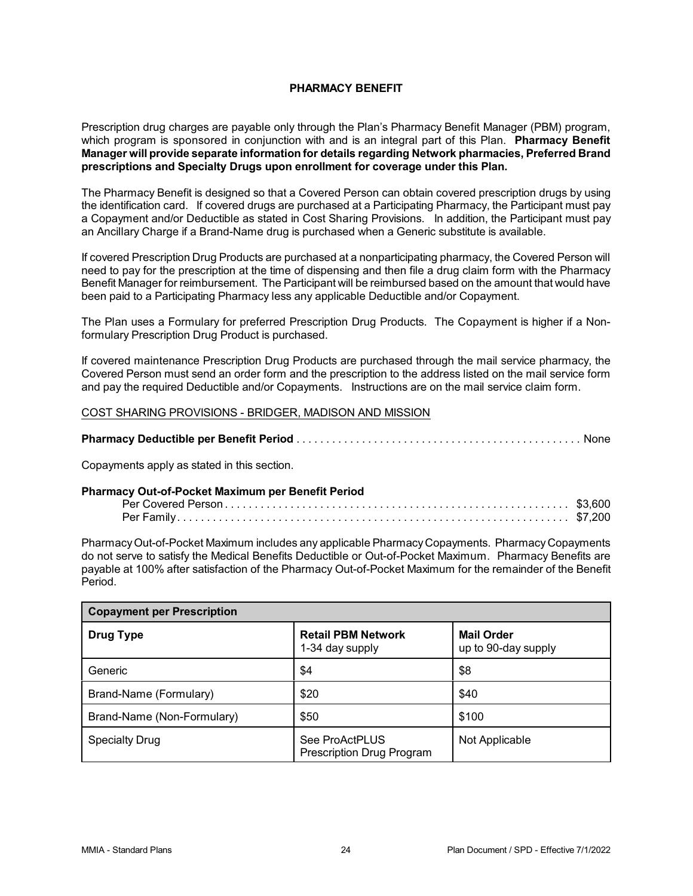### **PHARMACY BENEFIT**

Prescription drug charges are payable only through the Plan's Pharmacy Benefit Manager (PBM) program, which program is sponsored in conjunction with and is an integral part of this Plan. **Pharmacy Benefit Manager will provide separate information for details regarding Network pharmacies, Preferred Brand prescriptions and Specialty Drugs upon enrollment for coverage under this Plan.**

The Pharmacy Benefit is designed so that a Covered Person can obtain covered prescription drugs by using the identification card. If covered drugs are purchased at a Participating Pharmacy, the Participant must pay a Copayment and/or Deductible as stated in Cost Sharing Provisions. In addition, the Participant must pay an Ancillary Charge if a Brand-Name drug is purchased when a Generic substitute is available.

If covered Prescription Drug Products are purchased at a nonparticipating pharmacy, the Covered Person will need to pay for the prescription at the time of dispensing and then file a drug claim form with the Pharmacy Benefit Manager for reimbursement. The Participant will be reimbursed based on the amount that would have been paid to a Participating Pharmacy less any applicable Deductible and/or Copayment.

The Plan uses a Formulary for preferred Prescription Drug Products. The Copayment is higher if a Nonformulary Prescription Drug Product is purchased.

If covered maintenance Prescription Drug Products are purchased through the mail service pharmacy, the Covered Person must send an order form and the prescription to the address listed on the mail service form and pay the required Deductible and/or Copayments. Instructions are on the mail service claim form.

### COST SHARING PROVISIONS - BRIDGER, MADISON AND MISSION

|--|--|

Copayments apply as stated in this section.

### **Pharmacy Out-of-Pocket Maximum per Benefit Period**

PharmacyOut-of-Pocket Maximum includes any applicable PharmacyCopayments. Pharmacy Copayments do not serve to satisfy the Medical Benefits Deductible or Out-of-Pocket Maximum. Pharmacy Benefits are payable at 100% after satisfaction of the Pharmacy Out-of-Pocket Maximum for the remainder of the Benefit Period.

| <b>Copayment per Prescription</b> |                                              |                                          |  |
|-----------------------------------|----------------------------------------------|------------------------------------------|--|
| <b>Drug Type</b>                  | <b>Retail PBM Network</b><br>1-34 day supply | <b>Mail Order</b><br>up to 90-day supply |  |
| Generic                           | \$4                                          | \$8                                      |  |
| Brand-Name (Formulary)            | \$20                                         | \$40                                     |  |
| Brand-Name (Non-Formulary)        | \$50                                         | \$100                                    |  |
| <b>Specialty Drug</b>             | See ProActPLUS<br>Prescription Drug Program  | Not Applicable                           |  |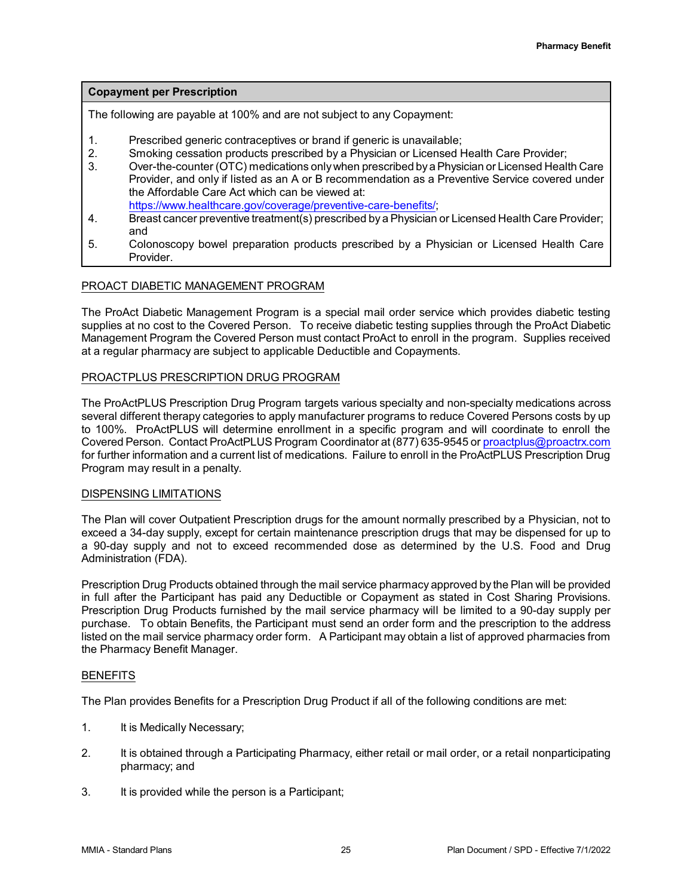### **Copayment per Prescription**

The following are payable at 100% and are not subject to any Copayment:

- 1. Prescribed generic contraceptives or brand if generic is unavailable;
- 2. Smoking cessation products prescribed by a Physician or Licensed Health Care Provider;
- 3. Over-the-counter (OTC) medications only when prescribed bya Physician or Licensed Health Care Provider, and only if listed as an A or B recommendation as a Preventive Service covered under the Affordable Care Act which can be viewed at:
- <https://www.healthcare.gov/coverage/preventive-care-benefits/>;
- 4. Breast cancer preventive treatment(s) prescribed by a Physician or Licensed Health Care Provider; and
- 5. Colonoscopy bowel preparation products prescribed by a Physician or Licensed Health Care Provider.

# PROACT DIABETIC MANAGEMENT PROGRAM

The ProAct Diabetic Management Program is a special mail order service which provides diabetic testing supplies at no cost to the Covered Person. To receive diabetic testing supplies through the ProAct Diabetic Management Program the Covered Person must contact ProAct to enroll in the program. Supplies received at a regular pharmacy are subject to applicable Deductible and Copayments.

### PROACTPLUS PRESCRIPTION DRUG PROGRAM

The ProActPLUS Prescription Drug Program targets various specialty and non-specialty medications across several different therapy categories to apply manufacturer programs to reduce Covered Persons costs by up to 100%. ProActPLUS will determine enrollment in a specific program and will coordinate to enroll the Covered Person. Contact ProActPLUS Program Coordinator at (877) 635-9545 or [proactplus@proactrx.com](mailto:proactplus@proactrx.com) for further information and a current list of medications. Failure to enroll in the ProActPLUS Prescription Drug Program may result in a penalty.

### DISPENSING LIMITATIONS

The Plan will cover Outpatient Prescription drugs for the amount normally prescribed by a Physician, not to exceed a 34-day supply, except for certain maintenance prescription drugs that may be dispensed for up to a 90-day supply and not to exceed recommended dose as determined by the U.S. Food and Drug Administration (FDA).

Prescription Drug Products obtained through the mail service pharmacy approved by the Plan will be provided in full after the Participant has paid any Deductible or Copayment as stated in Cost Sharing Provisions. Prescription Drug Products furnished by the mail service pharmacy will be limited to a 90-day supply per purchase. To obtain Benefits, the Participant must send an order form and the prescription to the address listed on the mail service pharmacy order form. A Participant may obtain a list of approved pharmacies from the Pharmacy Benefit Manager.

### BENEFITS

The Plan provides Benefits for a Prescription Drug Product if all of the following conditions are met:

- 1. It is Medically Necessary;
- 2. It is obtained through a Participating Pharmacy, either retail or mail order, or a retail nonparticipating pharmacy; and
- 3. It is provided while the person is a Participant;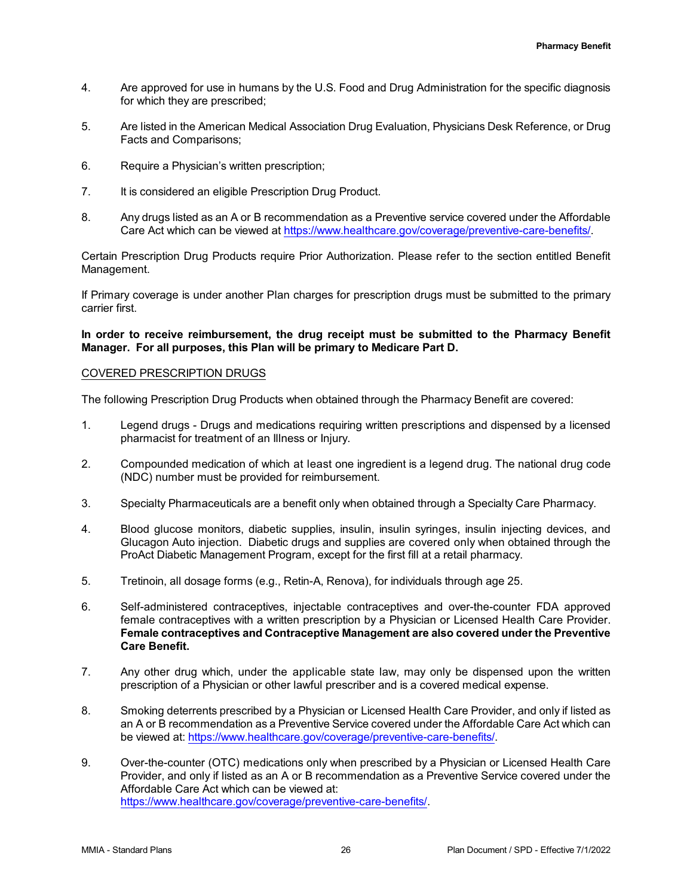- 4. Are approved for use in humans by the U.S. Food and Drug Administration for the specific diagnosis for which they are prescribed;
- 5. Are listed in the American Medical Association Drug Evaluation, Physicians Desk Reference, or Drug Facts and Comparisons;
- 6. Require a Physician's written prescription;
- 7. It is considered an eligible Prescription Drug Product.
- 8. Any drugs listed as an A or B recommendation as a Preventive service covered under the Affordable Care Act which can be viewed at <https://www.healthcare.gov/coverage/preventive-care-benefits/>.

Certain Prescription Drug Products require Prior Authorization. Please refer to the section entitled Benefit Management.

If Primary coverage is under another Plan charges for prescription drugs must be submitted to the primary carrier first.

### **In order to receive reimbursement, the drug receipt must be submitted to the Pharmacy Benefit Manager. For all purposes, this Plan will be primary to Medicare Part D.**

### COVERED PRESCRIPTION DRUGS

The following Prescription Drug Products when obtained through the Pharmacy Benefit are covered:

- 1. Legend drugs Drugs and medications requiring written prescriptions and dispensed by a licensed pharmacist for treatment of an Illness or Injury.
- 2. Compounded medication of which at least one ingredient is a legend drug. The national drug code (NDC) number must be provided for reimbursement.
- 3. Specialty Pharmaceuticals are a benefit only when obtained through a Specialty Care Pharmacy.
- 4. Blood glucose monitors, diabetic supplies, insulin, insulin syringes, insulin injecting devices, and Glucagon Auto injection. Diabetic drugs and supplies are covered only when obtained through the ProAct Diabetic Management Program, except for the first fill at a retail pharmacy.
- 5. Tretinoin, all dosage forms (e.g., Retin-A, Renova), for individuals through age 25.
- 6. Self-administered contraceptives, injectable contraceptives and over-the-counter FDA approved female contraceptives with a written prescription by a Physician or Licensed Health Care Provider. **Female contraceptives and Contraceptive Management are also covered under the Preventive Care Benefit.**
- 7. Any other drug which, under the applicable state law, may only be dispensed upon the written prescription of a Physician or other lawful prescriber and is a covered medical expense.
- 8. Smoking deterrents prescribed by a Physician or Licensed Health Care Provider, and only if listed as an A or B recommendation as a Preventive Service covered under the Affordable Care Act which can be viewed at: <https://www.healthcare.gov/coverage/preventive-care-benefits/>.
- 9. Over-the-counter (OTC) medications only when prescribed by a Physician or Licensed Health Care Provider, and only if listed as an A or B recommendation as a Preventive Service covered under the Affordable Care Act which can be viewed at: <https://www.healthcare.gov/coverage/preventive-care-benefits/>.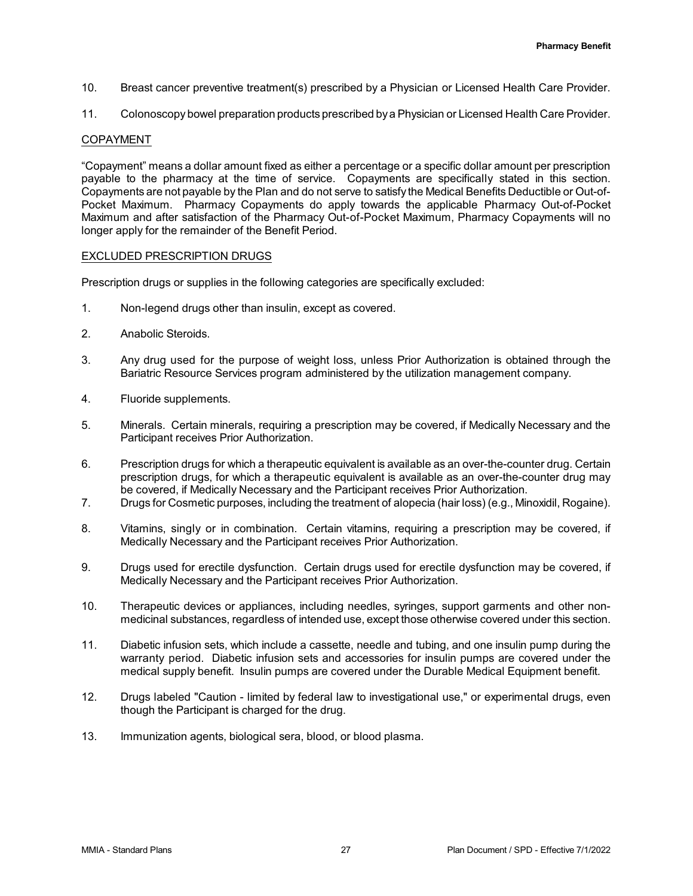- 10. Breast cancer preventive treatment(s) prescribed by a Physician or Licensed Health Care Provider.
- 11. Colonoscopy bowel preparation products prescribed bya Physician or Licensed Health Care Provider.

### COPAYMENT

"Copayment" means a dollar amount fixed as either a percentage or a specific dollar amount per prescription payable to the pharmacy at the time of service. Copayments are specifically stated in this section. Copayments are not payable by the Plan and do not serve to satisfy the Medical Benefits Deductible or Out-of-Pocket Maximum. Pharmacy Copayments do apply towards the applicable Pharmacy Out-of-Pocket Maximum and after satisfaction of the Pharmacy Out-of-Pocket Maximum, Pharmacy Copayments will no longer apply for the remainder of the Benefit Period.

### EXCLUDED PRESCRIPTION DRUGS

Prescription drugs or supplies in the following categories are specifically excluded:

- 1. Non-legend drugs other than insulin, except as covered.
- 2. Anabolic Steroids.
- 3. Any drug used for the purpose of weight loss, unless Prior Authorization is obtained through the Bariatric Resource Services program administered by the utilization management company.
- 4. Fluoride supplements.
- 5. Minerals. Certain minerals, requiring a prescription may be covered, if Medically Necessary and the Participant receives Prior Authorization.
- 6. Prescription drugs for which a therapeutic equivalent is available as an over-the-counter drug. Certain prescription drugs, for which a therapeutic equivalent is available as an over-the-counter drug may be covered, if Medically Necessary and the Participant receives Prior Authorization.
- 7. Drugs for Cosmetic purposes, including the treatment of alopecia (hair loss) (e.g., Minoxidil, Rogaine).
- 8. Vitamins, singly or in combination. Certain vitamins, requiring a prescription may be covered, if Medically Necessary and the Participant receives Prior Authorization.
- 9. Drugs used for erectile dysfunction. Certain drugs used for erectile dysfunction may be covered, if Medically Necessary and the Participant receives Prior Authorization.
- 10. Therapeutic devices or appliances, including needles, syringes, support garments and other nonmedicinal substances, regardless of intended use, except those otherwise covered under this section.
- 11. Diabetic infusion sets, which include a cassette, needle and tubing, and one insulin pump during the warranty period. Diabetic infusion sets and accessories for insulin pumps are covered under the medical supply benefit. Insulin pumps are covered under the Durable Medical Equipment benefit.
- 12. Drugs labeled "Caution limited by federal law to investigational use," or experimental drugs, even though the Participant is charged for the drug.
- 13. Immunization agents, biological sera, blood, or blood plasma.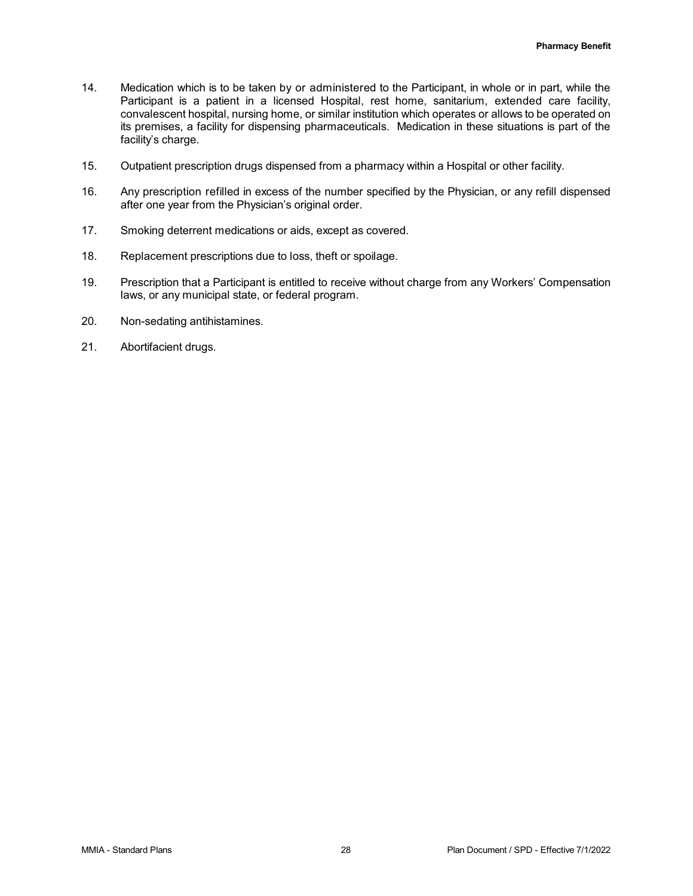- 14. Medication which is to be taken by or administered to the Participant, in whole or in part, while the Participant is a patient in a licensed Hospital, rest home, sanitarium, extended care facility, convalescent hospital, nursing home, or similar institution which operates or allows to be operated on its premises, a facility for dispensing pharmaceuticals. Medication in these situations is part of the facility's charge.
- 15. Outpatient prescription drugs dispensed from a pharmacy within a Hospital or other facility.
- 16. Any prescription refilled in excess of the number specified by the Physician, or any refill dispensed after one year from the Physician's original order.
- 17. Smoking deterrent medications or aids, except as covered.
- 18. Replacement prescriptions due to loss, theft or spoilage.
- 19. Prescription that a Participant is entitled to receive without charge from any Workers' Compensation laws, or any municipal state, or federal program.
- 20. Non-sedating antihistamines.
- 21. Abortifacient drugs.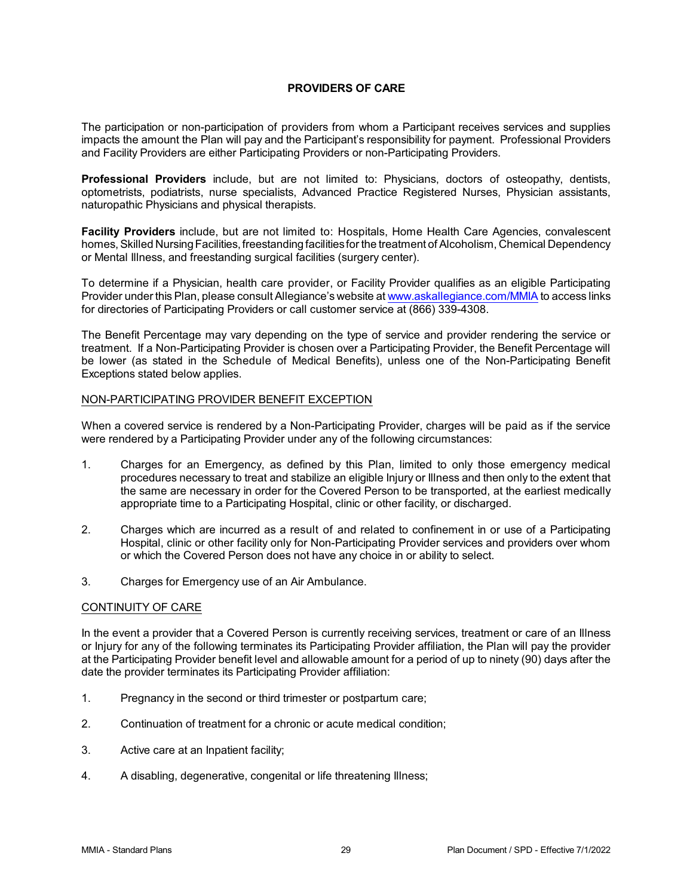## **PROVIDERS OF CARE**

The participation or non-participation of providers from whom a Participant receives services and supplies impacts the amount the Plan will pay and the Participant's responsibility for payment. Professional Providers and Facility Providers are either Participating Providers or non-Participating Providers.

**Professional Providers** include, but are not limited to: Physicians, doctors of osteopathy, dentists, optometrists, podiatrists, nurse specialists, Advanced Practice Registered Nurses, Physician assistants, naturopathic Physicians and physical therapists.

**Facility Providers** include, but are not limited to: Hospitals, Home Health Care Agencies, convalescent homes, Skilled Nursing Facilities, freestanding facilities for the treatment of Alcoholism, Chemical Dependency or Mental Illness, and freestanding surgical facilities (surgery center).

To determine if a Physician, health care provider, or Facility Provider qualifies as an eligible Participating Provider under this Plan, please consult Allegiance's website at [www.askallegiance.com/MMIA](http://www.iai-tpa.com) to access links for directories of Participating Providers or call customer service at (866) 339-4308.

The Benefit Percentage may vary depending on the type of service and provider rendering the service or treatment. If a Non-Participating Provider is chosen over a Participating Provider, the Benefit Percentage will be lower (as stated in the Schedule of Medical Benefits), unless one of the Non-Participating Benefit Exceptions stated below applies.

#### NON-PARTICIPATING PROVIDER BENEFIT EXCEPTION

When a covered service is rendered by a Non-Participating Provider, charges will be paid as if the service were rendered by a Participating Provider under any of the following circumstances:

- 1. Charges for an Emergency, as defined by this Plan, limited to only those emergency medical procedures necessary to treat and stabilize an eligible Injury or Illness and then only to the extent that the same are necessary in order for the Covered Person to be transported, at the earliest medically appropriate time to a Participating Hospital, clinic or other facility, or discharged.
- 2. Charges which are incurred as a result of and related to confinement in or use of a Participating Hospital, clinic or other facility only for Non-Participating Provider services and providers over whom or which the Covered Person does not have any choice in or ability to select.
- 3. Charges for Emergency use of an Air Ambulance.

### CONTINUITY OF CARE

In the event a provider that a Covered Person is currently receiving services, treatment or care of an Illness or Injury for any of the following terminates its Participating Provider affiliation, the Plan will pay the provider at the Participating Provider benefit level and allowable amount for a period of up to ninety (90) days after the date the provider terminates its Participating Provider affiliation:

- 1. Pregnancy in the second or third trimester or postpartum care;
- 2. Continuation of treatment for a chronic or acute medical condition;
- 3. Active care at an Inpatient facility;
- 4. A disabling, degenerative, congenital or life threatening Illness;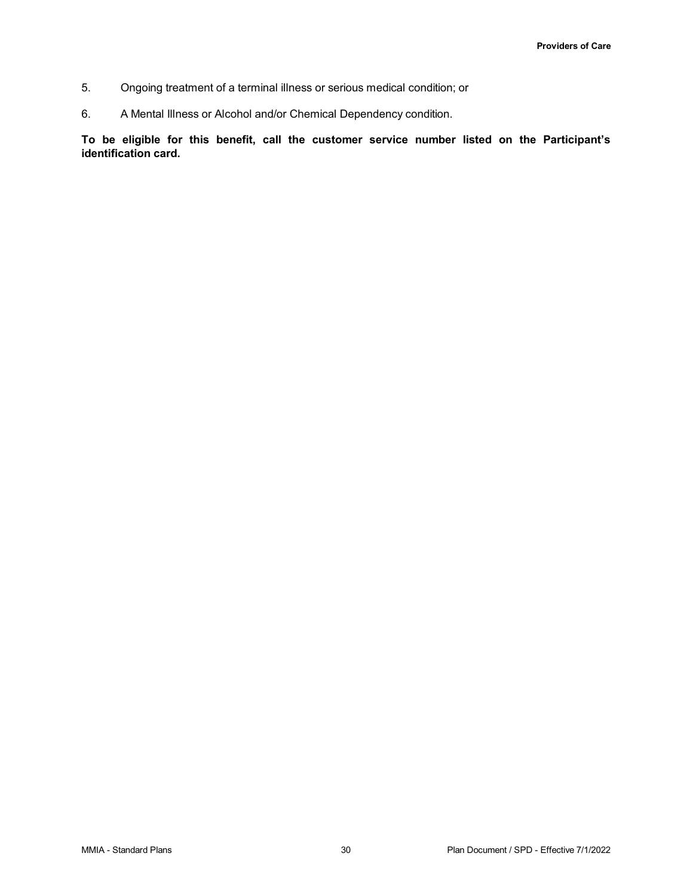- 5. Ongoing treatment of a terminal illness or serious medical condition; or
- 6. A Mental Illness or Alcohol and/or Chemical Dependency condition.

**To be eligible for this benefit, call the customer service number listed on the Participant's identification card.**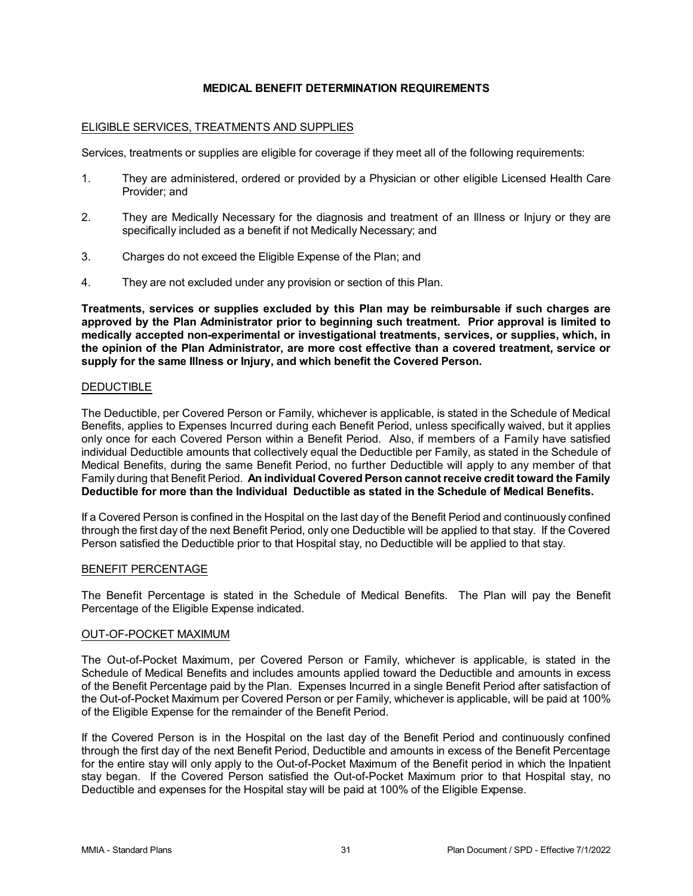### **MEDICAL BENEFIT DETERMINATION REQUIREMENTS**

### ELIGIBLE SERVICES, TREATMENTS AND SUPPLIES

Services, treatments or supplies are eligible for coverage if they meet all of the following requirements:

- 1. They are administered, ordered or provided by a Physician or other eligible Licensed Health Care Provider; and
- 2. They are Medically Necessary for the diagnosis and treatment of an Illness or Injury or they are specifically included as a benefit if not Medically Necessary; and
- 3. Charges do not exceed the Eligible Expense of the Plan; and
- 4. They are not excluded under any provision or section of this Plan.

**Treatments, services or supplies excluded by this Plan may be reimbursable if such charges are approved by the Plan Administrator prior to beginning such treatment. Prior approval is limited to medically accepted non-experimental or investigational treatments, services, or supplies, which, in the opinion of the Plan Administrator, are more cost effective than a covered treatment, service or supply for the same Illness or Injury, and which benefit the Covered Person.**

### DEDUCTIBLE

The Deductible, per Covered Person or Family, whichever is applicable, is stated in the Schedule of Medical Benefits, applies to Expenses Incurred during each Benefit Period, unless specifically waived, but it applies only once for each Covered Person within a Benefit Period. Also, if members of a Family have satisfied individual Deductible amounts that collectively equal the Deductible per Family, as stated in the Schedule of Medical Benefits, during the same Benefit Period, no further Deductible will apply to any member of that Family during that Benefit Period. **An individual Covered Person cannot receive credit toward the Family Deductible for more than the Individual Deductible as stated in the Schedule of Medical Benefits.**

If a Covered Person is confined in the Hospital on the last day of the Benefit Period and continuously confined through the first day of the next Benefit Period, only one Deductible will be applied to that stay. If the Covered Person satisfied the Deductible prior to that Hospital stay, no Deductible will be applied to that stay.

### BENEFIT PERCENTAGE

The Benefit Percentage is stated in the Schedule of Medical Benefits. The Plan will pay the Benefit Percentage of the Eligible Expense indicated.

### OUT-OF-POCKET MAXIMUM

The Out-of-Pocket Maximum, per Covered Person or Family, whichever is applicable, is stated in the Schedule of Medical Benefits and includes amounts applied toward the Deductible and amounts in excess of the Benefit Percentage paid by the Plan. Expenses Incurred in a single Benefit Period after satisfaction of the Out-of-Pocket Maximum per Covered Person or per Family, whichever is applicable, will be paid at 100% of the Eligible Expense for the remainder of the Benefit Period.

If the Covered Person is in the Hospital on the last day of the Benefit Period and continuously confined through the first day of the next Benefit Period, Deductible and amounts in excess of the Benefit Percentage for the entire stay will only apply to the Out-of-Pocket Maximum of the Benefit period in which the Inpatient stay began. If the Covered Person satisfied the Out-of-Pocket Maximum prior to that Hospital stay, no Deductible and expenses for the Hospital stay will be paid at 100% of the Eligible Expense.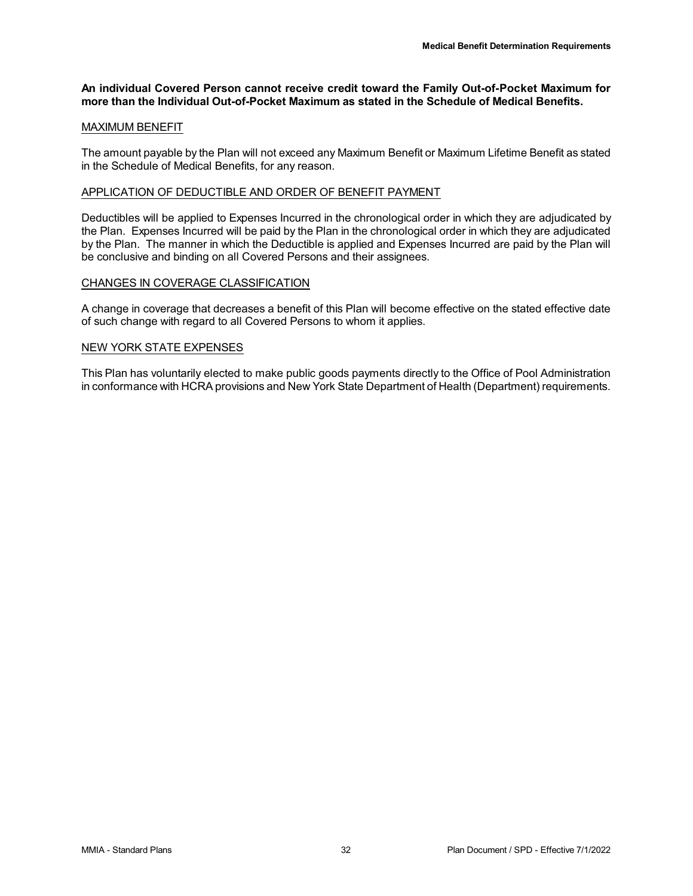**An individual Covered Person cannot receive credit toward the Family Out-of-Pocket Maximum for more than the Individual Out-of-Pocket Maximum as stated in the Schedule of Medical Benefits.**

### MAXIMUM BENEFIT

The amount payable by the Plan will not exceed any Maximum Benefit or Maximum Lifetime Benefit as stated in the Schedule of Medical Benefits, for any reason.

#### APPLICATION OF DEDUCTIBLE AND ORDER OF BENEFIT PAYMENT

Deductibles will be applied to Expenses Incurred in the chronological order in which they are adjudicated by the Plan. Expenses Incurred will be paid by the Plan in the chronological order in which they are adjudicated by the Plan. The manner in which the Deductible is applied and Expenses Incurred are paid by the Plan will be conclusive and binding on all Covered Persons and their assignees.

#### CHANGES IN COVERAGE CLASSIFICATION

A change in coverage that decreases a benefit of this Plan will become effective on the stated effective date of such change with regard to all Covered Persons to whom it applies.

#### NEW YORK STATE EXPENSES

This Plan has voluntarily elected to make public goods payments directly to the Office of Pool Administration in conformance with HCRA provisions and New York State Department of Health (Department) requirements.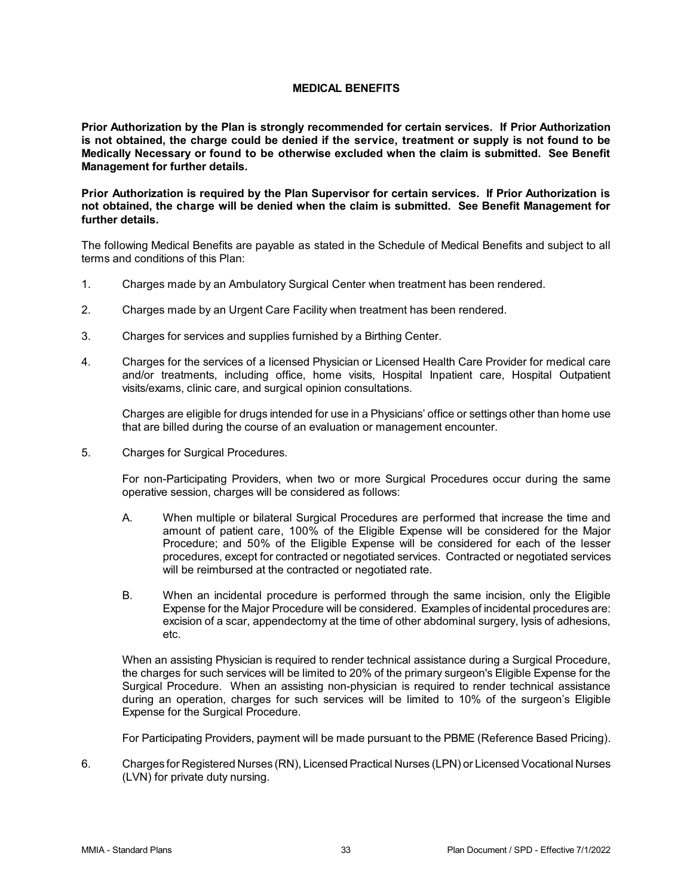## **MEDICAL BENEFITS**

**Prior Authorization by the Plan is strongly recommended for certain services. If Prior Authorization is not obtained, the charge could be denied if the service, treatment or supply is not found to be Medically Necessary or found to be otherwise excluded when the claim is submitted. See Benefit Management for further details.**

**Prior Authorization is required by the Plan Supervisor for certain services. If Prior Authorization is not obtained, the charge will be denied when the claim is submitted. See Benefit Management for further details.**

The following Medical Benefits are payable as stated in the Schedule of Medical Benefits and subject to all terms and conditions of this Plan:

- 1. Charges made by an Ambulatory Surgical Center when treatment has been rendered.
- 2. Charges made by an Urgent Care Facility when treatment has been rendered.
- 3. Charges for services and supplies furnished by a Birthing Center.
- 4. Charges for the services of a licensed Physician or Licensed Health Care Provider for medical care and/or treatments, including office, home visits, Hospital Inpatient care, Hospital Outpatient visits/exams, clinic care, and surgical opinion consultations.

Charges are eligible for drugs intended for use in a Physicians' office or settings other than home use that are billed during the course of an evaluation or management encounter.

5. Charges for Surgical Procedures.

For non-Participating Providers, when two or more Surgical Procedures occur during the same operative session, charges will be considered as follows:

- A. When multiple or bilateral Surgical Procedures are performed that increase the time and amount of patient care, 100% of the Eligible Expense will be considered for the Major Procedure; and 50% of the Eligible Expense will be considered for each of the lesser procedures, except for contracted or negotiated services. Contracted or negotiated services will be reimbursed at the contracted or negotiated rate.
- B. When an incidental procedure is performed through the same incision, only the Eligible Expense for the Major Procedure will be considered. Examples of incidental procedures are: excision of a scar, appendectomy at the time of other abdominal surgery, lysis of adhesions, etc.

When an assisting Physician is required to render technical assistance during a Surgical Procedure, the charges for such services will be limited to 20% of the primary surgeon's Eligible Expense for the Surgical Procedure. When an assisting non-physician is required to render technical assistance during an operation, charges for such services will be limited to 10% of the surgeon's Eligible Expense for the Surgical Procedure.

For Participating Providers, payment will be made pursuant to the PBME (Reference Based Pricing).

6. Charges for Registered Nurses (RN), Licensed Practical Nurses (LPN) or Licensed Vocational Nurses (LVN) for private duty nursing.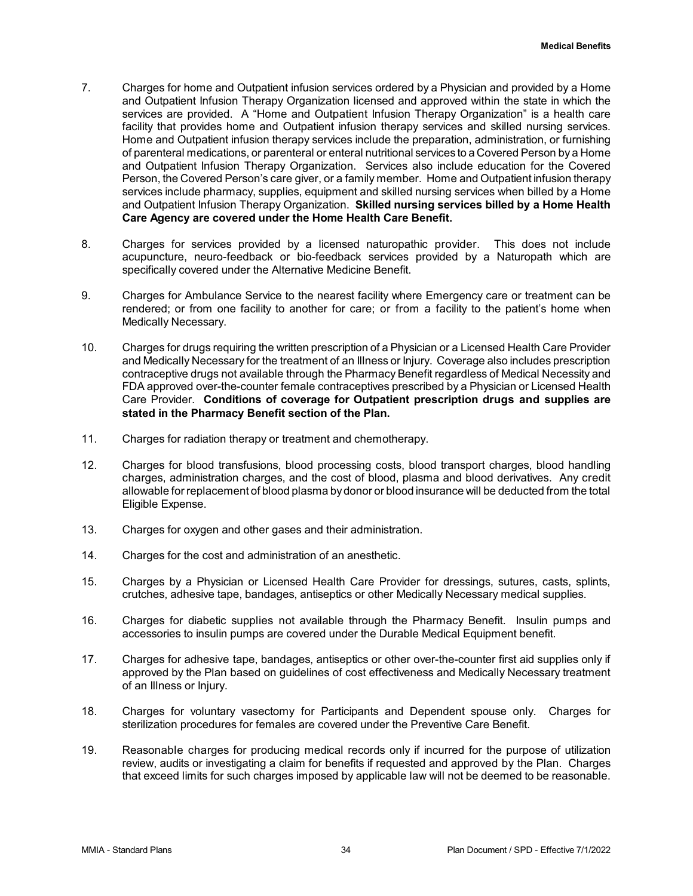- 7. Charges for home and Outpatient infusion services ordered by a Physician and provided by a Home and Outpatient Infusion Therapy Organization licensed and approved within the state in which the services are provided. A "Home and Outpatient Infusion Therapy Organization" is a health care facility that provides home and Outpatient infusion therapy services and skilled nursing services. Home and Outpatient infusion therapy services include the preparation, administration, or furnishing of parenteral medications, or parenteral or enteral nutritional services to a Covered Person by a Home and Outpatient Infusion Therapy Organization. Services also include education for the Covered Person, the Covered Person's care giver, or a family member. Home and Outpatient infusion therapy services include pharmacy, supplies, equipment and skilled nursing services when billed by a Home and Outpatient Infusion Therapy Organization. **Skilled nursing services billed by a Home Health Care Agency are covered under the Home Health Care Benefit.**
- 8. Charges for services provided by a licensed naturopathic provider. This does not include acupuncture, neuro-feedback or bio-feedback services provided by a Naturopath which are specifically covered under the Alternative Medicine Benefit.
- 9. Charges for Ambulance Service to the nearest facility where Emergency care or treatment can be rendered; or from one facility to another for care; or from a facility to the patient's home when Medically Necessary.
- 10. Charges for drugs requiring the written prescription of a Physician or a Licensed Health Care Provider and Medically Necessary for the treatment of an Illness or Injury. Coverage also includes prescription contraceptive drugs not available through the Pharmacy Benefit regardless of Medical Necessity and FDA approved over-the-counter female contraceptives prescribed by a Physician or Licensed Health Care Provider. **Conditions of coverage for Outpatient prescription drugs and supplies are stated in the Pharmacy Benefit section of the Plan.**
- 11. Charges for radiation therapy or treatment and chemotherapy.
- 12. Charges for blood transfusions, blood processing costs, blood transport charges, blood handling charges, administration charges, and the cost of blood, plasma and blood derivatives. Any credit allowable for replacement of blood plasma bydonor or blood insurance will be deducted from the total Eligible Expense.
- 13. Charges for oxygen and other gases and their administration.
- 14. Charges for the cost and administration of an anesthetic.
- 15. Charges by a Physician or Licensed Health Care Provider for dressings, sutures, casts, splints, crutches, adhesive tape, bandages, antiseptics or other Medically Necessary medical supplies.
- 16. Charges for diabetic supplies not available through the Pharmacy Benefit. Insulin pumps and accessories to insulin pumps are covered under the Durable Medical Equipment benefit.
- 17. Charges for adhesive tape, bandages, antiseptics or other over-the-counter first aid supplies only if approved by the Plan based on guidelines of cost effectiveness and Medically Necessary treatment of an Illness or Injury.
- 18. Charges for voluntary vasectomy for Participants and Dependent spouse only. Charges for sterilization procedures for females are covered under the Preventive Care Benefit.
- 19. Reasonable charges for producing medical records only if incurred for the purpose of utilization review, audits or investigating a claim for benefits if requested and approved by the Plan. Charges that exceed limits for such charges imposed by applicable law will not be deemed to be reasonable.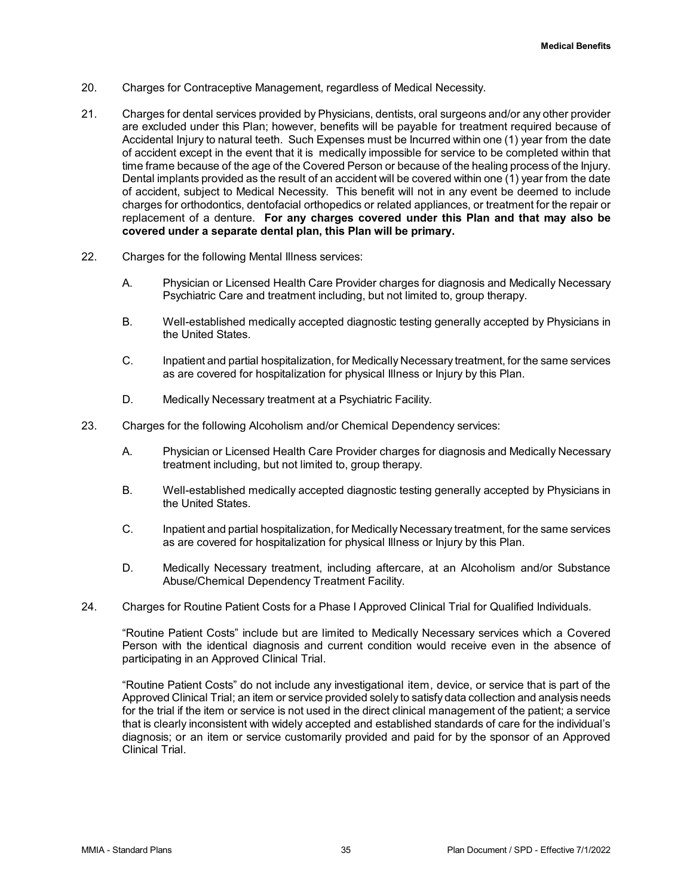- 20. Charges for Contraceptive Management, regardless of Medical Necessity.
- 21. Charges for dental services provided by Physicians, dentists, oral surgeons and/or any other provider are excluded under this Plan; however, benefits will be payable for treatment required because of Accidental Injury to natural teeth. Such Expenses must be Incurred within one (1) year from the date of accident except in the event that it is medically impossible for service to be completed within that time frame because of the age of the Covered Person or because of the healing process of the Injury. Dental implants provided as the result of an accident will be covered within one (1) year from the date of accident, subject to Medical Necessity. This benefit will not in any event be deemed to include charges for orthodontics, dentofacial orthopedics or related appliances, or treatment for the repair or replacement of a denture. **For any charges covered under this Plan and that may also be covered under a separate dental plan, this Plan will be primary.**
- 22. Charges for the following Mental Illness services:
	- A. Physician or Licensed Health Care Provider charges for diagnosis and Medically Necessary Psychiatric Care and treatment including, but not limited to, group therapy.
	- B. Well-established medically accepted diagnostic testing generally accepted by Physicians in the United States.
	- C. Inpatient and partial hospitalization, for Medically Necessary treatment, for the same services as are covered for hospitalization for physical Illness or Injury by this Plan.
	- D. Medically Necessary treatment at a Psychiatric Facility.
- 23. Charges for the following Alcoholism and/or Chemical Dependency services:
	- A. Physician or Licensed Health Care Provider charges for diagnosis and Medically Necessary treatment including, but not limited to, group therapy.
	- B. Well-established medically accepted diagnostic testing generally accepted by Physicians in the United States.
	- C. Inpatient and partial hospitalization, for Medically Necessary treatment, for the same services as are covered for hospitalization for physical Illness or Injury by this Plan.
	- D. Medically Necessary treatment, including aftercare, at an Alcoholism and/or Substance Abuse/Chemical Dependency Treatment Facility.
- 24. Charges for Routine Patient Costs for a Phase I Approved Clinical Trial for Qualified Individuals.

"Routine Patient Costs" include but are limited to Medically Necessary services which a Covered Person with the identical diagnosis and current condition would receive even in the absence of participating in an Approved Clinical Trial.

"Routine Patient Costs" do not include any investigational item, device, or service that is part of the Approved Clinical Trial; an item or service provided solely to satisfy data collection and analysis needs for the trial if the item or service is not used in the direct clinical management of the patient; a service that is clearly inconsistent with widely accepted and established standards of care for the individual's diagnosis; or an item or service customarily provided and paid for by the sponsor of an Approved Clinical Trial.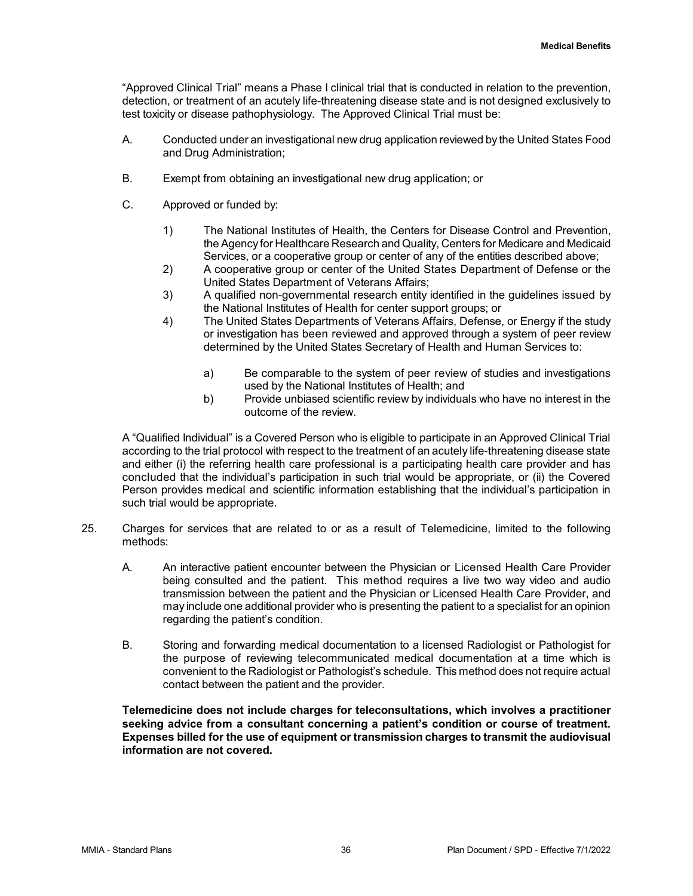"Approved Clinical Trial" means a Phase I clinical trial that is conducted in relation to the prevention, detection, or treatment of an acutely life-threatening disease state and is not designed exclusively to test toxicity or disease pathophysiology. The Approved Clinical Trial must be:

- A. Conducted under an investigational new drug application reviewed by the United States Food and Drug Administration;
- B. Exempt from obtaining an investigational new drug application; or
- C. Approved or funded by:
	- 1) The National Institutes of Health, the Centers for Disease Control and Prevention, the Agency for Healthcare Research and Quality, Centers for Medicare and Medicaid Services, or a cooperative group or center of any of the entities described above;
	- 2) A cooperative group or center of the United States Department of Defense or the United States Department of Veterans Affairs;
	- 3) A qualified non-governmental research entity identified in the guidelines issued by the National Institutes of Health for center support groups; or
	- 4) The United States Departments of Veterans Affairs, Defense, or Energy if the study or investigation has been reviewed and approved through a system of peer review determined by the United States Secretary of Health and Human Services to:
		- a) Be comparable to the system of peer review of studies and investigations used by the National Institutes of Health; and
		- b) Provide unbiased scientific review by individuals who have no interest in the outcome of the review.

A "Qualified Individual" is a Covered Person who is eligible to participate in an Approved Clinical Trial according to the trial protocol with respect to the treatment of an acutely life-threatening disease state and either (i) the referring health care professional is a participating health care provider and has concluded that the individual's participation in such trial would be appropriate, or (ii) the Covered Person provides medical and scientific information establishing that the individual's participation in such trial would be appropriate.

- 25. Charges for services that are related to or as a result of Telemedicine, limited to the following methods:
	- A. An interactive patient encounter between the Physician or Licensed Health Care Provider being consulted and the patient. This method requires a live two way video and audio transmission between the patient and the Physician or Licensed Health Care Provider, and may include one additional provider who is presenting the patient to a specialist for an opinion regarding the patient's condition.
	- B. Storing and forwarding medical documentation to a licensed Radiologist or Pathologist for the purpose of reviewing telecommunicated medical documentation at a time which is convenient to the Radiologist or Pathologist's schedule. This method does not require actual contact between the patient and the provider.

**Telemedicine does not include charges for teleconsultations, which involves a practitioner seeking advice from a consultant concerning a patient's condition or course of treatment. Expenses billed for the use of equipment or transmission charges to transmit the audiovisual information are not covered.**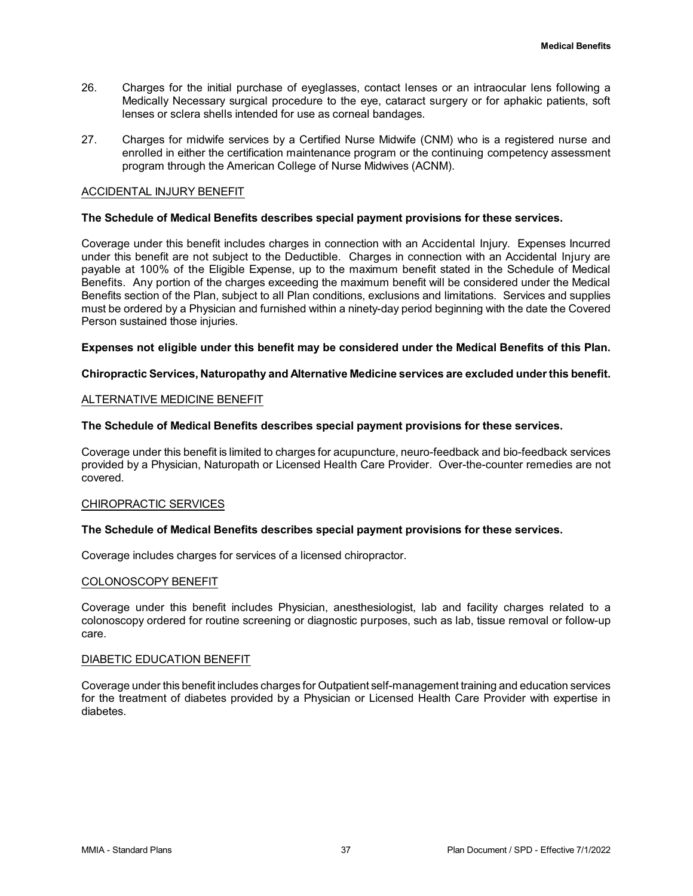- 26. Charges for the initial purchase of eyeglasses, contact lenses or an intraocular lens following a Medically Necessary surgical procedure to the eye, cataract surgery or for aphakic patients, soft lenses or sclera shells intended for use as corneal bandages.
- 27. Charges for midwife services by a Certified Nurse Midwife (CNM) who is a registered nurse and enrolled in either the certification maintenance program or the continuing competency assessment program through the American College of Nurse Midwives (ACNM).

## ACCIDENTAL INJURY BENEFIT

# **The Schedule of Medical Benefits describes special payment provisions for these services.**

Coverage under this benefit includes charges in connection with an Accidental Injury. Expenses Incurred under this benefit are not subject to the Deductible. Charges in connection with an Accidental Injury are payable at 100% of the Eligible Expense, up to the maximum benefit stated in the Schedule of Medical Benefits. Any portion of the charges exceeding the maximum benefit will be considered under the Medical Benefits section of the Plan, subject to all Plan conditions, exclusions and limitations. Services and supplies must be ordered by a Physician and furnished within a ninety-day period beginning with the date the Covered Person sustained those injuries.

## **Expenses not eligible under this benefit may be considered under the Medical Benefits of this Plan.**

#### **Chiropractic Services, Naturopathy and Alternative Medicine services are excluded under this benefit.**

#### ALTERNATIVE MEDICINE BENEFIT

#### **The Schedule of Medical Benefits describes special payment provisions for these services.**

Coverage under this benefit is limited to charges for acupuncture, neuro-feedback and bio-feedback services provided by a Physician, Naturopath or Licensed Health Care Provider. Over-the-counter remedies are not covered.

## CHIROPRACTIC SERVICES

#### **The Schedule of Medical Benefits describes special payment provisions for these services.**

Coverage includes charges for services of a licensed chiropractor.

## COLONOSCOPY BENEFIT

Coverage under this benefit includes Physician, anesthesiologist, lab and facility charges related to a colonoscopy ordered for routine screening or diagnostic purposes, such as lab, tissue removal or follow-up care.

# DIABETIC EDUCATION BENEFIT

Coverage under this benefit includes charges for Outpatient self-management training and education services for the treatment of diabetes provided by a Physician or Licensed Health Care Provider with expertise in diabetes.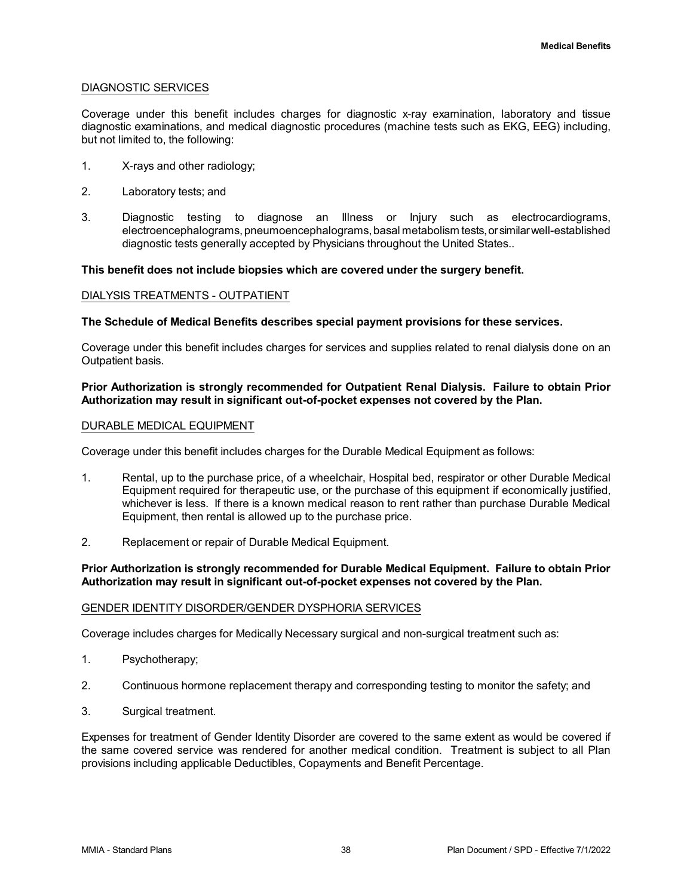## DIAGNOSTIC SERVICES

Coverage under this benefit includes charges for diagnostic x-ray examination, laboratory and tissue diagnostic examinations, and medical diagnostic procedures (machine tests such as EKG, EEG) including, but not limited to, the following:

- 1. X-rays and other radiology;
- 2. Laboratory tests; and
- 3. Diagnostic testing to diagnose an Illness or Injury such as electrocardiograms, electroencephalograms, pneumoencephalograms, basal metabolism tests, or similar well-established diagnostic tests generally accepted by Physicians throughout the United States..

#### **This benefit does not include biopsies which are covered under the surgery benefit.**

#### DIALYSIS TREATMENTS - OUTPATIENT

#### **The Schedule of Medical Benefits describes special payment provisions for these services.**

Coverage under this benefit includes charges for services and supplies related to renal dialysis done on an Outpatient basis.

# **Prior Authorization is strongly recommended for Outpatient Renal Dialysis. Failure to obtain Prior Authorization may result in significant out-of-pocket expenses not covered by the Plan.**

#### DURABLE MEDICAL EQUIPMENT

Coverage under this benefit includes charges for the Durable Medical Equipment as follows:

- 1. Rental, up to the purchase price, of a wheelchair, Hospital bed, respirator or other Durable Medical Equipment required for therapeutic use, or the purchase of this equipment if economically justified, whichever is less. If there is a known medical reason to rent rather than purchase Durable Medical Equipment, then rental is allowed up to the purchase price.
- 2. Replacement or repair of Durable Medical Equipment.

## **Prior Authorization is strongly recommended for Durable Medical Equipment. Failure to obtain Prior Authorization may result in significant out-of-pocket expenses not covered by the Plan.**

#### GENDER IDENTITY DISORDER/GENDER DYSPHORIA SERVICES

Coverage includes charges for Medically Necessary surgical and non-surgical treatment such as:

- 1. Psychotherapy;
- 2. Continuous hormone replacement therapy and corresponding testing to monitor the safety; and
- 3. Surgical treatment.

Expenses for treatment of Gender Identity Disorder are covered to the same extent as would be covered if the same covered service was rendered for another medical condition. Treatment is subject to all Plan provisions including applicable Deductibles, Copayments and Benefit Percentage.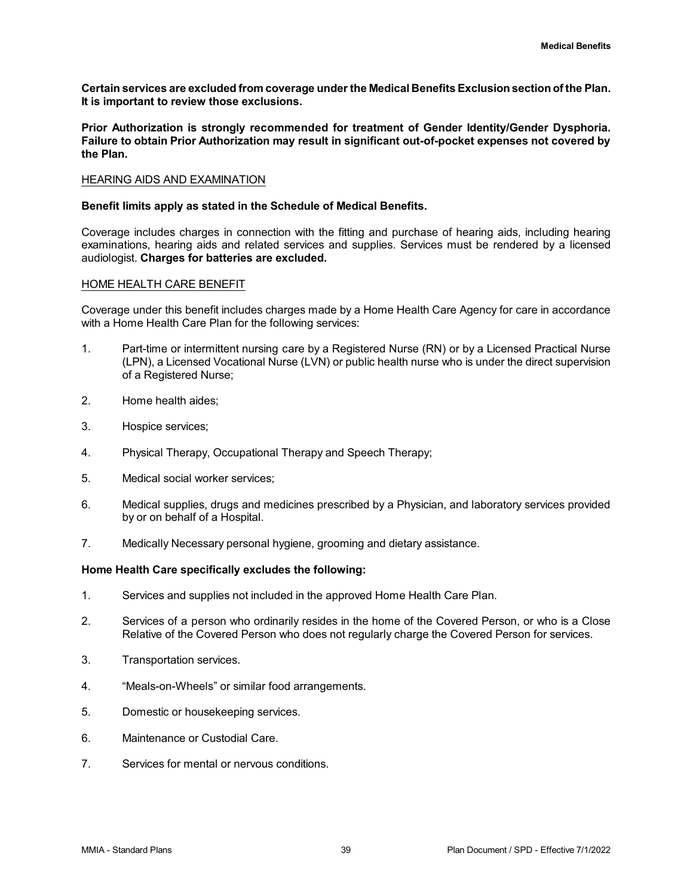**Certain services are excluded from coverage under the Medical Benefits Exclusion section of the Plan. It is important to review those exclusions.**

**Prior Authorization is strongly recommended for treatment of Gender Identity/Gender Dysphoria. Failure to obtain Prior Authorization may result in significant out-of-pocket expenses not covered by the Plan.**

#### HEARING AIDS AND EXAMINATION

#### **Benefit limits apply as stated in the Schedule of Medical Benefits.**

Coverage includes charges in connection with the fitting and purchase of hearing aids, including hearing examinations, hearing aids and related services and supplies. Services must be rendered by a licensed audiologist. **Charges for batteries are excluded.**

#### HOME HEALTH CARE BENEFIT

Coverage under this benefit includes charges made by a Home Health Care Agency for care in accordance with a Home Health Care Plan for the following services:

- 1. Part-time or intermittent nursing care by a Registered Nurse (RN) or by a Licensed Practical Nurse (LPN), a Licensed Vocational Nurse (LVN) or public health nurse who is under the direct supervision of a Registered Nurse;
- 2. Home health aides;
- 3. Hospice services;
- 4. Physical Therapy, Occupational Therapy and Speech Therapy;
- 5. Medical social worker services;
- 6. Medical supplies, drugs and medicines prescribed by a Physician, and laboratory services provided by or on behalf of a Hospital.
- 7. Medically Necessary personal hygiene, grooming and dietary assistance.

#### **Home Health Care specifically excludes the following:**

- 1. Services and supplies not included in the approved Home Health Care Plan.
- 2. Services of a person who ordinarily resides in the home of the Covered Person, or who is a Close Relative of the Covered Person who does not regularly charge the Covered Person for services.
- 3. Transportation services.
- 4. "Meals-on-Wheels" or similar food arrangements.
- 5. Domestic or housekeeping services.
- 6. Maintenance or Custodial Care.
- 7. Services for mental or nervous conditions.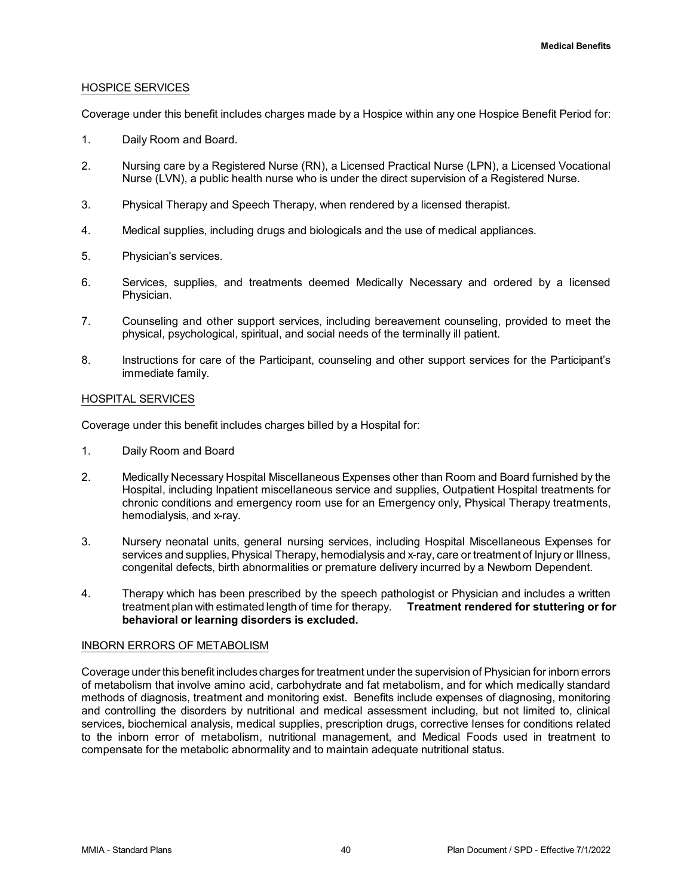# HOSPICE SERVICES

Coverage under this benefit includes charges made by a Hospice within any one Hospice Benefit Period for:

- 1. Daily Room and Board.
- 2. Nursing care by a Registered Nurse (RN), a Licensed Practical Nurse (LPN), a Licensed Vocational Nurse (LVN), a public health nurse who is under the direct supervision of a Registered Nurse.
- 3. Physical Therapy and Speech Therapy, when rendered by a licensed therapist.
- 4. Medical supplies, including drugs and biologicals and the use of medical appliances.
- 5. Physician's services.
- 6. Services, supplies, and treatments deemed Medically Necessary and ordered by a licensed Physician.
- 7. Counseling and other support services, including bereavement counseling, provided to meet the physical, psychological, spiritual, and social needs of the terminally ill patient.
- 8. Instructions for care of the Participant, counseling and other support services for the Participant's immediate family.

## HOSPITAL SERVICES

Coverage under this benefit includes charges billed by a Hospital for:

- 1. Daily Room and Board
- 2. Medically Necessary Hospital Miscellaneous Expenses other than Room and Board furnished by the Hospital, including Inpatient miscellaneous service and supplies, Outpatient Hospital treatments for chronic conditions and emergency room use for an Emergency only, Physical Therapy treatments, hemodialysis, and x-ray.
- 3. Nursery neonatal units, general nursing services, including Hospital Miscellaneous Expenses for services and supplies, Physical Therapy, hemodialysis and x-ray, care or treatment of Injury or Illness, congenital defects, birth abnormalities or premature delivery incurred by a Newborn Dependent.
- 4. Therapy which has been prescribed by the speech pathologist or Physician and includes a written treatment plan with estimated length of time for therapy. **Treatment rendered for stuttering or for behavioral or learning disorders is excluded.**

## INBORN ERRORS OF METABOLISM

Coverage under this benefit includes charges for treatment under the supervision of Physician for inborn errors of metabolism that involve amino acid, carbohydrate and fat metabolism, and for which medically standard methods of diagnosis, treatment and monitoring exist. Benefits include expenses of diagnosing, monitoring and controlling the disorders by nutritional and medical assessment including, but not limited to, clinical services, biochemical analysis, medical supplies, prescription drugs, corrective lenses for conditions related to the inborn error of metabolism, nutritional management, and Medical Foods used in treatment to compensate for the metabolic abnormality and to maintain adequate nutritional status.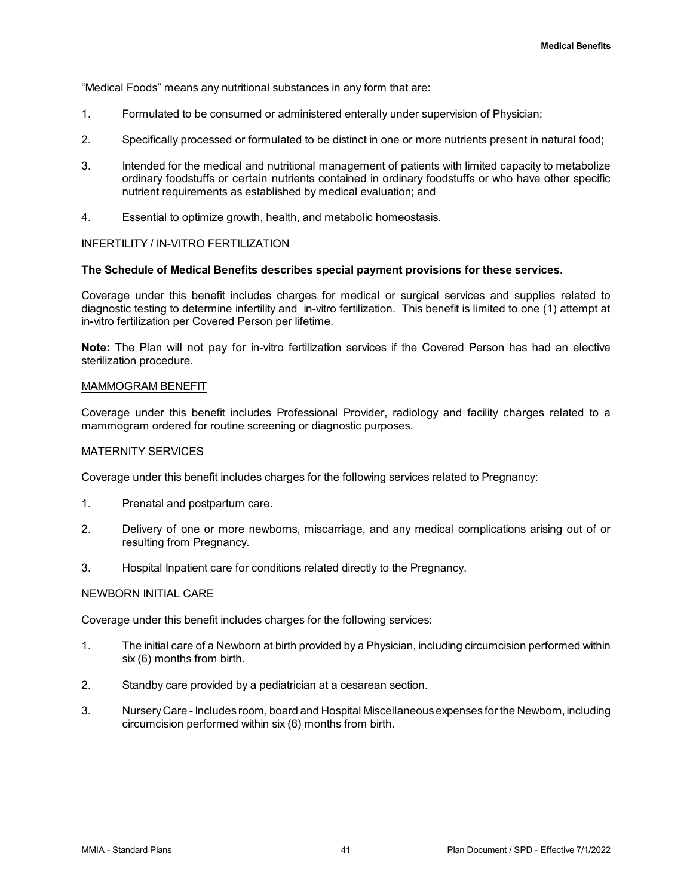"Medical Foods" means any nutritional substances in any form that are:

- 1. Formulated to be consumed or administered enterally under supervision of Physician;
- 2. Specifically processed or formulated to be distinct in one or more nutrients present in natural food;
- 3. Intended for the medical and nutritional management of patients with limited capacity to metabolize ordinary foodstuffs or certain nutrients contained in ordinary foodstuffs or who have other specific nutrient requirements as established by medical evaluation; and
- 4. Essential to optimize growth, health, and metabolic homeostasis.

#### INFERTILITY / IN-VITRO FERTILIZATION

#### **The Schedule of Medical Benefits describes special payment provisions for these services.**

Coverage under this benefit includes charges for medical or surgical services and supplies related to diagnostic testing to determine infertility and in-vitro fertilization. This benefit is limited to one (1) attempt at in-vitro fertilization per Covered Person per lifetime.

**Note:** The Plan will not pay for in-vitro fertilization services if the Covered Person has had an elective sterilization procedure.

#### MAMMOGRAM BENEFIT

Coverage under this benefit includes Professional Provider, radiology and facility charges related to a mammogram ordered for routine screening or diagnostic purposes.

#### MATERNITY SERVICES

Coverage under this benefit includes charges for the following services related to Pregnancy:

- 1. Prenatal and postpartum care.
- 2. Delivery of one or more newborns, miscarriage, and any medical complications arising out of or resulting from Pregnancy.
- 3. Hospital Inpatient care for conditions related directly to the Pregnancy.

#### NEWBORN INITIAL CARE

Coverage under this benefit includes charges for the following services:

- 1. The initial care of a Newborn at birth provided by a Physician, including circumcision performed within six (6) months from birth.
- 2. Standby care provided by a pediatrician at a cesarean section.
- 3. NurseryCare Includes room, board and Hospital Miscellaneous expenses for the Newborn, including circumcision performed within six (6) months from birth.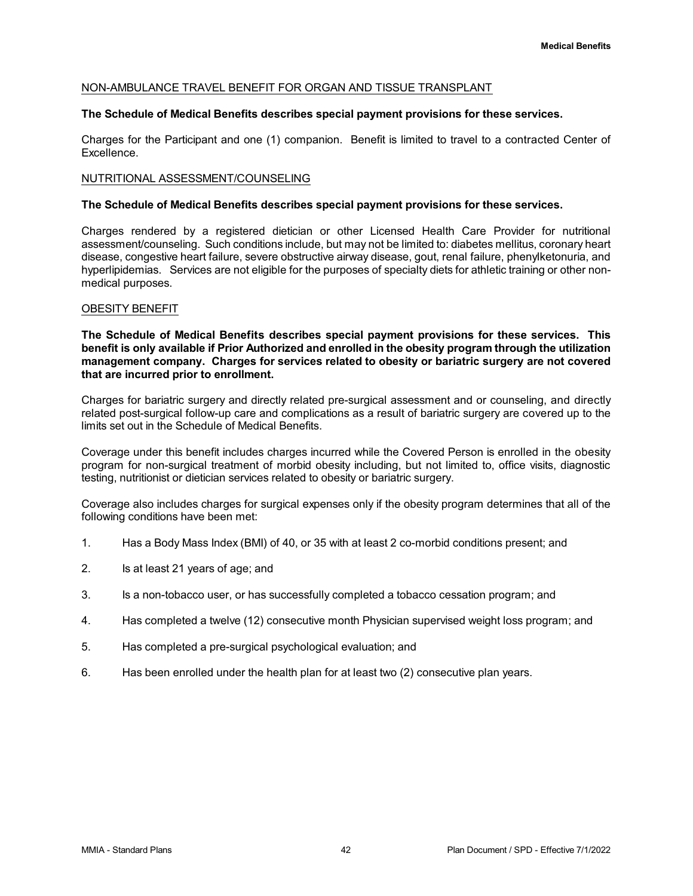# NON-AMBULANCE TRAVEL BENEFIT FOR ORGAN AND TISSUE TRANSPLANT

### **The Schedule of Medical Benefits describes special payment provisions for these services.**

Charges for the Participant and one (1) companion. Benefit is limited to travel to a contracted Center of Excellence.

## NUTRITIONAL ASSESSMENT/COUNSELING

#### **The Schedule of Medical Benefits describes special payment provisions for these services.**

Charges rendered by a registered dietician or other Licensed Health Care Provider for nutritional assessment/counseling. Such conditions include, but may not be limited to: diabetes mellitus, coronary heart disease, congestive heart failure, severe obstructive airway disease, gout, renal failure, phenylketonuria, and hyperlipidemias. Services are not eligible for the purposes of specialty diets for athletic training or other nonmedical purposes.

#### OBESITY BENEFIT

**The Schedule of Medical Benefits describes special payment provisions for these services. This benefit is only available if Prior Authorized and enrolled in the obesity program through the utilization management company. Charges for services related to obesity or bariatric surgery are not covered that are incurred prior to enrollment.**

Charges for bariatric surgery and directly related pre-surgical assessment and or counseling, and directly related post-surgical follow-up care and complications as a result of bariatric surgery are covered up to the limits set out in the Schedule of Medical Benefits.

Coverage under this benefit includes charges incurred while the Covered Person is enrolled in the obesity program for non-surgical treatment of morbid obesity including, but not limited to, office visits, diagnostic testing, nutritionist or dietician services related to obesity or bariatric surgery.

Coverage also includes charges for surgical expenses only if the obesity program determines that all of the following conditions have been met:

- 1. Has a Body Mass Index (BMI) of 40, or 35 with at least 2 co-morbid conditions present; and
- 2. Is at least 21 years of age; and
- 3. Is a non-tobacco user, or has successfully completed a tobacco cessation program; and
- 4. Has completed a twelve (12) consecutive month Physician supervised weight loss program; and
- 5. Has completed a pre-surgical psychological evaluation; and
- 6. Has been enrolled under the health plan for at least two (2) consecutive plan years.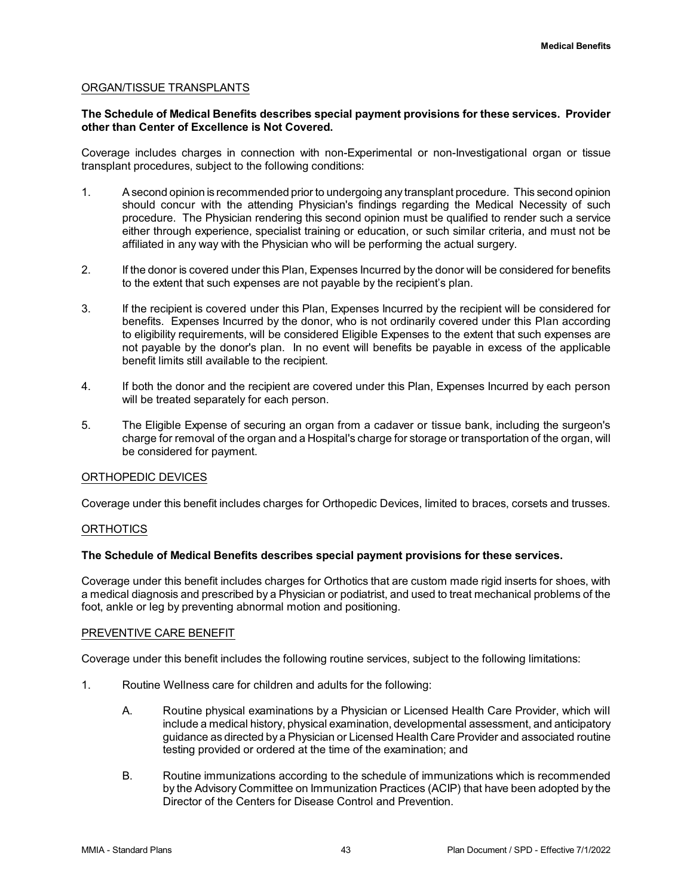#### ORGAN/TISSUE TRANSPLANTS

### **The Schedule of Medical Benefits describes special payment provisions for these services. Provider other than Center of Excellence is Not Covered.**

Coverage includes charges in connection with non-Experimental or non-Investigational organ or tissue transplant procedures, subject to the following conditions:

- 1. Asecond opinion is recommended prior to undergoing any transplant procedure. This second opinion should concur with the attending Physician's findings regarding the Medical Necessity of such procedure. The Physician rendering this second opinion must be qualified to render such a service either through experience, specialist training or education, or such similar criteria, and must not be affiliated in any way with the Physician who will be performing the actual surgery.
- 2. If the donor is covered under this Plan, Expenses Incurred by the donor will be considered for benefits to the extent that such expenses are not payable by the recipient's plan.
- 3. If the recipient is covered under this Plan, Expenses Incurred by the recipient will be considered for benefits. Expenses Incurred by the donor, who is not ordinarily covered under this Plan according to eligibility requirements, will be considered Eligible Expenses to the extent that such expenses are not payable by the donor's plan. In no event will benefits be payable in excess of the applicable benefit limits still available to the recipient.
- 4. If both the donor and the recipient are covered under this Plan, Expenses Incurred by each person will be treated separately for each person.
- 5. The Eligible Expense of securing an organ from a cadaver or tissue bank, including the surgeon's charge for removal of the organ and a Hospital's charge for storage or transportation of the organ, will be considered for payment.

#### ORTHOPEDIC DEVICES

Coverage under this benefit includes charges for Orthopedic Devices, limited to braces, corsets and trusses.

#### **ORTHOTICS**

#### **The Schedule of Medical Benefits describes special payment provisions for these services.**

Coverage under this benefit includes charges for Orthotics that are custom made rigid inserts for shoes, with a medical diagnosis and prescribed by a Physician or podiatrist, and used to treat mechanical problems of the foot, ankle or leg by preventing abnormal motion and positioning.

#### PREVENTIVE CARE BENEFIT

Coverage under this benefit includes the following routine services, subject to the following limitations:

- 1. Routine Wellness care for children and adults for the following:
	- A. Routine physical examinations by a Physician or Licensed Health Care Provider, which will include a medical history, physical examination, developmental assessment, and anticipatory guidance as directed by a Physician or Licensed Health Care Provider and associated routine testing provided or ordered at the time of the examination; and
	- B. Routine immunizations according to the schedule of immunizations which is recommended by the Advisory Committee on Immunization Practices (ACIP) that have been adopted by the Director of the Centers for Disease Control and Prevention.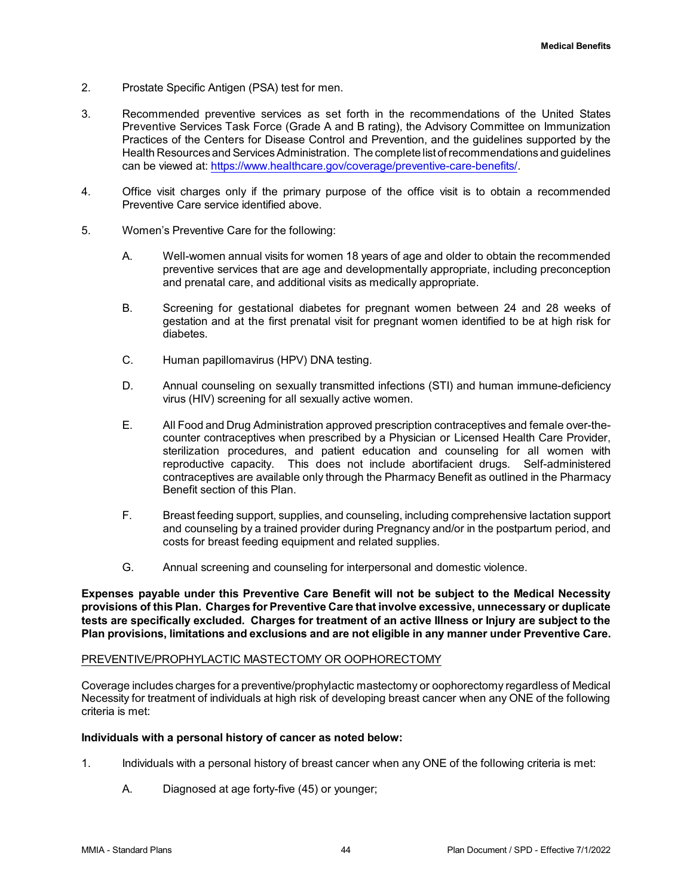- 2. Prostate Specific Antigen (PSA) test for men.
- 3. Recommended preventive services as set forth in the recommendations of the United States Preventive Services Task Force (Grade A and B rating), the Advisory Committee on Immunization Practices of the Centers for Disease Control and Prevention, and the guidelines supported by the Health Resources and Services Administration. The complete list of recommendations and quidelines can be viewed at: <https://www.healthcare.gov/coverage/preventive-care-benefits/>.
- 4. Office visit charges only if the primary purpose of the office visit is to obtain a recommended Preventive Care service identified above.
- 5. Women's Preventive Care for the following:
	- A. Well-women annual visits for women 18 years of age and older to obtain the recommended preventive services that are age and developmentally appropriate, including preconception and prenatal care, and additional visits as medically appropriate.
	- B. Screening for gestational diabetes for pregnant women between 24 and 28 weeks of gestation and at the first prenatal visit for pregnant women identified to be at high risk for diabetes.
	- C. Human papillomavirus (HPV) DNA testing.
	- D. Annual counseling on sexually transmitted infections (STI) and human immune-deficiency virus (HIV) screening for all sexually active women.
	- E. All Food and Drug Administration approved prescription contraceptives and female over-thecounter contraceptives when prescribed by a Physician or Licensed Health Care Provider, sterilization procedures, and patient education and counseling for all women with reproductive capacity. This does not include abortifacient drugs. Self-administered contraceptives are available only through the Pharmacy Benefit as outlined in the Pharmacy Benefit section of this Plan.
	- F. Breast feeding support, supplies, and counseling, including comprehensive lactation support and counseling by a trained provider during Pregnancy and/or in the postpartum period, and costs for breast feeding equipment and related supplies.
	- G. Annual screening and counseling for interpersonal and domestic violence.

**Expenses payable under this Preventive Care Benefit will not be subject to the Medical Necessity provisions of this Plan. Charges for Preventive Care that involve excessive, unnecessary or duplicate tests are specifically excluded. Charges for treatment of an active Illness or Injury are subject to the Plan provisions, limitations and exclusions and are not eligible in any manner under Preventive Care.**

#### PREVENTIVE/PROPHYLACTIC MASTECTOMY OR OOPHORECTOMY

Coverage includes charges for a preventive/prophylactic mastectomy or oophorectomy regardless of Medical Necessity for treatment of individuals at high risk of developing breast cancer when any ONE of the following criteria is met:

## **Individuals with a personal history of cancer as noted below:**

- 1. Individuals with a personal history of breast cancer when any ONE of the following criteria is met:
	- A. Diagnosed at age forty-five (45) or younger;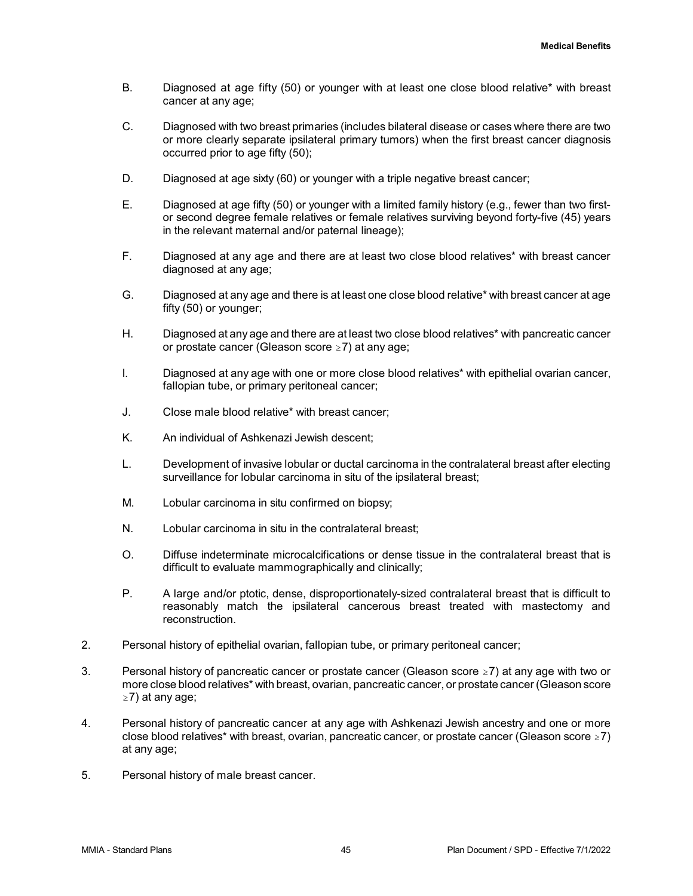- B. Diagnosed at age fifty (50) or younger with at least one close blood relative\* with breast cancer at any age;
- C. Diagnosed with two breast primaries (includes bilateral disease or cases where there are two or more clearly separate ipsilateral primary tumors) when the first breast cancer diagnosis occurred prior to age fifty (50);
- D. Diagnosed at age sixty (60) or younger with a triple negative breast cancer;
- E. Diagnosed at age fifty (50) or younger with a limited family history (e.g., fewer than two firstor second degree female relatives or female relatives surviving beyond forty-five (45) years in the relevant maternal and/or paternal lineage);
- F. Diagnosed at any age and there are at least two close blood relatives\* with breast cancer diagnosed at any age;
- G. Diagnosed at any age and there is at least one close blood relative\* with breast cancer at age fifty (50) or younger;
- H. Diagnosed at any age and there are at least two close blood relatives\* with pancreatic cancer or prostate cancer (Gleason score  $\geq$ 7) at any age;
- I. Diagnosed at any age with one or more close blood relatives\* with epithelial ovarian cancer, fallopian tube, or primary peritoneal cancer;
- J. Close male blood relative\* with breast cancer;
- K. An individual of Ashkenazi Jewish descent;
- L. Development of invasive lobular or ductal carcinoma in the contralateral breast after electing surveillance for lobular carcinoma in situ of the ipsilateral breast;
- M. Lobular carcinoma in situ confirmed on biopsy;
- N. Lobular carcinoma in situ in the contralateral breast;
- O. Diffuse indeterminate microcalcifications or dense tissue in the contralateral breast that is difficult to evaluate mammographically and clinically;
- P. A large and/or ptotic, dense, disproportionately-sized contralateral breast that is difficult to reasonably match the ipsilateral cancerous breast treated with mastectomy and reconstruction.
- 2. Personal history of epithelial ovarian, fallopian tube, or primary peritoneal cancer;
- 3. Personal history of pancreatic cancer or prostate cancer (Gleason score  $\geq 7$ ) at any age with two or more close blood relatives\* with breast, ovarian, pancreatic cancer, or prostate cancer (Gleason score  $\ge$ 7) at any age;
- 4. Personal history of pancreatic cancer at any age with Ashkenazi Jewish ancestry and one or more close blood relatives\* with breast, ovarian, pancreatic cancer, or prostate cancer (Gleason score  $\geq 7$ ) at any age;
- 5. Personal history of male breast cancer.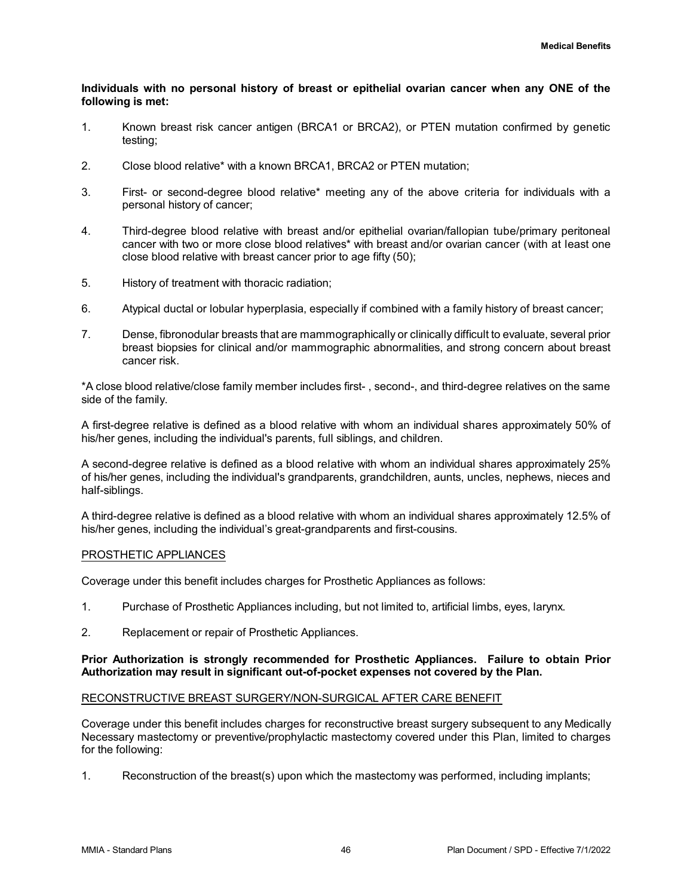# **Individuals with no personal history of breast or epithelial ovarian cancer when any ONE of the following is met:**

- 1. Known breast risk cancer antigen (BRCA1 or BRCA2), or PTEN mutation confirmed by genetic testing;
- 2. Close blood relative\* with a known BRCA1, BRCA2 or PTEN mutation;
- 3. First- or second-degree blood relative\* meeting any of the above criteria for individuals with a personal history of cancer;
- 4. Third-degree blood relative with breast and/or epithelial ovarian/fallopian tube/primary peritoneal cancer with two or more close blood relatives\* with breast and/or ovarian cancer (with at least one close blood relative with breast cancer prior to age fifty (50);
- 5. History of treatment with thoracic radiation;
- 6. Atypical ductal or lobular hyperplasia, especially if combined with a family history of breast cancer;
- 7. Dense, fibronodular breasts that are mammographically or clinically difficult to evaluate, several prior breast biopsies for clinical and/or mammographic abnormalities, and strong concern about breast cancer risk.

\*A close blood relative/close family member includes first- , second-, and third-degree relatives on the same side of the family.

A first-degree relative is defined as a blood relative with whom an individual shares approximately 50% of his/her genes, including the individual's parents, full siblings, and children.

A second-degree relative is defined as a blood relative with whom an individual shares approximately 25% of his/her genes, including the individual's grandparents, grandchildren, aunts, uncles, nephews, nieces and half-siblings.

A third-degree relative is defined as a blood relative with whom an individual shares approximately 12.5% of his/her genes, including the individual's great-grandparents and first-cousins.

## PROSTHETIC APPLIANCES

Coverage under this benefit includes charges for Prosthetic Appliances as follows:

- 1. Purchase of Prosthetic Appliances including, but not limited to, artificial limbs, eyes, larynx.
- 2. Replacement or repair of Prosthetic Appliances.

# **Prior Authorization is strongly recommended for Prosthetic Appliances. Failure to obtain Prior Authorization may result in significant out-of-pocket expenses not covered by the Plan.**

# RECONSTRUCTIVE BREAST SURGERY/NON-SURGICAL AFTER CARE BENEFIT

Coverage under this benefit includes charges for reconstructive breast surgery subsequent to any Medically Necessary mastectomy or preventive/prophylactic mastectomy covered under this Plan, limited to charges for the following:

1. Reconstruction of the breast(s) upon which the mastectomy was performed, including implants;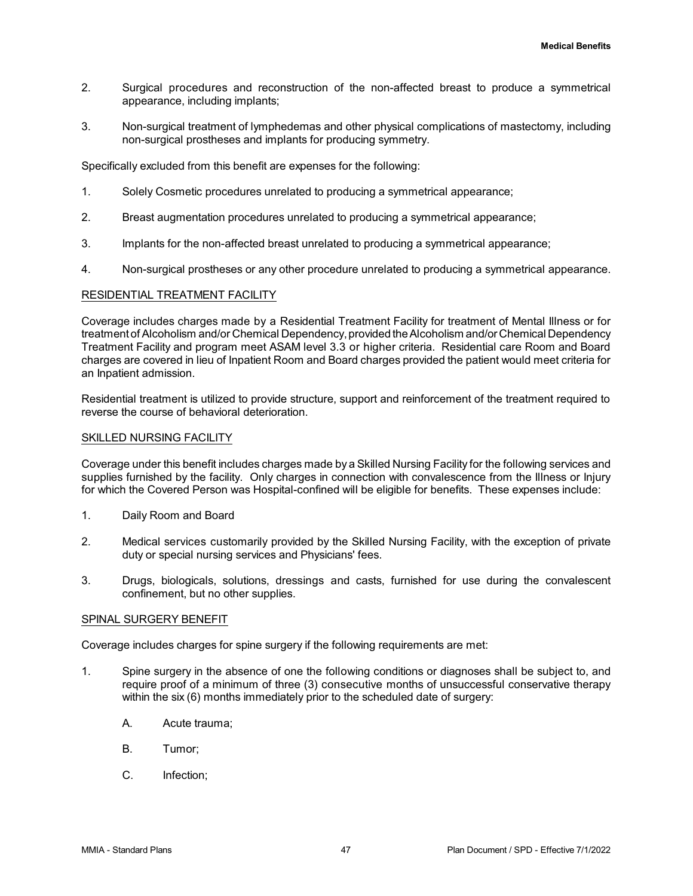- 2. Surgical procedures and reconstruction of the non-affected breast to produce a symmetrical appearance, including implants;
- 3. Non-surgical treatment of lymphedemas and other physical complications of mastectomy, including non-surgical prostheses and implants for producing symmetry.

Specifically excluded from this benefit are expenses for the following:

- 1. Solely Cosmetic procedures unrelated to producing a symmetrical appearance;
- 2. Breast augmentation procedures unrelated to producing a symmetrical appearance;
- 3. Implants for the non-affected breast unrelated to producing a symmetrical appearance;
- 4. Non-surgical prostheses or any other procedure unrelated to producing a symmetrical appearance.

## RESIDENTIAL TREATMENT FACILITY

Coverage includes charges made by a Residential Treatment Facility for treatment of Mental Illness or for treatment of Alcoholism and/or Chemical Dependency, provided the Alcoholism and/or Chemical Dependency Treatment Facility and program meet ASAM level 3.3 or higher criteria. Residential care Room and Board charges are covered in lieu of Inpatient Room and Board charges provided the patient would meet criteria for an Inpatient admission.

Residential treatment is utilized to provide structure, support and reinforcement of the treatment required to reverse the course of behavioral deterioration.

## SKILLED NURSING FACILITY

Coverage under this benefit includes charges made by a Skilled Nursing Facility for the following services and supplies furnished by the facility. Only charges in connection with convalescence from the Illness or Injury for which the Covered Person was Hospital-confined will be eligible for benefits. These expenses include:

- 1. Daily Room and Board
- 2. Medical services customarily provided by the Skilled Nursing Facility, with the exception of private duty or special nursing services and Physicians' fees.
- 3. Drugs, biologicals, solutions, dressings and casts, furnished for use during the convalescent confinement, but no other supplies.

## SPINAL SURGERY BENEFIT

Coverage includes charges for spine surgery if the following requirements are met:

- 1. Spine surgery in the absence of one the following conditions or diagnoses shall be subject to, and require proof of a minimum of three (3) consecutive months of unsuccessful conservative therapy within the six (6) months immediately prior to the scheduled date of surgery:
	- A. Acute trauma;
	- B. Tumor;
	- C. Infection;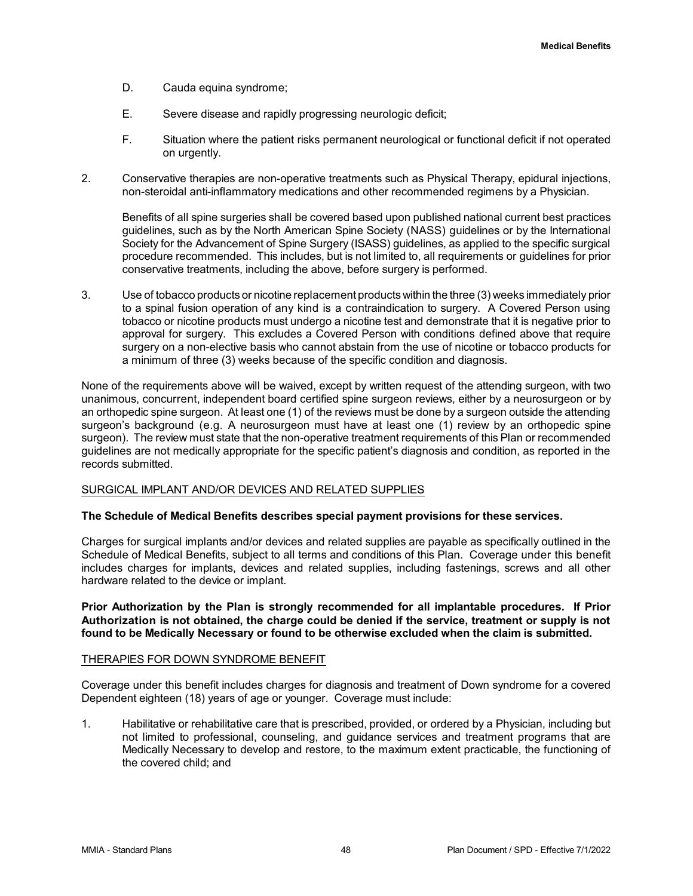- D. Cauda equina syndrome;
- E. Severe disease and rapidly progressing neurologic deficit;
- F. Situation where the patient risks permanent neurological or functional deficit if not operated on urgently.
- 2. Conservative therapies are non-operative treatments such as Physical Therapy, epidural injections, non-steroidal anti-inflammatory medications and other recommended regimens by a Physician.

Benefits of all spine surgeries shall be covered based upon published national current best practices guidelines, such as by the North American Spine Society (NASS) guidelines or by the International Society for the Advancement of Spine Surgery (ISASS) guidelines, as applied to the specific surgical procedure recommended. This includes, but is not limited to, all requirements or guidelines for prior conservative treatments, including the above, before surgery is performed.

3. Use of tobacco products or nicotine replacement products within the three (3) weeks immediately prior to a spinal fusion operation of any kind is a contraindication to surgery. A Covered Person using tobacco or nicotine products must undergo a nicotine test and demonstrate that it is negative prior to approval for surgery. This excludes a Covered Person with conditions defined above that require surgery on a non-elective basis who cannot abstain from the use of nicotine or tobacco products for a minimum of three (3) weeks because of the specific condition and diagnosis.

None of the requirements above will be waived, except by written request of the attending surgeon, with two unanimous, concurrent, independent board certified spine surgeon reviews, either by a neurosurgeon or by an orthopedic spine surgeon. At least one (1) of the reviews must be done by a surgeon outside the attending surgeon's background (e.g. A neurosurgeon must have at least one (1) review by an orthopedic spine surgeon). The review must state that the non-operative treatment requirements of this Plan or recommended guidelines are not medically appropriate for the specific patient's diagnosis and condition, as reported in the records submitted.

## SURGICAL IMPLANT AND/OR DEVICES AND RELATED SUPPLIES

## **The Schedule of Medical Benefits describes special payment provisions for these services.**

Charges for surgical implants and/or devices and related supplies are payable as specifically outlined in the Schedule of Medical Benefits, subject to all terms and conditions of this Plan. Coverage under this benefit includes charges for implants, devices and related supplies, including fastenings, screws and all other hardware related to the device or implant.

**Prior Authorization by the Plan is strongly recommended for all implantable procedures. If Prior Authorization is not obtained, the charge could be denied if the service, treatment or supply is not found to be Medically Necessary or found to be otherwise excluded when the claim is submitted.**

## THERAPIES FOR DOWN SYNDROME BENEFIT

Coverage under this benefit includes charges for diagnosis and treatment of Down syndrome for a covered Dependent eighteen (18) years of age or younger. Coverage must include:

1. Habilitative or rehabilitative care that is prescribed, provided, or ordered by a Physician, including but not limited to professional, counseling, and guidance services and treatment programs that are Medically Necessary to develop and restore, to the maximum extent practicable, the functioning of the covered child; and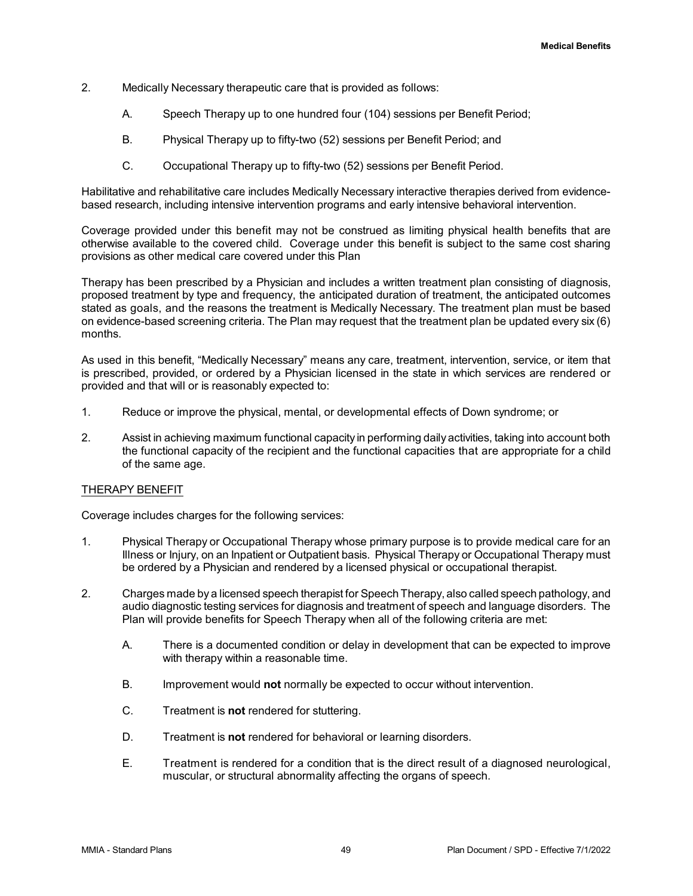- 2. Medically Necessary therapeutic care that is provided as follows:
	- A. Speech Therapy up to one hundred four (104) sessions per Benefit Period;
	- B. Physical Therapy up to fifty-two (52) sessions per Benefit Period; and
	- C. Occupational Therapy up to fifty-two (52) sessions per Benefit Period.

Habilitative and rehabilitative care includes Medically Necessary interactive therapies derived from evidencebased research, including intensive intervention programs and early intensive behavioral intervention.

Coverage provided under this benefit may not be construed as limiting physical health benefits that are otherwise available to the covered child. Coverage under this benefit is subject to the same cost sharing provisions as other medical care covered under this Plan

Therapy has been prescribed by a Physician and includes a written treatment plan consisting of diagnosis, proposed treatment by type and frequency, the anticipated duration of treatment, the anticipated outcomes stated as goals, and the reasons the treatment is Medically Necessary. The treatment plan must be based on evidence-based screening criteria. The Plan may request that the treatment plan be updated every six (6) months.

As used in this benefit, "Medically Necessary" means any care, treatment, intervention, service, or item that is prescribed, provided, or ordered by a Physician licensed in the state in which services are rendered or provided and that will or is reasonably expected to:

- 1. Reduce or improve the physical, mental, or developmental effects of Down syndrome; or
- 2. Assist in achieving maximum functional capacity in performing daily activities, taking into account both the functional capacity of the recipient and the functional capacities that are appropriate for a child of the same age.

## THERAPY BENEFIT

Coverage includes charges for the following services:

- 1. Physical Therapy or Occupational Therapy whose primary purpose is to provide medical care for an Illness or Injury, on an Inpatient or Outpatient basis. Physical Therapy or Occupational Therapy must be ordered by a Physician and rendered by a licensed physical or occupational therapist.
- 2. Charges made by a licensed speech therapist for Speech Therapy, also called speech pathology, and audio diagnostic testing services for diagnosis and treatment of speech and language disorders. The Plan will provide benefits for Speech Therapy when all of the following criteria are met:
	- A. There is a documented condition or delay in development that can be expected to improve with therapy within a reasonable time.
	- B. Improvement would **not** normally be expected to occur without intervention.
	- C. Treatment is **not** rendered for stuttering.
	- D. Treatment is **not** rendered for behavioral or learning disorders.
	- E. Treatment is rendered for a condition that is the direct result of a diagnosed neurological, muscular, or structural abnormality affecting the organs of speech.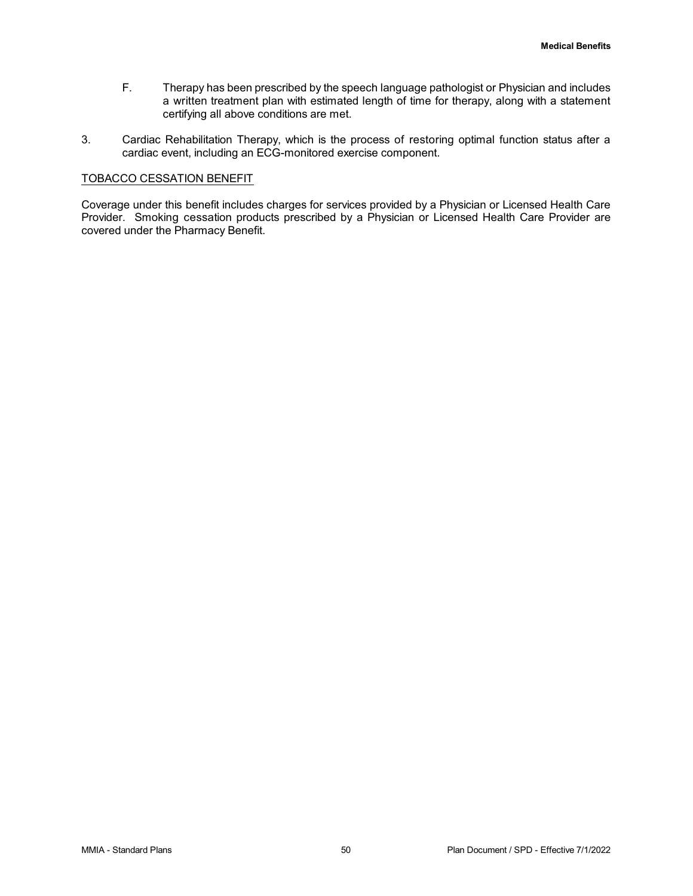- F. Therapy has been prescribed by the speech language pathologist or Physician and includes a written treatment plan with estimated length of time for therapy, along with a statement certifying all above conditions are met.
- 3. Cardiac Rehabilitation Therapy, which is the process of restoring optimal function status after a cardiac event, including an ECG-monitored exercise component.

# TOBACCO CESSATION BENEFIT

Coverage under this benefit includes charges for services provided by a Physician or Licensed Health Care Provider. Smoking cessation products prescribed by a Physician or Licensed Health Care Provider are covered under the Pharmacy Benefit.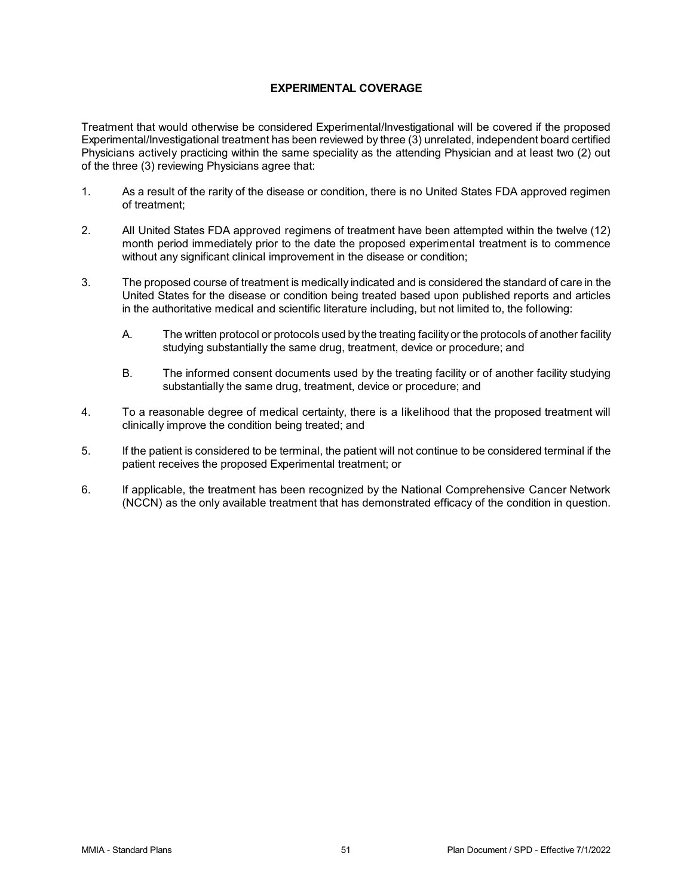# **EXPERIMENTAL COVERAGE**

Treatment that would otherwise be considered Experimental/Investigational will be covered if the proposed Experimental/Investigational treatment has been reviewed by three (3) unrelated, independent board certified Physicians actively practicing within the same speciality as the attending Physician and at least two (2) out of the three (3) reviewing Physicians agree that:

- 1. As a result of the rarity of the disease or condition, there is no United States FDA approved regimen of treatment;
- 2. All United States FDA approved regimens of treatment have been attempted within the twelve (12) month period immediately prior to the date the proposed experimental treatment is to commence without any significant clinical improvement in the disease or condition;
- 3. The proposed course of treatment is medically indicated and is considered the standard of care in the United States for the disease or condition being treated based upon published reports and articles in the authoritative medical and scientific literature including, but not limited to, the following:
	- A. The written protocol or protocols used by the treating facilityor the protocols of another facility studying substantially the same drug, treatment, device or procedure; and
	- B. The informed consent documents used by the treating facility or of another facility studying substantially the same drug, treatment, device or procedure; and
- 4. To a reasonable degree of medical certainty, there is a likelihood that the proposed treatment will clinically improve the condition being treated; and
- 5. If the patient is considered to be terminal, the patient will not continue to be considered terminal if the patient receives the proposed Experimental treatment; or
- 6. If applicable, the treatment has been recognized by the National Comprehensive Cancer Network (NCCN) as the only available treatment that has demonstrated efficacy of the condition in question.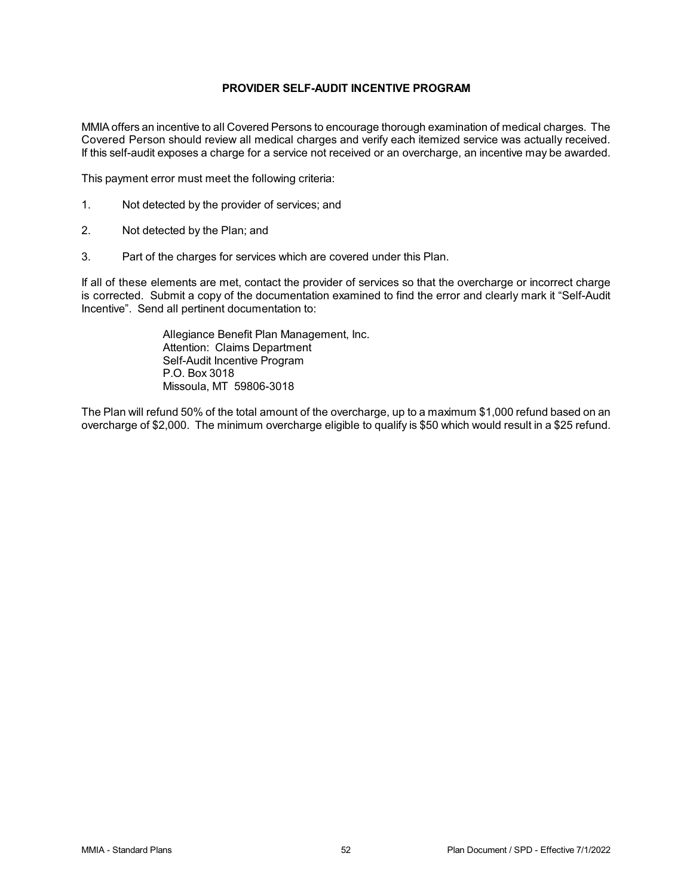# **PROVIDER SELF-AUDIT INCENTIVE PROGRAM**

MMIA offers an incentive to all Covered Persons to encourage thorough examination of medical charges. The Covered Person should review all medical charges and verify each itemized service was actually received. If this self-audit exposes a charge for a service not received or an overcharge, an incentive may be awarded.

This payment error must meet the following criteria:

- 1. Not detected by the provider of services; and
- 2. Not detected by the Plan; and
- 3. Part of the charges for services which are covered under this Plan.

If all of these elements are met, contact the provider of services so that the overcharge or incorrect charge is corrected. Submit a copy of the documentation examined to find the error and clearly mark it "Self-Audit Incentive". Send all pertinent documentation to:

> Allegiance Benefit Plan Management, Inc. Attention: Claims Department Self-Audit Incentive Program P.O. Box 3018 Missoula, MT 59806-3018

The Plan will refund 50% of the total amount of the overcharge, up to a maximum \$1,000 refund based on an overcharge of \$2,000. The minimum overcharge eligible to qualify is \$50 which would result in a \$25 refund.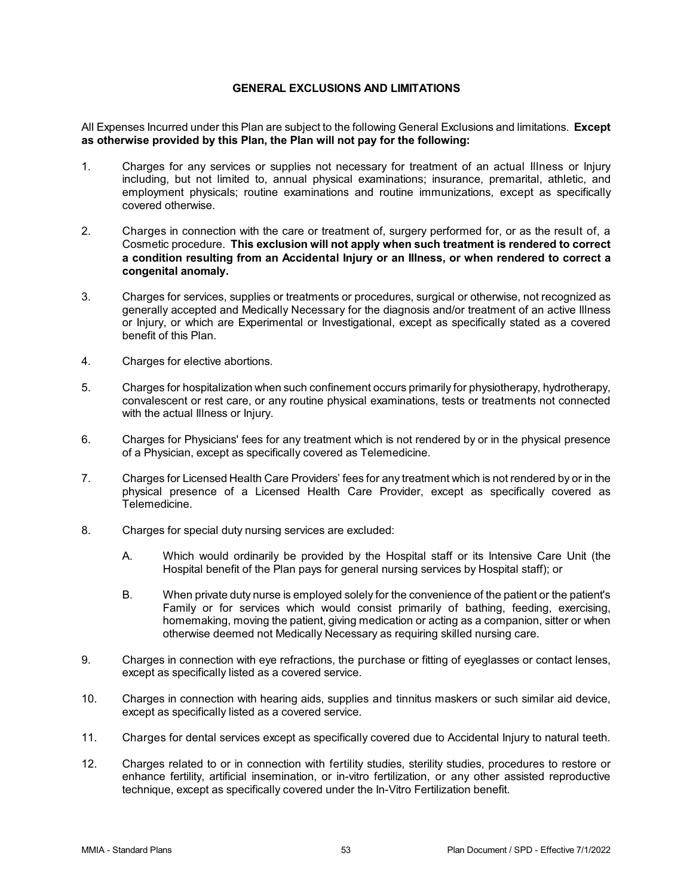## **GENERAL EXCLUSIONS AND LIMITATIONS**

All Expenses Incurred under this Plan are subject to the following General Exclusions and limitations. **Except as otherwise provided by this Plan, the Plan will not pay for the following:**

- 1. Charges for any services or supplies not necessary for treatment of an actual Illness or Injury including, but not limited to, annual physical examinations; insurance, premarital, athletic, and employment physicals; routine examinations and routine immunizations, except as specifically covered otherwise.
- 2. Charges in connection with the care or treatment of, surgery performed for, or as the result of, a Cosmetic procedure. **This exclusion will not apply when such treatment is rendered to correct a condition resulting from an Accidental Injury or an Illness, or when rendered to correct a congenital anomaly.**
- 3. Charges for services, supplies or treatments or procedures, surgical or otherwise, not recognized as generally accepted and Medically Necessary for the diagnosis and/or treatment of an active Illness or Injury, or which are Experimental or Investigational, except as specifically stated as a covered benefit of this Plan.
- 4. Charges for elective abortions.
- 5. Charges for hospitalization when such confinement occurs primarily for physiotherapy, hydrotherapy, convalescent or rest care, or any routine physical examinations, tests or treatments not connected with the actual Illness or Injury.
- 6. Charges for Physicians' fees for any treatment which is not rendered by or in the physical presence of a Physician, except as specifically covered as Telemedicine.
- 7. Charges for Licensed Health Care Providers' fees for any treatment which is not rendered by or in the physical presence of a Licensed Health Care Provider, except as specifically covered as Telemedicine.
- 8. Charges for special duty nursing services are excluded:
	- A. Which would ordinarily be provided by the Hospital staff or its Intensive Care Unit (the Hospital benefit of the Plan pays for general nursing services by Hospital staff); or
	- B. When private duty nurse is employed solely for the convenience of the patient or the patient's Family or for services which would consist primarily of bathing, feeding, exercising, homemaking, moving the patient, giving medication or acting as a companion, sitter or when otherwise deemed not Medically Necessary as requiring skilled nursing care.
- 9. Charges in connection with eye refractions, the purchase or fitting of eyeglasses or contact lenses, except as specifically listed as a covered service.
- 10. Charges in connection with hearing aids, supplies and tinnitus maskers or such similar aid device, except as specifically listed as a covered service.
- 11. Charges for dental services except as specifically covered due to Accidental Injury to natural teeth.
- 12. Charges related to or in connection with fertility studies, sterility studies, procedures to restore or enhance fertility, artificial insemination, or in-vitro fertilization, or any other assisted reproductive technique, except as specifically covered under the In-Vitro Fertilization benefit.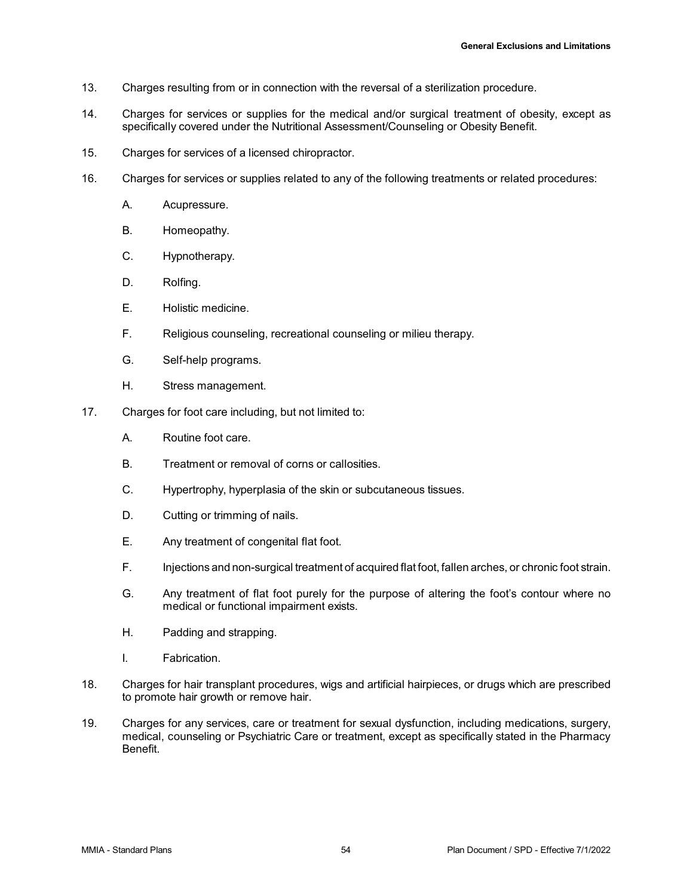- 13. Charges resulting from or in connection with the reversal of a sterilization procedure.
- 14. Charges for services or supplies for the medical and/or surgical treatment of obesity, except as specifically covered under the Nutritional Assessment/Counseling or Obesity Benefit.
- 15. Charges for services of a licensed chiropractor.
- 16. Charges for services or supplies related to any of the following treatments or related procedures:
	- A. Acupressure.
	- B. Homeopathy.
	- C. Hypnotherapy.
	- D. Rolfing.
	- E. Holistic medicine.
	- F. Religious counseling, recreational counseling or milieu therapy.
	- G. Self-help programs.
	- H. Stress management.
- 17. Charges for foot care including, but not limited to:
	- A. Routine foot care.
	- B. Treatment or removal of corns or callosities.
	- C. Hypertrophy, hyperplasia of the skin or subcutaneous tissues.
	- D. Cutting or trimming of nails.
	- E. Any treatment of congenital flat foot.
	- F. Injections and non-surgical treatment of acquired flat foot, fallen arches, or chronic foot strain.
	- G. Any treatment of flat foot purely for the purpose of altering the foot's contour where no medical or functional impairment exists.
	- H. Padding and strapping.
	- I. Fabrication.
- 18. Charges for hair transplant procedures, wigs and artificial hairpieces, or drugs which are prescribed to promote hair growth or remove hair.
- 19. Charges for any services, care or treatment for sexual dysfunction, including medications, surgery, medical, counseling or Psychiatric Care or treatment, except as specifically stated in the Pharmacy Benefit.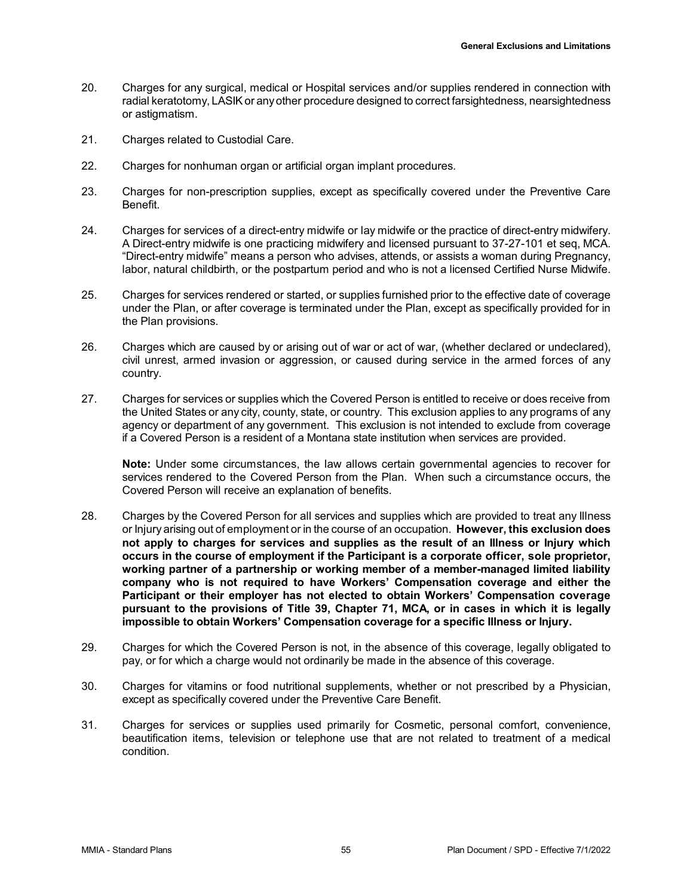- 20. Charges for any surgical, medical or Hospital services and/or supplies rendered in connection with radial keratotomy, LASIK or any other procedure designed to correct farsightedness, nearsightedness or astigmatism.
- 21. Charges related to Custodial Care.
- 22. Charges for nonhuman organ or artificial organ implant procedures.
- 23. Charges for non-prescription supplies, except as specifically covered under the Preventive Care Benefit.
- 24. Charges for services of a direct-entry midwife or lay midwife or the practice of direct-entry midwifery. A Direct-entry midwife is one practicing midwifery and licensed pursuant to 37-27-101 et seq, MCA. "Direct-entry midwife" means a person who advises, attends, or assists a woman during Pregnancy, labor, natural childbirth, or the postpartum period and who is not a licensed Certified Nurse Midwife.
- 25. Charges for services rendered or started, or supplies furnished prior to the effective date of coverage under the Plan, or after coverage is terminated under the Plan, except as specifically provided for in the Plan provisions.
- 26. Charges which are caused by or arising out of war or act of war, (whether declared or undeclared), civil unrest, armed invasion or aggression, or caused during service in the armed forces of any country.
- 27. Charges for services or supplies which the Covered Person is entitled to receive or does receive from the United States or any city, county, state, or country. This exclusion applies to any programs of any agency or department of any government. This exclusion is not intended to exclude from coverage if a Covered Person is a resident of a Montana state institution when services are provided.

**Note:** Under some circumstances, the law allows certain governmental agencies to recover for services rendered to the Covered Person from the Plan. When such a circumstance occurs, the Covered Person will receive an explanation of benefits.

- 28. Charges by the Covered Person for all services and supplies which are provided to treat any Illness or Injury arising out of employment or in the course of an occupation. **However, this exclusion does not apply to charges for services and supplies as the result of an Illness or Injury which occurs in the course of employment if the Participant is a corporate officer, sole proprietor, working partner of a partnership or working member of a member-managed limited liability company who is not required to have Workers' Compensation coverage and either the Participant or their employer has not elected to obtain Workers' Compensation coverage pursuant to the provisions of Title 39, Chapter 71, MCA, or in cases in which it is legally impossible to obtain Workers' Compensation coverage for a specific Illness or Injury.**
- 29. Charges for which the Covered Person is not, in the absence of this coverage, legally obligated to pay, or for which a charge would not ordinarily be made in the absence of this coverage.
- 30. Charges for vitamins or food nutritional supplements, whether or not prescribed by a Physician, except as specifically covered under the Preventive Care Benefit.
- 31. Charges for services or supplies used primarily for Cosmetic, personal comfort, convenience, beautification items, television or telephone use that are not related to treatment of a medical condition.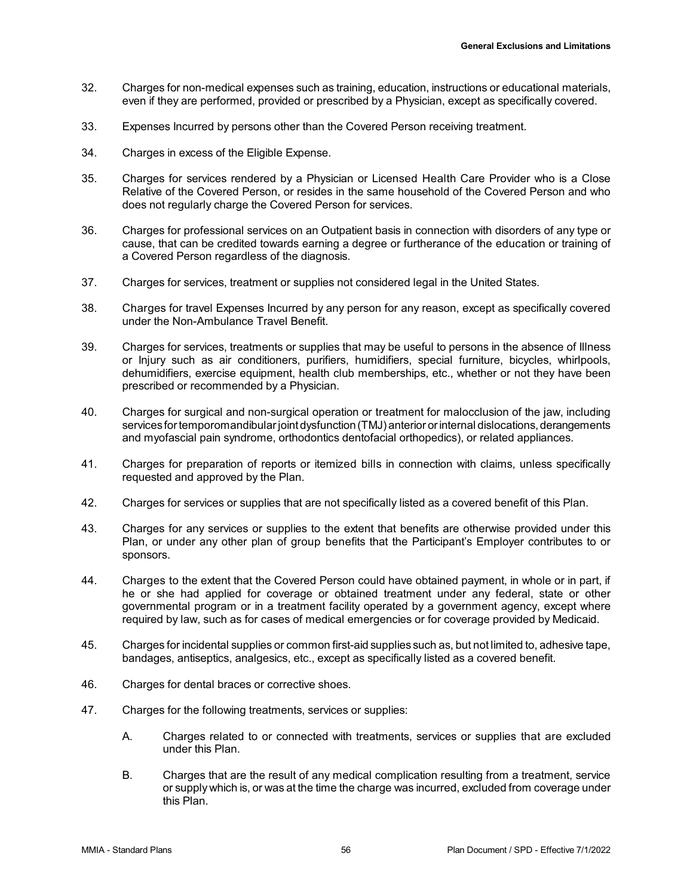- 32. Charges for non-medical expenses such as training, education, instructions or educational materials, even if they are performed, provided or prescribed by a Physician, except as specifically covered.
- 33. Expenses Incurred by persons other than the Covered Person receiving treatment.
- 34. Charges in excess of the Eligible Expense.
- 35. Charges for services rendered by a Physician or Licensed Health Care Provider who is a Close Relative of the Covered Person, or resides in the same household of the Covered Person and who does not regularly charge the Covered Person for services.
- 36. Charges for professional services on an Outpatient basis in connection with disorders of any type or cause, that can be credited towards earning a degree or furtherance of the education or training of a Covered Person regardless of the diagnosis.
- 37. Charges for services, treatment or supplies not considered legal in the United States.
- 38. Charges for travel Expenses Incurred by any person for any reason, except as specifically covered under the Non-Ambulance Travel Benefit.
- 39. Charges for services, treatments or supplies that may be useful to persons in the absence of Illness or Injury such as air conditioners, purifiers, humidifiers, special furniture, bicycles, whirlpools, dehumidifiers, exercise equipment, health club memberships, etc., whether or not they have been prescribed or recommended by a Physician.
- 40. Charges for surgical and non-surgical operation or treatment for malocclusion of the jaw, including services for temporomandibular joint dysfunction (TMJ) anterior or internal dislocations, derangements and myofascial pain syndrome, orthodontics dentofacial orthopedics), or related appliances.
- 41. Charges for preparation of reports or itemized bills in connection with claims, unless specifically requested and approved by the Plan.
- 42. Charges for services or supplies that are not specifically listed as a covered benefit of this Plan.
- 43. Charges for any services or supplies to the extent that benefits are otherwise provided under this Plan, or under any other plan of group benefits that the Participant's Employer contributes to or sponsors.
- 44. Charges to the extent that the Covered Person could have obtained payment, in whole or in part, if he or she had applied for coverage or obtained treatment under any federal, state or other governmental program or in a treatment facility operated by a government agency, except where required by law, such as for cases of medical emergencies or for coverage provided by Medicaid.
- 45. Charges for incidental supplies or common first-aid supplies such as, but not limited to, adhesive tape, bandages, antiseptics, analgesics, etc., except as specifically listed as a covered benefit.
- 46. Charges for dental braces or corrective shoes.
- 47. Charges for the following treatments, services or supplies:
	- A. Charges related to or connected with treatments, services or supplies that are excluded under this Plan.
	- B. Charges that are the result of any medical complication resulting from a treatment, service or supply which is, or was at the time the charge was incurred, excluded from coverage under this Plan.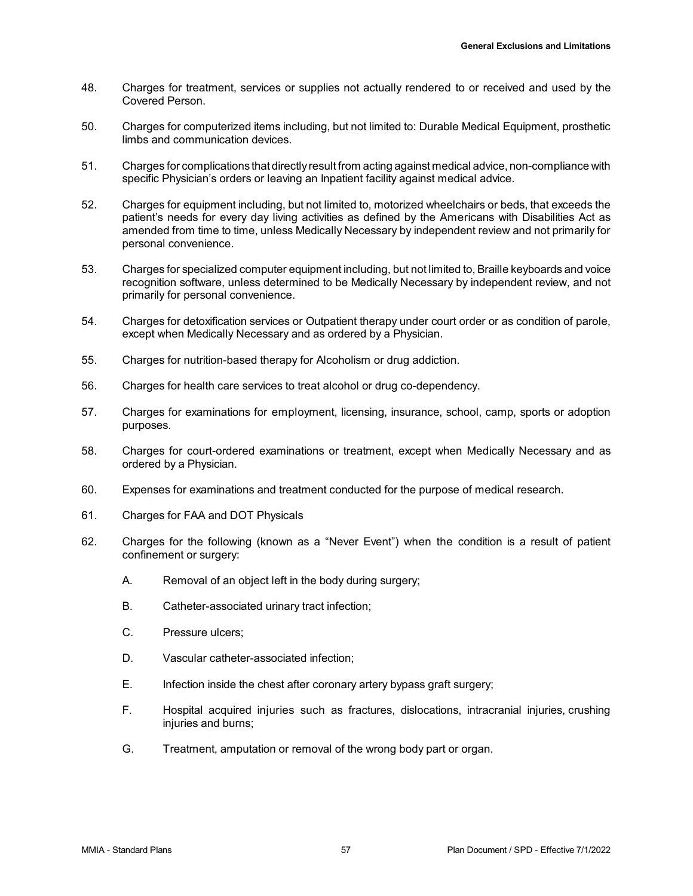- 48. Charges for treatment, services or supplies not actually rendered to or received and used by the Covered Person.
- 50. Charges for computerized items including, but not limited to: Durable Medical Equipment, prosthetic limbs and communication devices.
- 51. Charges for complications that directly result from acting against medical advice, non-compliance with specific Physician's orders or leaving an Inpatient facility against medical advice.
- 52. Charges for equipment including, but not limited to, motorized wheelchairs or beds, that exceeds the patient's needs for every day living activities as defined by the Americans with Disabilities Act as amended from time to time, unless Medically Necessary by independent review and not primarily for personal convenience.
- 53. Charges for specialized computer equipment including, but not limited to, Braille keyboards and voice recognition software, unless determined to be Medically Necessary by independent review, and not primarily for personal convenience.
- 54. Charges for detoxification services or Outpatient therapy under court order or as condition of parole, except when Medically Necessary and as ordered by a Physician.
- 55. Charges for nutrition-based therapy for Alcoholism or drug addiction.
- 56. Charges for health care services to treat alcohol or drug co-dependency.
- 57. Charges for examinations for employment, licensing, insurance, school, camp, sports or adoption purposes.
- 58. Charges for court-ordered examinations or treatment, except when Medically Necessary and as ordered by a Physician.
- 60. Expenses for examinations and treatment conducted for the purpose of medical research.
- 61. Charges for FAA and DOT Physicals
- 62. Charges for the following (known as a "Never Event") when the condition is a result of patient confinement or surgery:
	- A. Removal of an object left in the body during surgery;
	- B. Catheter-associated urinary tract infection;
	- C. Pressure ulcers;
	- D. Vascular catheter-associated infection;
	- E. Infection inside the chest after coronary artery bypass graft surgery;
	- F. Hospital acquired injuries such as fractures, dislocations, intracranial injuries, crushing injuries and burns;
	- G. Treatment, amputation or removal of the wrong body part or organ.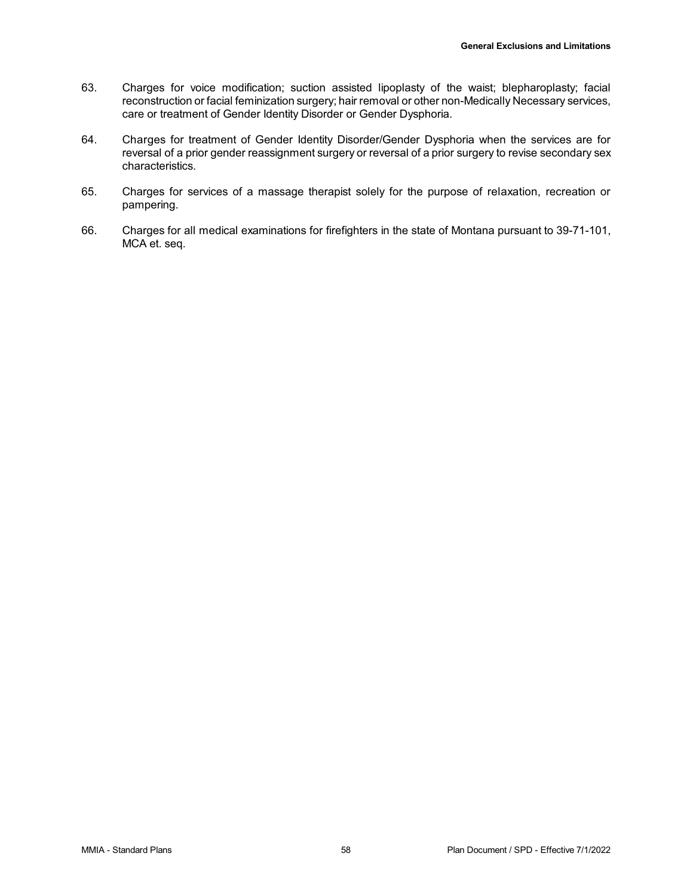- 63. Charges for voice modification; suction assisted lipoplasty of the waist; blepharoplasty; facial reconstruction or facial feminization surgery; hair removal or other non-Medically Necessary services, care or treatment of Gender Identity Disorder or Gender Dysphoria.
- 64. Charges for treatment of Gender Identity Disorder/Gender Dysphoria when the services are for reversal of a prior gender reassignment surgery or reversal of a prior surgery to revise secondary sex characteristics.
- 65. Charges for services of a massage therapist solely for the purpose of relaxation, recreation or pampering.
- 66. Charges for all medical examinations for firefighters in the state of Montana pursuant to 39-71-101, MCA et. seq.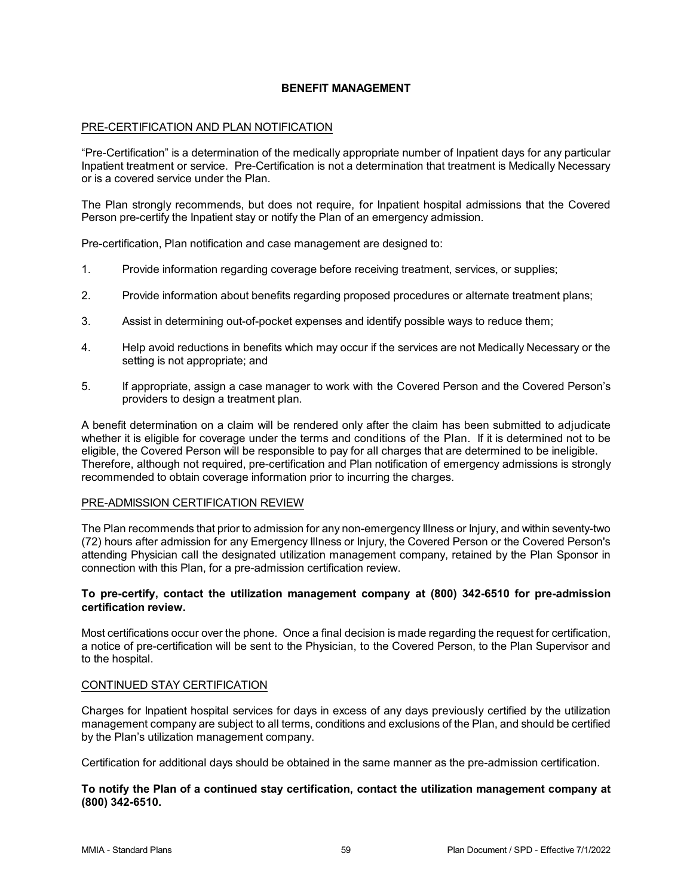# **BENEFIT MANAGEMENT**

## PRE-CERTIFICATION AND PLAN NOTIFICATION

"Pre-Certification" is a determination of the medically appropriate number of Inpatient days for any particular Inpatient treatment or service. Pre-Certification is not a determination that treatment is Medically Necessary or is a covered service under the Plan.

The Plan strongly recommends, but does not require, for Inpatient hospital admissions that the Covered Person pre-certify the Inpatient stay or notify the Plan of an emergency admission.

Pre-certification, Plan notification and case management are designed to:

- 1. Provide information regarding coverage before receiving treatment, services, or supplies;
- 2. Provide information about benefits regarding proposed procedures or alternate treatment plans;
- 3. Assist in determining out-of-pocket expenses and identify possible ways to reduce them;
- 4. Help avoid reductions in benefits which may occur if the services are not Medically Necessary or the setting is not appropriate; and
- 5. If appropriate, assign a case manager to work with the Covered Person and the Covered Person's providers to design a treatment plan.

A benefit determination on a claim will be rendered only after the claim has been submitted to adjudicate whether it is eligible for coverage under the terms and conditions of the Plan. If it is determined not to be eligible, the Covered Person will be responsible to pay for all charges that are determined to be ineligible. Therefore, although not required, pre-certification and Plan notification of emergency admissions is strongly recommended to obtain coverage information prior to incurring the charges.

## PRE-ADMISSION CERTIFICATION REVIEW

The Plan recommends that prior to admission for any non-emergency Illness or Injury, and within seventy-two (72) hours after admission for any Emergency Illness or Injury, the Covered Person or the Covered Person's attending Physician call the designated utilization management company, retained by the Plan Sponsor in connection with this Plan, for a pre-admission certification review.

## **To pre-certify, contact the utilization management company at (800) 342-6510 for pre-admission certification review.**

Most certifications occur over the phone. Once a final decision is made regarding the request for certification, a notice of pre-certification will be sent to the Physician, to the Covered Person, to the Plan Supervisor and to the hospital.

## CONTINUED STAY CERTIFICATION

Charges for Inpatient hospital services for days in excess of any days previously certified by the utilization management company are subject to all terms, conditions and exclusions of the Plan, and should be certified by the Plan's utilization management company.

Certification for additional days should be obtained in the same manner as the pre-admission certification.

## **To notify the Plan of a continued stay certification, contact the utilization management company at (800) 342-6510.**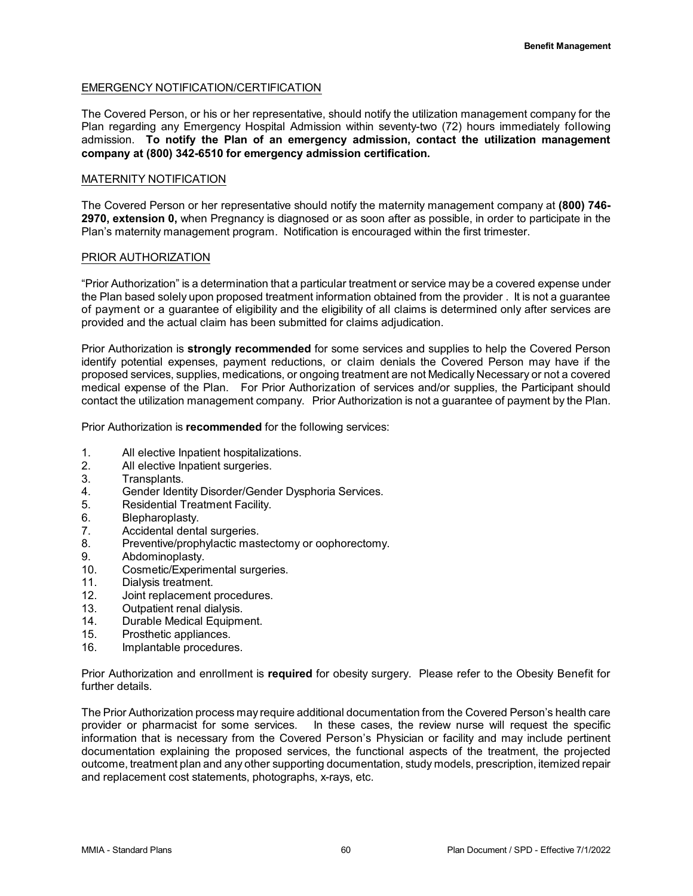# EMERGENCY NOTIFICATION/CERTIFICATION

The Covered Person, or his or her representative, should notify the utilization management company for the Plan regarding any Emergency Hospital Admission within seventy-two (72) hours immediately following admission. **To notify the Plan of an emergency admission, contact the utilization management company at (800) 342-6510 for emergency admission certification.**

### MATERNITY NOTIFICATION

The Covered Person or her representative should notify the maternity management company at **(800) 746- 2970, extension 0,** when Pregnancy is diagnosed or as soon after as possible, in order to participate in the Plan's maternity management program. Notification is encouraged within the first trimester.

#### PRIOR AUTHORIZATION

"Prior Authorization" is a determination that a particular treatment or service may be a covered expense under the Plan based solely upon proposed treatment information obtained from the provider . It is not a guarantee of payment or a guarantee of eligibility and the eligibility of all claims is determined only after services are provided and the actual claim has been submitted for claims adjudication.

Prior Authorization is **strongly recommended** for some services and supplies to help the Covered Person identify potential expenses, payment reductions, or claim denials the Covered Person may have if the proposed services, supplies, medications, or ongoing treatment are not Medically Necessary or not a covered medical expense of the Plan. For Prior Authorization of services and/or supplies, the Participant should contact the utilization management company. Prior Authorization is not a guarantee of payment by the Plan.

Prior Authorization is **recommended** for the following services:

- 1. All elective Inpatient hospitalizations.
- 2. All elective Inpatient surgeries.
- 3. Transplants.
- 4. Gender Identity Disorder/Gender Dysphoria Services.
- 5. Residential Treatment Facility.
- 6. Blepharoplasty.<br>7. Accidental denta
- Accidental dental surgeries.
- 8. Preventive/prophylactic mastectomy or oophorectomy.<br>9. Abdominoplasty.
- Abdominoplasty.
- 10. Cosmetic/Experimental surgeries.
- 11. Dialysis treatment.
- 12. Joint replacement procedures.
- 13. Outpatient renal dialysis.
- 14. Durable Medical Equipment.
- 15. Prosthetic appliances.<br>16. Implantable procedure
- Implantable procedures.

Prior Authorization and enrollment is **required** for obesity surgery. Please refer to the Obesity Benefit for further details.

The Prior Authorization process may require additional documentation from the Covered Person's health care provider or pharmacist for some services. In these cases, the review nurse will request the specific information that is necessary from the Covered Person's Physician or facility and may include pertinent documentation explaining the proposed services, the functional aspects of the treatment, the projected outcome, treatment plan and any other supporting documentation, study models, prescription, itemized repair and replacement cost statements, photographs, x-rays, etc.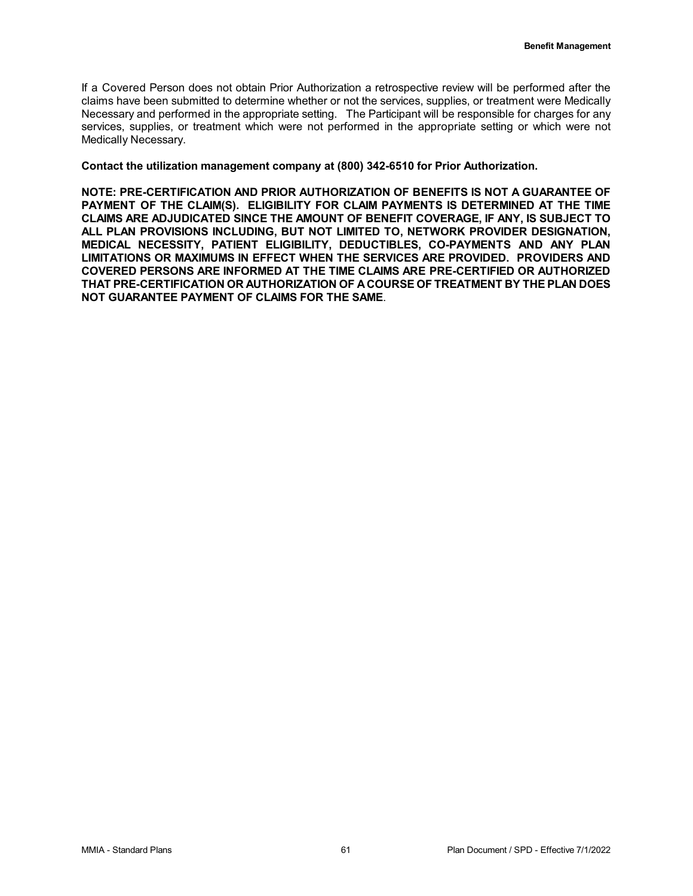If a Covered Person does not obtain Prior Authorization a retrospective review will be performed after the claims have been submitted to determine whether or not the services, supplies, or treatment were Medically Necessary and performed in the appropriate setting. The Participant will be responsible for charges for any services, supplies, or treatment which were not performed in the appropriate setting or which were not Medically Necessary.

**Contact the utilization management company at (800) 342-6510 for Prior Authorization.**

**NOTE: PRE-CERTIFICATION AND PRIOR AUTHORIZATION OF BENEFITS IS NOT A GUARANTEE OF PAYMENT OF THE CLAIM(S). ELIGIBILITY FOR CLAIM PAYMENTS IS DETERMINED AT THE TIME CLAIMS ARE ADJUDICATED SINCE THE AMOUNT OF BENEFIT COVERAGE, IF ANY, IS SUBJECT TO ALL PLAN PROVISIONS INCLUDING, BUT NOT LIMITED TO, NETWORK PROVIDER DESIGNATION, MEDICAL NECESSITY, PATIENT ELIGIBILITY, DEDUCTIBLES, CO-PAYMENTS AND ANY PLAN LIMITATIONS OR MAXIMUMS IN EFFECT WHEN THE SERVICES ARE PROVIDED. PROVIDERS AND COVERED PERSONS ARE INFORMED AT THE TIME CLAIMS ARE PRE-CERTIFIED OR AUTHORIZED THAT PRE-CERTIFICATION OR AUTHORIZATION OF ACOURSE OF TREATMENT BY THE PLAN DOES NOT GUARANTEE PAYMENT OF CLAIMS FOR THE SAME**.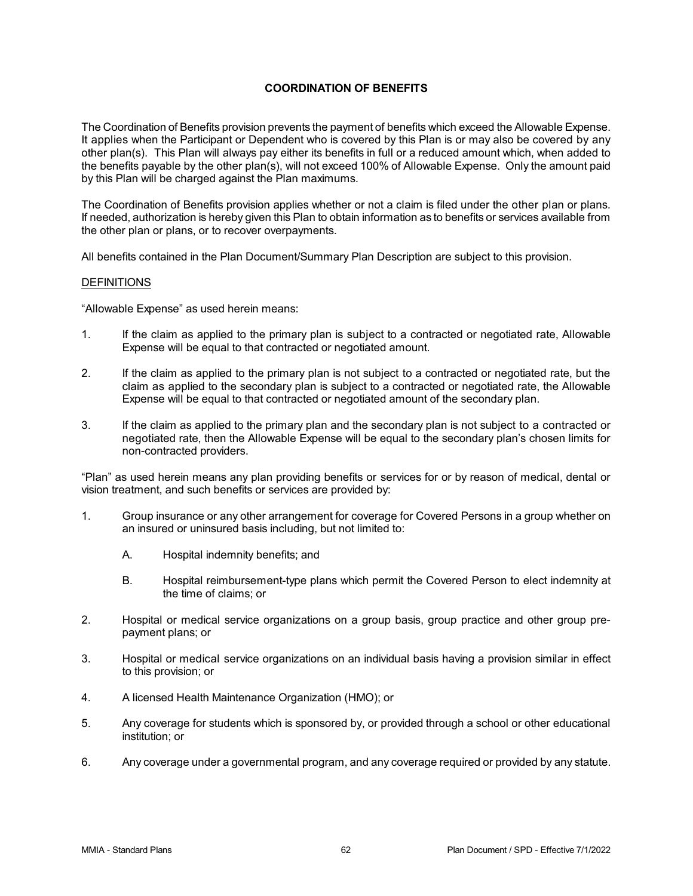# **COORDINATION OF BENEFITS**

The Coordination of Benefits provision prevents the payment of benefits which exceed the Allowable Expense. It applies when the Participant or Dependent who is covered by this Plan is or may also be covered by any other plan(s). This Plan will always pay either its benefits in full or a reduced amount which, when added to the benefits payable by the other plan(s), will not exceed 100% of Allowable Expense. Only the amount paid by this Plan will be charged against the Plan maximums.

The Coordination of Benefits provision applies whether or not a claim is filed under the other plan or plans. If needed, authorization is hereby given this Plan to obtain information as to benefits or services available from the other plan or plans, or to recover overpayments.

All benefits contained in the Plan Document/Summary Plan Description are subject to this provision.

#### DEFINITIONS

"Allowable Expense" as used herein means:

- 1. If the claim as applied to the primary plan is subject to a contracted or negotiated rate, Allowable Expense will be equal to that contracted or negotiated amount.
- 2. If the claim as applied to the primary plan is not subject to a contracted or negotiated rate, but the claim as applied to the secondary plan is subject to a contracted or negotiated rate, the Allowable Expense will be equal to that contracted or negotiated amount of the secondary plan.
- 3. If the claim as applied to the primary plan and the secondary plan is not subject to a contracted or negotiated rate, then the Allowable Expense will be equal to the secondary plan's chosen limits for non-contracted providers.

"Plan" as used herein means any plan providing benefits or services for or by reason of medical, dental or vision treatment, and such benefits or services are provided by:

- 1. Group insurance or any other arrangement for coverage for Covered Persons in a group whether on an insured or uninsured basis including, but not limited to:
	- A. Hospital indemnity benefits; and
	- B. Hospital reimbursement-type plans which permit the Covered Person to elect indemnity at the time of claims; or
- 2. Hospital or medical service organizations on a group basis, group practice and other group prepayment plans; or
- 3. Hospital or medical service organizations on an individual basis having a provision similar in effect to this provision; or
- 4. A licensed Health Maintenance Organization (HMO); or
- 5. Any coverage for students which is sponsored by, or provided through a school or other educational institution; or
- 6. Any coverage under a governmental program, and any coverage required or provided by any statute.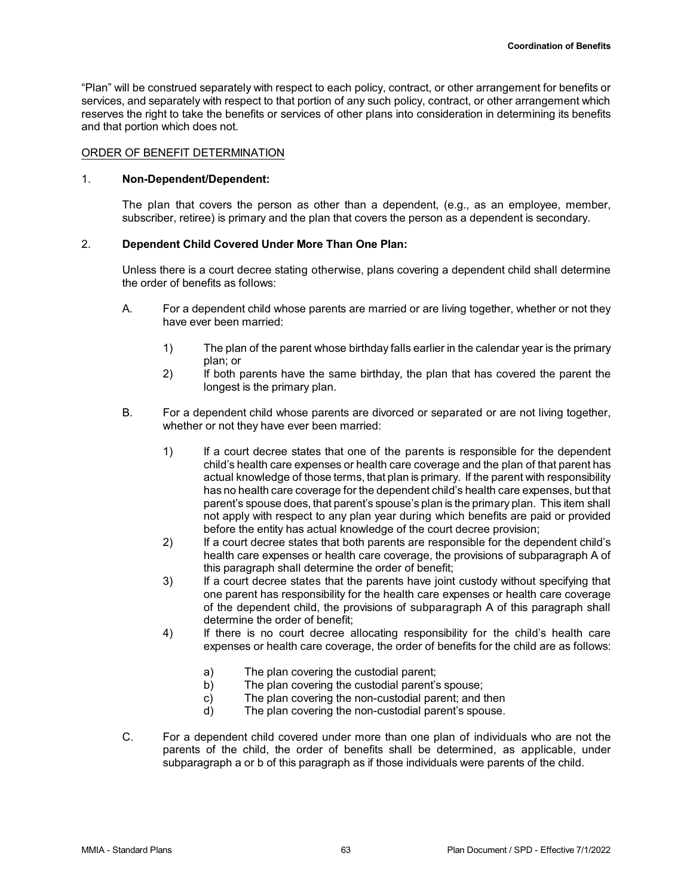"Plan" will be construed separately with respect to each policy, contract, or other arrangement for benefits or services, and separately with respect to that portion of any such policy, contract, or other arrangement which reserves the right to take the benefits or services of other plans into consideration in determining its benefits and that portion which does not.

# ORDER OF BENEFIT DETERMINATION

## 1. **Non-Dependent/Dependent:**

The plan that covers the person as other than a dependent, (e.g., as an employee, member, subscriber, retiree) is primary and the plan that covers the person as a dependent is secondary.

# 2. **Dependent Child Covered Under More Than One Plan:**

Unless there is a court decree stating otherwise, plans covering a dependent child shall determine the order of benefits as follows:

- A. For a dependent child whose parents are married or are living together, whether or not they have ever been married:
	- 1) The plan of the parent whose birthday falls earlier in the calendar year is the primary plan; or
	- 2) If both parents have the same birthday, the plan that has covered the parent the longest is the primary plan.
- B. For a dependent child whose parents are divorced or separated or are not living together, whether or not they have ever been married:
	- 1) If a court decree states that one of the parents is responsible for the dependent child's health care expenses or health care coverage and the plan of that parent has actual knowledge of those terms, that plan is primary. If the parent with responsibility has no health care coverage for the dependent child's health care expenses, but that parent's spouse does, that parent's spouse's plan is the primary plan. This item shall not apply with respect to any plan year during which benefits are paid or provided before the entity has actual knowledge of the court decree provision;
	- 2) If a court decree states that both parents are responsible for the dependent child's health care expenses or health care coverage, the provisions of subparagraph A of this paragraph shall determine the order of benefit;
	- 3) If a court decree states that the parents have joint custody without specifying that one parent has responsibility for the health care expenses or health care coverage of the dependent child, the provisions of subparagraph A of this paragraph shall determine the order of benefit;
	- 4) If there is no court decree allocating responsibility for the child's health care expenses or health care coverage, the order of benefits for the child are as follows:
		- a) The plan covering the custodial parent;
		- b) The plan covering the custodial parent's spouse;
		- c) The plan covering the non-custodial parent; and then
		- d) The plan covering the non-custodial parent's spouse.
- C. For a dependent child covered under more than one plan of individuals who are not the parents of the child, the order of benefits shall be determined, as applicable, under subparagraph a or b of this paragraph as if those individuals were parents of the child.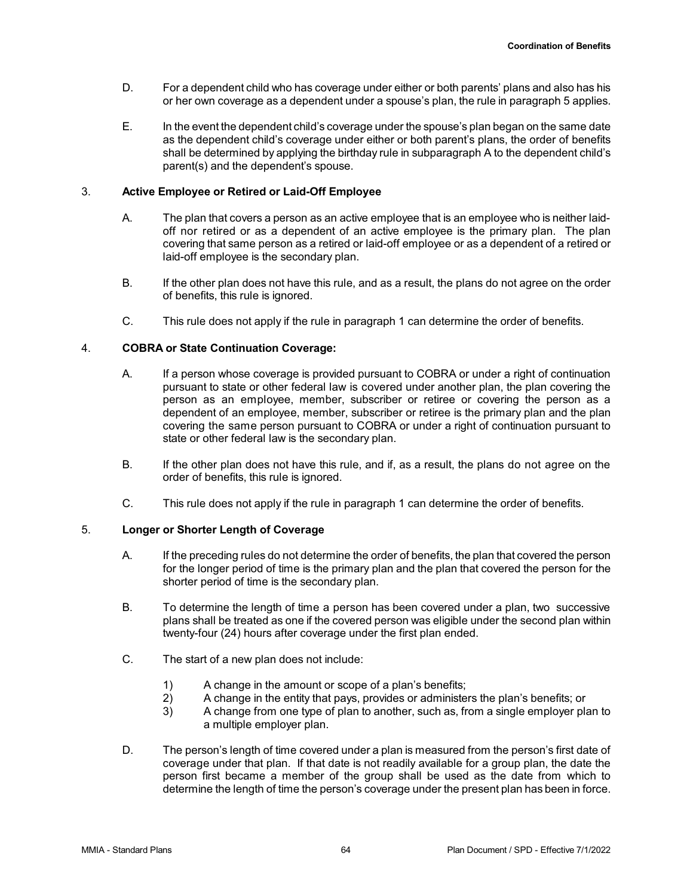- D. For a dependent child who has coverage under either or both parents' plans and also has his or her own coverage as a dependent under a spouse's plan, the rule in paragraph 5 applies.
- E. In the event the dependent child's coverage under the spouse's plan began on the same date as the dependent child's coverage under either or both parent's plans, the order of benefits shall be determined by applying the birthday rule in subparagraph A to the dependent child's parent(s) and the dependent's spouse.

# 3. **Active Employee or Retired or Laid-Off Employee**

- A. The plan that covers a person as an active employee that is an employee who is neither laidoff nor retired or as a dependent of an active employee is the primary plan. The plan covering that same person as a retired or laid-off employee or as a dependent of a retired or laid-off employee is the secondary plan.
- B. If the other plan does not have this rule, and as a result, the plans do not agree on the order of benefits, this rule is ignored.
- C. This rule does not apply if the rule in paragraph 1 can determine the order of benefits.

# 4. **COBRA or State Continuation Coverage:**

- A. If a person whose coverage is provided pursuant to COBRA or under a right of continuation pursuant to state or other federal law is covered under another plan, the plan covering the person as an employee, member, subscriber or retiree or covering the person as a dependent of an employee, member, subscriber or retiree is the primary plan and the plan covering the same person pursuant to COBRA or under a right of continuation pursuant to state or other federal law is the secondary plan.
- B. If the other plan does not have this rule, and if, as a result, the plans do not agree on the order of benefits, this rule is ignored.
- C. This rule does not apply if the rule in paragraph 1 can determine the order of benefits.

# 5. **Longer or Shorter Length of Coverage**

- A. If the preceding rules do not determine the order of benefits, the plan that covered the person for the longer period of time is the primary plan and the plan that covered the person for the shorter period of time is the secondary plan.
- B. To determine the length of time a person has been covered under a plan, two successive plans shall be treated as one if the covered person was eligible under the second plan within twenty-four (24) hours after coverage under the first plan ended.
- C. The start of a new plan does not include:
	- 1) A change in the amount or scope of a plan's benefits;<br>2) A change in the entity that pays, provides or administe
	- 2) A change in the entity that pays, provides or administers the plan's benefits; or
	- 3) A change from one type of plan to another, such as, from a single employer plan to a multiple employer plan.
- D. The person's length of time covered under a plan is measured from the person's first date of coverage under that plan. If that date is not readily available for a group plan, the date the person first became a member of the group shall be used as the date from which to determine the length of time the person's coverage under the present plan has been in force.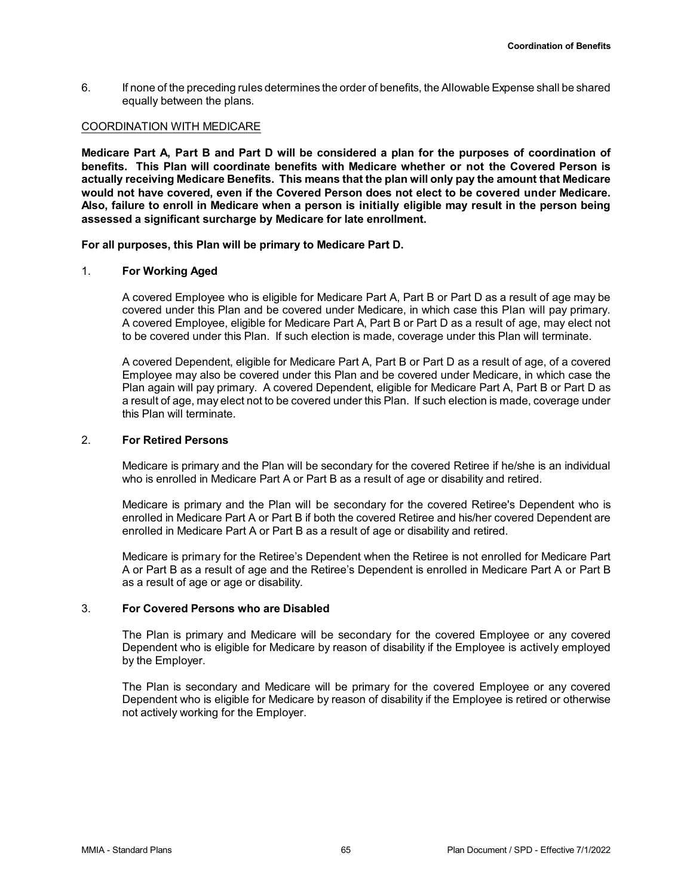6. If none of the preceding rules determines the order of benefits, the Allowable Expense shall be shared equally between the plans.

#### COORDINATION WITH MEDICARE

**Medicare Part A, Part B and Part D will be considered a plan for the purposes of coordination of benefits. This Plan will coordinate benefits with Medicare whether or not the Covered Person is actually receiving Medicare Benefits. This means that the plan will only pay the amount that Medicare would not have covered, even if the Covered Person does not elect to be covered under Medicare. Also, failure to enroll in Medicare when a person is initially eligible may result in the person being assessed a significant surcharge by Medicare for late enrollment.**

**For all purposes, this Plan will be primary to Medicare Part D.**

#### 1. **For Working Aged**

A covered Employee who is eligible for Medicare Part A, Part B or Part D as a result of age may be covered under this Plan and be covered under Medicare, in which case this Plan will pay primary. A covered Employee, eligible for Medicare Part A, Part B or Part D as a result of age, may elect not to be covered under this Plan. If such election is made, coverage under this Plan will terminate.

A covered Dependent, eligible for Medicare Part A, Part B or Part D as a result of age, of a covered Employee may also be covered under this Plan and be covered under Medicare, in which case the Plan again will pay primary. A covered Dependent, eligible for Medicare Part A, Part B or Part D as a result of age, may elect not to be covered under this Plan. If such election is made, coverage under this Plan will terminate.

#### 2. **For Retired Persons**

Medicare is primary and the Plan will be secondary for the covered Retiree if he/she is an individual who is enrolled in Medicare Part A or Part B as a result of age or disability and retired.

Medicare is primary and the Plan will be secondary for the covered Retiree's Dependent who is enrolled in Medicare Part A or Part B if both the covered Retiree and his/her covered Dependent are enrolled in Medicare Part A or Part B as a result of age or disability and retired.

Medicare is primary for the Retiree's Dependent when the Retiree is not enrolled for Medicare Part A or Part B as a result of age and the Retiree's Dependent is enrolled in Medicare Part A or Part B as a result of age or age or disability.

#### 3. **For Covered Persons who are Disabled**

The Plan is primary and Medicare will be secondary for the covered Employee or any covered Dependent who is eligible for Medicare by reason of disability if the Employee is actively employed by the Employer.

The Plan is secondary and Medicare will be primary for the covered Employee or any covered Dependent who is eligible for Medicare by reason of disability if the Employee is retired or otherwise not actively working for the Employer.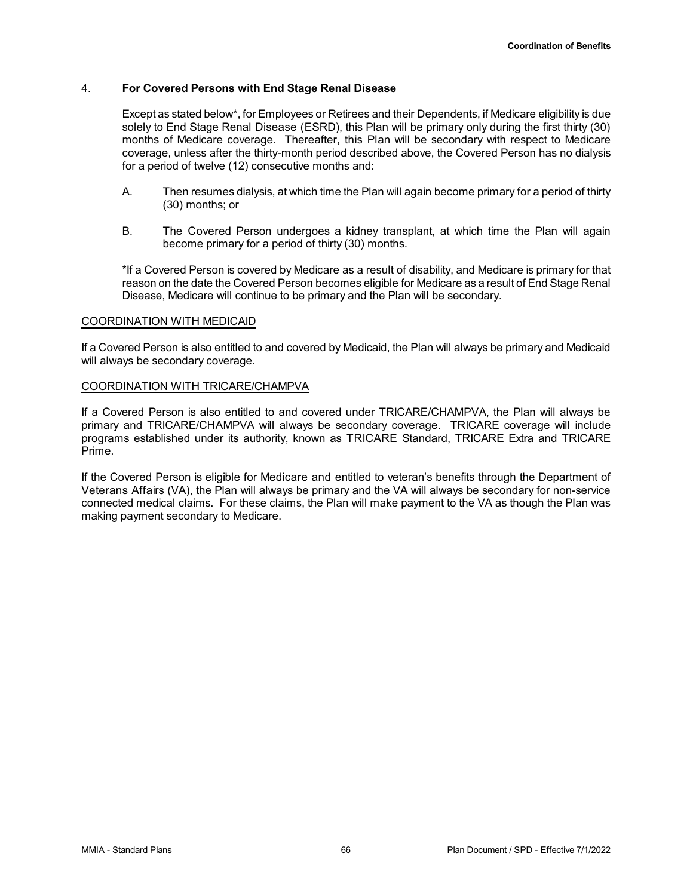# 4. **For Covered Persons with End Stage Renal Disease**

Except as stated below\*, for Employees or Retirees and their Dependents, if Medicare eligibility is due solely to End Stage Renal Disease (ESRD), this Plan will be primary only during the first thirty (30) months of Medicare coverage. Thereafter, this Plan will be secondary with respect to Medicare coverage, unless after the thirty-month period described above, the Covered Person has no dialysis for a period of twelve (12) consecutive months and:

- A. Then resumes dialysis, at which time the Plan will again become primary for a period of thirty (30) months; or
- B. The Covered Person undergoes a kidney transplant, at which time the Plan will again become primary for a period of thirty (30) months.

\*If a Covered Person is covered by Medicare as a result of disability, and Medicare is primary for that reason on the date the Covered Person becomes eligible for Medicare as a result of End Stage Renal Disease, Medicare will continue to be primary and the Plan will be secondary.

#### COORDINATION WITH MEDICAID

If a Covered Person is also entitled to and covered by Medicaid, the Plan will always be primary and Medicaid will always be secondary coverage.

## COORDINATION WITH TRICARE/CHAMPVA

If a Covered Person is also entitled to and covered under TRICARE/CHAMPVA, the Plan will always be primary and TRICARE/CHAMPVA will always be secondary coverage. TRICARE coverage will include programs established under its authority, known as TRICARE Standard, TRICARE Extra and TRICARE Prime.

If the Covered Person is eligible for Medicare and entitled to veteran's benefits through the Department of Veterans Affairs (VA), the Plan will always be primary and the VA will always be secondary for non-service connected medical claims. For these claims, the Plan will make payment to the VA as though the Plan was making payment secondary to Medicare.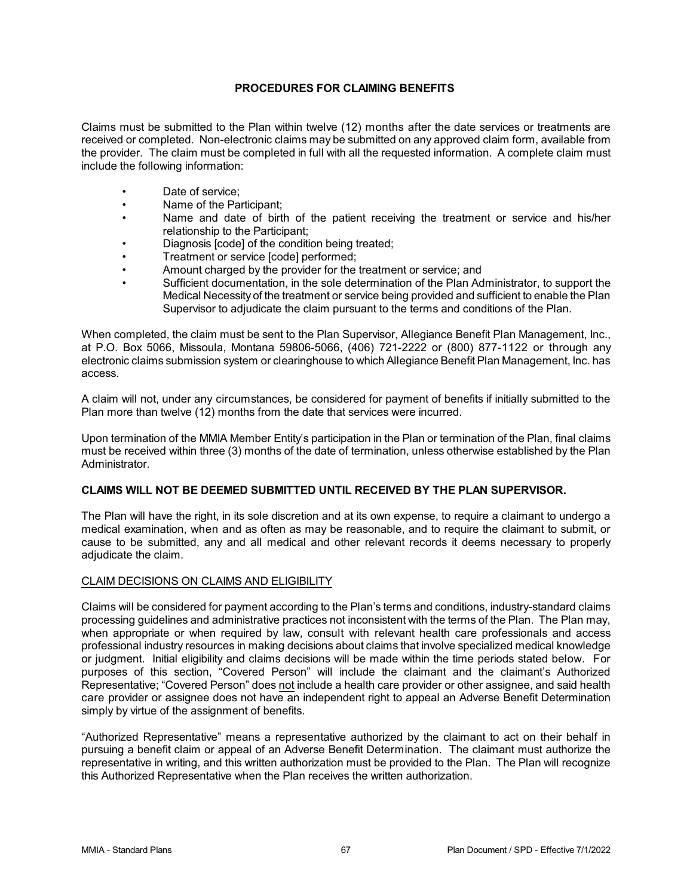# **PROCEDURES FOR CLAIMING BENEFITS**

Claims must be submitted to the Plan within twelve (12) months after the date services or treatments are received or completed. Non-electronic claims may be submitted on any approved claim form, available from the provider. The claim must be completed in full with all the requested information. A complete claim must include the following information:

- Date of service;
- Name of the Participant;
- Name and date of birth of the patient receiving the treatment or service and his/her relationship to the Participant;
- Diagnosis [code] of the condition being treated;
- Treatment or service [code] performed;
- Amount charged by the provider for the treatment or service; and
- Sufficient documentation, in the sole determination of the Plan Administrator, to support the Medical Necessity of the treatment or service being provided and sufficient to enable the Plan Supervisor to adjudicate the claim pursuant to the terms and conditions of the Plan.

When completed, the claim must be sent to the Plan Supervisor, Allegiance Benefit Plan Management, Inc., at P.O. Box 5066, Missoula, Montana 59806-5066, (406) 721-2222 or (800) 877-1122 or through any electronic claims submission system or clearinghouse to which Allegiance Benefit Plan Management, Inc. has access.

A claim will not, under any circumstances, be considered for payment of benefits if initially submitted to the Plan more than twelve (12) months from the date that services were incurred.

Upon termination of the MMIA Member Entity's participation in the Plan or termination of the Plan, final claims must be received within three (3) months of the date of termination, unless otherwise established by the Plan Administrator.

# **CLAIMS WILL NOT BE DEEMED SUBMITTED UNTIL RECEIVED BY THE PLAN SUPERVISOR.**

The Plan will have the right, in its sole discretion and at its own expense, to require a claimant to undergo a medical examination, when and as often as may be reasonable, and to require the claimant to submit, or cause to be submitted, any and all medical and other relevant records it deems necessary to properly adjudicate the claim.

## CLAIM DECISIONS ON CLAIMS AND ELIGIBILITY

Claims will be considered for payment according to the Plan's terms and conditions, industry-standard claims processing guidelines and administrative practices not inconsistent with the terms of the Plan. The Plan may, when appropriate or when required by law, consult with relevant health care professionals and access professional industry resources in making decisions about claims that involve specialized medical knowledge or judgment. Initial eligibility and claims decisions will be made within the time periods stated below. For purposes of this section, "Covered Person" will include the claimant and the claimant's Authorized Representative; "Covered Person" does not include a health care provider or other assignee, and said health care provider or assignee does not have an independent right to appeal an Adverse Benefit Determination simply by virtue of the assignment of benefits.

"Authorized Representative" means a representative authorized by the claimant to act on their behalf in pursuing a benefit claim or appeal of an Adverse Benefit Determination. The claimant must authorize the representative in writing, and this written authorization must be provided to the Plan. The Plan will recognize this Authorized Representative when the Plan receives the written authorization.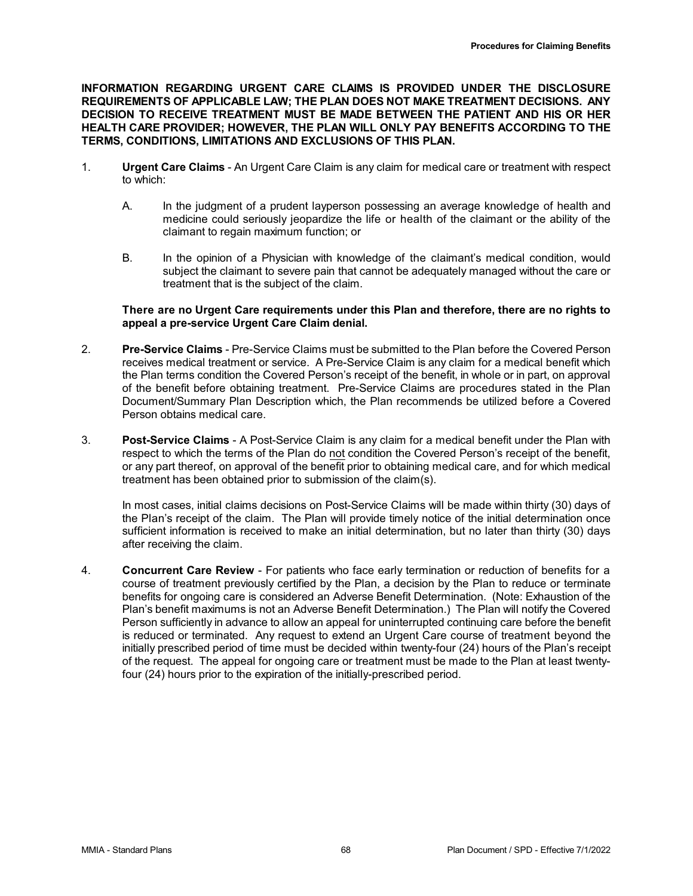**INFORMATION REGARDING URGENT CARE CLAIMS IS PROVIDED UNDER THE DISCLOSURE REQUIREMENTS OF APPLICABLE LAW; THE PLAN DOES NOT MAKE TREATMENT DECISIONS. ANY DECISION TO RECEIVE TREATMENT MUST BE MADE BETWEEN THE PATIENT AND HIS OR HER HEALTH CARE PROVIDER; HOWEVER, THE PLAN WILL ONLY PAY BENEFITS ACCORDING TO THE TERMS, CONDITIONS, LIMITATIONS AND EXCLUSIONS OF THIS PLAN.**

- 1. **Urgent Care Claims** An Urgent Care Claim is any claim for medical care or treatment with respect to which:
	- A. In the judgment of a prudent layperson possessing an average knowledge of health and medicine could seriously jeopardize the life or health of the claimant or the ability of the claimant to regain maximum function; or
	- B. In the opinion of a Physician with knowledge of the claimant's medical condition, would subject the claimant to severe pain that cannot be adequately managed without the care or treatment that is the subject of the claim.

## **There are no Urgent Care requirements under this Plan and therefore, there are no rights to appeal a pre-service Urgent Care Claim denial.**

- 2. **Pre-Service Claims** Pre-Service Claims must be submitted to the Plan before the Covered Person receives medical treatment or service. A Pre-Service Claim is any claim for a medical benefit which the Plan terms condition the Covered Person's receipt of the benefit, in whole or in part, on approval of the benefit before obtaining treatment. Pre-Service Claims are procedures stated in the Plan Document/Summary Plan Description which, the Plan recommends be utilized before a Covered Person obtains medical care.
- 3. **Post-Service Claims** A Post-Service Claim is any claim for a medical benefit under the Plan with respect to which the terms of the Plan do not condition the Covered Person's receipt of the benefit, or any part thereof, on approval of the benefit prior to obtaining medical care, and for which medical treatment has been obtained prior to submission of the claim(s).

In most cases, initial claims decisions on Post-Service Claims will be made within thirty (30) days of the Plan's receipt of the claim. The Plan will provide timely notice of the initial determination once sufficient information is received to make an initial determination, but no later than thirty (30) days after receiving the claim.

4. **Concurrent Care Review** - For patients who face early termination or reduction of benefits for a course of treatment previously certified by the Plan, a decision by the Plan to reduce or terminate benefits for ongoing care is considered an Adverse Benefit Determination. (Note: Exhaustion of the Plan's benefit maximums is not an Adverse Benefit Determination.) The Plan will notify the Covered Person sufficiently in advance to allow an appeal for uninterrupted continuing care before the benefit is reduced or terminated. Any request to extend an Urgent Care course of treatment beyond the initially prescribed period of time must be decided within twenty-four (24) hours of the Plan's receipt of the request. The appeal for ongoing care or treatment must be made to the Plan at least twentyfour (24) hours prior to the expiration of the initially-prescribed period.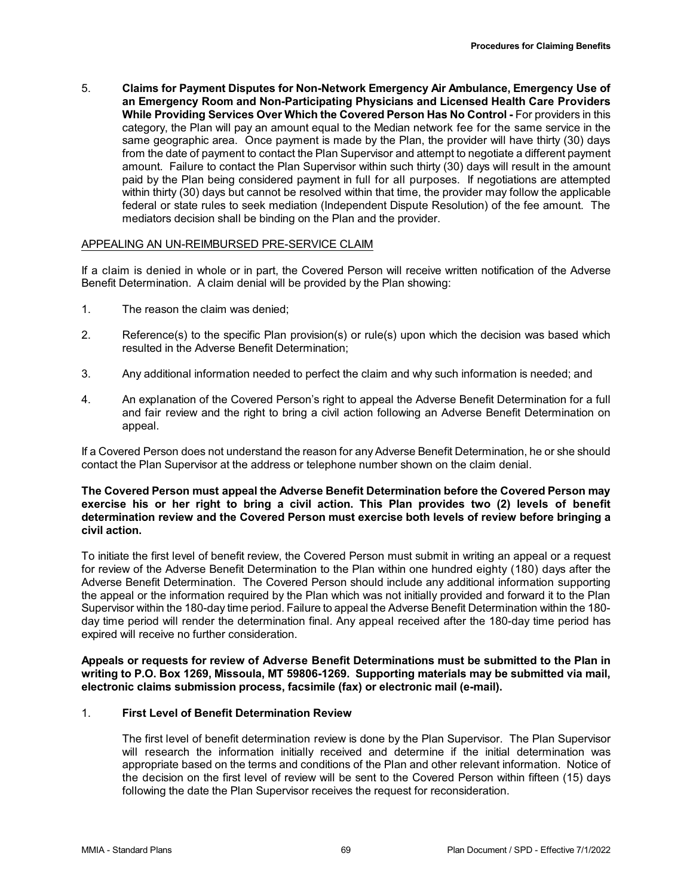5. **Claims for Payment Disputes for Non-Network Emergency Air Ambulance, Emergency Use of an Emergency Room and Non-Participating Physicians and Licensed Health Care Providers While Providing Services Over Which the Covered Person Has No Control -** For providers in this category, the Plan will pay an amount equal to the Median network fee for the same service in the same geographic area. Once payment is made by the Plan, the provider will have thirty (30) days from the date of payment to contact the Plan Supervisor and attempt to negotiate a different payment amount. Failure to contact the Plan Supervisor within such thirty (30) days will result in the amount paid by the Plan being considered payment in full for all purposes. If negotiations are attempted within thirty (30) days but cannot be resolved within that time, the provider may follow the applicable federal or state rules to seek mediation (Independent Dispute Resolution) of the fee amount. The mediators decision shall be binding on the Plan and the provider.

#### APPEALING AN UN-REIMBURSED PRE-SERVICE CLAIM

If a claim is denied in whole or in part, the Covered Person will receive written notification of the Adverse Benefit Determination. A claim denial will be provided by the Plan showing:

- 1. The reason the claim was denied;
- 2. Reference(s) to the specific Plan provision(s) or rule(s) upon which the decision was based which resulted in the Adverse Benefit Determination;
- 3. Any additional information needed to perfect the claim and why such information is needed; and
- 4. An explanation of the Covered Person's right to appeal the Adverse Benefit Determination for a full and fair review and the right to bring a civil action following an Adverse Benefit Determination on appeal.

If a Covered Person does not understand the reason for any Adverse Benefit Determination, he or she should contact the Plan Supervisor at the address or telephone number shown on the claim denial.

#### **The Covered Person must appeal the Adverse Benefit Determination before the Covered Person may exercise his or her right to bring a civil action. This Plan provides two (2) levels of benefit determination review and the Covered Person must exercise both levels of review before bringing a civil action.**

To initiate the first level of benefit review, the Covered Person must submit in writing an appeal or a request for review of the Adverse Benefit Determination to the Plan within one hundred eighty (180) days after the Adverse Benefit Determination. The Covered Person should include any additional information supporting the appeal or the information required by the Plan which was not initially provided and forward it to the Plan Supervisor within the 180-day time period. Failure to appeal the Adverse Benefit Determination within the 180 day time period will render the determination final. Any appeal received after the 180-day time period has expired will receive no further consideration.

**Appeals or requests for review of Adverse Benefit Determinations must be submitted to the Plan in writing to P.O. Box 1269, Missoula, MT 59806-1269. Supporting materials may be submitted via mail, electronic claims submission process, facsimile (fax) or electronic mail (e-mail).**

#### 1. **First Level of Benefit Determination Review**

The first level of benefit determination review is done by the Plan Supervisor. The Plan Supervisor will research the information initially received and determine if the initial determination was appropriate based on the terms and conditions of the Plan and other relevant information. Notice of the decision on the first level of review will be sent to the Covered Person within fifteen (15) days following the date the Plan Supervisor receives the request for reconsideration.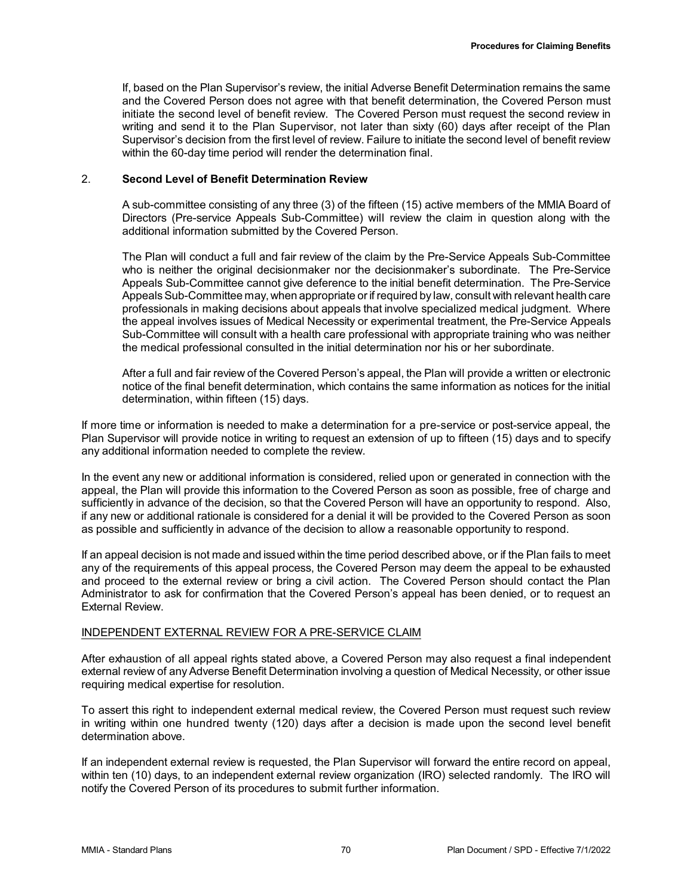If, based on the Plan Supervisor's review, the initial Adverse Benefit Determination remains the same and the Covered Person does not agree with that benefit determination, the Covered Person must initiate the second level of benefit review. The Covered Person must request the second review in writing and send it to the Plan Supervisor, not later than sixty (60) days after receipt of the Plan Supervisor's decision from the first level of review. Failure to initiate the second level of benefit review within the 60-day time period will render the determination final.

#### 2. **Second Level of Benefit Determination Review**

A sub-committee consisting of any three (3) of the fifteen (15) active members of the MMIA Board of Directors (Pre-service Appeals Sub-Committee) will review the claim in question along with the additional information submitted by the Covered Person.

The Plan will conduct a full and fair review of the claim by the Pre-Service Appeals Sub-Committee who is neither the original decisionmaker nor the decisionmaker's subordinate. The Pre-Service Appeals Sub-Committee cannot give deference to the initial benefit determination. The Pre-Service Appeals Sub-Committee may, when appropriate or if required by law, consult with relevant health care professionals in making decisions about appeals that involve specialized medical judgment. Where the appeal involves issues of Medical Necessity or experimental treatment, the Pre-Service Appeals Sub-Committee will consult with a health care professional with appropriate training who was neither the medical professional consulted in the initial determination nor his or her subordinate.

After a full and fair review of the Covered Person's appeal, the Plan will provide a written or electronic notice of the final benefit determination, which contains the same information as notices for the initial determination, within fifteen (15) days.

If more time or information is needed to make a determination for a pre-service or post-service appeal, the Plan Supervisor will provide notice in writing to request an extension of up to fifteen (15) days and to specify any additional information needed to complete the review.

In the event any new or additional information is considered, relied upon or generated in connection with the appeal, the Plan will provide this information to the Covered Person as soon as possible, free of charge and sufficiently in advance of the decision, so that the Covered Person will have an opportunity to respond. Also, if any new or additional rationale is considered for a denial it will be provided to the Covered Person as soon as possible and sufficiently in advance of the decision to allow a reasonable opportunity to respond.

If an appeal decision is not made and issued within the time period described above, or if the Plan fails to meet any of the requirements of this appeal process, the Covered Person may deem the appeal to be exhausted and proceed to the external review or bring a civil action. The Covered Person should contact the Plan Administrator to ask for confirmation that the Covered Person's appeal has been denied, or to request an External Review.

## INDEPENDENT EXTERNAL REVIEW FOR A PRE-SERVICE CLAIM

After exhaustion of all appeal rights stated above, a Covered Person may also request a final independent external review of any Adverse Benefit Determination involving a question of Medical Necessity, or other issue requiring medical expertise for resolution.

To assert this right to independent external medical review, the Covered Person must request such review in writing within one hundred twenty (120) days after a decision is made upon the second level benefit determination above.

If an independent external review is requested, the Plan Supervisor will forward the entire record on appeal, within ten (10) days, to an independent external review organization (IRO) selected randomly. The IRO will notify the Covered Person of its procedures to submit further information.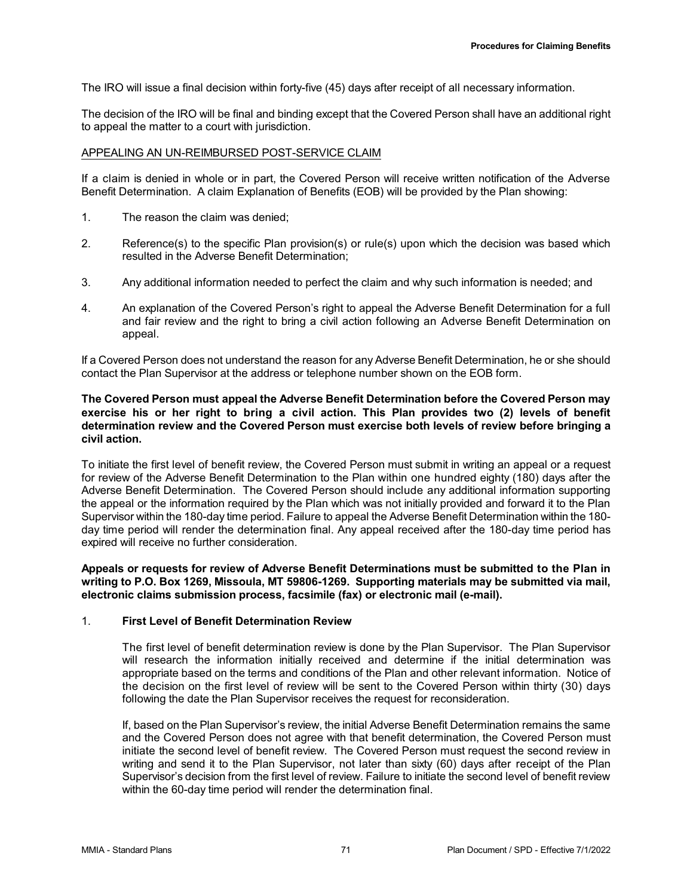The IRO will issue a final decision within forty-five (45) days after receipt of all necessary information.

The decision of the IRO will be final and binding except that the Covered Person shall have an additional right to appeal the matter to a court with jurisdiction.

# APPEALING AN UN-REIMBURSED POST-SERVICE CLAIM

If a claim is denied in whole or in part, the Covered Person will receive written notification of the Adverse Benefit Determination. A claim Explanation of Benefits (EOB) will be provided by the Plan showing:

- 1. The reason the claim was denied;
- 2. Reference(s) to the specific Plan provision(s) or rule(s) upon which the decision was based which resulted in the Adverse Benefit Determination;
- 3. Any additional information needed to perfect the claim and why such information is needed; and
- 4. An explanation of the Covered Person's right to appeal the Adverse Benefit Determination for a full and fair review and the right to bring a civil action following an Adverse Benefit Determination on appeal.

If a Covered Person does not understand the reason for any Adverse Benefit Determination, he or she should contact the Plan Supervisor at the address or telephone number shown on the EOB form.

## **The Covered Person must appeal the Adverse Benefit Determination before the Covered Person may exercise his or her right to bring a civil action. This Plan provides two (2) levels of benefit determination review and the Covered Person must exercise both levels of review before bringing a civil action.**

To initiate the first level of benefit review, the Covered Person must submit in writing an appeal or a request for review of the Adverse Benefit Determination to the Plan within one hundred eighty (180) days after the Adverse Benefit Determination. The Covered Person should include any additional information supporting the appeal or the information required by the Plan which was not initially provided and forward it to the Plan Supervisor within the 180-day time period. Failure to appeal the Adverse Benefit Determination within the 180 day time period will render the determination final. Any appeal received after the 180-day time period has expired will receive no further consideration.

**Appeals or requests for review of Adverse Benefit Determinations must be submitted to the Plan in writing to P.O. Box 1269, Missoula, MT 59806-1269. Supporting materials may be submitted via mail, electronic claims submission process, facsimile (fax) or electronic mail (e-mail).**

## 1. **First Level of Benefit Determination Review**

The first level of benefit determination review is done by the Plan Supervisor. The Plan Supervisor will research the information initially received and determine if the initial determination was appropriate based on the terms and conditions of the Plan and other relevant information. Notice of the decision on the first level of review will be sent to the Covered Person within thirty (30) days following the date the Plan Supervisor receives the request for reconsideration.

If, based on the Plan Supervisor's review, the initial Adverse Benefit Determination remains the same and the Covered Person does not agree with that benefit determination, the Covered Person must initiate the second level of benefit review. The Covered Person must request the second review in writing and send it to the Plan Supervisor, not later than sixty (60) days after receipt of the Plan Supervisor's decision from the first level of review. Failure to initiate the second level of benefit review within the 60-day time period will render the determination final.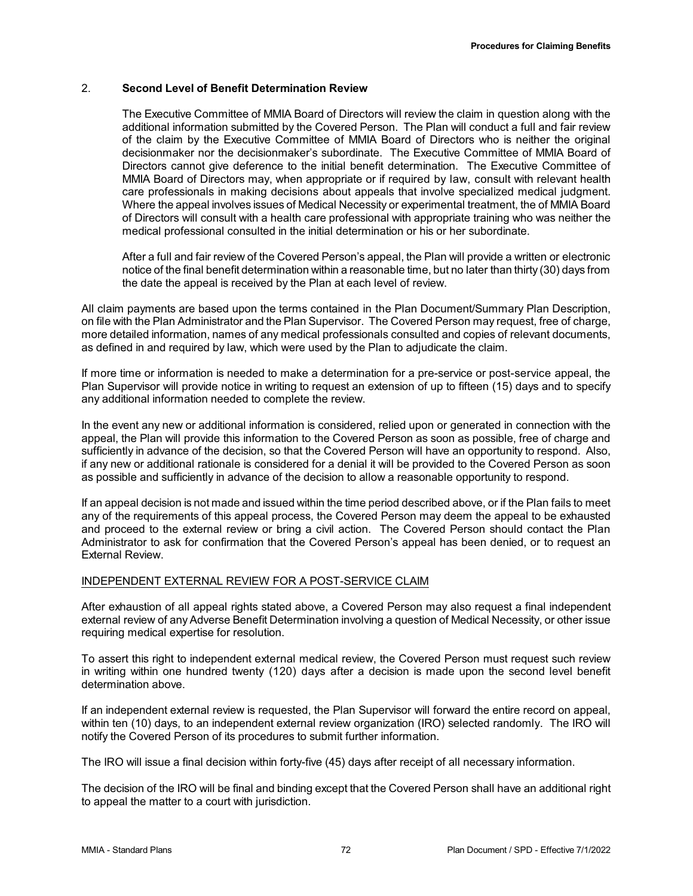## 2. **Second Level of Benefit Determination Review**

The Executive Committee of MMIA Board of Directors will review the claim in question along with the additional information submitted by the Covered Person. The Plan will conduct a full and fair review of the claim by the Executive Committee of MMIA Board of Directors who is neither the original decisionmaker nor the decisionmaker's subordinate. The Executive Committee of MMIA Board of Directors cannot give deference to the initial benefit determination. The Executive Committee of MMIA Board of Directors may, when appropriate or if required by law, consult with relevant health care professionals in making decisions about appeals that involve specialized medical judgment. Where the appeal involves issues of Medical Necessity or experimental treatment, the of MMIA Board of Directors will consult with a health care professional with appropriate training who was neither the medical professional consulted in the initial determination or his or her subordinate.

After a full and fair review of the Covered Person's appeal, the Plan will provide a written or electronic notice of the final benefit determination within a reasonable time, but no later than thirty (30) days from the date the appeal is received by the Plan at each level of review.

All claim payments are based upon the terms contained in the Plan Document/Summary Plan Description, on file with the Plan Administrator and the Plan Supervisor. The Covered Person may request, free of charge, more detailed information, names of any medical professionals consulted and copies of relevant documents, as defined in and required by law, which were used by the Plan to adjudicate the claim.

If more time or information is needed to make a determination for a pre-service or post-service appeal, the Plan Supervisor will provide notice in writing to request an extension of up to fifteen (15) days and to specify any additional information needed to complete the review.

In the event any new or additional information is considered, relied upon or generated in connection with the appeal, the Plan will provide this information to the Covered Person as soon as possible, free of charge and sufficiently in advance of the decision, so that the Covered Person will have an opportunity to respond. Also, if any new or additional rationale is considered for a denial it will be provided to the Covered Person as soon as possible and sufficiently in advance of the decision to allow a reasonable opportunity to respond.

If an appeal decision is not made and issued within the time period described above, or if the Plan fails to meet any of the requirements of this appeal process, the Covered Person may deem the appeal to be exhausted and proceed to the external review or bring a civil action. The Covered Person should contact the Plan Administrator to ask for confirmation that the Covered Person's appeal has been denied, or to request an External Review.

## INDEPENDENT EXTERNAL REVIEW FOR A POST-SERVICE CLAIM

After exhaustion of all appeal rights stated above, a Covered Person may also request a final independent external review of any Adverse Benefit Determination involving a question of Medical Necessity, or other issue requiring medical expertise for resolution.

To assert this right to independent external medical review, the Covered Person must request such review in writing within one hundred twenty (120) days after a decision is made upon the second level benefit determination above.

If an independent external review is requested, the Plan Supervisor will forward the entire record on appeal, within ten (10) days, to an independent external review organization (IRO) selected randomly. The IRO will notify the Covered Person of its procedures to submit further information.

The IRO will issue a final decision within forty-five (45) days after receipt of all necessary information.

The decision of the IRO will be final and binding except that the Covered Person shall have an additional right to appeal the matter to a court with jurisdiction.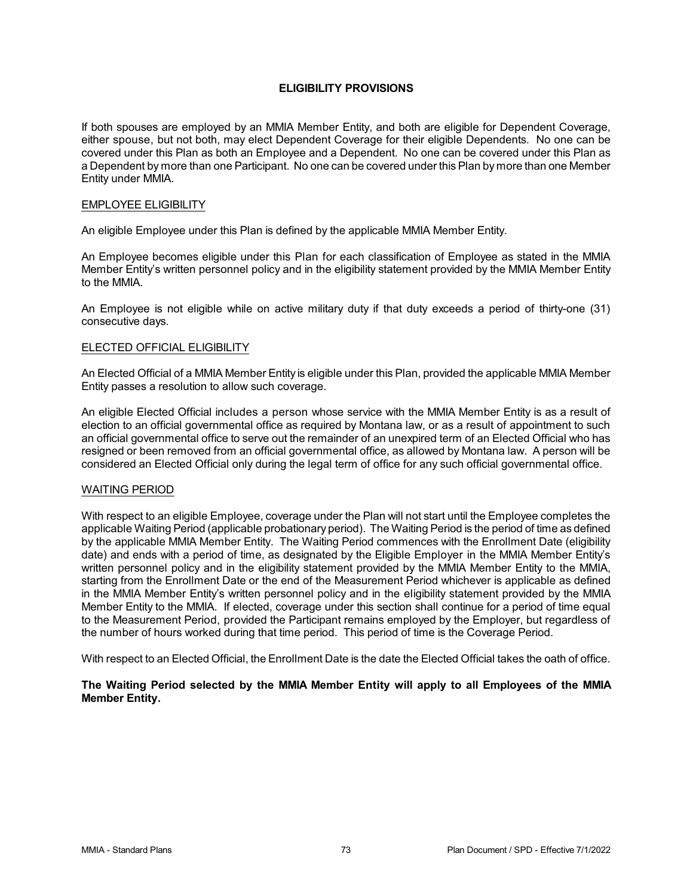# **ELIGIBILITY PROVISIONS**

If both spouses are employed by an MMIA Member Entity, and both are eligible for Dependent Coverage, either spouse, but not both, may elect Dependent Coverage for their eligible Dependents. No one can be covered under this Plan as both an Employee and a Dependent. No one can be covered under this Plan as a Dependent by more than one Participant. No one can be covered under this Plan by more than one Member Entity under MMIA.

## EMPLOYEE ELIGIBILITY

An eligible Employee under this Plan is defined by the applicable MMIA Member Entity.

An Employee becomes eligible under this Plan for each classification of Employee as stated in the MMIA Member Entity's written personnel policy and in the eligibility statement provided by the MMIA Member Entity to the MMIA.

An Employee is not eligible while on active military duty if that duty exceeds a period of thirty-one (31) consecutive days.

#### ELECTED OFFICIAL ELIGIBILITY

An Elected Official of a MMIA Member Entity is eligible under this Plan, provided the applicable MMIA Member Entity passes a resolution to allow such coverage.

An eligible Elected Official includes a person whose service with the MMIA Member Entity is as a result of election to an official governmental office as required by Montana law, or as a result of appointment to such an official governmental office to serve out the remainder of an unexpired term of an Elected Official who has resigned or been removed from an official governmental office, as allowed by Montana law. A person will be considered an Elected Official only during the legal term of office for any such official governmental office.

## WAITING PERIOD

With respect to an eligible Employee, coverage under the Plan will not start until the Employee completes the applicable Waiting Period (applicable probationary period). The Waiting Period is the period of time as defined by the applicable MMIA Member Entity. The Waiting Period commences with the Enrollment Date (eligibility date) and ends with a period of time, as designated by the Eligible Employer in the MMIA Member Entity's written personnel policy and in the eligibility statement provided by the MMIA Member Entity to the MMIA, starting from the Enrollment Date or the end of the Measurement Period whichever is applicable as defined in the MMIA Member Entity's written personnel policy and in the eligibility statement provided by the MMIA Member Entity to the MMIA. If elected, coverage under this section shall continue for a period of time equal to the Measurement Period, provided the Participant remains employed by the Employer, but regardless of the number of hours worked during that time period. This period of time is the Coverage Period.

With respect to an Elected Official, the Enrollment Date is the date the Elected Official takes the oath of office.

## **The Waiting Period selected by the MMIA Member Entity will apply to all Employees of the MMIA Member Entity.**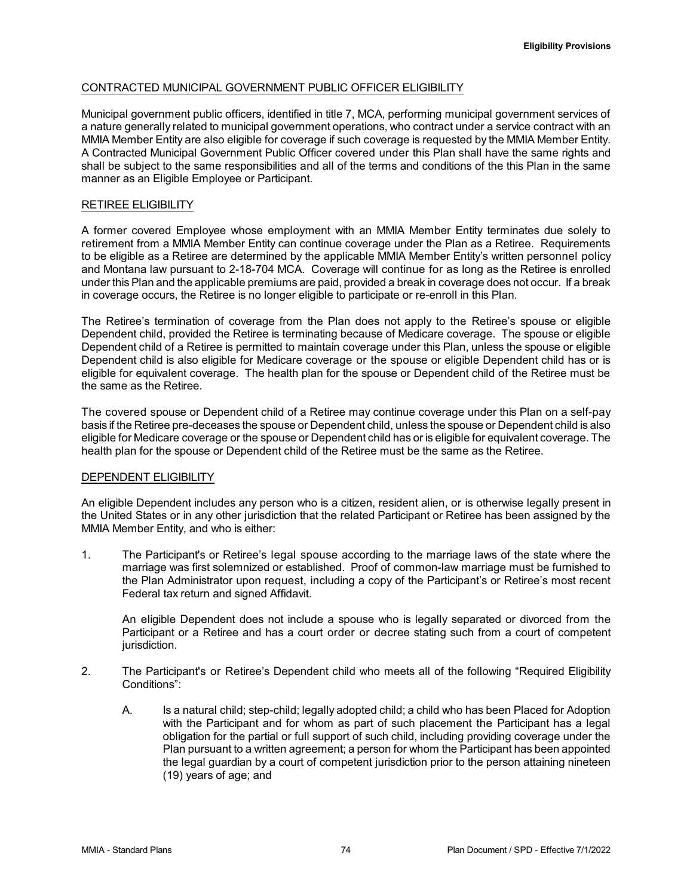# CONTRACTED MUNICIPAL GOVERNMENT PUBLIC OFFICER ELIGIBILITY

Municipal government public officers, identified in title 7, MCA, performing municipal government services of a nature generally related to municipal government operations, who contract under a service contract with an MMIA Member Entity are also eligible for coverage if such coverage is requested by the MMIA Member Entity. A Contracted Municipal Government Public Officer covered under this Plan shall have the same rights and shall be subject to the same responsibilities and all of the terms and conditions of the this Plan in the same manner as an Eligible Employee or Participant.

# RETIREE ELIGIBILITY

A former covered Employee whose employment with an MMIA Member Entity terminates due solely to retirement from a MMIA Member Entity can continue coverage under the Plan as a Retiree. Requirements to be eligible as a Retiree are determined by the applicable MMIA Member Entity's written personnel policy and Montana law pursuant to 2-18-704 MCA. Coverage will continue for as long as the Retiree is enrolled under this Plan and the applicable premiums are paid, provided a break in coverage does not occur. If a break in coverage occurs, the Retiree is no longer eligible to participate or re-enroll in this Plan.

The Retiree's termination of coverage from the Plan does not apply to the Retiree's spouse or eligible Dependent child, provided the Retiree is terminating because of Medicare coverage. The spouse or eligible Dependent child of a Retiree is permitted to maintain coverage under this Plan, unless the spouse or eligible Dependent child is also eligible for Medicare coverage or the spouse or eligible Dependent child has or is eligible for equivalent coverage. The health plan for the spouse or Dependent child of the Retiree must be the same as the Retiree.

The covered spouse or Dependent child of a Retiree may continue coverage under this Plan on a self-pay basis if the Retiree pre-deceases the spouse or Dependent child, unless the spouse or Dependent child is also eligible for Medicare coverage or the spouse or Dependent child has or is eligible for equivalent coverage. The health plan for the spouse or Dependent child of the Retiree must be the same as the Retiree.

## DEPENDENT ELIGIBILITY

An eligible Dependent includes any person who is a citizen, resident alien, or is otherwise legally present in the United States or in any other jurisdiction that the related Participant or Retiree has been assigned by the MMIA Member Entity, and who is either:

1. The Participant's or Retiree's legal spouse according to the marriage laws of the state where the marriage was first solemnized or established. Proof of common-law marriage must be furnished to the Plan Administrator upon request, including a copy of the Participant's or Retiree's most recent Federal tax return and signed Affidavit.

An eligible Dependent does not include a spouse who is legally separated or divorced from the Participant or a Retiree and has a court order or decree stating such from a court of competent jurisdiction.

- 2. The Participant's or Retiree's Dependent child who meets all of the following "Required Eligibility Conditions":
	- A. Is a natural child; step-child; legally adopted child; a child who has been Placed for Adoption with the Participant and for whom as part of such placement the Participant has a legal obligation for the partial or full support of such child, including providing coverage under the Plan pursuant to a written agreement; a person for whom the Participant has been appointed the legal guardian by a court of competent jurisdiction prior to the person attaining nineteen (19) years of age; and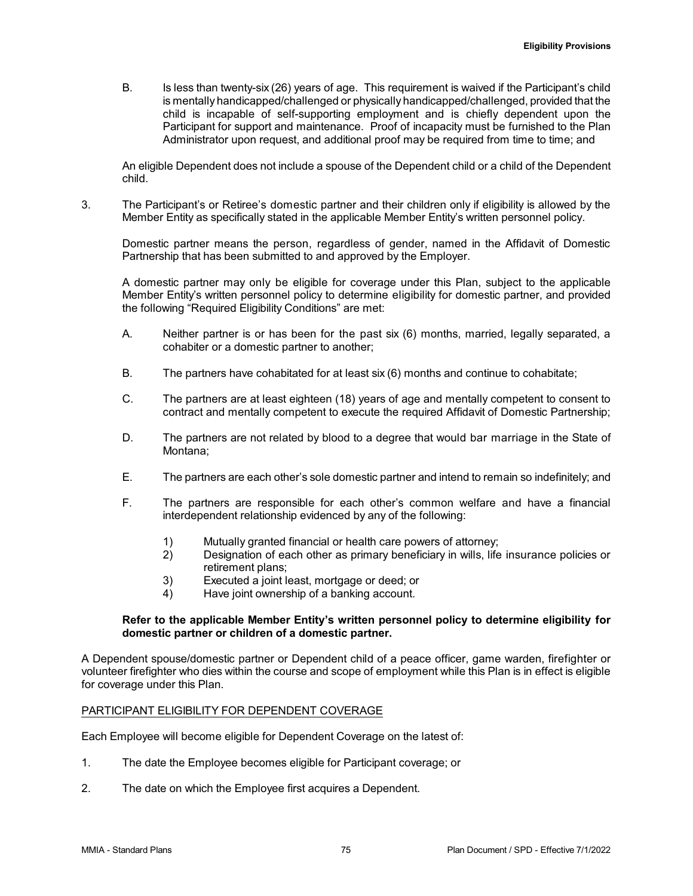B. Is less than twenty-six (26) years of age. This requirement is waived if the Participant's child is mentally handicapped/challenged or physically handicapped/challenged, provided that the child is incapable of self-supporting employment and is chiefly dependent upon the Participant for support and maintenance. Proof of incapacity must be furnished to the Plan Administrator upon request, and additional proof may be required from time to time; and

An eligible Dependent does not include a spouse of the Dependent child or a child of the Dependent child.

3. The Participant's or Retiree's domestic partner and their children only if eligibility is allowed by the Member Entity as specifically stated in the applicable Member Entity's written personnel policy.

Domestic partner means the person, regardless of gender, named in the Affidavit of Domestic Partnership that has been submitted to and approved by the Employer.

A domestic partner may only be eligible for coverage under this Plan, subject to the applicable Member Entity's written personnel policy to determine eligibility for domestic partner, and provided the following "Required Eligibility Conditions" are met:

- A. Neither partner is or has been for the past six (6) months, married, legally separated, a cohabiter or a domestic partner to another;
- B. The partners have cohabitated for at least six (6) months and continue to cohabitate;
- C. The partners are at least eighteen (18) years of age and mentally competent to consent to contract and mentally competent to execute the required Affidavit of Domestic Partnership;
- D. The partners are not related by blood to a degree that would bar marriage in the State of Montana;
- E. The partners are each other's sole domestic partner and intend to remain so indefinitely; and
- F. The partners are responsible for each other's common welfare and have a financial interdependent relationship evidenced by any of the following:
	- 1) Mutually granted financial or health care powers of attorney;<br>2) Designation of each other as primary beneficiary in wills, life
	- 2) Designation of each other as primary beneficiary in wills, life insurance policies or retirement plans;
	- 3) Executed a joint least, mortgage or deed; or
	- 4) Have joint ownership of a banking account.

## **Refer to the applicable Member Entity's written personnel policy to determine eligibility for domestic partner or children of a domestic partner.**

A Dependent spouse/domestic partner or Dependent child of a peace officer, game warden, firefighter or volunteer firefighter who dies within the course and scope of employment while this Plan is in effect is eligible for coverage under this Plan.

## PARTICIPANT ELIGIBILITY FOR DEPENDENT COVERAGE

Each Employee will become eligible for Dependent Coverage on the latest of:

- 1. The date the Employee becomes eligible for Participant coverage; or
- 2. The date on which the Employee first acquires a Dependent.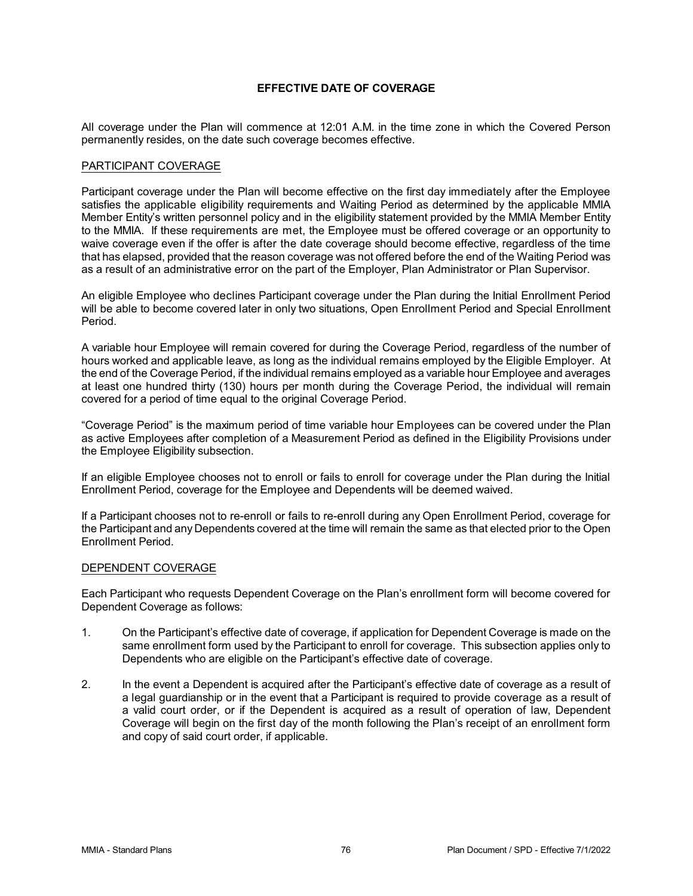# **EFFECTIVE DATE OF COVERAGE**

All coverage under the Plan will commence at 12:01 A.M. in the time zone in which the Covered Person permanently resides, on the date such coverage becomes effective.

#### PARTICIPANT COVERAGE

Participant coverage under the Plan will become effective on the first day immediately after the Employee satisfies the applicable eligibility requirements and Waiting Period as determined by the applicable MMIA Member Entity's written personnel policy and in the eligibility statement provided by the MMIA Member Entity to the MMIA. If these requirements are met, the Employee must be offered coverage or an opportunity to waive coverage even if the offer is after the date coverage should become effective, regardless of the time that has elapsed, provided that the reason coverage was not offered before the end of the Waiting Period was as a result of an administrative error on the part of the Employer, Plan Administrator or Plan Supervisor.

An eligible Employee who declines Participant coverage under the Plan during the Initial Enrollment Period will be able to become covered later in only two situations, Open Enrollment Period and Special Enrollment Period.

A variable hour Employee will remain covered for during the Coverage Period, regardless of the number of hours worked and applicable leave, as long as the individual remains employed by the Eligible Employer. At the end of the Coverage Period, if the individual remains employed as a variable hour Employee and averages at least one hundred thirty (130) hours per month during the Coverage Period, the individual will remain covered for a period of time equal to the original Coverage Period.

"Coverage Period" is the maximum period of time variable hour Employees can be covered under the Plan as active Employees after completion of a Measurement Period as defined in the Eligibility Provisions under the Employee Eligibility subsection.

If an eligible Employee chooses not to enroll or fails to enroll for coverage under the Plan during the Initial Enrollment Period, coverage for the Employee and Dependents will be deemed waived.

If a Participant chooses not to re-enroll or fails to re-enroll during any Open Enrollment Period, coverage for the Participant and any Dependents covered at the time will remain the same as that elected prior to the Open Enrollment Period.

#### DEPENDENT COVERAGE

Each Participant who requests Dependent Coverage on the Plan's enrollment form will become covered for Dependent Coverage as follows:

- 1. On the Participant's effective date of coverage, if application for Dependent Coverage is made on the same enrollment form used by the Participant to enroll for coverage. This subsection applies only to Dependents who are eligible on the Participant's effective date of coverage.
- 2. In the event a Dependent is acquired after the Participant's effective date of coverage as a result of a legal guardianship or in the event that a Participant is required to provide coverage as a result of a valid court order, or if the Dependent is acquired as a result of operation of law, Dependent Coverage will begin on the first day of the month following the Plan's receipt of an enrollment form and copy of said court order, if applicable.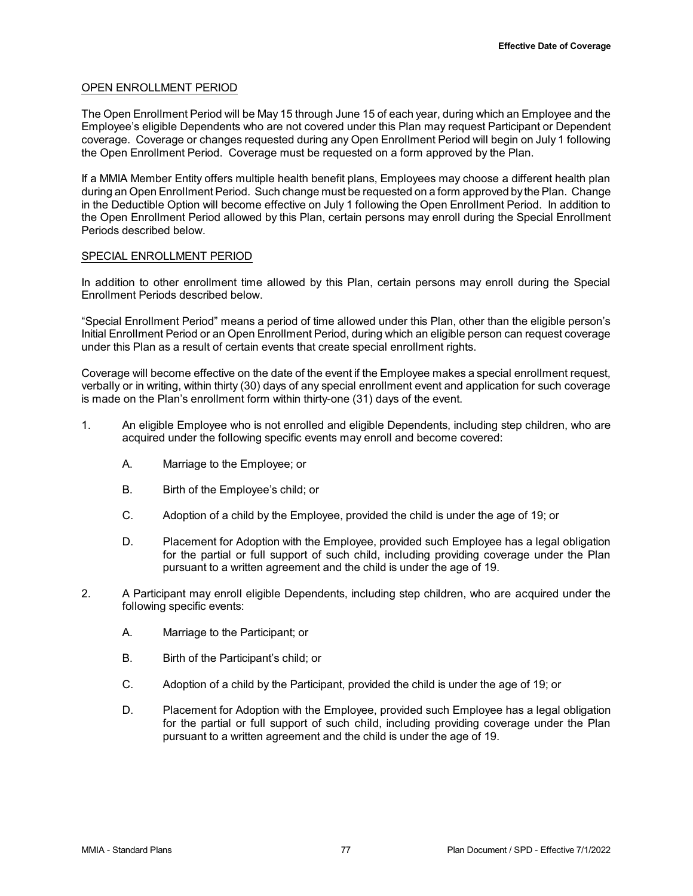## OPEN ENROLLMENT PERIOD

The Open Enrollment Period will be May 15 through June 15 of each year, during which an Employee and the Employee's eligible Dependents who are not covered under this Plan may request Participant or Dependent coverage. Coverage or changes requested during any Open Enrollment Period will begin on July 1 following the Open Enrollment Period. Coverage must be requested on a form approved by the Plan.

If a MMIA Member Entity offers multiple health benefit plans, Employees may choose a different health plan during an Open Enrollment Period. Such change must be requested on a form approved bythe Plan. Change in the Deductible Option will become effective on July 1 following the Open Enrollment Period. In addition to the Open Enrollment Period allowed by this Plan, certain persons may enroll during the Special Enrollment Periods described below.

## SPECIAL ENROLLMENT PERIOD

In addition to other enrollment time allowed by this Plan, certain persons may enroll during the Special Enrollment Periods described below.

"Special Enrollment Period" means a period of time allowed under this Plan, other than the eligible person's Initial Enrollment Period or an Open Enrollment Period, during which an eligible person can request coverage under this Plan as a result of certain events that create special enrollment rights.

Coverage will become effective on the date of the event if the Employee makes a special enrollment request, verbally or in writing, within thirty (30) days of any special enrollment event and application for such coverage is made on the Plan's enrollment form within thirty-one (31) days of the event.

- 1. An eligible Employee who is not enrolled and eligible Dependents, including step children, who are acquired under the following specific events may enroll and become covered:
	- A. Marriage to the Employee; or
	- B. Birth of the Employee's child; or
	- C. Adoption of a child by the Employee, provided the child is under the age of 19; or
	- D. Placement for Adoption with the Employee, provided such Employee has a legal obligation for the partial or full support of such child, including providing coverage under the Plan pursuant to a written agreement and the child is under the age of 19.
- 2. A Participant may enroll eligible Dependents, including step children, who are acquired under the following specific events:
	- A. Marriage to the Participant; or
	- B. Birth of the Participant's child; or
	- C. Adoption of a child by the Participant, provided the child is under the age of 19; or
	- D. Placement for Adoption with the Employee, provided such Employee has a legal obligation for the partial or full support of such child, including providing coverage under the Plan pursuant to a written agreement and the child is under the age of 19.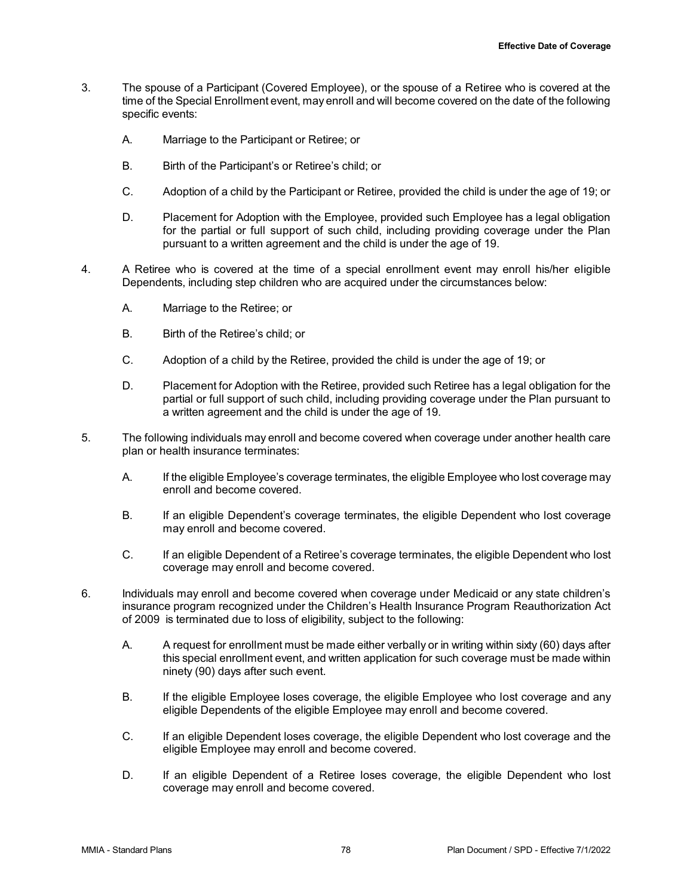- 3. The spouse of a Participant (Covered Employee), or the spouse of a Retiree who is covered at the time of the Special Enrollment event, may enroll and will become covered on the date of the following specific events:
	- A. Marriage to the Participant or Retiree; or
	- B. Birth of the Participant's or Retiree's child; or
	- C. Adoption of a child by the Participant or Retiree, provided the child is under the age of 19; or
	- D. Placement for Adoption with the Employee, provided such Employee has a legal obligation for the partial or full support of such child, including providing coverage under the Plan pursuant to a written agreement and the child is under the age of 19.
- 4. A Retiree who is covered at the time of a special enrollment event may enroll his/her eligible Dependents, including step children who are acquired under the circumstances below:
	- A. Marriage to the Retiree; or
	- B. Birth of the Retiree's child; or
	- C. Adoption of a child by the Retiree, provided the child is under the age of 19; or
	- D. Placement for Adoption with the Retiree, provided such Retiree has a legal obligation for the partial or full support of such child, including providing coverage under the Plan pursuant to a written agreement and the child is under the age of 19.
- 5. The following individuals may enroll and become covered when coverage under another health care plan or health insurance terminates:
	- A. If the eligible Employee's coverage terminates, the eligible Employee who lost coverage may enroll and become covered.
	- B. If an eligible Dependent's coverage terminates, the eligible Dependent who lost coverage may enroll and become covered.
	- C. If an eligible Dependent of a Retiree's coverage terminates, the eligible Dependent who lost coverage may enroll and become covered.
- 6. Individuals may enroll and become covered when coverage under Medicaid or any state children's insurance program recognized under the Children's Health Insurance Program Reauthorization Act of 2009 is terminated due to loss of eligibility, subject to the following:
	- A. A request for enrollment must be made either verbally or in writing within sixty (60) days after this special enrollment event, and written application for such coverage must be made within ninety (90) days after such event.
	- B. If the eligible Employee loses coverage, the eligible Employee who lost coverage and any eligible Dependents of the eligible Employee may enroll and become covered.
	- C. If an eligible Dependent loses coverage, the eligible Dependent who lost coverage and the eligible Employee may enroll and become covered.
	- D. If an eligible Dependent of a Retiree loses coverage, the eligible Dependent who lost coverage may enroll and become covered.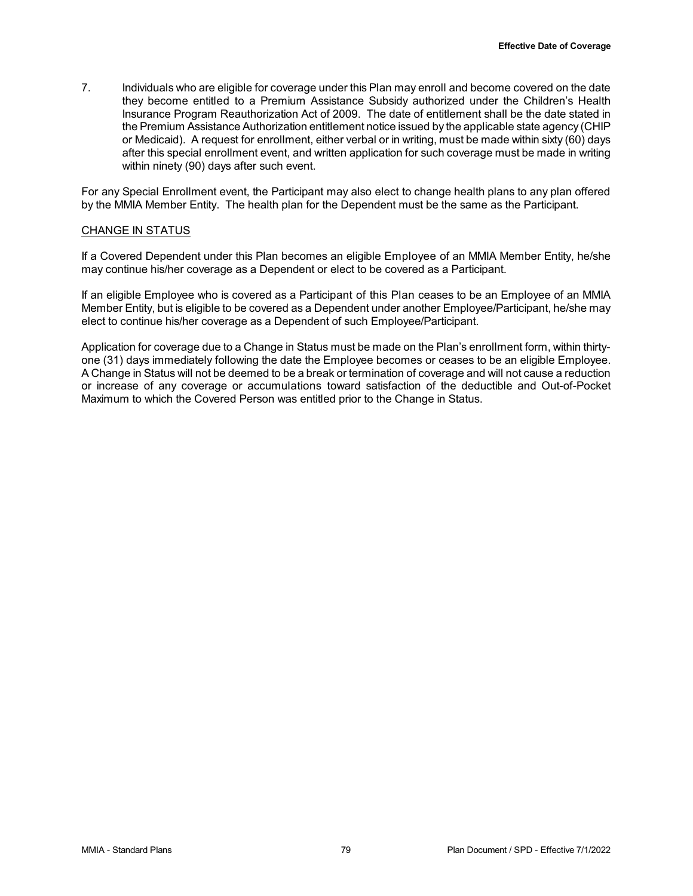7. Individuals who are eligible for coverage under this Plan may enroll and become covered on the date they become entitled to a Premium Assistance Subsidy authorized under the Children's Health Insurance Program Reauthorization Act of 2009. The date of entitlement shall be the date stated in the Premium Assistance Authorization entitlement notice issued by the applicable state agency (CHIP or Medicaid). A request for enrollment, either verbal or in writing, must be made within sixty (60) days after this special enrollment event, and written application for such coverage must be made in writing within ninety (90) days after such event.

For any Special Enrollment event, the Participant may also elect to change health plans to any plan offered by the MMIA Member Entity. The health plan for the Dependent must be the same as the Participant.

## CHANGE IN STATUS

If a Covered Dependent under this Plan becomes an eligible Employee of an MMIA Member Entity, he/she may continue his/her coverage as a Dependent or elect to be covered as a Participant.

If an eligible Employee who is covered as a Participant of this Plan ceases to be an Employee of an MMIA Member Entity, but is eligible to be covered as a Dependent under another Employee/Participant, he/she may elect to continue his/her coverage as a Dependent of such Employee/Participant.

Application for coverage due to a Change in Status must be made on the Plan's enrollment form, within thirtyone (31) days immediately following the date the Employee becomes or ceases to be an eligible Employee. A Change in Status will not be deemed to be a break or termination of coverage and will not cause a reduction or increase of any coverage or accumulations toward satisfaction of the deductible and Out-of-Pocket Maximum to which the Covered Person was entitled prior to the Change in Status.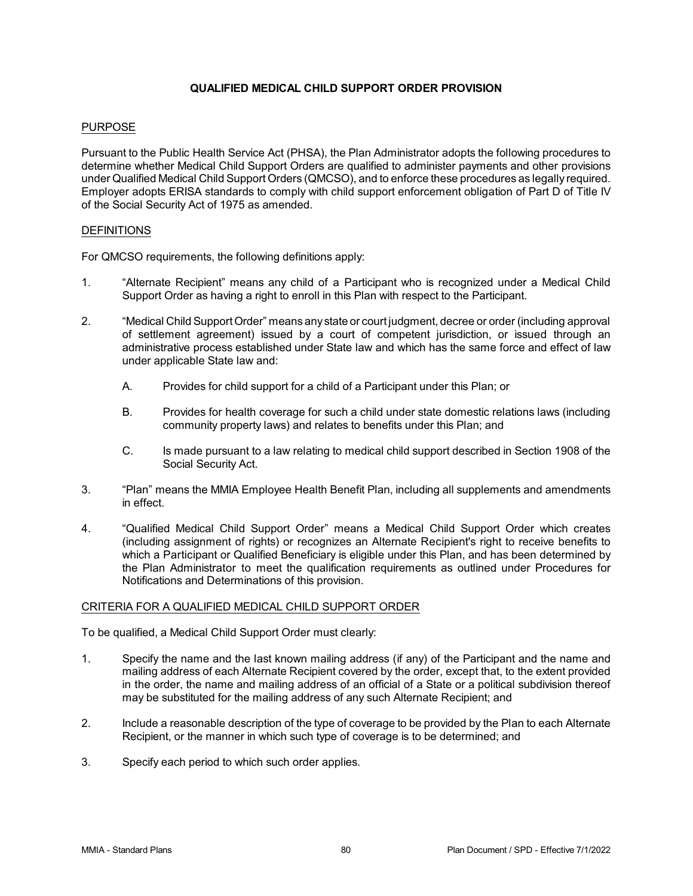## **QUALIFIED MEDICAL CHILD SUPPORT ORDER PROVISION**

## PURPOSE

Pursuant to the Public Health Service Act (PHSA), the Plan Administrator adopts the following procedures to determine whether Medical Child Support Orders are qualified to administer payments and other provisions under Qualified Medical Child Support Orders (QMCSO), and to enforce these procedures as legally required. Employer adopts ERISA standards to comply with child support enforcement obligation of Part D of Title IV of the Social Security Act of 1975 as amended.

## DEFINITIONS

For QMCSO requirements, the following definitions apply:

- 1. "Alternate Recipient" means any child of a Participant who is recognized under a Medical Child Support Order as having a right to enroll in this Plan with respect to the Participant.
- 2. "Medical Child SupportOrder" means anystate or court judgment, decree or order (including approval of settlement agreement) issued by a court of competent jurisdiction, or issued through an administrative process established under State law and which has the same force and effect of law under applicable State law and:
	- A. Provides for child support for a child of a Participant under this Plan; or
	- B. Provides for health coverage for such a child under state domestic relations laws (including community property laws) and relates to benefits under this Plan; and
	- C. Is made pursuant to a law relating to medical child support described in Section 1908 of the Social Security Act.
- 3. "Plan" means the MMIA Employee Health Benefit Plan, including all supplements and amendments in effect.
- 4. "Qualified Medical Child Support Order" means a Medical Child Support Order which creates (including assignment of rights) or recognizes an Alternate Recipient's right to receive benefits to which a Participant or Qualified Beneficiary is eligible under this Plan, and has been determined by the Plan Administrator to meet the qualification requirements as outlined under Procedures for Notifications and Determinations of this provision.

## CRITERIA FOR A QUALIFIED MEDICAL CHILD SUPPORT ORDER

To be qualified, a Medical Child Support Order must clearly:

- 1. Specify the name and the last known mailing address (if any) of the Participant and the name and mailing address of each Alternate Recipient covered by the order, except that, to the extent provided in the order, the name and mailing address of an official of a State or a political subdivision thereof may be substituted for the mailing address of any such Alternate Recipient; and
- 2. Include a reasonable description of the type of coverage to be provided by the Plan to each Alternate Recipient, or the manner in which such type of coverage is to be determined; and
- 3. Specify each period to which such order applies.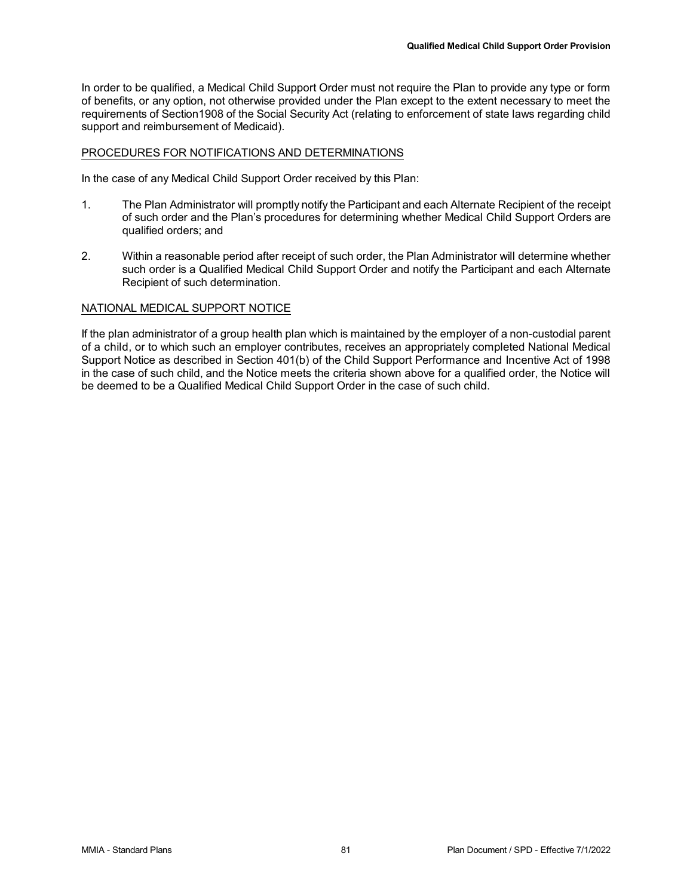In order to be qualified, a Medical Child Support Order must not require the Plan to provide any type or form of benefits, or any option, not otherwise provided under the Plan except to the extent necessary to meet the requirements of Section1908 of the Social Security Act (relating to enforcement of state laws regarding child support and reimbursement of Medicaid).

# PROCEDURES FOR NOTIFICATIONS AND DETERMINATIONS

In the case of any Medical Child Support Order received by this Plan:

- 1. The Plan Administrator will promptly notify the Participant and each Alternate Recipient of the receipt of such order and the Plan's procedures for determining whether Medical Child Support Orders are qualified orders; and
- 2. Within a reasonable period after receipt of such order, the Plan Administrator will determine whether such order is a Qualified Medical Child Support Order and notify the Participant and each Alternate Recipient of such determination.

## NATIONAL MEDICAL SUPPORT NOTICE

If the plan administrator of a group health plan which is maintained by the employer of a non-custodial parent of a child, or to which such an employer contributes, receives an appropriately completed National Medical Support Notice as described in Section 401(b) of the Child Support Performance and Incentive Act of 1998 in the case of such child, and the Notice meets the criteria shown above for a qualified order, the Notice will be deemed to be a Qualified Medical Child Support Order in the case of such child.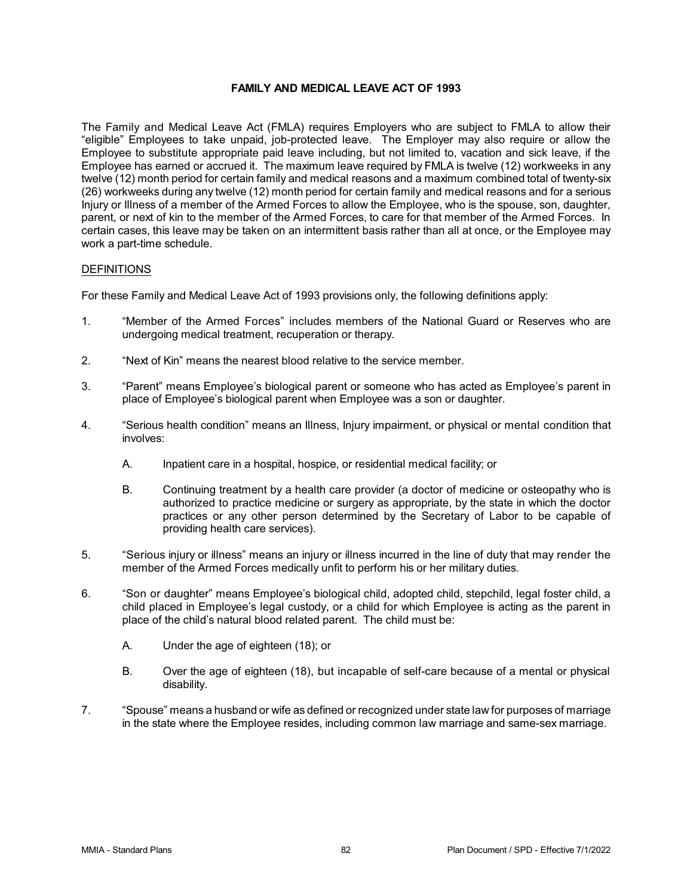## **FAMILY AND MEDICAL LEAVE ACT OF 1993**

The Family and Medical Leave Act (FMLA) requires Employers who are subject to FMLA to allow their "eligible" Employees to take unpaid, job-protected leave. The Employer may also require or allow the Employee to substitute appropriate paid leave including, but not limited to, vacation and sick leave, if the Employee has earned or accrued it. The maximum leave required by FMLA is twelve (12) workweeks in any twelve (12) month period for certain family and medical reasons and a maximum combined total of twenty-six (26) workweeks during any twelve (12) month period for certain family and medical reasons and for a serious Injury or Illness of a member of the Armed Forces to allow the Employee, who is the spouse, son, daughter, parent, or next of kin to the member of the Armed Forces, to care for that member of the Armed Forces. In certain cases, this leave may be taken on an intermittent basis rather than all at once, or the Employee may work a part-time schedule.

## DEFINITIONS

For these Family and Medical Leave Act of 1993 provisions only, the following definitions apply:

- 1. "Member of the Armed Forces" includes members of the National Guard or Reserves who are undergoing medical treatment, recuperation or therapy.
- 2. "Next of Kin" means the nearest blood relative to the service member.
- 3. "Parent" means Employee's biological parent or someone who has acted as Employee's parent in place of Employee's biological parent when Employee was a son or daughter.
- 4. "Serious health condition" means an Illness, Injury impairment, or physical or mental condition that involves:
	- A. Inpatient care in a hospital, hospice, or residential medical facility; or
	- B. Continuing treatment by a health care provider (a doctor of medicine or osteopathy who is authorized to practice medicine or surgery as appropriate, by the state in which the doctor practices or any other person determined by the Secretary of Labor to be capable of providing health care services).
- 5. "Serious injury or illness" means an injury or illness incurred in the line of duty that may render the member of the Armed Forces medically unfit to perform his or her military duties.
- 6. "Son or daughter" means Employee's biological child, adopted child, stepchild, legal foster child, a child placed in Employee's legal custody, or a child for which Employee is acting as the parent in place of the child's natural blood related parent. The child must be:
	- A. Under the age of eighteen (18); or
	- B. Over the age of eighteen (18), but incapable of self-care because of a mental or physical disability.
- 7. "Spouse" means a husband or wife as defined or recognized under state law for purposes of marriage in the state where the Employee resides, including common law marriage and same-sex marriage.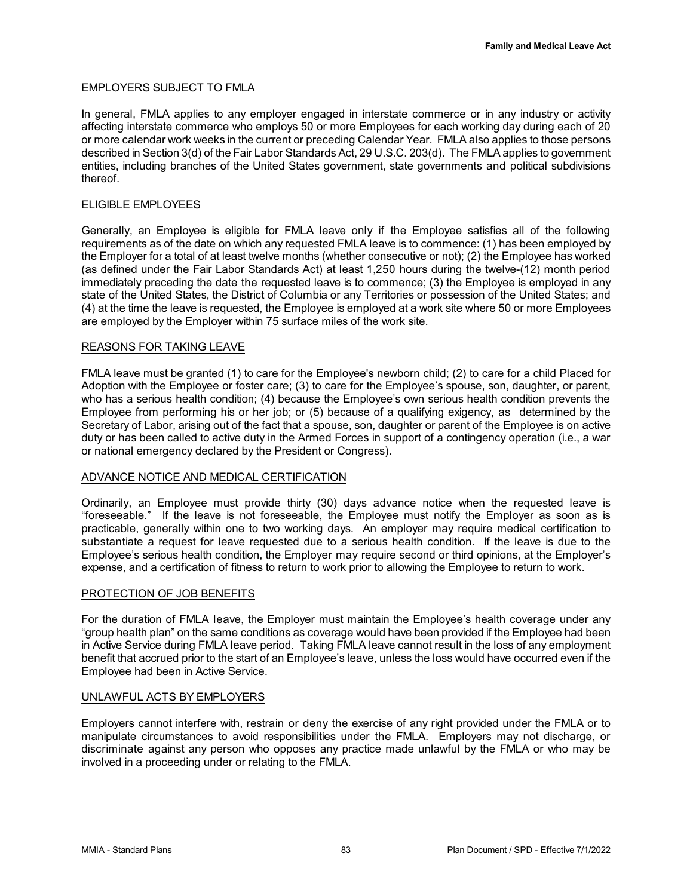# EMPLOYERS SUBJECT TO FMLA

In general, FMLA applies to any employer engaged in interstate commerce or in any industry or activity affecting interstate commerce who employs 50 or more Employees for each working day during each of 20 or more calendar work weeks in the current or preceding Calendar Year. FMLA also applies to those persons described in Section 3(d) of the Fair Labor Standards Act, 29 U.S.C. 203(d). The FMLA applies to government entities, including branches of the United States government, state governments and political subdivisions thereof.

## ELIGIBLE EMPLOYEES

Generally, an Employee is eligible for FMLA leave only if the Employee satisfies all of the following requirements as of the date on which any requested FMLA leave is to commence: (1) has been employed by the Employer for a total of at least twelve months (whether consecutive or not); (2) the Employee has worked (as defined under the Fair Labor Standards Act) at least 1,250 hours during the twelve-(12) month period immediately preceding the date the requested leave is to commence; (3) the Employee is employed in any state of the United States, the District of Columbia or any Territories or possession of the United States; and (4) at the time the leave is requested, the Employee is employed at a work site where 50 or more Employees are employed by the Employer within 75 surface miles of the work site.

## REASONS FOR TAKING LEAVE

FMLA leave must be granted (1) to care for the Employee's newborn child; (2) to care for a child Placed for Adoption with the Employee or foster care; (3) to care for the Employee's spouse, son, daughter, or parent, who has a serious health condition; (4) because the Employee's own serious health condition prevents the Employee from performing his or her job; or (5) because of a qualifying exigency, as determined by the Secretary of Labor, arising out of the fact that a spouse, son, daughter or parent of the Employee is on active duty or has been called to active duty in the Armed Forces in support of a contingency operation (i.e., a war or national emergency declared by the President or Congress).

## ADVANCE NOTICE AND MEDICAL CERTIFICATION

Ordinarily, an Employee must provide thirty (30) days advance notice when the requested leave is "foreseeable." If the leave is not foreseeable, the Employee must notify the Employer as soon as is practicable, generally within one to two working days. An employer may require medical certification to substantiate a request for leave requested due to a serious health condition. If the leave is due to the Employee's serious health condition, the Employer may require second or third opinions, at the Employer's expense, and a certification of fitness to return to work prior to allowing the Employee to return to work.

## PROTECTION OF JOB BENEFITS

For the duration of FMLA leave, the Employer must maintain the Employee's health coverage under any "group health plan" on the same conditions as coverage would have been provided if the Employee had been in Active Service during FMLA leave period. Taking FMLA leave cannot result in the loss of any employment benefit that accrued prior to the start of an Employee's leave, unless the loss would have occurred even if the Employee had been in Active Service.

## UNLAWFUL ACTS BY EMPLOYERS

Employers cannot interfere with, restrain or deny the exercise of any right provided under the FMLA or to manipulate circumstances to avoid responsibilities under the FMLA. Employers may not discharge, or discriminate against any person who opposes any practice made unlawful by the FMLA or who may be involved in a proceeding under or relating to the FMLA.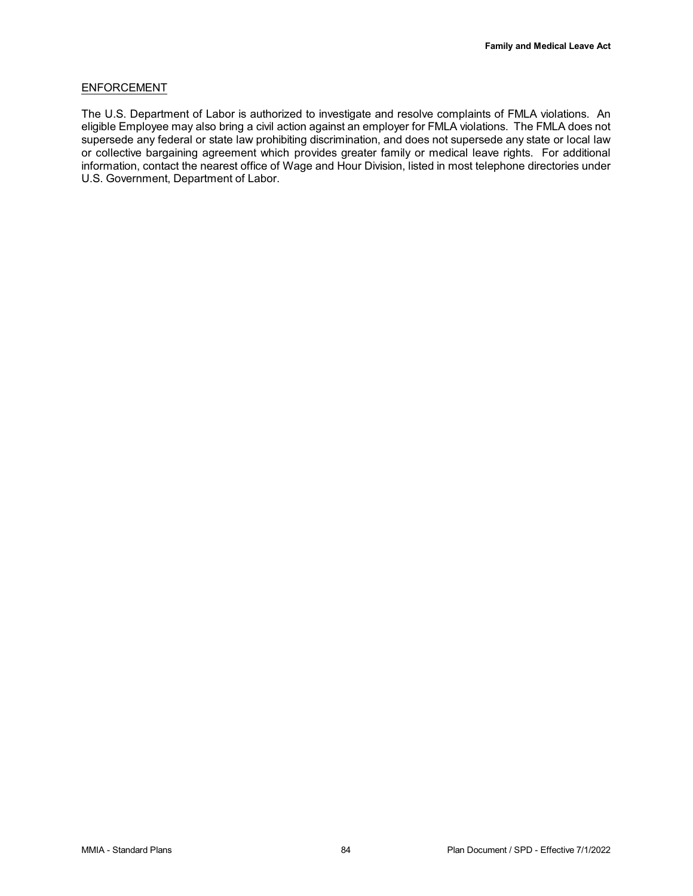## ENFORCEMENT

The U.S. Department of Labor is authorized to investigate and resolve complaints of FMLA violations. An eligible Employee may also bring a civil action against an employer for FMLA violations. The FMLA does not supersede any federal or state law prohibiting discrimination, and does not supersede any state or local law or collective bargaining agreement which provides greater family or medical leave rights. For additional information, contact the nearest office of Wage and Hour Division, listed in most telephone directories under U.S. Government, Department of Labor.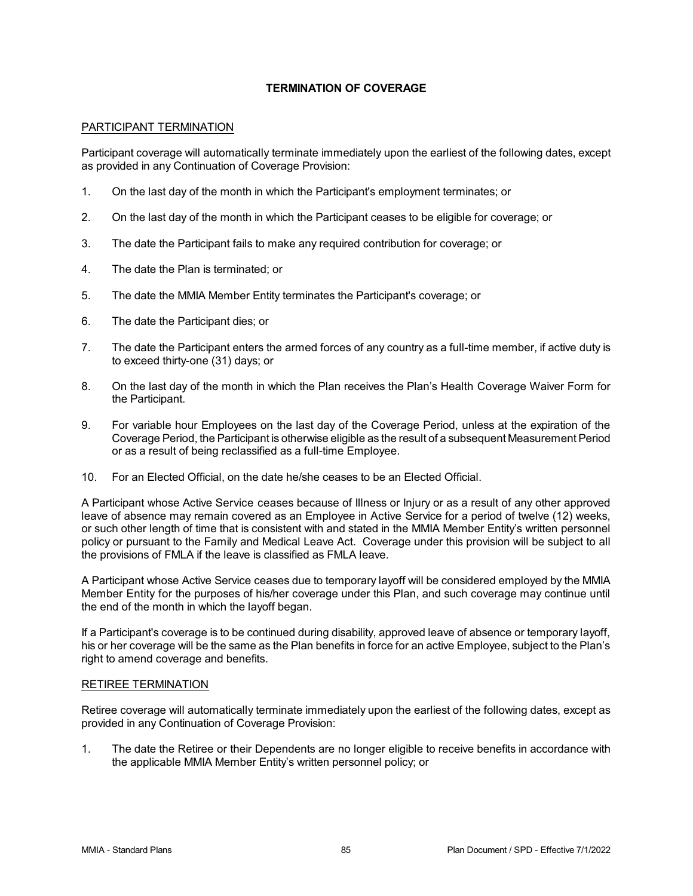# **TERMINATION OF COVERAGE**

# PARTICIPANT TERMINATION

Participant coverage will automatically terminate immediately upon the earliest of the following dates, except as provided in any Continuation of Coverage Provision:

- 1. On the last day of the month in which the Participant's employment terminates; or
- 2. On the last day of the month in which the Participant ceases to be eligible for coverage; or
- 3. The date the Participant fails to make any required contribution for coverage; or
- 4. The date the Plan is terminated; or
- 5. The date the MMIA Member Entity terminates the Participant's coverage; or
- 6. The date the Participant dies; or
- 7. The date the Participant enters the armed forces of any country as a full-time member, if active duty is to exceed thirty-one (31) days; or
- 8. On the last day of the month in which the Plan receives the Plan's Health Coverage Waiver Form for the Participant.
- 9. For variable hour Employees on the last day of the Coverage Period, unless at the expiration of the Coverage Period, the Participant is otherwise eligible as the result of a subsequent Measurement Period or as a result of being reclassified as a full-time Employee.
- 10. For an Elected Official, on the date he/she ceases to be an Elected Official.

A Participant whose Active Service ceases because of Illness or Injury or as a result of any other approved leave of absence may remain covered as an Employee in Active Service for a period of twelve (12) weeks, or such other length of time that is consistent with and stated in the MMIA Member Entity's written personnel policy or pursuant to the Family and Medical Leave Act. Coverage under this provision will be subject to all the provisions of FMLA if the leave is classified as FMLA leave.

A Participant whose Active Service ceases due to temporary layoff will be considered employed by the MMIA Member Entity for the purposes of his/her coverage under this Plan, and such coverage may continue until the end of the month in which the layoff began.

If a Participant's coverage is to be continued during disability, approved leave of absence or temporary layoff, his or her coverage will be the same as the Plan benefits in force for an active Employee, subject to the Plan's right to amend coverage and benefits.

## RETIREE TERMINATION

Retiree coverage will automatically terminate immediately upon the earliest of the following dates, except as provided in any Continuation of Coverage Provision:

1. The date the Retiree or their Dependents are no longer eligible to receive benefits in accordance with the applicable MMIA Member Entity's written personnel policy; or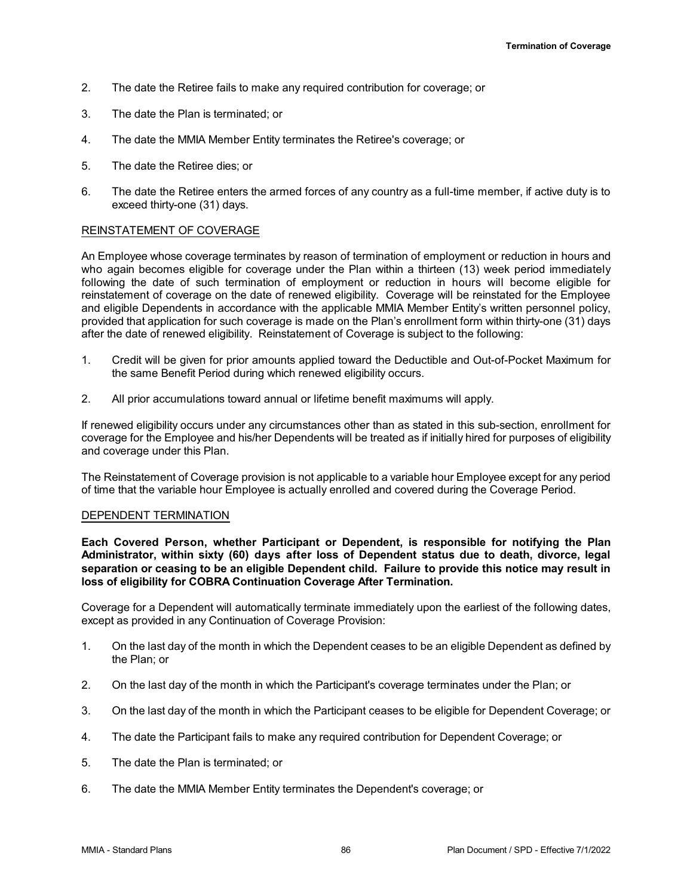- 2. The date the Retiree fails to make any required contribution for coverage; or
- 3. The date the Plan is terminated; or
- 4. The date the MMIA Member Entity terminates the Retiree's coverage; or
- 5. The date the Retiree dies; or
- 6. The date the Retiree enters the armed forces of any country as a full-time member, if active duty is to exceed thirty-one (31) days.

#### REINSTATEMENT OF COVERAGE

An Employee whose coverage terminates by reason of termination of employment or reduction in hours and who again becomes eligible for coverage under the Plan within a thirteen (13) week period immediately following the date of such termination of employment or reduction in hours will become eligible for reinstatement of coverage on the date of renewed eligibility. Coverage will be reinstated for the Employee and eligible Dependents in accordance with the applicable MMIA Member Entity's written personnel policy, provided that application for such coverage is made on the Plan's enrollment form within thirty-one (31) days after the date of renewed eligibility. Reinstatement of Coverage is subject to the following:

- 1. Credit will be given for prior amounts applied toward the Deductible and Out-of-Pocket Maximum for the same Benefit Period during which renewed eligibility occurs.
- 2. All prior accumulations toward annual or lifetime benefit maximums will apply.

If renewed eligibility occurs under any circumstances other than as stated in this sub-section, enrollment for coverage for the Employee and his/her Dependents will be treated as if initially hired for purposes of eligibility and coverage under this Plan.

The Reinstatement of Coverage provision is not applicable to a variable hour Employee except for any period of time that the variable hour Employee is actually enrolled and covered during the Coverage Period.

#### DEPENDENT TERMINATION

**Each Covered Person, whether Participant or Dependent, is responsible for notifying the Plan Administrator, within sixty (60) days after loss of Dependent status due to death, divorce, legal separation or ceasing to be an eligible Dependent child. Failure to provide this notice may result in loss of eligibility for COBRA Continuation Coverage After Termination.**

Coverage for a Dependent will automatically terminate immediately upon the earliest of the following dates, except as provided in any Continuation of Coverage Provision:

- 1. On the last day of the month in which the Dependent ceases to be an eligible Dependent as defined by the Plan; or
- 2. On the last day of the month in which the Participant's coverage terminates under the Plan; or
- 3. On the last day of the month in which the Participant ceases to be eligible for Dependent Coverage; or
- 4. The date the Participant fails to make any required contribution for Dependent Coverage; or
- 5. The date the Plan is terminated; or
- 6. The date the MMIA Member Entity terminates the Dependent's coverage; or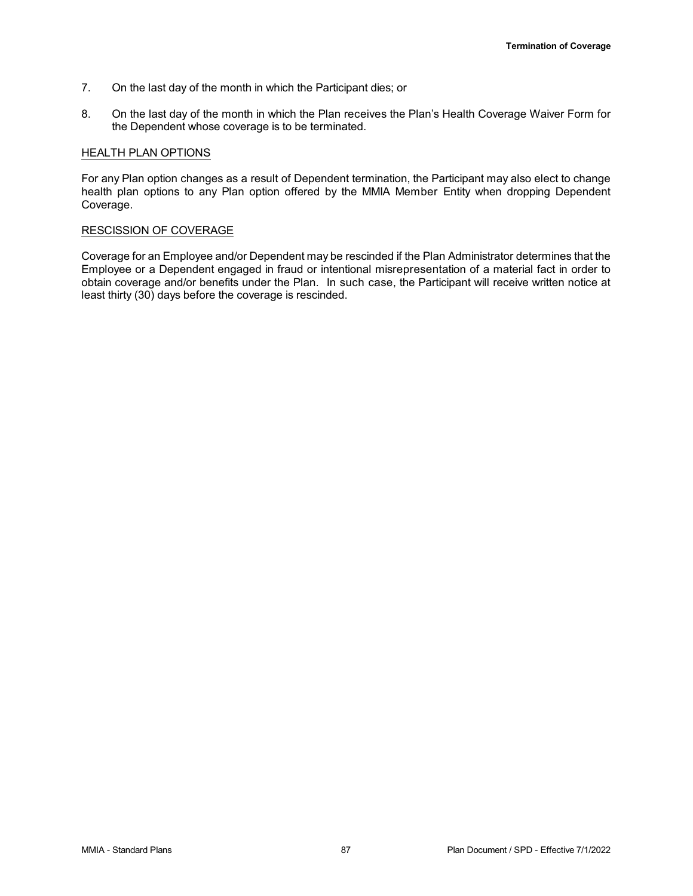- 7. On the last day of the month in which the Participant dies; or
- 8. On the last day of the month in which the Plan receives the Plan's Health Coverage Waiver Form for the Dependent whose coverage is to be terminated.

#### HEALTH PLAN OPTIONS

For any Plan option changes as a result of Dependent termination, the Participant may also elect to change health plan options to any Plan option offered by the MMIA Member Entity when dropping Dependent Coverage.

#### RESCISSION OF COVERAGE

Coverage for an Employee and/or Dependent may be rescinded if the Plan Administrator determines that the Employee or a Dependent engaged in fraud or intentional misrepresentation of a material fact in order to obtain coverage and/or benefits under the Plan. In such case, the Participant will receive written notice at least thirty (30) days before the coverage is rescinded.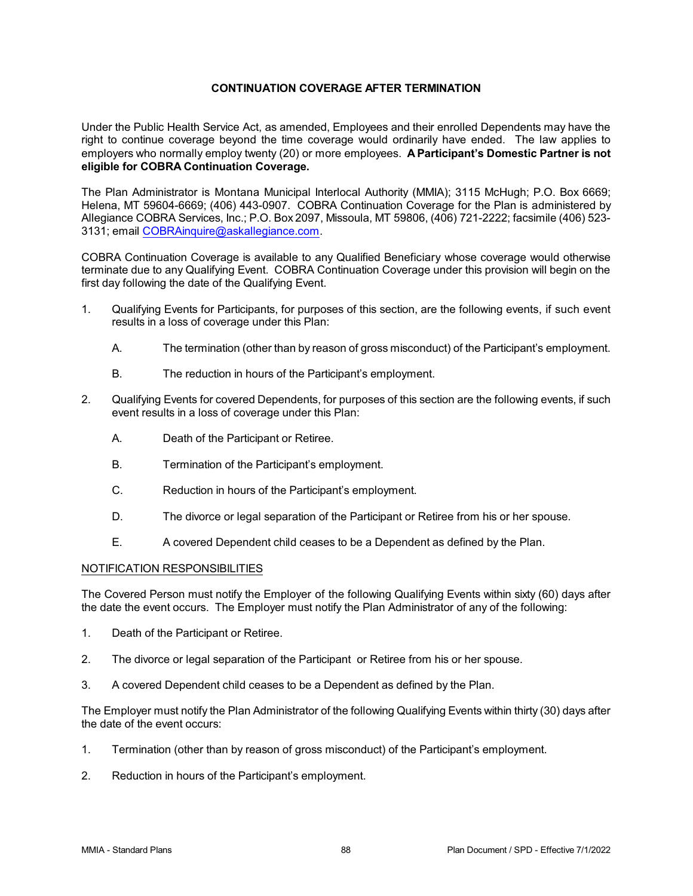# **CONTINUATION COVERAGE AFTER TERMINATION**

Under the Public Health Service Act, as amended, Employees and their enrolled Dependents may have the right to continue coverage beyond the time coverage would ordinarily have ended. The law applies to employers who normally employ twenty (20) or more employees. **A Participant's Domestic Partner is not eligible for COBRA Continuation Coverage.**

The Plan Administrator is Montana Municipal Interlocal Authority (MMIA); 3115 McHugh; P.O. Box 6669; Helena, MT 59604-6669; (406) 443-0907. COBRA Continuation Coverage for the Plan is administered by Allegiance COBRA Services, Inc.; P.O. Box 2097, Missoula, MT 59806, (406) 721-2222; facsimile (406) 523- 3131; email [COBRAinquire@askallegiance.com](mailto:COBRAinquire@askallegiance.com).

COBRA Continuation Coverage is available to any Qualified Beneficiary whose coverage would otherwise terminate due to any Qualifying Event. COBRA Continuation Coverage under this provision will begin on the first day following the date of the Qualifying Event.

- 1. Qualifying Events for Participants, for purposes of this section, are the following events, if such event results in a loss of coverage under this Plan:
	- A. The termination (other than by reason of gross misconduct) of the Participant's employment.
	- B. The reduction in hours of the Participant's employment.
- 2. Qualifying Events for covered Dependents, for purposes of this section are the following events, if such event results in a loss of coverage under this Plan:
	- A. Death of the Participant or Retiree.
	- B. Termination of the Participant's employment.
	- C. Reduction in hours of the Participant's employment.
	- D. The divorce or legal separation of the Participant or Retiree from his or her spouse.
	- E. A covered Dependent child ceases to be a Dependent as defined by the Plan.

## NOTIFICATION RESPONSIBILITIES

The Covered Person must notify the Employer of the following Qualifying Events within sixty (60) days after the date the event occurs. The Employer must notify the Plan Administrator of any of the following:

- 1. Death of the Participant or Retiree.
- 2. The divorce or legal separation of the Participant or Retiree from his or her spouse.
- 3. A covered Dependent child ceases to be a Dependent as defined by the Plan.

The Employer must notify the Plan Administrator of the following Qualifying Events within thirty (30) days after the date of the event occurs:

- 1. Termination (other than by reason of gross misconduct) of the Participant's employment.
- 2. Reduction in hours of the Participant's employment.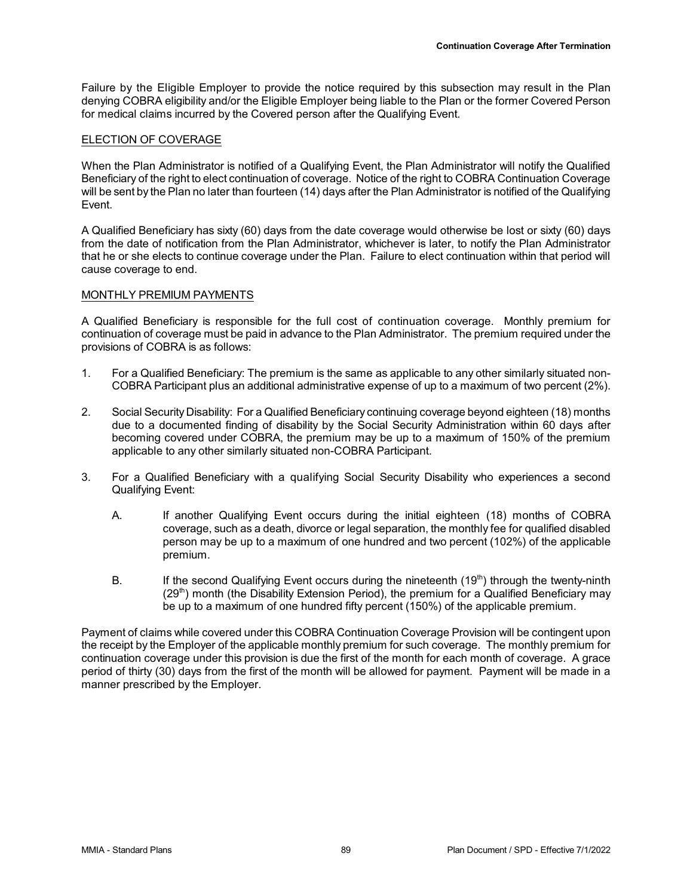Failure by the Eligible Employer to provide the notice required by this subsection may result in the Plan denying COBRA eligibility and/or the Eligible Employer being liable to the Plan or the former Covered Person for medical claims incurred by the Covered person after the Qualifying Event.

## ELECTION OF COVERAGE

When the Plan Administrator is notified of a Qualifying Event, the Plan Administrator will notify the Qualified Beneficiary of the right to elect continuation of coverage. Notice of the right to COBRA Continuation Coverage will be sent by the Plan no later than fourteen (14) days after the Plan Administrator is notified of the Qualifying Event.

A Qualified Beneficiary has sixty (60) days from the date coverage would otherwise be lost or sixty (60) days from the date of notification from the Plan Administrator, whichever is later, to notify the Plan Administrator that he or she elects to continue coverage under the Plan. Failure to elect continuation within that period will cause coverage to end.

## MONTHLY PREMIUM PAYMENTS

A Qualified Beneficiary is responsible for the full cost of continuation coverage. Monthly premium for continuation of coverage must be paid in advance to the Plan Administrator. The premium required under the provisions of COBRA is as follows:

- 1. For a Qualified Beneficiary: The premium is the same as applicable to any other similarly situated non-COBRA Participant plus an additional administrative expense of up to a maximum of two percent (2%).
- 2. Social Security Disability: For a Qualified Beneficiary continuing coverage beyond eighteen (18) months due to a documented finding of disability by the Social Security Administration within 60 days after becoming covered under COBRA, the premium may be up to a maximum of 150% of the premium applicable to any other similarly situated non-COBRA Participant.
- 3. For a Qualified Beneficiary with a qualifying Social Security Disability who experiences a second Qualifying Event:
	- A. If another Qualifying Event occurs during the initial eighteen (18) months of COBRA coverage, such as a death, divorce or legal separation, the monthly fee for qualified disabled person may be up to a maximum of one hundred and two percent (102%) of the applicable premium.
	- B. If the second Qualifying Event occurs during the nineteenth  $(19<sup>th</sup>)$  through the twenty-ninth  $(29<sup>th</sup>)$  month (the Disability Extension Period), the premium for a Qualified Beneficiary may be up to a maximum of one hundred fifty percent (150%) of the applicable premium.

Payment of claims while covered under this COBRA Continuation Coverage Provision will be contingent upon the receipt by the Employer of the applicable monthly premium for such coverage. The monthly premium for continuation coverage under this provision is due the first of the month for each month of coverage. A grace period of thirty (30) days from the first of the month will be allowed for payment. Payment will be made in a manner prescribed by the Employer.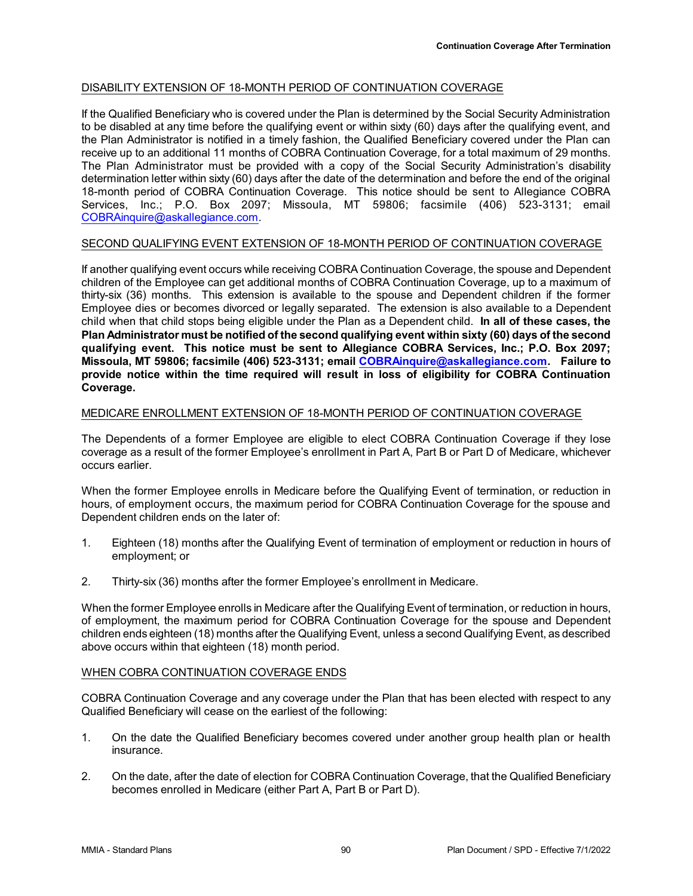# DISABILITY EXTENSION OF 18-MONTH PERIOD OF CONTINUATION COVERAGE

If the Qualified Beneficiary who is covered under the Plan is determined by the Social Security Administration to be disabled at any time before the qualifying event or within sixty (60) days after the qualifying event, and the Plan Administrator is notified in a timely fashion, the Qualified Beneficiary covered under the Plan can receive up to an additional 11 months of COBRA Continuation Coverage, for a total maximum of 29 months. The Plan Administrator must be provided with a copy of the Social Security Administration's disability determination letter within sixty (60) days after the date of the determination and before the end of the original 18-month period of COBRA Continuation Coverage. This notice should be sent to Allegiance COBRA Services, Inc.; P.O. Box 2097; Missoula, MT 59806; facsimile (406) 523-3131; email [COBRAinquire@askallegiance.com](mailto:COBRAinquire@askallegiance.com).

## SECOND QUALIFYING EVENT EXTENSION OF 18-MONTH PERIOD OF CONTINUATION COVERAGE

If another qualifying event occurs while receiving COBRA Continuation Coverage, the spouse and Dependent children of the Employee can get additional months of COBRA Continuation Coverage, up to a maximum of thirty-six (36) months. This extension is available to the spouse and Dependent children if the former Employee dies or becomes divorced or legally separated. The extension is also available to a Dependent child when that child stops being eligible under the Plan as a Dependent child. **In all of these cases, the Plan Administrator must be notified of the second qualifying event within sixty (60) days of the second qualifying event. This notice must be sent to Allegiance COBRA Services, Inc.; P.O. Box 2097; Missoula, MT 59806; facsimile (406) 523-3131; email [COBRAinquire@askallegiance.com](mailto:COBRAinquire@askallegiance.com). Failure to provide notice within the time required will result in loss of eligibility for COBRA Continuation Coverage.**

## MEDICARE ENROLLMENT EXTENSION OF 18-MONTH PERIOD OF CONTINUATION COVERAGE

The Dependents of a former Employee are eligible to elect COBRA Continuation Coverage if they lose coverage as a result of the former Employee's enrollment in Part A, Part B or Part D of Medicare, whichever occurs earlier.

When the former Employee enrolls in Medicare before the Qualifying Event of termination, or reduction in hours, of employment occurs, the maximum period for COBRA Continuation Coverage for the spouse and Dependent children ends on the later of:

- 1. Eighteen (18) months after the Qualifying Event of termination of employment or reduction in hours of employment; or
- 2. Thirty-six (36) months after the former Employee's enrollment in Medicare.

When the former Employee enrolls in Medicare after the Qualifying Event of termination, or reduction in hours, of employment, the maximum period for COBRA Continuation Coverage for the spouse and Dependent children ends eighteen (18) months after the Qualifying Event, unless a second Qualifying Event, as described above occurs within that eighteen (18) month period.

## WHEN COBRA CONTINUATION COVERAGE ENDS

COBRA Continuation Coverage and any coverage under the Plan that has been elected with respect to any Qualified Beneficiary will cease on the earliest of the following:

- 1. On the date the Qualified Beneficiary becomes covered under another group health plan or health insurance.
- 2. On the date, after the date of election for COBRA Continuation Coverage, that the Qualified Beneficiary becomes enrolled in Medicare (either Part A, Part B or Part D).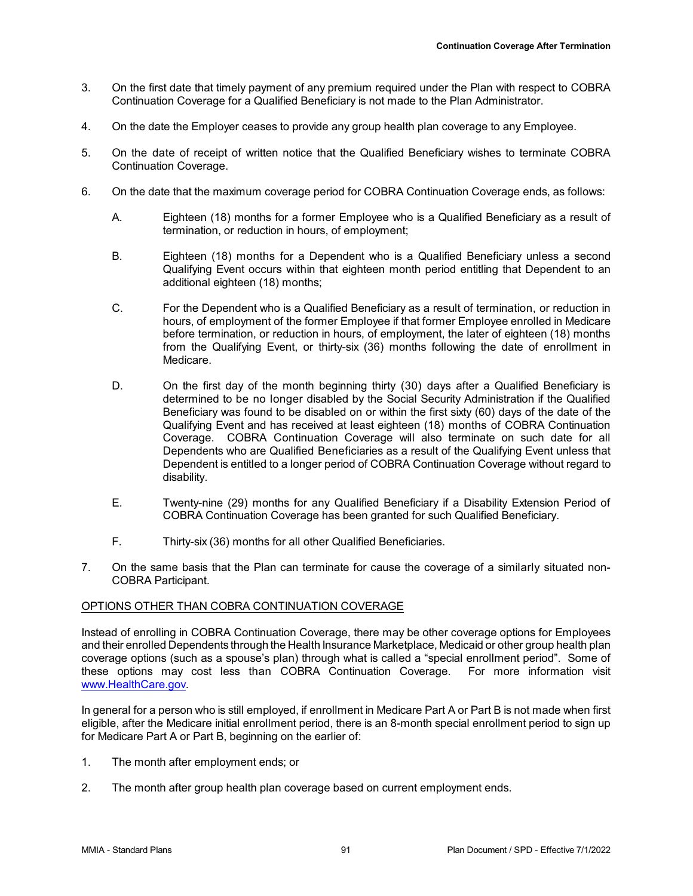- 3. On the first date that timely payment of any premium required under the Plan with respect to COBRA Continuation Coverage for a Qualified Beneficiary is not made to the Plan Administrator.
- 4. On the date the Employer ceases to provide any group health plan coverage to any Employee.
- 5. On the date of receipt of written notice that the Qualified Beneficiary wishes to terminate COBRA Continuation Coverage.
- 6. On the date that the maximum coverage period for COBRA Continuation Coverage ends, as follows:
	- A. Eighteen (18) months for a former Employee who is a Qualified Beneficiary as a result of termination, or reduction in hours, of employment;
	- B. Eighteen (18) months for a Dependent who is a Qualified Beneficiary unless a second Qualifying Event occurs within that eighteen month period entitling that Dependent to an additional eighteen (18) months;
	- C. For the Dependent who is a Qualified Beneficiary as a result of termination, or reduction in hours, of employment of the former Employee if that former Employee enrolled in Medicare before termination, or reduction in hours, of employment, the later of eighteen (18) months from the Qualifying Event, or thirty-six (36) months following the date of enrollment in Medicare.
	- D. On the first day of the month beginning thirty (30) days after a Qualified Beneficiary is determined to be no longer disabled by the Social Security Administration if the Qualified Beneficiary was found to be disabled on or within the first sixty (60) days of the date of the Qualifying Event and has received at least eighteen (18) months of COBRA Continuation Coverage. COBRA Continuation Coverage will also terminate on such date for all Dependents who are Qualified Beneficiaries as a result of the Qualifying Event unless that Dependent is entitled to a longer period of COBRA Continuation Coverage without regard to disability.
	- E. Twenty-nine (29) months for any Qualified Beneficiary if a Disability Extension Period of COBRA Continuation Coverage has been granted for such Qualified Beneficiary.
	- F. Thirty-six (36) months for all other Qualified Beneficiaries.
- 7. On the same basis that the Plan can terminate for cause the coverage of a similarly situated non-COBRA Participant.

# OPTIONS OTHER THAN COBRA CONTINUATION COVERAGE

Instead of enrolling in COBRA Continuation Coverage, there may be other coverage options for Employees and their enrolled Dependents through the Health Insurance Marketplace, Medicaid or other group health plan coverage options (such as a spouse's plan) through what is called a "special enrollment period". Some of these options may cost less than COBRA Continuation Coverage. For more information visit [www.HealthCare.gov](http://www.HealthCare.gov).

In general for a person who is still employed, if enrollment in Medicare Part A or Part B is not made when first eligible, after the Medicare initial enrollment period, there is an 8-month special enrollment period to sign up for Medicare Part A or Part B, beginning on the earlier of:

- 1. The month after employment ends; or
- 2. The month after group health plan coverage based on current employment ends.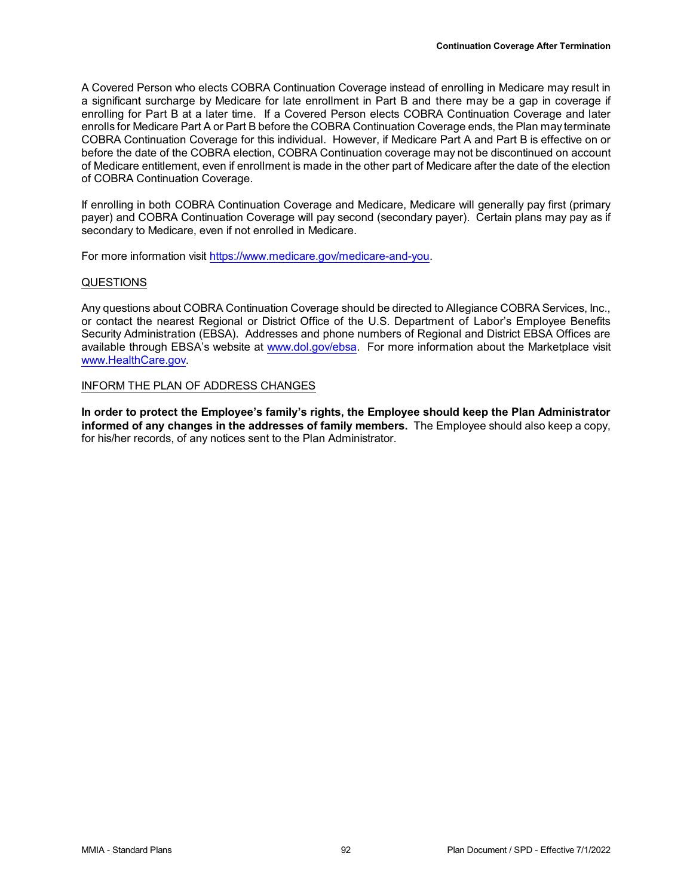A Covered Person who elects COBRA Continuation Coverage instead of enrolling in Medicare may result in a significant surcharge by Medicare for late enrollment in Part B and there may be a gap in coverage if enrolling for Part B at a later time. If a Covered Person elects COBRA Continuation Coverage and later enrolls for Medicare Part A or Part B before the COBRA Continuation Coverage ends, the Plan may terminate COBRA Continuation Coverage for this individual. However, if Medicare Part A and Part B is effective on or before the date of the COBRA election, COBRA Continuation coverage may not be discontinued on account of Medicare entitlement, even if enrollment is made in the other part of Medicare after the date of the election of COBRA Continuation Coverage.

If enrolling in both COBRA Continuation Coverage and Medicare, Medicare will generally pay first (primary payer) and COBRA Continuation Coverage will pay second (secondary payer). Certain plans may pay as if secondary to Medicare, even if not enrolled in Medicare.

For more information visit <https://www.medicare.gov/medicare-and-you>.

#### QUESTIONS

Any questions about COBRA Continuation Coverage should be directed to Allegiance COBRA Services, Inc., or contact the nearest Regional or District Office of the U.S. Department of Labor's Employee Benefits Security Administration (EBSA). Addresses and phone numbers of Regional and District EBSA Offices are available through EBSA's website at [www.dol.gov/ebsa](http://www.dol.gov/ebsa.). For more information about the Marketplace visit [www.HealthCare.gov](http://www.HealthCare.gov).

#### INFORM THE PLAN OF ADDRESS CHANGES

**In order to protect the Employee's family's rights, the Employee should keep the Plan Administrator informed of any changes in the addresses of family members.** The Employee should also keep a copy, for his/her records, of any notices sent to the Plan Administrator.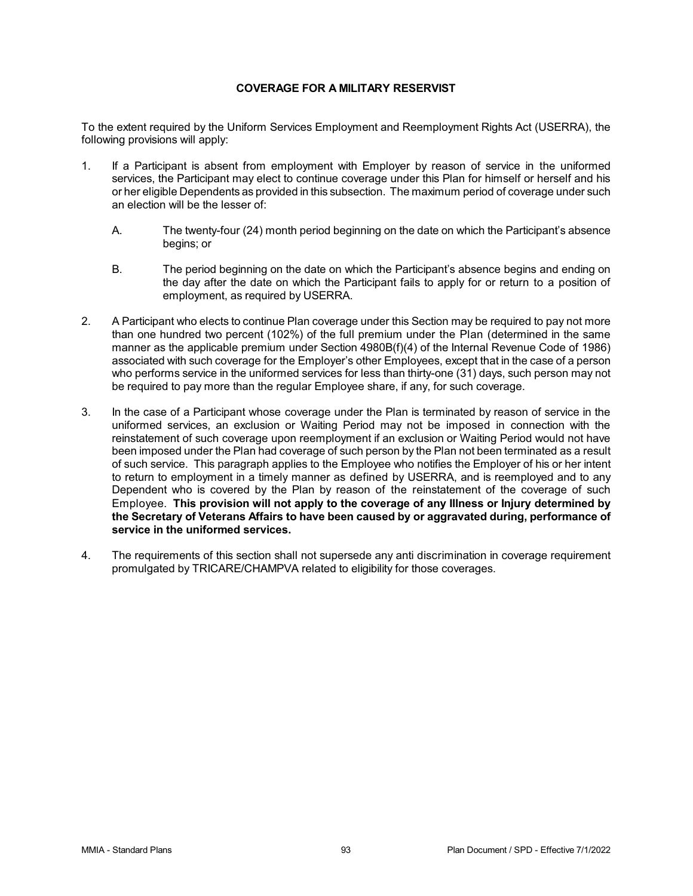# **COVERAGE FOR A MILITARY RESERVIST**

To the extent required by the Uniform Services Employment and Reemployment Rights Act (USERRA), the following provisions will apply:

- 1. If a Participant is absent from employment with Employer by reason of service in the uniformed services, the Participant may elect to continue coverage under this Plan for himself or herself and his or her eligible Dependents as provided in this subsection. The maximum period of coverage under such an election will be the lesser of:
	- A. The twenty-four (24) month period beginning on the date on which the Participant's absence begins; or
	- B. The period beginning on the date on which the Participant's absence begins and ending on the day after the date on which the Participant fails to apply for or return to a position of employment, as required by USERRA.
- 2. A Participant who elects to continue Plan coverage under this Section may be required to pay not more than one hundred two percent (102%) of the full premium under the Plan (determined in the same manner as the applicable premium under Section 4980B(f)(4) of the Internal Revenue Code of 1986) associated with such coverage for the Employer's other Employees, except that in the case of a person who performs service in the uniformed services for less than thirty-one (31) days, such person may not be required to pay more than the regular Employee share, if any, for such coverage.
- 3. In the case of a Participant whose coverage under the Plan is terminated by reason of service in the uniformed services, an exclusion or Waiting Period may not be imposed in connection with the reinstatement of such coverage upon reemployment if an exclusion or Waiting Period would not have been imposed under the Plan had coverage of such person by the Plan not been terminated as a result of such service. This paragraph applies to the Employee who notifies the Employer of his or her intent to return to employment in a timely manner as defined by USERRA, and is reemployed and to any Dependent who is covered by the Plan by reason of the reinstatement of the coverage of such Employee. **This provision will not apply to the coverage of any Illness or Injury determined by the Secretary of Veterans Affairs to have been caused by or aggravated during, performance of service in the uniformed services.**
- 4. The requirements of this section shall not supersede any anti discrimination in coverage requirement promulgated by TRICARE/CHAMPVA related to eligibility for those coverages.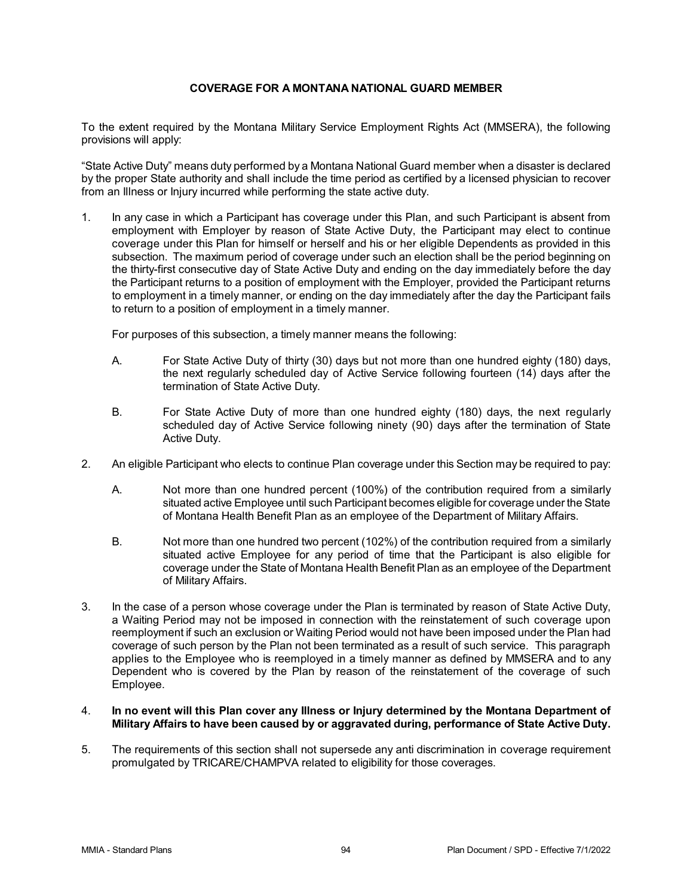# **COVERAGE FOR A MONTANA NATIONAL GUARD MEMBER**

To the extent required by the Montana Military Service Employment Rights Act (MMSERA), the following provisions will apply:

"State Active Duty" means duty performed by a Montana National Guard member when a disaster is declared by the proper State authority and shall include the time period as certified by a licensed physician to recover from an Illness or Injury incurred while performing the state active duty.

1. In any case in which a Participant has coverage under this Plan, and such Participant is absent from employment with Employer by reason of State Active Duty, the Participant may elect to continue coverage under this Plan for himself or herself and his or her eligible Dependents as provided in this subsection. The maximum period of coverage under such an election shall be the period beginning on the thirty-first consecutive day of State Active Duty and ending on the day immediately before the day the Participant returns to a position of employment with the Employer, provided the Participant returns to employment in a timely manner, or ending on the day immediately after the day the Participant fails to return to a position of employment in a timely manner.

For purposes of this subsection, a timely manner means the following:

- A. For State Active Duty of thirty (30) days but not more than one hundred eighty (180) days, the next regularly scheduled day of Active Service following fourteen (14) days after the termination of State Active Duty.
- B. For State Active Duty of more than one hundred eighty (180) days, the next regularly scheduled day of Active Service following ninety (90) days after the termination of State Active Duty.
- 2. An eligible Participant who elects to continue Plan coverage under this Section may be required to pay:
	- A. Not more than one hundred percent (100%) of the contribution required from a similarly situated active Employee until such Participant becomes eligible for coverage under the State of Montana Health Benefit Plan as an employee of the Department of Military Affairs.
	- B. Not more than one hundred two percent (102%) of the contribution required from a similarly situated active Employee for any period of time that the Participant is also eligible for coverage under the State of Montana Health Benefit Plan as an employee of the Department of Military Affairs.
- 3. In the case of a person whose coverage under the Plan is terminated by reason of State Active Duty, a Waiting Period may not be imposed in connection with the reinstatement of such coverage upon reemployment if such an exclusion or Waiting Period would not have been imposed under the Plan had coverage of such person by the Plan not been terminated as a result of such service. This paragraph applies to the Employee who is reemployed in a timely manner as defined by MMSERA and to any Dependent who is covered by the Plan by reason of the reinstatement of the coverage of such Employee.
- 4. **In no event will this Plan cover any Illness or Injury determined by the Montana Department of Military Affairs to have been caused by or aggravated during, performance of State Active Duty.**
- 5. The requirements of this section shall not supersede any anti discrimination in coverage requirement promulgated by TRICARE/CHAMPVA related to eligibility for those coverages.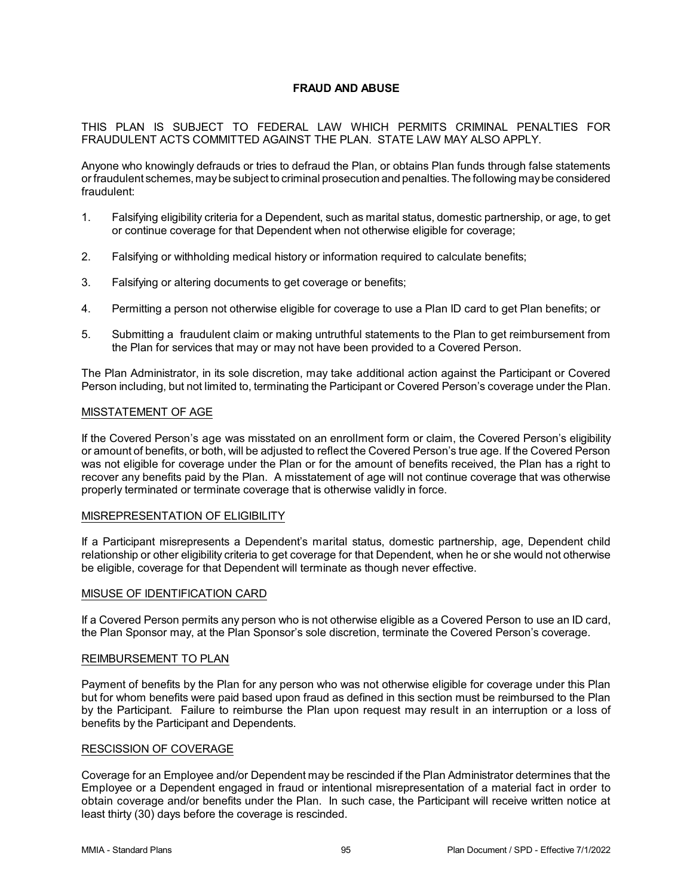# **FRAUD AND ABUSE**

THIS PLAN IS SUBJECT TO FEDERAL LAW WHICH PERMITS CRIMINAL PENALTIES FOR FRAUDULENT ACTS COMMITTED AGAINST THE PLAN. STATE LAW MAY ALSO APPLY.

Anyone who knowingly defrauds or tries to defraud the Plan, or obtains Plan funds through false statements or fraudulent schemes, maybe subject to criminal prosecution and penalties.The following maybe considered fraudulent:

- 1. Falsifying eligibility criteria for a Dependent, such as marital status, domestic partnership, or age, to get or continue coverage for that Dependent when not otherwise eligible for coverage;
- 2. Falsifying or withholding medical history or information required to calculate benefits;
- 3. Falsifying or altering documents to get coverage or benefits;
- 4. Permitting a person not otherwise eligible for coverage to use a Plan ID card to get Plan benefits; or
- 5. Submitting a fraudulent claim or making untruthful statements to the Plan to get reimbursement from the Plan for services that may or may not have been provided to a Covered Person.

The Plan Administrator, in its sole discretion, may take additional action against the Participant or Covered Person including, but not limited to, terminating the Participant or Covered Person's coverage under the Plan.

#### MISSTATEMENT OF AGE

If the Covered Person's age was misstated on an enrollment form or claim, the Covered Person's eligibility or amount of benefits, or both, will be adjusted to reflect the Covered Person's true age. If the Covered Person was not eligible for coverage under the Plan or for the amount of benefits received, the Plan has a right to recover any benefits paid by the Plan. A misstatement of age will not continue coverage that was otherwise properly terminated or terminate coverage that is otherwise validly in force.

## MISREPRESENTATION OF ELIGIBILITY

If a Participant misrepresents a Dependent's marital status, domestic partnership, age, Dependent child relationship or other eligibility criteria to get coverage for that Dependent, when he or she would not otherwise be eligible, coverage for that Dependent will terminate as though never effective.

## MISUSE OF IDENTIFICATION CARD

If a Covered Person permits any person who is not otherwise eligible as a Covered Person to use an ID card, the Plan Sponsor may, at the Plan Sponsor's sole discretion, terminate the Covered Person's coverage.

#### REIMBURSEMENT TO PLAN

Payment of benefits by the Plan for any person who was not otherwise eligible for coverage under this Plan but for whom benefits were paid based upon fraud as defined in this section must be reimbursed to the Plan by the Participant. Failure to reimburse the Plan upon request may result in an interruption or a loss of benefits by the Participant and Dependents.

#### RESCISSION OF COVERAGE

Coverage for an Employee and/or Dependent may be rescinded if the Plan Administrator determines that the Employee or a Dependent engaged in fraud or intentional misrepresentation of a material fact in order to obtain coverage and/or benefits under the Plan. In such case, the Participant will receive written notice at least thirty (30) days before the coverage is rescinded.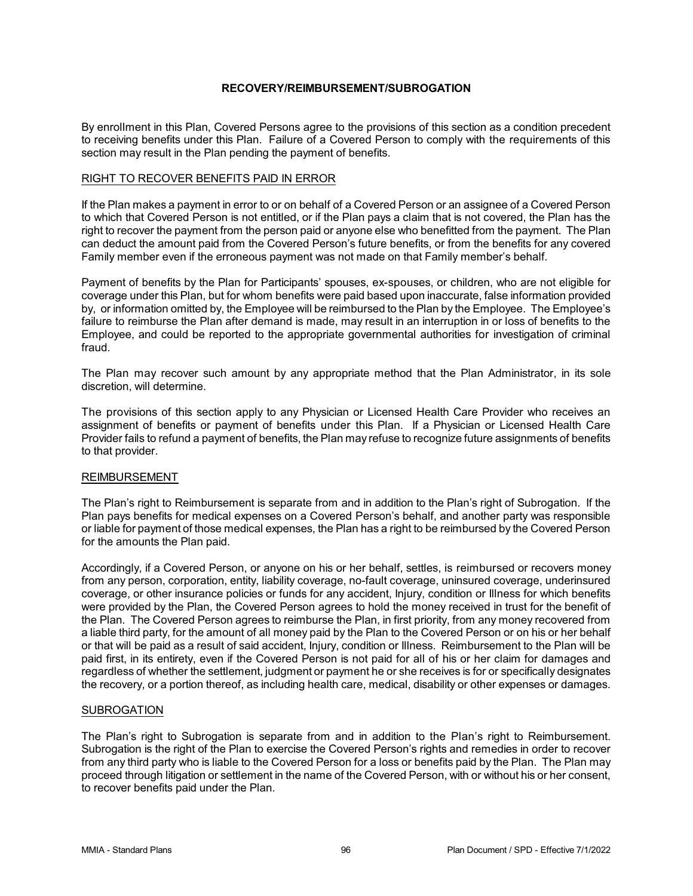## **RECOVERY/REIMBURSEMENT/SUBROGATION**

By enrollment in this Plan, Covered Persons agree to the provisions of this section as a condition precedent to receiving benefits under this Plan. Failure of a Covered Person to comply with the requirements of this section may result in the Plan pending the payment of benefits.

## RIGHT TO RECOVER BENEFITS PAID IN ERROR

If the Plan makes a payment in error to or on behalf of a Covered Person or an assignee of a Covered Person to which that Covered Person is not entitled, or if the Plan pays a claim that is not covered, the Plan has the right to recover the payment from the person paid or anyone else who benefitted from the payment. The Plan can deduct the amount paid from the Covered Person's future benefits, or from the benefits for any covered Family member even if the erroneous payment was not made on that Family member's behalf.

Payment of benefits by the Plan for Participants' spouses, ex-spouses, or children, who are not eligible for coverage under this Plan, but for whom benefits were paid based upon inaccurate, false information provided by, or information omitted by, the Employee will be reimbursed to the Plan by the Employee. The Employee's failure to reimburse the Plan after demand is made, may result in an interruption in or loss of benefits to the Employee, and could be reported to the appropriate governmental authorities for investigation of criminal fraud.

The Plan may recover such amount by any appropriate method that the Plan Administrator, in its sole discretion, will determine.

The provisions of this section apply to any Physician or Licensed Health Care Provider who receives an assignment of benefits or payment of benefits under this Plan. If a Physician or Licensed Health Care Provider fails to refund a payment of benefits, the Plan may refuse to recognize future assignments of benefits to that provider.

## REIMBURSEMENT

The Plan's right to Reimbursement is separate from and in addition to the Plan's right of Subrogation. If the Plan pays benefits for medical expenses on a Covered Person's behalf, and another party was responsible or liable for payment of those medical expenses, the Plan has a right to be reimbursed by the Covered Person for the amounts the Plan paid.

Accordingly, if a Covered Person, or anyone on his or her behalf, settles, is reimbursed or recovers money from any person, corporation, entity, liability coverage, no-fault coverage, uninsured coverage, underinsured coverage, or other insurance policies or funds for any accident, Injury, condition or Illness for which benefits were provided by the Plan, the Covered Person agrees to hold the money received in trust for the benefit of the Plan. The Covered Person agrees to reimburse the Plan, in first priority, from any money recovered from a liable third party, for the amount of all money paid by the Plan to the Covered Person or on his or her behalf or that will be paid as a result of said accident, Injury, condition or Illness. Reimbursement to the Plan will be paid first, in its entirety, even if the Covered Person is not paid for all of his or her claim for damages and regardless of whether the settlement, judgment or payment he or she receives is for or specifically designates the recovery, or a portion thereof, as including health care, medical, disability or other expenses or damages.

## **SUBROGATION**

The Plan's right to Subrogation is separate from and in addition to the Plan's right to Reimbursement. Subrogation is the right of the Plan to exercise the Covered Person's rights and remedies in order to recover from any third party who is liable to the Covered Person for a loss or benefits paid by the Plan. The Plan may proceed through litigation or settlement in the name of the Covered Person, with or without his or her consent, to recover benefits paid under the Plan.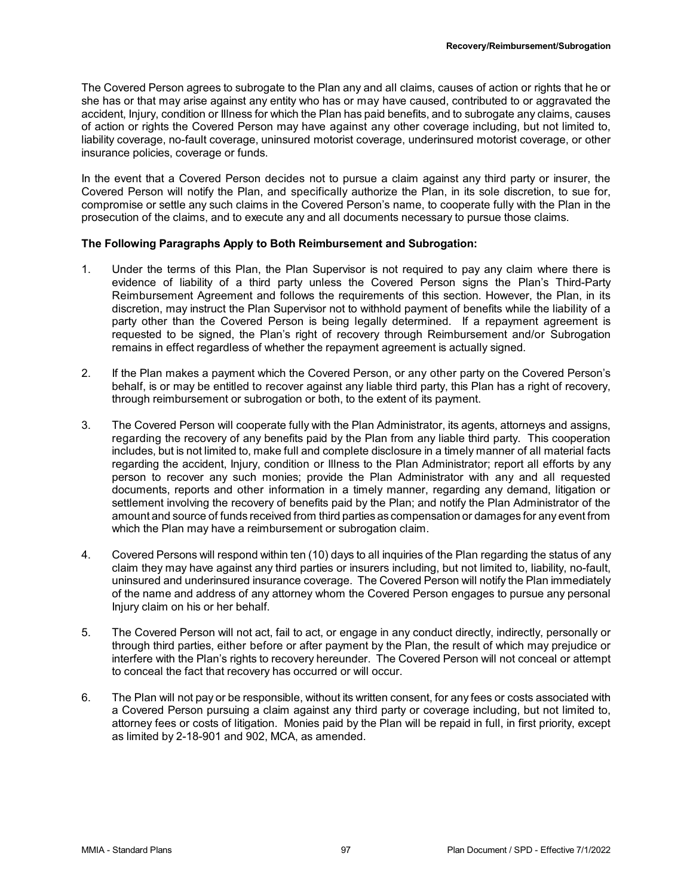The Covered Person agrees to subrogate to the Plan any and all claims, causes of action or rights that he or she has or that may arise against any entity who has or may have caused, contributed to or aggravated the accident, Injury, condition or Illness for which the Plan has paid benefits, and to subrogate any claims, causes of action or rights the Covered Person may have against any other coverage including, but not limited to, liability coverage, no-fault coverage, uninsured motorist coverage, underinsured motorist coverage, or other insurance policies, coverage or funds.

In the event that a Covered Person decides not to pursue a claim against any third party or insurer, the Covered Person will notify the Plan, and specifically authorize the Plan, in its sole discretion, to sue for, compromise or settle any such claims in the Covered Person's name, to cooperate fully with the Plan in the prosecution of the claims, and to execute any and all documents necessary to pursue those claims.

## **The Following Paragraphs Apply to Both Reimbursement and Subrogation:**

- 1. Under the terms of this Plan, the Plan Supervisor is not required to pay any claim where there is evidence of liability of a third party unless the Covered Person signs the Plan's Third-Party Reimbursement Agreement and follows the requirements of this section. However, the Plan, in its discretion, may instruct the Plan Supervisor not to withhold payment of benefits while the liability of a party other than the Covered Person is being legally determined. If a repayment agreement is requested to be signed, the Plan's right of recovery through Reimbursement and/or Subrogation remains in effect regardless of whether the repayment agreement is actually signed.
- 2. If the Plan makes a payment which the Covered Person, or any other party on the Covered Person's behalf, is or may be entitled to recover against any liable third party, this Plan has a right of recovery, through reimbursement or subrogation or both, to the extent of its payment.
- 3. The Covered Person will cooperate fully with the Plan Administrator, its agents, attorneys and assigns, regarding the recovery of any benefits paid by the Plan from any liable third party. This cooperation includes, but is not limited to, make full and complete disclosure in a timely manner of all material facts regarding the accident, Injury, condition or Illness to the Plan Administrator; report all efforts by any person to recover any such monies; provide the Plan Administrator with any and all requested documents, reports and other information in a timely manner, regarding any demand, litigation or settlement involving the recovery of benefits paid by the Plan; and notify the Plan Administrator of the amount and source of funds received from third parties as compensation or damages for any event from which the Plan may have a reimbursement or subrogation claim.
- 4. Covered Persons will respond within ten (10) days to all inquiries of the Plan regarding the status of any claim they may have against any third parties or insurers including, but not limited to, liability, no-fault, uninsured and underinsured insurance coverage. The Covered Person will notify the Plan immediately of the name and address of any attorney whom the Covered Person engages to pursue any personal Injury claim on his or her behalf.
- 5. The Covered Person will not act, fail to act, or engage in any conduct directly, indirectly, personally or through third parties, either before or after payment by the Plan, the result of which may prejudice or interfere with the Plan's rights to recovery hereunder. The Covered Person will not conceal or attempt to conceal the fact that recovery has occurred or will occur.
- 6. The Plan will not pay or be responsible, without its written consent, for any fees or costs associated with a Covered Person pursuing a claim against any third party or coverage including, but not limited to, attorney fees or costs of litigation. Monies paid by the Plan will be repaid in full, in first priority, except as limited by 2-18-901 and 902, MCA, as amended.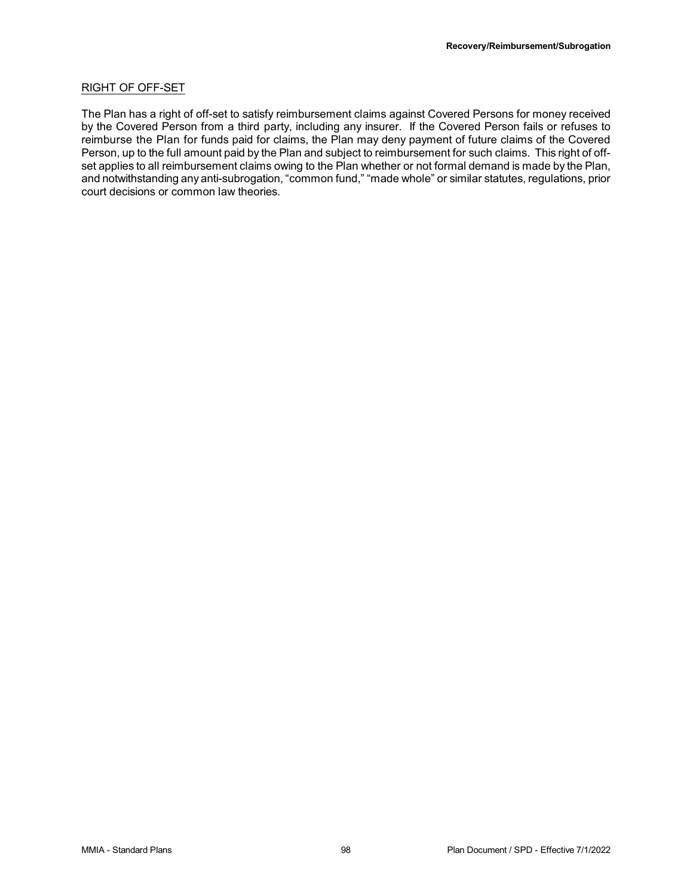## RIGHT OF OFF-SET

The Plan has a right of off-set to satisfy reimbursement claims against Covered Persons for money received by the Covered Person from a third party, including any insurer. If the Covered Person fails or refuses to reimburse the Plan for funds paid for claims, the Plan may deny payment of future claims of the Covered Person, up to the full amount paid by the Plan and subject to reimbursement for such claims. This right of offset applies to all reimbursement claims owing to the Plan whether or not formal demand is made by the Plan, and notwithstanding any anti-subrogation, "common fund," "made whole" or similar statutes, regulations, prior court decisions or common law theories.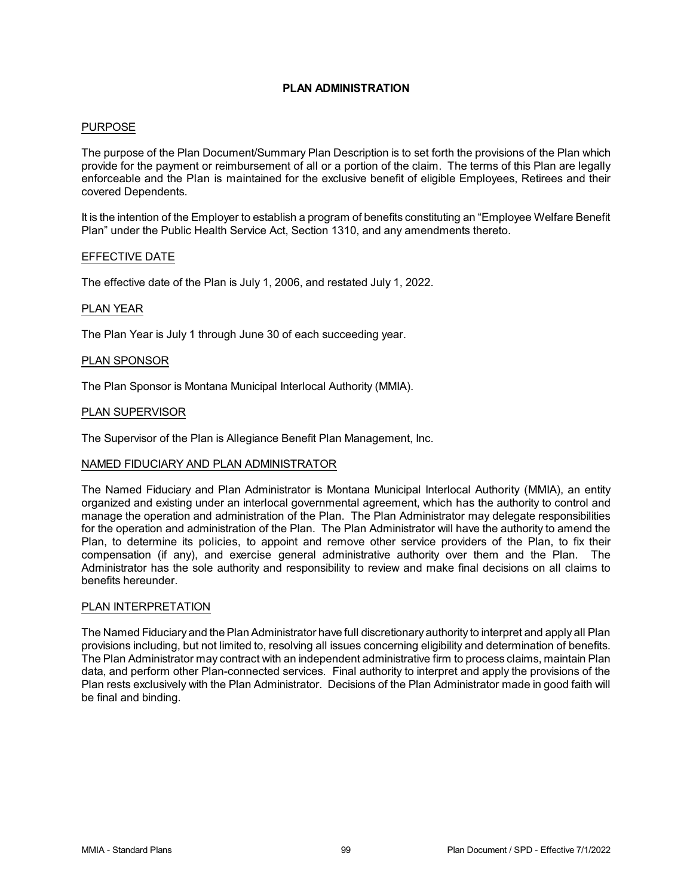## **PLAN ADMINISTRATION**

#### PURPOSE

The purpose of the Plan Document/Summary Plan Description is to set forth the provisions of the Plan which provide for the payment or reimbursement of all or a portion of the claim. The terms of this Plan are legally enforceable and the Plan is maintained for the exclusive benefit of eligible Employees, Retirees and their covered Dependents.

It is the intention of the Employer to establish a program of benefits constituting an "Employee Welfare Benefit Plan" under the Public Health Service Act, Section 1310, and any amendments thereto.

#### EFFECTIVE DATE

The effective date of the Plan is July 1, 2006, and restated July 1, 2022.

#### PLAN YEAR

The Plan Year is July 1 through June 30 of each succeeding year.

#### PLAN SPONSOR

The Plan Sponsor is Montana Municipal Interlocal Authority (MMIA).

#### PLAN SUPERVISOR

The Supervisor of the Plan is Allegiance Benefit Plan Management, Inc.

## NAMED FIDUCIARY AND PLAN ADMINISTRATOR

The Named Fiduciary and Plan Administrator is Montana Municipal Interlocal Authority (MMIA), an entity organized and existing under an interlocal governmental agreement, which has the authority to control and manage the operation and administration of the Plan. The Plan Administrator may delegate responsibilities for the operation and administration of the Plan. The Plan Administrator will have the authority to amend the Plan, to determine its policies, to appoint and remove other service providers of the Plan, to fix their compensation (if any), and exercise general administrative authority over them and the Plan. The Administrator has the sole authority and responsibility to review and make final decisions on all claims to benefits hereunder.

## PLAN INTERPRETATION

The Named Fiduciary and the Plan Administrator have full discretionary authority to interpret and apply all Plan provisions including, but not limited to, resolving all issues concerning eligibility and determination of benefits. The Plan Administrator may contract with an independent administrative firm to process claims, maintain Plan data, and perform other Plan-connected services. Final authority to interpret and apply the provisions of the Plan rests exclusively with the Plan Administrator. Decisions of the Plan Administrator made in good faith will be final and binding.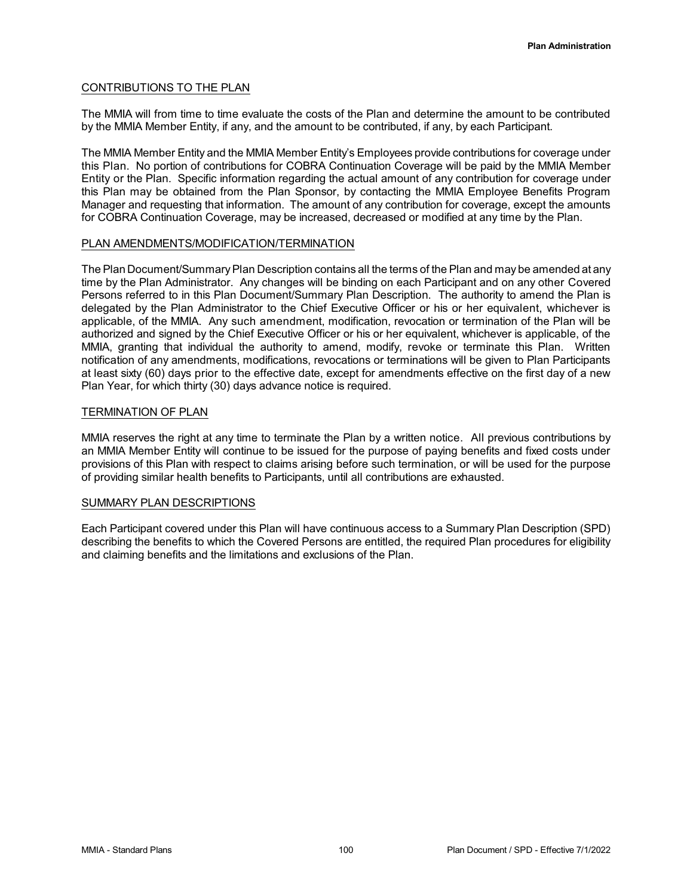## CONTRIBUTIONS TO THE PLAN

The MMIA will from time to time evaluate the costs of the Plan and determine the amount to be contributed by the MMIA Member Entity, if any, and the amount to be contributed, if any, by each Participant.

The MMIA Member Entity and the MMIA Member Entity's Employees provide contributions for coverage under this Plan. No portion of contributions for COBRA Continuation Coverage will be paid by the MMIA Member Entity or the Plan. Specific information regarding the actual amount of any contribution for coverage under this Plan may be obtained from the Plan Sponsor, by contacting the MMIA Employee Benefits Program Manager and requesting that information. The amount of any contribution for coverage, except the amounts for COBRA Continuation Coverage, may be increased, decreased or modified at any time by the Plan.

## PLAN AMENDMENTS/MODIFICATION/TERMINATION

The Plan Document/Summary Plan Description contains all the terms of the Plan and may be amended at any time by the Plan Administrator. Any changes will be binding on each Participant and on any other Covered Persons referred to in this Plan Document/Summary Plan Description. The authority to amend the Plan is delegated by the Plan Administrator to the Chief Executive Officer or his or her equivalent, whichever is applicable, of the MMIA. Any such amendment, modification, revocation or termination of the Plan will be authorized and signed by the Chief Executive Officer or his or her equivalent, whichever is applicable, of the MMIA, granting that individual the authority to amend, modify, revoke or terminate this Plan. Written notification of any amendments, modifications, revocations or terminations will be given to Plan Participants at least sixty (60) days prior to the effective date, except for amendments effective on the first day of a new Plan Year, for which thirty (30) days advance notice is required.

#### TERMINATION OF PLAN

MMIA reserves the right at any time to terminate the Plan by a written notice. All previous contributions by an MMIA Member Entity will continue to be issued for the purpose of paying benefits and fixed costs under provisions of this Plan with respect to claims arising before such termination, or will be used for the purpose of providing similar health benefits to Participants, until all contributions are exhausted.

#### SUMMARY PLAN DESCRIPTIONS

Each Participant covered under this Plan will have continuous access to a Summary Plan Description (SPD) describing the benefits to which the Covered Persons are entitled, the required Plan procedures for eligibility and claiming benefits and the limitations and exclusions of the Plan.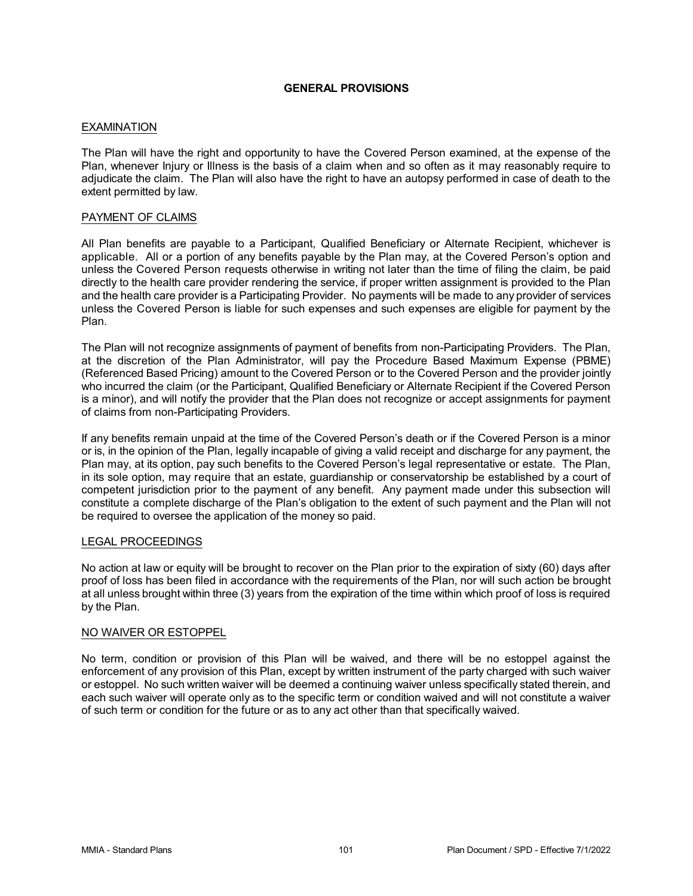## **GENERAL PROVISIONS**

#### EXAMINATION

The Plan will have the right and opportunity to have the Covered Person examined, at the expense of the Plan, whenever Injury or Illness is the basis of a claim when and so often as it may reasonably require to adjudicate the claim. The Plan will also have the right to have an autopsy performed in case of death to the extent permitted by law.

#### PAYMENT OF CLAIMS

All Plan benefits are payable to a Participant, Qualified Beneficiary or Alternate Recipient, whichever is applicable. All or a portion of any benefits payable by the Plan may, at the Covered Person's option and unless the Covered Person requests otherwise in writing not later than the time of filing the claim, be paid directly to the health care provider rendering the service, if proper written assignment is provided to the Plan and the health care provider is a Participating Provider. No payments will be made to any provider of services unless the Covered Person is liable for such expenses and such expenses are eligible for payment by the Plan.

The Plan will not recognize assignments of payment of benefits from non-Participating Providers. The Plan, at the discretion of the Plan Administrator, will pay the Procedure Based Maximum Expense (PBME) (Referenced Based Pricing) amount to the Covered Person or to the Covered Person and the provider jointly who incurred the claim (or the Participant, Qualified Beneficiary or Alternate Recipient if the Covered Person is a minor), and will notify the provider that the Plan does not recognize or accept assignments for payment of claims from non-Participating Providers.

If any benefits remain unpaid at the time of the Covered Person's death or if the Covered Person is a minor or is, in the opinion of the Plan, legally incapable of giving a valid receipt and discharge for any payment, the Plan may, at its option, pay such benefits to the Covered Person's legal representative or estate. The Plan, in its sole option, may require that an estate, guardianship or conservatorship be established by a court of competent jurisdiction prior to the payment of any benefit. Any payment made under this subsection will constitute a complete discharge of the Plan's obligation to the extent of such payment and the Plan will not be required to oversee the application of the money so paid.

## LEGAL PROCEEDINGS

No action at law or equity will be brought to recover on the Plan prior to the expiration of sixty (60) days after proof of loss has been filed in accordance with the requirements of the Plan, nor will such action be brought at all unless brought within three (3) years from the expiration of the time within which proof of loss is required by the Plan.

## NO WAIVER OR ESTOPPEL

No term, condition or provision of this Plan will be waived, and there will be no estoppel against the enforcement of any provision of this Plan, except by written instrument of the party charged with such waiver or estoppel. No such written waiver will be deemed a continuing waiver unless specifically stated therein, and each such waiver will operate only as to the specific term or condition waived and will not constitute a waiver of such term or condition for the future or as to any act other than that specifically waived.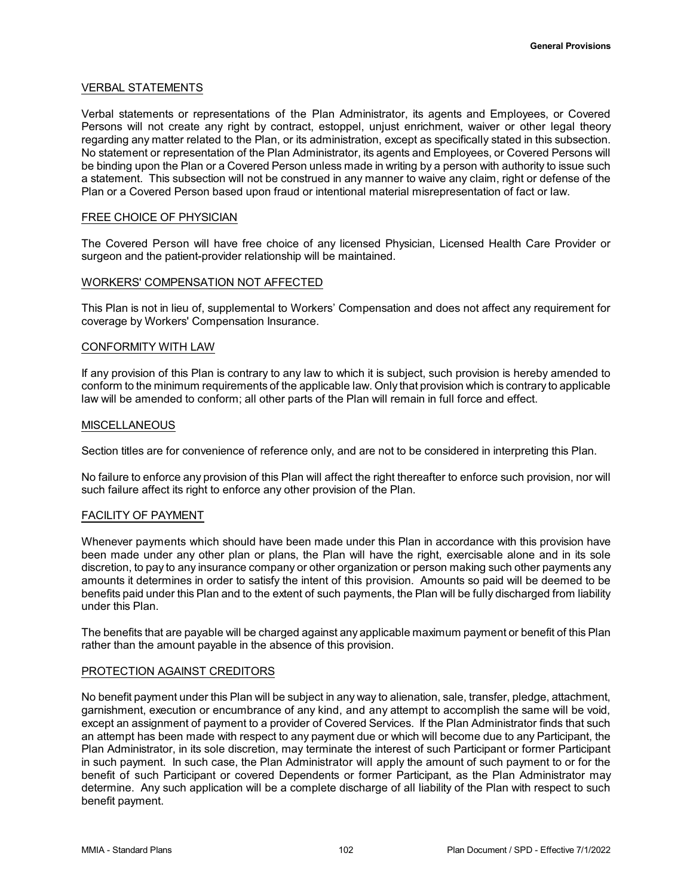## VERBAL STATEMENTS

Verbal statements or representations of the Plan Administrator, its agents and Employees, or Covered Persons will not create any right by contract, estoppel, unjust enrichment, waiver or other legal theory regarding any matter related to the Plan, or its administration, except as specifically stated in this subsection. No statement or representation of the Plan Administrator, its agents and Employees, or Covered Persons will be binding upon the Plan or a Covered Person unless made in writing by a person with authority to issue such a statement. This subsection will not be construed in any manner to waive any claim, right or defense of the Plan or a Covered Person based upon fraud or intentional material misrepresentation of fact or law.

#### FREE CHOICE OF PHYSICIAN

The Covered Person will have free choice of any licensed Physician, Licensed Health Care Provider or surgeon and the patient-provider relationship will be maintained.

#### WORKERS' COMPENSATION NOT AFFECTED

This Plan is not in lieu of, supplemental to Workers' Compensation and does not affect any requirement for coverage by Workers' Compensation Insurance.

#### CONFORMITY WITH LAW

If any provision of this Plan is contrary to any law to which it is subject, such provision is hereby amended to conform to the minimum requirements of the applicable law. Only that provision which is contrary to applicable law will be amended to conform; all other parts of the Plan will remain in full force and effect.

#### **MISCELLANEOUS**

Section titles are for convenience of reference only, and are not to be considered in interpreting this Plan.

No failure to enforce any provision of this Plan will affect the right thereafter to enforce such provision, nor will such failure affect its right to enforce any other provision of the Plan.

## FACILITY OF PAYMENT

Whenever payments which should have been made under this Plan in accordance with this provision have been made under any other plan or plans, the Plan will have the right, exercisable alone and in its sole discretion, to pay to any insurance company or other organization or person making such other payments any amounts it determines in order to satisfy the intent of this provision. Amounts so paid will be deemed to be benefits paid under this Plan and to the extent of such payments, the Plan will be fully discharged from liability under this Plan.

The benefits that are payable will be charged against any applicable maximum payment or benefit of this Plan rather than the amount payable in the absence of this provision.

## PROTECTION AGAINST CREDITORS

No benefit payment under this Plan will be subject in any way to alienation, sale, transfer, pledge, attachment, garnishment, execution or encumbrance of any kind, and any attempt to accomplish the same will be void, except an assignment of payment to a provider of Covered Services. If the Plan Administrator finds that such an attempt has been made with respect to any payment due or which will become due to any Participant, the Plan Administrator, in its sole discretion, may terminate the interest of such Participant or former Participant in such payment. In such case, the Plan Administrator will apply the amount of such payment to or for the benefit of such Participant or covered Dependents or former Participant, as the Plan Administrator may determine. Any such application will be a complete discharge of all liability of the Plan with respect to such benefit payment.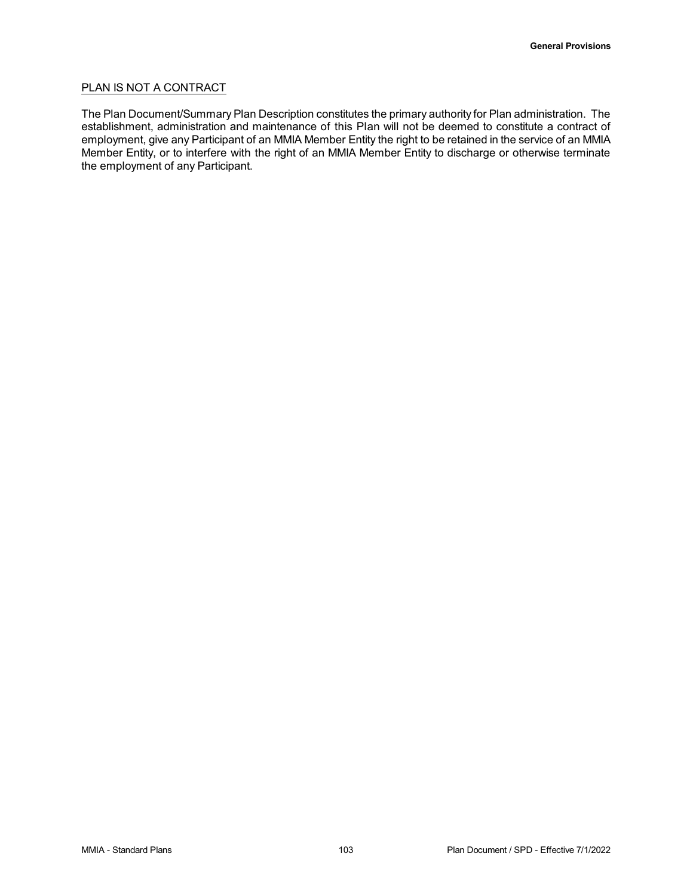## PLAN IS NOT A CONTRACT

The Plan Document/Summary Plan Description constitutes the primary authority for Plan administration. The establishment, administration and maintenance of this Plan will not be deemed to constitute a contract of employment, give any Participant of an MMIA Member Entity the right to be retained in the service of an MMIA Member Entity, or to interfere with the right of an MMIA Member Entity to discharge or otherwise terminate the employment of any Participant.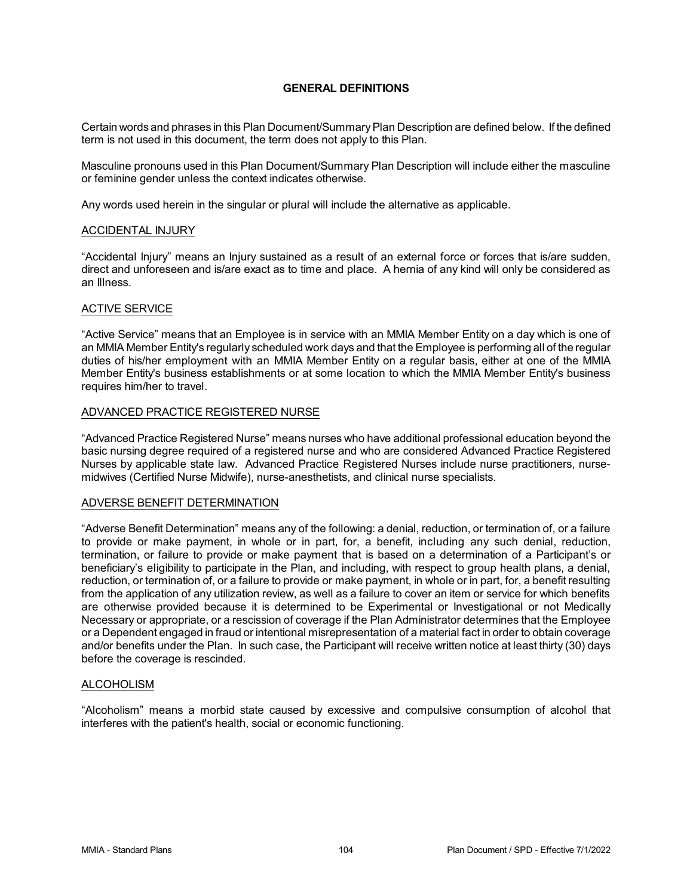# **GENERAL DEFINITIONS**

Certain words and phrases in this Plan Document/SummaryPlan Description are defined below. If the defined term is not used in this document, the term does not apply to this Plan.

Masculine pronouns used in this Plan Document/Summary Plan Description will include either the masculine or feminine gender unless the context indicates otherwise.

Any words used herein in the singular or plural will include the alternative as applicable.

## ACCIDENTAL INJURY

"Accidental Injury" means an Injury sustained as a result of an external force or forces that is/are sudden, direct and unforeseen and is/are exact as to time and place. A hernia of any kind will only be considered as an Illness.

## ACTIVE SERVICE

"Active Service" means that an Employee is in service with an MMIA Member Entity on a day which is one of an MMIA Member Entity's regularly scheduled work days and that the Employee is performing all of the regular duties of his/her employment with an MMIA Member Entity on a regular basis, either at one of the MMIA Member Entity's business establishments or at some location to which the MMIA Member Entity's business requires him/her to travel.

### ADVANCED PRACTICE REGISTERED NURSE

"Advanced Practice Registered Nurse" means nurses who have additional professional education beyond the basic nursing degree required of a registered nurse and who are considered Advanced Practice Registered Nurses by applicable state law. Advanced Practice Registered Nurses include nurse practitioners, nursemidwives (Certified Nurse Midwife), nurse-anesthetists, and clinical nurse specialists.

### ADVERSE BENEFIT DETERMINATION

"Adverse Benefit Determination" means any of the following: a denial, reduction, or termination of, or a failure to provide or make payment, in whole or in part, for, a benefit, including any such denial, reduction, termination, or failure to provide or make payment that is based on a determination of a Participant's or beneficiary's eligibility to participate in the Plan, and including, with respect to group health plans, a denial, reduction, or termination of, or a failure to provide or make payment, in whole or in part, for, a benefit resulting from the application of any utilization review, as well as a failure to cover an item or service for which benefits are otherwise provided because it is determined to be Experimental or Investigational or not Medically Necessary or appropriate, or a rescission of coverage if the Plan Administrator determines that the Employee or a Dependent engaged in fraud or intentional misrepresentation of a material fact in order to obtain coverage and/or benefits under the Plan. In such case, the Participant will receive written notice at least thirty (30) days before the coverage is rescinded.

### ALCOHOLISM

"Alcoholism" means a morbid state caused by excessive and compulsive consumption of alcohol that interferes with the patient's health, social or economic functioning.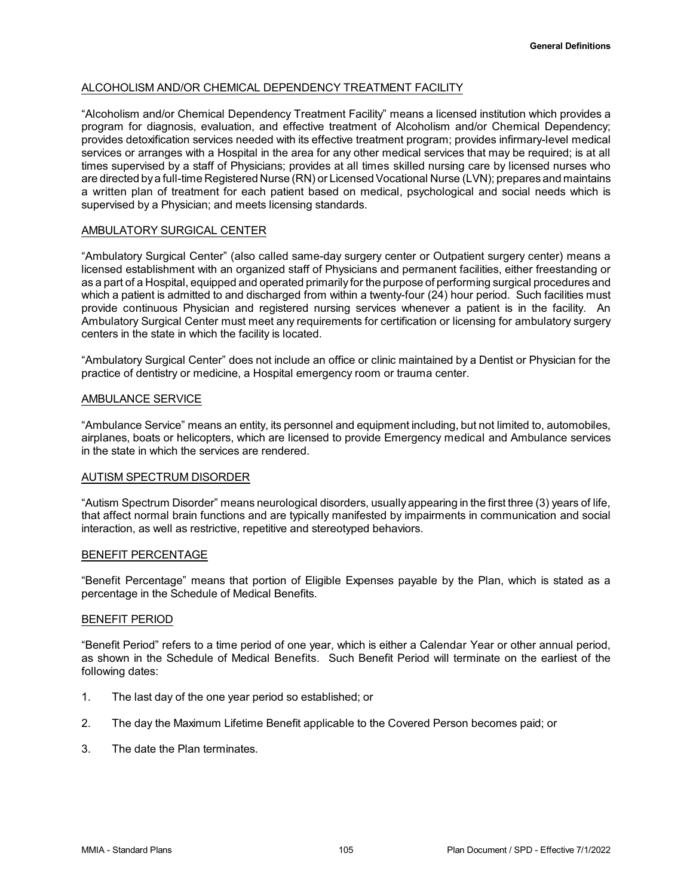# ALCOHOLISM AND/OR CHEMICAL DEPENDENCY TREATMENT FACILITY

"Alcoholism and/or Chemical Dependency Treatment Facility" means a licensed institution which provides a program for diagnosis, evaluation, and effective treatment of Alcoholism and/or Chemical Dependency; provides detoxification services needed with its effective treatment program; provides infirmary-level medical services or arranges with a Hospital in the area for any other medical services that may be required; is at all times supervised by a staff of Physicians; provides at all times skilled nursing care by licensed nurses who are directed bya full-time Registered Nurse (RN) or Licensed Vocational Nurse (LVN); prepares and maintains a written plan of treatment for each patient based on medical, psychological and social needs which is supervised by a Physician; and meets licensing standards.

## AMBULATORY SURGICAL CENTER

"Ambulatory Surgical Center" (also called same-day surgery center or Outpatient surgery center) means a licensed establishment with an organized staff of Physicians and permanent facilities, either freestanding or as a part of a Hospital, equipped and operated primarily for the purpose of performing surgical procedures and which a patient is admitted to and discharged from within a twenty-four (24) hour period. Such facilities must provide continuous Physician and registered nursing services whenever a patient is in the facility. An Ambulatory Surgical Center must meet any requirements for certification or licensing for ambulatory surgery centers in the state in which the facility is located.

"Ambulatory Surgical Center" does not include an office or clinic maintained by a Dentist or Physician for the practice of dentistry or medicine, a Hospital emergency room or trauma center.

### AMBULANCE SERVICE

"Ambulance Service" means an entity, its personnel and equipment including, but not limited to, automobiles, airplanes, boats or helicopters, which are licensed to provide Emergency medical and Ambulance services in the state in which the services are rendered.

### AUTISM SPECTRUM DISORDER

"Autism Spectrum Disorder" means neurological disorders, usuallyappearing in the first three (3) years of life, that affect normal brain functions and are typically manifested by impairments in communication and social interaction, as well as restrictive, repetitive and stereotyped behaviors.

### BENEFIT PERCENTAGE

"Benefit Percentage" means that portion of Eligible Expenses payable by the Plan, which is stated as a percentage in the Schedule of Medical Benefits.

### BENEFIT PERIOD

"Benefit Period" refers to a time period of one year, which is either a Calendar Year or other annual period, as shown in the Schedule of Medical Benefits. Such Benefit Period will terminate on the earliest of the following dates:

- 1. The last day of the one year period so established; or
- 2. The day the Maximum Lifetime Benefit applicable to the Covered Person becomes paid; or
- 3. The date the Plan terminates.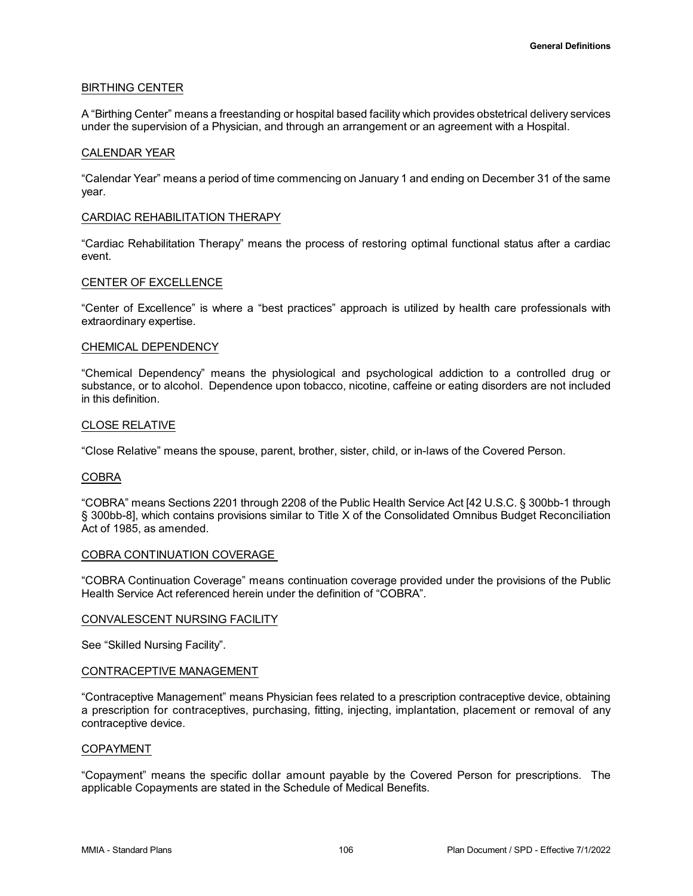## BIRTHING CENTER

A "Birthing Center" means a freestanding or hospital based facility which provides obstetrical delivery services under the supervision of a Physician, and through an arrangement or an agreement with a Hospital.

## CALENDAR YEAR

"Calendar Year" means a period of time commencing on January 1 and ending on December 31 of the same year.

## CARDIAC REHABILITATION THERAPY

"Cardiac Rehabilitation Therapy" means the process of restoring optimal functional status after a cardiac event.

### CENTER OF EXCELLENCE

"Center of Excellence" is where a "best practices" approach is utilized by health care professionals with extraordinary expertise.

### CHEMICAL DEPENDENCY

"Chemical Dependency" means the physiological and psychological addiction to a controlled drug or substance, or to alcohol. Dependence upon tobacco, nicotine, caffeine or eating disorders are not included in this definition.

### CLOSE RELATIVE

"Close Relative" means the spouse, parent, brother, sister, child, or in-laws of the Covered Person.

### COBRA

"COBRA" means Sections 2201 through 2208 of the Public Health Service Act [42 U.S.C. § 300bb-1 through § 300bb-8], which contains provisions similar to Title X of the Consolidated Omnibus Budget Reconciliation Act of 1985, as amended.

### COBRA CONTINUATION COVERAGE

"COBRA Continuation Coverage" means continuation coverage provided under the provisions of the Public Health Service Act referenced herein under the definition of "COBRA".

### CONVALESCENT NURSING FACILITY

See "Skilled Nursing Facility".

### CONTRACEPTIVE MANAGEMENT

"Contraceptive Management" means Physician fees related to a prescription contraceptive device, obtaining a prescription for contraceptives, purchasing, fitting, injecting, implantation, placement or removal of any contraceptive device.

### COPAYMENT

"Copayment" means the specific dollar amount payable by the Covered Person for prescriptions. The applicable Copayments are stated in the Schedule of Medical Benefits.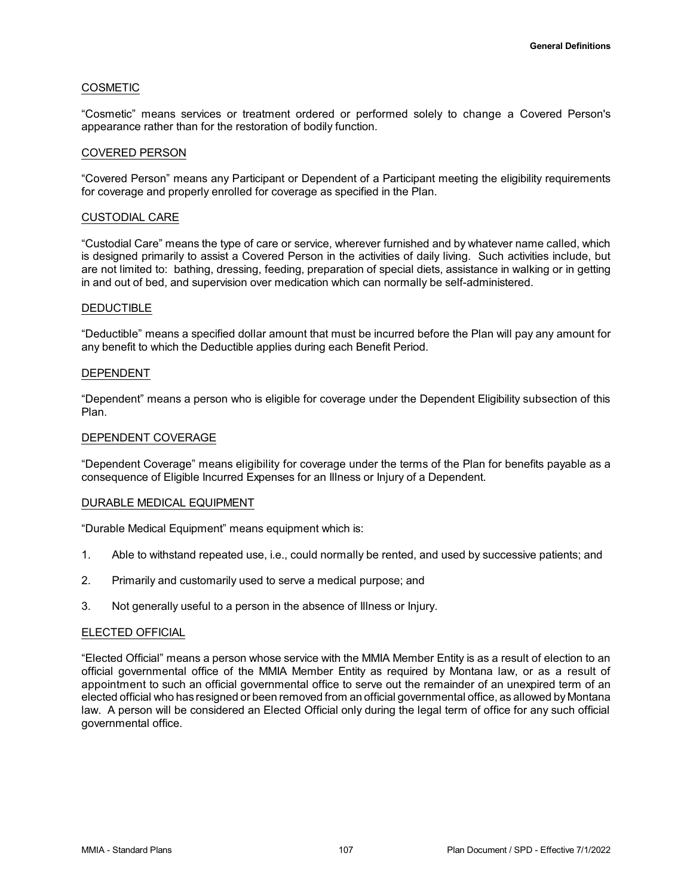## COSMETIC

"Cosmetic" means services or treatment ordered or performed solely to change a Covered Person's appearance rather than for the restoration of bodily function.

### COVERED PERSON

"Covered Person" means any Participant or Dependent of a Participant meeting the eligibility requirements for coverage and properly enrolled for coverage as specified in the Plan.

### CUSTODIAL CARE

"Custodial Care" means the type of care or service, wherever furnished and by whatever name called, which is designed primarily to assist a Covered Person in the activities of daily living. Such activities include, but are not limited to: bathing, dressing, feeding, preparation of special diets, assistance in walking or in getting in and out of bed, and supervision over medication which can normally be self-administered.

### DEDUCTIBLE

"Deductible" means a specified dollar amount that must be incurred before the Plan will pay any amount for any benefit to which the Deductible applies during each Benefit Period.

### DEPENDENT

"Dependent" means a person who is eligible for coverage under the Dependent Eligibility subsection of this Plan.

### DEPENDENT COVERAGE

"Dependent Coverage" means eligibility for coverage under the terms of the Plan for benefits payable as a consequence of Eligible Incurred Expenses for an Illness or Injury of a Dependent.

### DURABLE MEDICAL EQUIPMENT

"Durable Medical Equipment" means equipment which is:

- 1. Able to withstand repeated use, i.e., could normally be rented, and used by successive patients; and
- 2. Primarily and customarily used to serve a medical purpose; and
- 3. Not generally useful to a person in the absence of Illness or Injury.

### ELECTED OFFICIAL

"Elected Official" means a person whose service with the MMIA Member Entity is as a result of election to an official governmental office of the MMIA Member Entity as required by Montana law, or as a result of appointment to such an official governmental office to serve out the remainder of an unexpired term of an elected official who has resigned or been removed from an official governmental office, as allowed by Montana law. A person will be considered an Elected Official only during the legal term of office for any such official governmental office.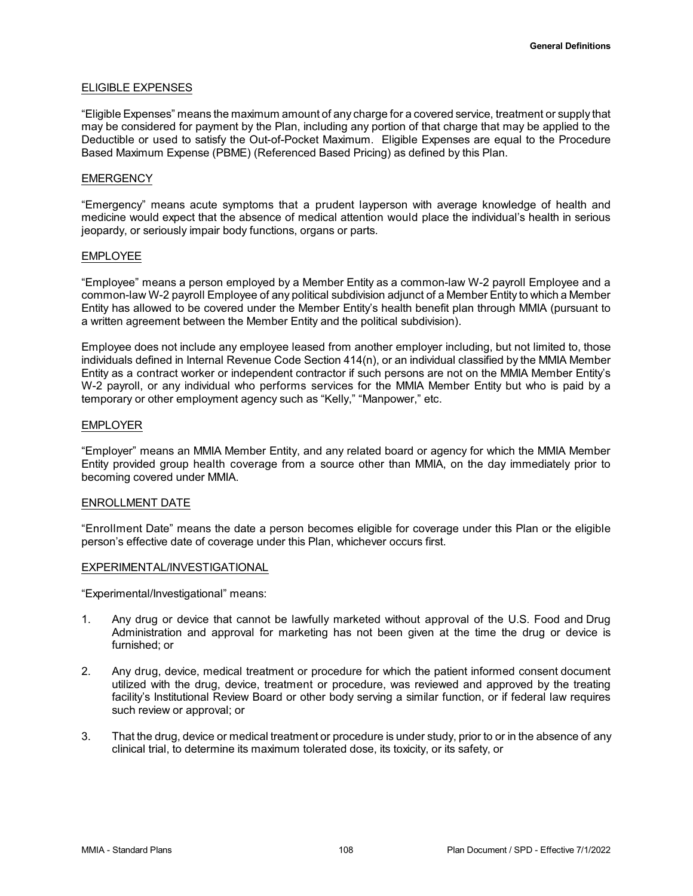## ELIGIBLE EXPENSES

"Eligible Expenses" means the maximum amount of any charge for a covered service, treatment or supply that may be considered for payment by the Plan, including any portion of that charge that may be applied to the Deductible or used to satisfy the Out-of-Pocket Maximum. Eligible Expenses are equal to the Procedure Based Maximum Expense (PBME) (Referenced Based Pricing) as defined by this Plan.

# **EMERGENCY**

"Emergency" means acute symptoms that a prudent layperson with average knowledge of health and medicine would expect that the absence of medical attention would place the individual's health in serious jeopardy, or seriously impair body functions, organs or parts.

## EMPLOYEE

"Employee" means a person employed by a Member Entity as a common-law W-2 payroll Employee and a common-law W-2 payroll Employee of any political subdivision adjunct of a Member Entity to which a Member Entity has allowed to be covered under the Member Entity's health benefit plan through MMIA (pursuant to a written agreement between the Member Entity and the political subdivision).

Employee does not include any employee leased from another employer including, but not limited to, those individuals defined in Internal Revenue Code Section 414(n), or an individual classified by the MMIA Member Entity as a contract worker or independent contractor if such persons are not on the MMIA Member Entity's W-2 payroll, or any individual who performs services for the MMIA Member Entity but who is paid by a temporary or other employment agency such as "Kelly," "Manpower," etc.

### EMPLOYER

"Employer" means an MMIA Member Entity, and any related board or agency for which the MMIA Member Entity provided group health coverage from a source other than MMIA, on the day immediately prior to becoming covered under MMIA.

## ENROLLMENT DATE

"Enrollment Date" means the date a person becomes eligible for coverage under this Plan or the eligible person's effective date of coverage under this Plan, whichever occurs first.

### EXPERIMENTAL/INVESTIGATIONAL

"Experimental/Investigational" means:

- 1. Any drug or device that cannot be lawfully marketed without approval of the U.S. Food and Drug Administration and approval for marketing has not been given at the time the drug or device is furnished; or
- 2. Any drug, device, medical treatment or procedure for which the patient informed consent document utilized with the drug, device, treatment or procedure, was reviewed and approved by the treating facility's Institutional Review Board or other body serving a similar function, or if federal law requires such review or approval; or
- 3. That the drug, device or medical treatment or procedure is under study, prior to or in the absence of any clinical trial, to determine its maximum tolerated dose, its toxicity, or its safety, or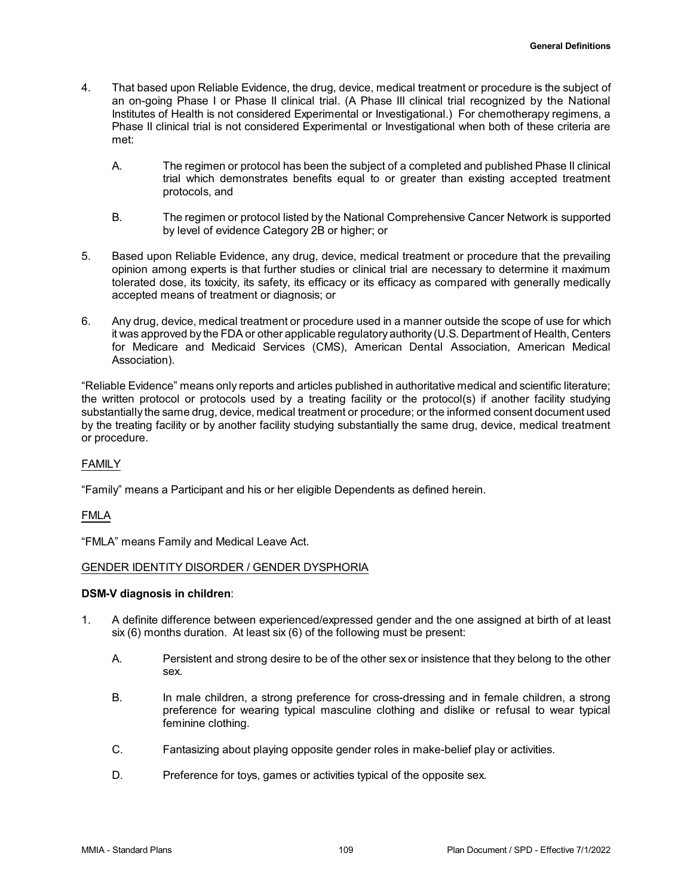- 4. That based upon Reliable Evidence, the drug, device, medical treatment or procedure is the subject of an on-going Phase I or Phase II clinical trial. (A Phase III clinical trial recognized by the National Institutes of Health is not considered Experimental or Investigational.) For chemotherapy regimens, a Phase II clinical trial is not considered Experimental or Investigational when both of these criteria are met:
	- A. The regimen or protocol has been the subject of a completed and published Phase II clinical trial which demonstrates benefits equal to or greater than existing accepted treatment protocols, and
	- B. The regimen or protocol listed by the National Comprehensive Cancer Network is supported by level of evidence Category 2B or higher; or
- 5. Based upon Reliable Evidence, any drug, device, medical treatment or procedure that the prevailing opinion among experts is that further studies or clinical trial are necessary to determine it maximum tolerated dose, its toxicity, its safety, its efficacy or its efficacy as compared with generally medically accepted means of treatment or diagnosis; or
- 6. Any drug, device, medical treatment or procedure used in a manner outside the scope of use for which it was approved by the FDA or other applicable regulatory authority (U.S. Department of Health, Centers for Medicare and Medicaid Services (CMS), American Dental Association, American Medical Association).

"Reliable Evidence" means only reports and articles published in authoritative medical and scientific literature; the written protocol or protocols used by a treating facility or the protocol(s) if another facility studying substantially the same drug, device, medical treatment or procedure; or the informed consent document used by the treating facility or by another facility studying substantially the same drug, device, medical treatment or procedure.

# FAMILY

"Family" means a Participant and his or her eligible Dependents as defined herein.

# FMLA

"FMLA" means Family and Medical Leave Act.

# GENDER IDENTITY DISORDER / GENDER DYSPHORIA

## **DSM-V diagnosis in children**:

- 1. A definite difference between experienced/expressed gender and the one assigned at birth of at least six (6) months duration. At least six (6) of the following must be present:
	- A. Persistent and strong desire to be of the other sex or insistence that they belong to the other sex.
	- B. In male children, a strong preference for cross-dressing and in female children, a strong preference for wearing typical masculine clothing and dislike or refusal to wear typical feminine clothing.
	- C. Fantasizing about playing opposite gender roles in make-belief play or activities.
	- D. Preference for toys, games or activities typical of the opposite sex.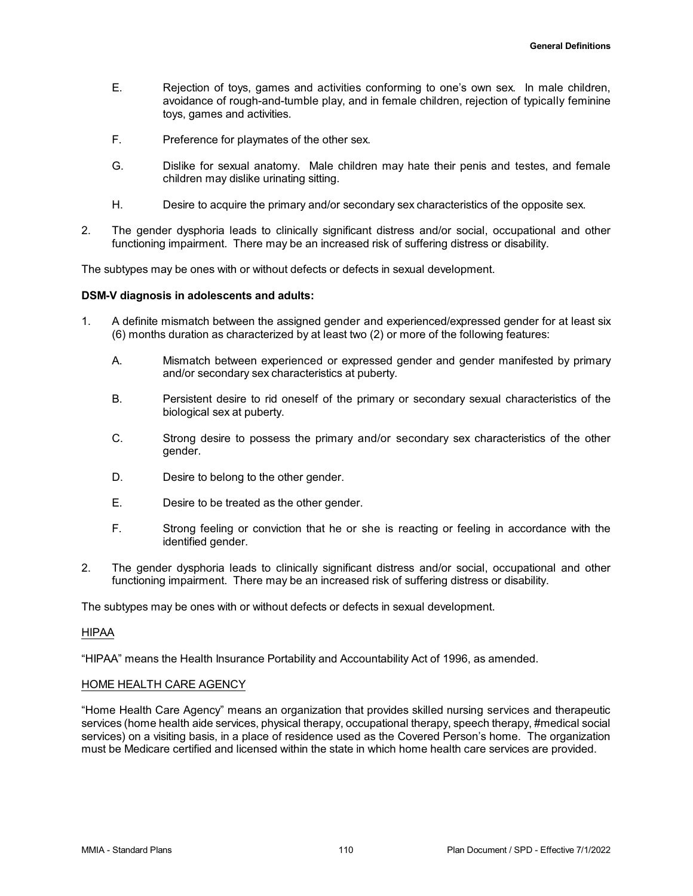- E. Rejection of toys, games and activities conforming to one's own sex. In male children, avoidance of rough-and-tumble play, and in female children, rejection of typically feminine toys, games and activities.
- F. Preference for playmates of the other sex.
- G. Dislike for sexual anatomy. Male children may hate their penis and testes, and female children may dislike urinating sitting.
- H. Desire to acquire the primary and/or secondary sex characteristics of the opposite sex.
- 2. The gender dysphoria leads to clinically significant distress and/or social, occupational and other functioning impairment. There may be an increased risk of suffering distress or disability.

The subtypes may be ones with or without defects or defects in sexual development.

### **DSM-V diagnosis in adolescents and adults:**

- 1. A definite mismatch between the assigned gender and experienced/expressed gender for at least six (6) months duration as characterized by at least two (2) or more of the following features:
	- A. Mismatch between experienced or expressed gender and gender manifested by primary and/or secondary sex characteristics at puberty.
	- B. Persistent desire to rid oneself of the primary or secondary sexual characteristics of the biological sex at puberty.
	- C. Strong desire to possess the primary and/or secondary sex characteristics of the other gender.
	- D. Desire to belong to the other gender.
	- E. Desire to be treated as the other gender.
	- F. Strong feeling or conviction that he or she is reacting or feeling in accordance with the identified gender.
- 2. The gender dysphoria leads to clinically significant distress and/or social, occupational and other functioning impairment. There may be an increased risk of suffering distress or disability.

The subtypes may be ones with or without defects or defects in sexual development.

### HIPAA

"HIPAA" means the Health Insurance Portability and Accountability Act of 1996, as amended.

### HOME HEALTH CARE AGENCY

"Home Health Care Agency" means an organization that provides skilled nursing services and therapeutic services (home health aide services, physical therapy, occupational therapy, speech therapy, #medical social services) on a visiting basis, in a place of residence used as the Covered Person's home. The organization must be Medicare certified and licensed within the state in which home health care services are provided.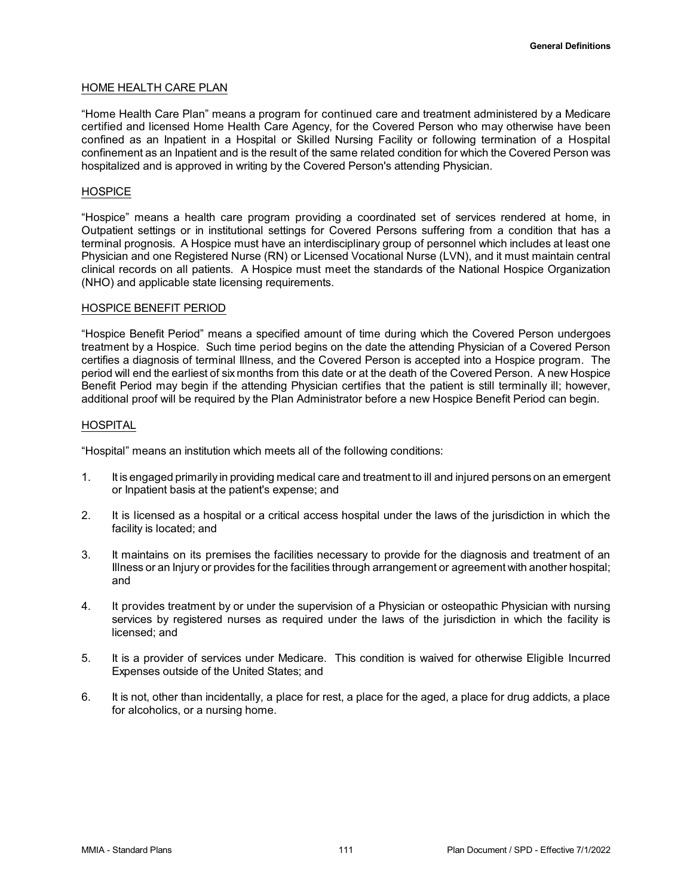## HOME HEALTH CARE PLAN

"Home Health Care Plan" means a program for continued care and treatment administered by a Medicare certified and licensed Home Health Care Agency, for the Covered Person who may otherwise have been confined as an Inpatient in a Hospital or Skilled Nursing Facility or following termination of a Hospital confinement as an Inpatient and is the result of the same related condition for which the Covered Person was hospitalized and is approved in writing by the Covered Person's attending Physician.

# **HOSPICE**

"Hospice" means a health care program providing a coordinated set of services rendered at home, in Outpatient settings or in institutional settings for Covered Persons suffering from a condition that has a terminal prognosis. A Hospice must have an interdisciplinary group of personnel which includes at least one Physician and one Registered Nurse (RN) or Licensed Vocational Nurse (LVN), and it must maintain central clinical records on all patients. A Hospice must meet the standards of the National Hospice Organization (NHO) and applicable state licensing requirements.

## HOSPICE BENEFIT PERIOD

"Hospice Benefit Period" means a specified amount of time during which the Covered Person undergoes treatment by a Hospice. Such time period begins on the date the attending Physician of a Covered Person certifies a diagnosis of terminal Illness, and the Covered Person is accepted into a Hospice program. The period will end the earliest of six months from this date or at the death of the Covered Person. A new Hospice Benefit Period may begin if the attending Physician certifies that the patient is still terminally ill; however, additional proof will be required by the Plan Administrator before a new Hospice Benefit Period can begin.

# **HOSPITAL**

"Hospital" means an institution which meets all of the following conditions:

- 1. It is engaged primarily in providing medical care and treatment to ill and injured persons on an emergent or Inpatient basis at the patient's expense; and
- 2. It is licensed as a hospital or a critical access hospital under the laws of the jurisdiction in which the facility is located; and
- 3. It maintains on its premises the facilities necessary to provide for the diagnosis and treatment of an Illness or an Injury or provides for the facilities through arrangement or agreement with another hospital; and
- 4. It provides treatment by or under the supervision of a Physician or osteopathic Physician with nursing services by registered nurses as required under the laws of the jurisdiction in which the facility is licensed; and
- 5. It is a provider of services under Medicare. This condition is waived for otherwise Eligible Incurred Expenses outside of the United States; and
- 6. It is not, other than incidentally, a place for rest, a place for the aged, a place for drug addicts, a place for alcoholics, or a nursing home.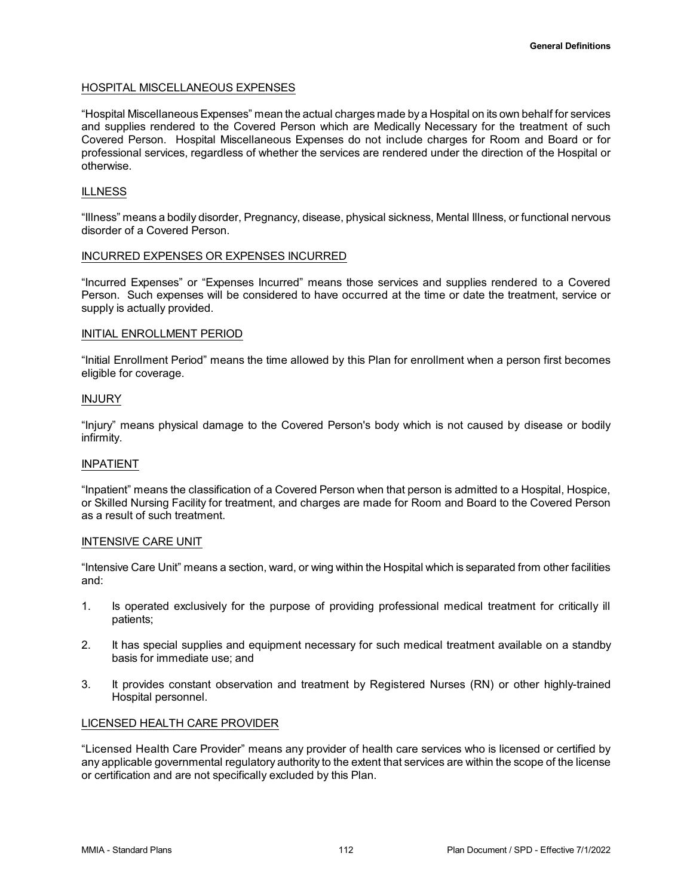## HOSPITAL MISCELLANEOUS EXPENSES

"Hospital MiscellaneousExpenses" mean the actual charges made by a Hospital on its own behalf for services and supplies rendered to the Covered Person which are Medically Necessary for the treatment of such Covered Person. Hospital Miscellaneous Expenses do not include charges for Room and Board or for professional services, regardless of whether the services are rendered under the direction of the Hospital or otherwise.

# ILLNESS

"Illness" means a bodily disorder, Pregnancy, disease, physical sickness, Mental Illness, or functional nervous disorder of a Covered Person.

## INCURRED EXPENSES OR EXPENSES INCURRED

"Incurred Expenses" or "Expenses Incurred" means those services and supplies rendered to a Covered Person. Such expenses will be considered to have occurred at the time or date the treatment, service or supply is actually provided.

## INITIAL ENROLLMENT PERIOD

"Initial Enrollment Period" means the time allowed by this Plan for enrollment when a person first becomes eligible for coverage.

## INJURY

"Injury" means physical damage to the Covered Person's body which is not caused by disease or bodily infirmity.

## INPATIENT

"Inpatient" means the classification of a Covered Person when that person is admitted to a Hospital, Hospice, or Skilled Nursing Facility for treatment, and charges are made for Room and Board to the Covered Person as a result of such treatment.

### INTENSIVE CARE UNIT

"Intensive Care Unit" means a section, ward, or wing within the Hospital which is separated from other facilities and:

- 1. Is operated exclusively for the purpose of providing professional medical treatment for critically ill patients;
- 2. It has special supplies and equipment necessary for such medical treatment available on a standby basis for immediate use; and
- 3. It provides constant observation and treatment by Registered Nurses (RN) or other highly-trained Hospital personnel.

## LICENSED HEALTH CARE PROVIDER

"Licensed Health Care Provider" means any provider of health care services who is licensed or certified by any applicable governmental regulatory authority to the extent that services are within the scope of the license or certification and are not specifically excluded by this Plan.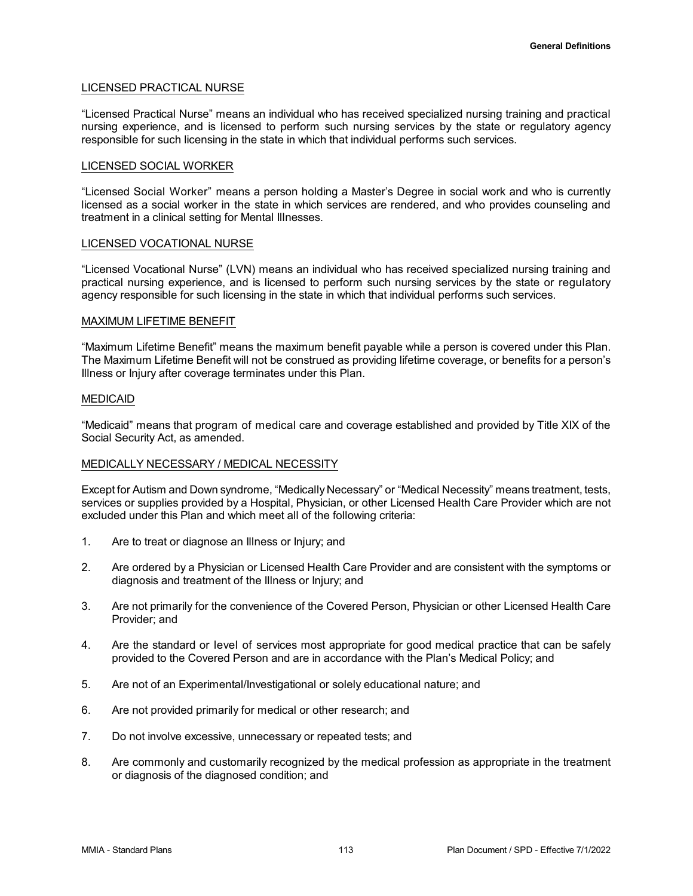## LICENSED PRACTICAL NURSE

"Licensed Practical Nurse" means an individual who has received specialized nursing training and practical nursing experience, and is licensed to perform such nursing services by the state or regulatory agency responsible for such licensing in the state in which that individual performs such services.

## LICENSED SOCIAL WORKER

"Licensed Social Worker" means a person holding a Master's Degree in social work and who is currently licensed as a social worker in the state in which services are rendered, and who provides counseling and treatment in a clinical setting for Mental Illnesses.

## LICENSED VOCATIONAL NURSE

"Licensed Vocational Nurse" (LVN) means an individual who has received specialized nursing training and practical nursing experience, and is licensed to perform such nursing services by the state or regulatory agency responsible for such licensing in the state in which that individual performs such services.

### MAXIMUM LIFETIME BENEFIT

"Maximum Lifetime Benefit" means the maximum benefit payable while a person is covered under this Plan. The Maximum Lifetime Benefit will not be construed as providing lifetime coverage, or benefits for a person's Illness or Injury after coverage terminates under this Plan.

### MEDICAID

"Medicaid" means that program of medical care and coverage established and provided by Title XIX of the Social Security Act, as amended.

## MEDICALLY NECESSARY / MEDICAL NECESSITY

Except for Autism and Down syndrome, "Medically Necessary" or "Medical Necessity" means treatment, tests, services or supplies provided by a Hospital, Physician, or other Licensed Health Care Provider which are not excluded under this Plan and which meet all of the following criteria:

- 1. Are to treat or diagnose an Illness or Injury; and
- 2. Are ordered by a Physician or Licensed Health Care Provider and are consistent with the symptoms or diagnosis and treatment of the Illness or Injury; and
- 3. Are not primarily for the convenience of the Covered Person, Physician or other Licensed Health Care Provider; and
- 4. Are the standard or level of services most appropriate for good medical practice that can be safely provided to the Covered Person and are in accordance with the Plan's Medical Policy; and
- 5. Are not of an Experimental/Investigational or solely educational nature; and
- 6. Are not provided primarily for medical or other research; and
- 7. Do not involve excessive, unnecessary or repeated tests; and
- 8. Are commonly and customarily recognized by the medical profession as appropriate in the treatment or diagnosis of the diagnosed condition; and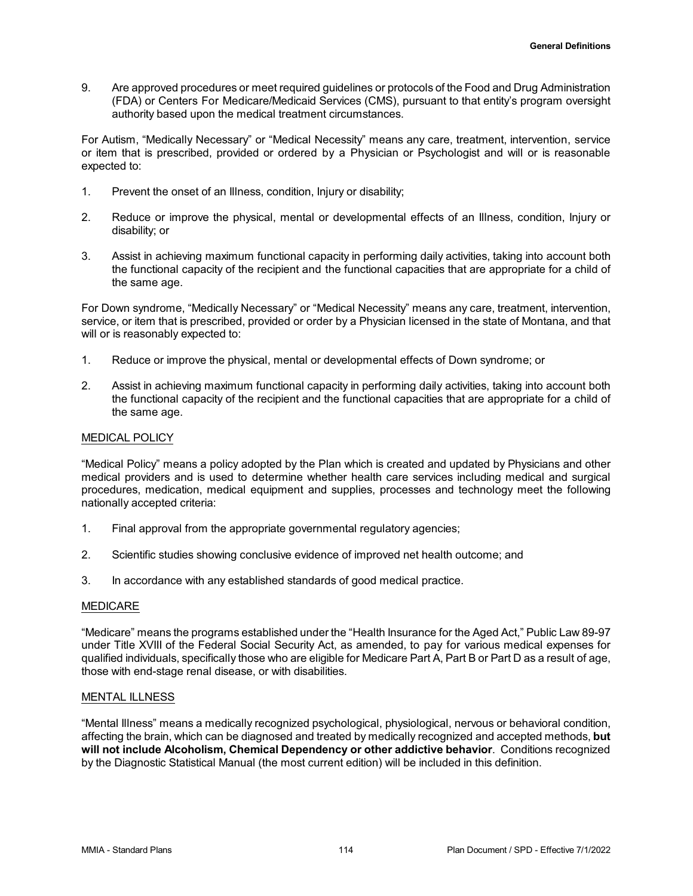9. Are approved procedures or meet required guidelines or protocols of the Food and Drug Administration (FDA) or Centers For Medicare/Medicaid Services (CMS), pursuant to that entity's program oversight authority based upon the medical treatment circumstances.

For Autism, "Medically Necessary" or "Medical Necessity" means any care, treatment, intervention, service or item that is prescribed, provided or ordered by a Physician or Psychologist and will or is reasonable expected to:

- 1. Prevent the onset of an Illness, condition, Injury or disability;
- 2. Reduce or improve the physical, mental or developmental effects of an Illness, condition, Injury or disability; or
- 3. Assist in achieving maximum functional capacity in performing daily activities, taking into account both the functional capacity of the recipient and the functional capacities that are appropriate for a child of the same age.

For Down syndrome, "Medically Necessary" or "Medical Necessity" means any care, treatment, intervention, service, or item that is prescribed, provided or order by a Physician licensed in the state of Montana, and that will or is reasonably expected to:

- 1. Reduce or improve the physical, mental or developmental effects of Down syndrome; or
- 2. Assist in achieving maximum functional capacity in performing daily activities, taking into account both the functional capacity of the recipient and the functional capacities that are appropriate for a child of the same age.

# MEDICAL POLICY

"Medical Policy" means a policy adopted by the Plan which is created and updated by Physicians and other medical providers and is used to determine whether health care services including medical and surgical procedures, medication, medical equipment and supplies, processes and technology meet the following nationally accepted criteria:

- 1. Final approval from the appropriate governmental regulatory agencies;
- 2. Scientific studies showing conclusive evidence of improved net health outcome; and
- 3. In accordance with any established standards of good medical practice.

## MEDICARE

"Medicare" means the programs established under the "Health Insurance for the Aged Act," Public Law 89-97 under Title XVIII of the Federal Social Security Act, as amended, to pay for various medical expenses for qualified individuals, specifically those who are eligible for Medicare Part A, Part B or Part D as a result of age, those with end-stage renal disease, or with disabilities.

## MENTAL ILLNESS

"Mental Illness" means a medically recognized psychological, physiological, nervous or behavioral condition, affecting the brain, which can be diagnosed and treated by medically recognized and accepted methods, **but will not include Alcoholism, Chemical Dependency or other addictive behavior**. Conditions recognized by the Diagnostic Statistical Manual (the most current edition) will be included in this definition.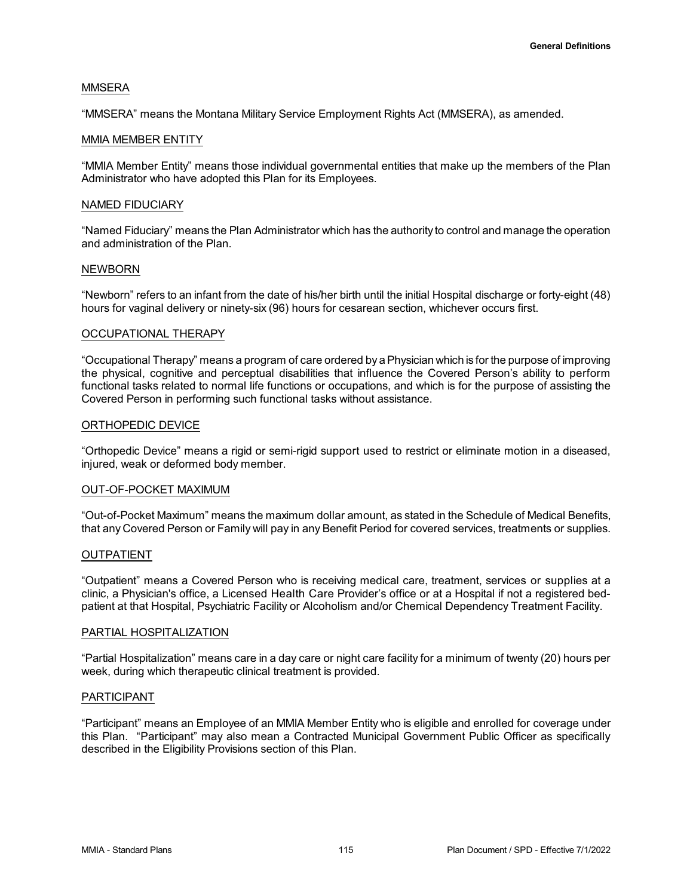### MMSERA

"MMSERA" means the Montana Military Service Employment Rights Act (MMSERA), as amended.

## MMIA MEMBER ENTITY

"MMIA Member Entity" means those individual governmental entities that make up the members of the Plan Administrator who have adopted this Plan for its Employees.

### NAMED FIDUCIARY

"Named Fiduciary" means the Plan Administrator which has the authority to control and manage the operation and administration of the Plan.

### **NEWBORN**

"Newborn" refers to an infant from the date of his/her birth until the initial Hospital discharge or forty-eight (48) hours for vaginal delivery or ninety-six (96) hours for cesarean section, whichever occurs first.

### OCCUPATIONAL THERAPY

"Occupational Therapy" means a program of care ordered by a Physician which is for the purpose of improving the physical, cognitive and perceptual disabilities that influence the Covered Person's ability to perform functional tasks related to normal life functions or occupations, and which is for the purpose of assisting the Covered Person in performing such functional tasks without assistance.

### ORTHOPEDIC DEVICE

"Orthopedic Device" means a rigid or semi-rigid support used to restrict or eliminate motion in a diseased, injured, weak or deformed body member.

### OUT-OF-POCKET MAXIMUM

"Out-of-Pocket Maximum" means the maximum dollar amount, as stated in the Schedule of Medical Benefits, that any Covered Person or Family will pay in any Benefit Period for covered services, treatments or supplies.

## OUTPATIENT

"Outpatient" means a Covered Person who is receiving medical care, treatment, services or supplies at a clinic, a Physician's office, a Licensed Health Care Provider's office or at a Hospital if not a registered bedpatient at that Hospital, Psychiatric Facility or Alcoholism and/or Chemical Dependency Treatment Facility.

### PARTIAL HOSPITALIZATION

"Partial Hospitalization" means care in a day care or night care facility for a minimum of twenty (20) hours per week, during which therapeutic clinical treatment is provided.

### PARTICIPANT

"Participant" means an Employee of an MMIA Member Entity who is eligible and enrolled for coverage under this Plan. "Participant" may also mean a Contracted Municipal Government Public Officer as specifically described in the Eligibility Provisions section of this Plan.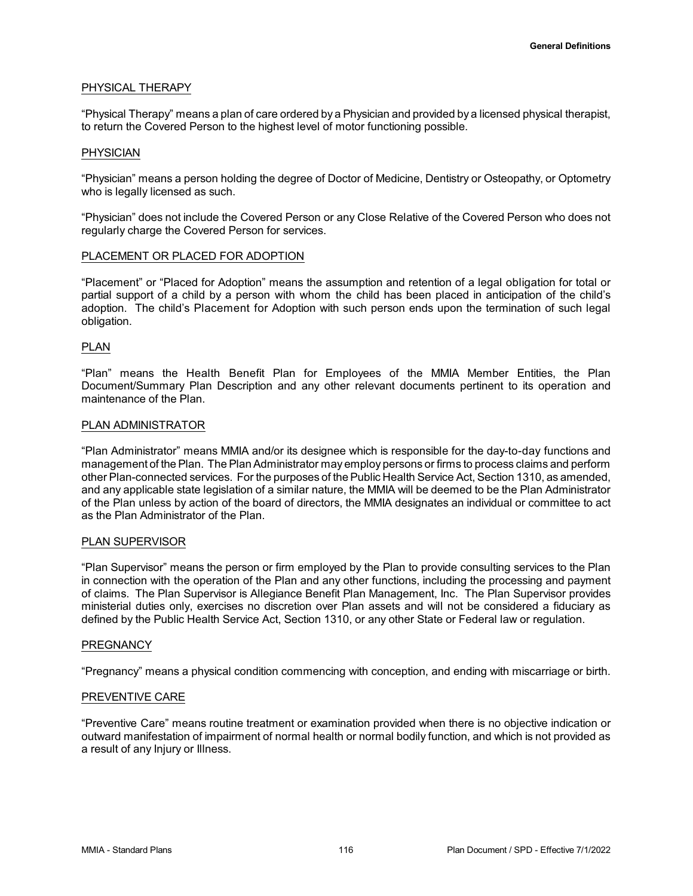## PHYSICAL THERAPY

"Physical Therapy" means a plan of care ordered by a Physician and provided by a licensed physical therapist, to return the Covered Person to the highest level of motor functioning possible.

### PHYSICIAN

"Physician" means a person holding the degree of Doctor of Medicine, Dentistry or Osteopathy, or Optometry who is legally licensed as such.

"Physician" does not include the Covered Person or any Close Relative of the Covered Person who does not regularly charge the Covered Person for services.

### PLACEMENT OR PLACED FOR ADOPTION

"Placement" or "Placed for Adoption" means the assumption and retention of a legal obligation for total or partial support of a child by a person with whom the child has been placed in anticipation of the child's adoption. The child's Placement for Adoption with such person ends upon the termination of such legal obligation.

### PLAN

"Plan" means the Health Benefit Plan for Employees of the MMIA Member Entities, the Plan Document/Summary Plan Description and any other relevant documents pertinent to its operation and maintenance of the Plan.

### PLAN ADMINISTRATOR

"Plan Administrator" means MMIA and/or its designee which is responsible for the day-to-day functions and management of the Plan. The Plan Administrator may employ persons or firms to process claims and perform other Plan-connected services. For the purposes of the Public Health Service Act, Section 1310, as amended, and any applicable state legislation of a similar nature, the MMIA will be deemed to be the Plan Administrator of the Plan unless by action of the board of directors, the MMIA designates an individual or committee to act as the Plan Administrator of the Plan.

### PLAN SUPERVISOR

"Plan Supervisor" means the person or firm employed by the Plan to provide consulting services to the Plan in connection with the operation of the Plan and any other functions, including the processing and payment of claims. The Plan Supervisor is Allegiance Benefit Plan Management, Inc. The Plan Supervisor provides ministerial duties only, exercises no discretion over Plan assets and will not be considered a fiduciary as defined by the Public Health Service Act, Section 1310, or any other State or Federal law or regulation.

### **PREGNANCY**

"Pregnancy" means a physical condition commencing with conception, and ending with miscarriage or birth.

## PREVENTIVE CARE

"Preventive Care" means routine treatment or examination provided when there is no objective indication or outward manifestation of impairment of normal health or normal bodily function, and which is not provided as a result of any Injury or Illness.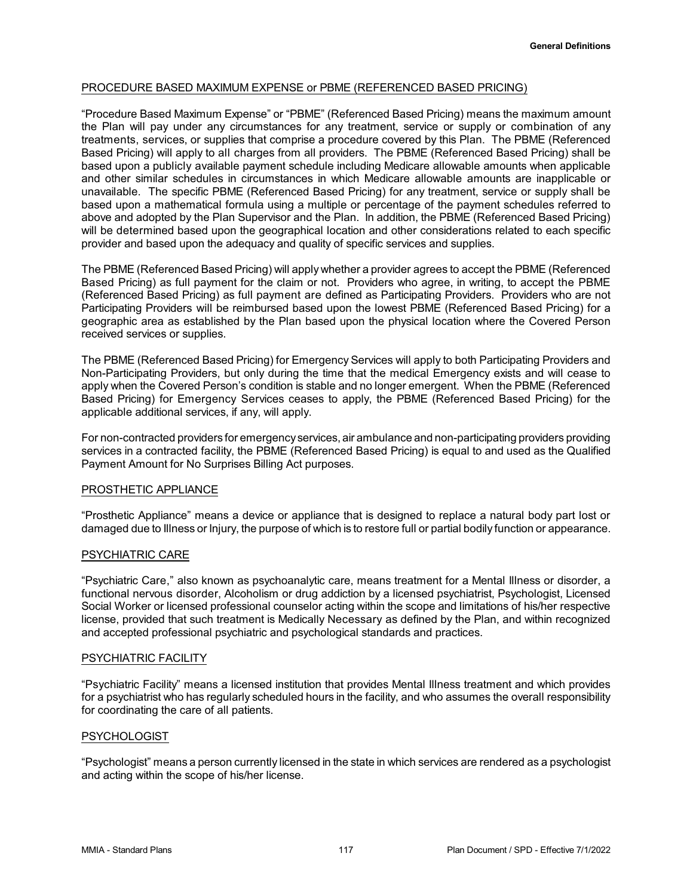# PROCEDURE BASED MAXIMUM EXPENSE or PBME (REFERENCED BASED PRICING)

"Procedure Based Maximum Expense" or "PBME" (Referenced Based Pricing) means the maximum amount the Plan will pay under any circumstances for any treatment, service or supply or combination of any treatments, services, or supplies that comprise a procedure covered by this Plan. The PBME (Referenced Based Pricing) will apply to all charges from all providers. The PBME (Referenced Based Pricing) shall be based upon a publicly available payment schedule including Medicare allowable amounts when applicable and other similar schedules in circumstances in which Medicare allowable amounts are inapplicable or unavailable. The specific PBME (Referenced Based Pricing) for any treatment, service or supply shall be based upon a mathematical formula using a multiple or percentage of the payment schedules referred to above and adopted by the Plan Supervisor and the Plan. In addition, the PBME (Referenced Based Pricing) will be determined based upon the geographical location and other considerations related to each specific provider and based upon the adequacy and quality of specific services and supplies.

The PBME (Referenced Based Pricing) will apply whether a provider agrees to accept the PBME (Referenced Based Pricing) as full payment for the claim or not. Providers who agree, in writing, to accept the PBME (Referenced Based Pricing) as full payment are defined as Participating Providers. Providers who are not Participating Providers will be reimbursed based upon the lowest PBME (Referenced Based Pricing) for a geographic area as established by the Plan based upon the physical location where the Covered Person received services or supplies.

The PBME (Referenced Based Pricing) for Emergency Services will apply to both Participating Providers and Non-Participating Providers, but only during the time that the medical Emergency exists and will cease to apply when the Covered Person's condition is stable and no longer emergent. When the PBME (Referenced Based Pricing) for Emergency Services ceases to apply, the PBME (Referenced Based Pricing) for the applicable additional services, if any, will apply.

For non-contracted providers for emergency services, air ambulance and non-participating providers providing services in a contracted facility, the PBME (Referenced Based Pricing) is equal to and used as the Qualified Payment Amount for No Surprises Billing Act purposes.

## PROSTHETIC APPLIANCE

"Prosthetic Appliance" means a device or appliance that is designed to replace a natural body part lost or damaged due to Illness or Injury, the purpose of which is to restore full or partial bodily function or appearance.

## PSYCHIATRIC CARE

"Psychiatric Care," also known as psychoanalytic care, means treatment for a Mental Illness or disorder, a functional nervous disorder, Alcoholism or drug addiction by a licensed psychiatrist, Psychologist, Licensed Social Worker or licensed professional counselor acting within the scope and limitations of his/her respective license, provided that such treatment is Medically Necessary as defined by the Plan, and within recognized and accepted professional psychiatric and psychological standards and practices.

## PSYCHIATRIC FACILITY

"Psychiatric Facility" means a licensed institution that provides Mental Illness treatment and which provides for a psychiatrist who has regularly scheduled hours in the facility, and who assumes the overall responsibility for coordinating the care of all patients.

### PSYCHOLOGIST

"Psychologist" means a person currently licensed in the state in which services are rendered as a psychologist and acting within the scope of his/her license.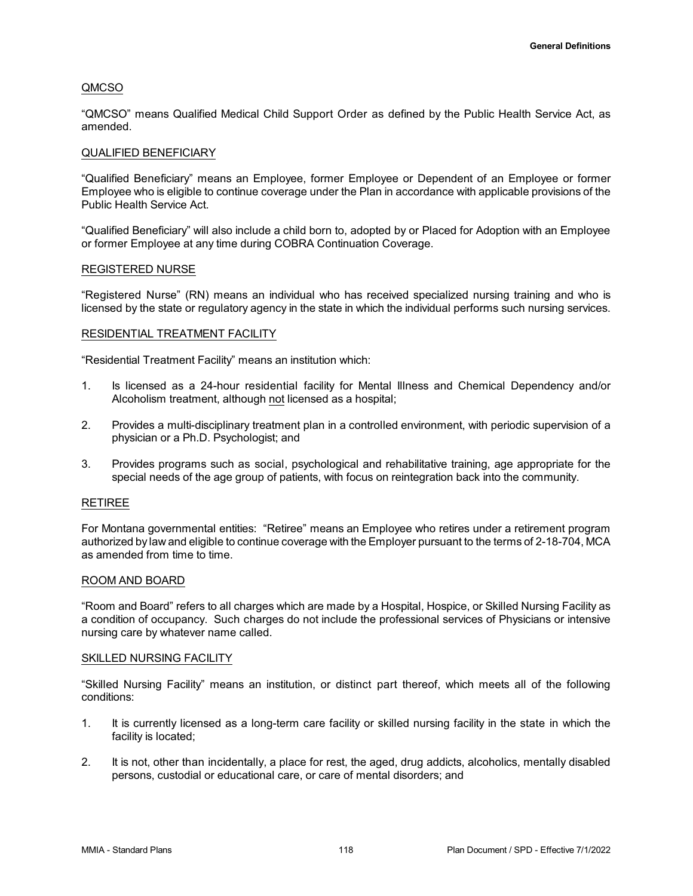## QMCSO

"QMCSO" means Qualified Medical Child Support Order as defined by the Public Health Service Act, as amended.

# QUALIFIED BENEFICIARY

"Qualified Beneficiary" means an Employee, former Employee or Dependent of an Employee or former Employee who is eligible to continue coverage under the Plan in accordance with applicable provisions of the Public Health Service Act.

"Qualified Beneficiary" will also include a child born to, adopted by or Placed for Adoption with an Employee or former Employee at any time during COBRA Continuation Coverage.

### REGISTERED NURSE

"Registered Nurse" (RN) means an individual who has received specialized nursing training and who is licensed by the state or regulatory agency in the state in which the individual performs such nursing services.

### RESIDENTIAL TREATMENT FACILITY

"Residential Treatment Facility" means an institution which:

- 1. Is licensed as a 24-hour residential facility for Mental Illness and Chemical Dependency and/or Alcoholism treatment, although not licensed as a hospital;
- 2. Provides a multi-disciplinary treatment plan in a controlled environment, with periodic supervision of a physician or a Ph.D. Psychologist; and
- 3. Provides programs such as social, psychological and rehabilitative training, age appropriate for the special needs of the age group of patients, with focus on reintegration back into the community.

### RETIREE

For Montana governmental entities: "Retiree" means an Employee who retires under a retirement program authorized by law and eligible to continue coverage with the Employer pursuant to the terms of 2-18-704, MCA as amended from time to time.

### ROOM AND BOARD

"Room and Board" refers to all charges which are made by a Hospital, Hospice, or Skilled Nursing Facility as a condition of occupancy. Such charges do not include the professional services of Physicians or intensive nursing care by whatever name called.

### SKILLED NURSING FACILITY

"Skilled Nursing Facility" means an institution, or distinct part thereof, which meets all of the following conditions:

- 1. It is currently licensed as a long-term care facility or skilled nursing facility in the state in which the facility is located;
- 2. It is not, other than incidentally, a place for rest, the aged, drug addicts, alcoholics, mentally disabled persons, custodial or educational care, or care of mental disorders; and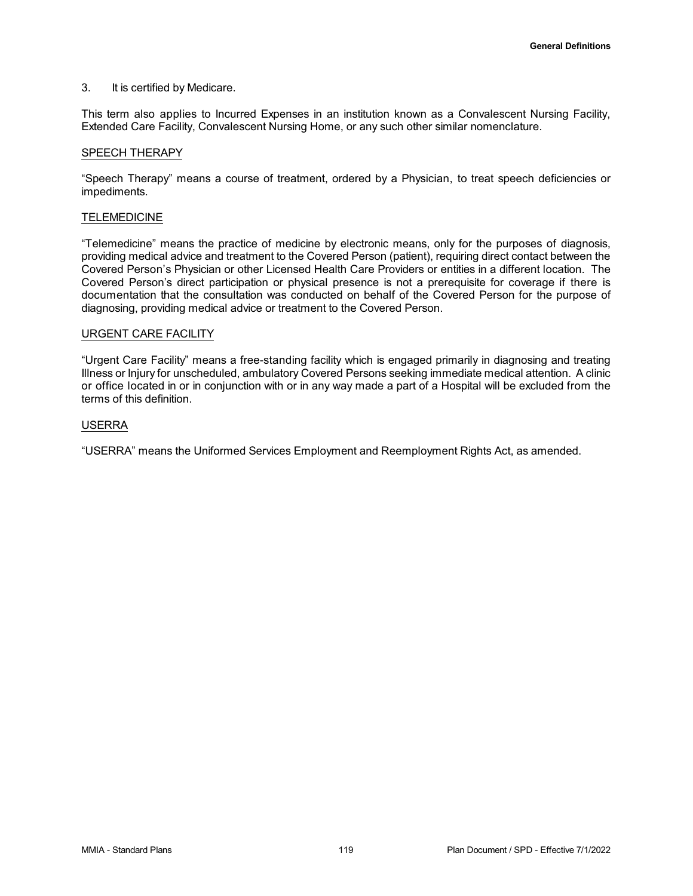## 3. It is certified by Medicare.

This term also applies to Incurred Expenses in an institution known as a Convalescent Nursing Facility, Extended Care Facility, Convalescent Nursing Home, or any such other similar nomenclature.

## SPEECH THERAPY

"Speech Therapy" means a course of treatment, ordered by a Physician, to treat speech deficiencies or impediments.

### TELEMEDICINE

"Telemedicine" means the practice of medicine by electronic means, only for the purposes of diagnosis, providing medical advice and treatment to the Covered Person (patient), requiring direct contact between the Covered Person's Physician or other Licensed Health Care Providers or entities in a different location. The Covered Person's direct participation or physical presence is not a prerequisite for coverage if there is documentation that the consultation was conducted on behalf of the Covered Person for the purpose of diagnosing, providing medical advice or treatment to the Covered Person.

### URGENT CARE FACILITY

"Urgent Care Facility" means a free-standing facility which is engaged primarily in diagnosing and treating Illness or Injury for unscheduled, ambulatory Covered Persons seeking immediate medical attention. A clinic or office located in or in conjunction with or in any way made a part of a Hospital will be excluded from the terms of this definition.

### USERRA

"USERRA" means the Uniformed Services Employment and Reemployment Rights Act, as amended.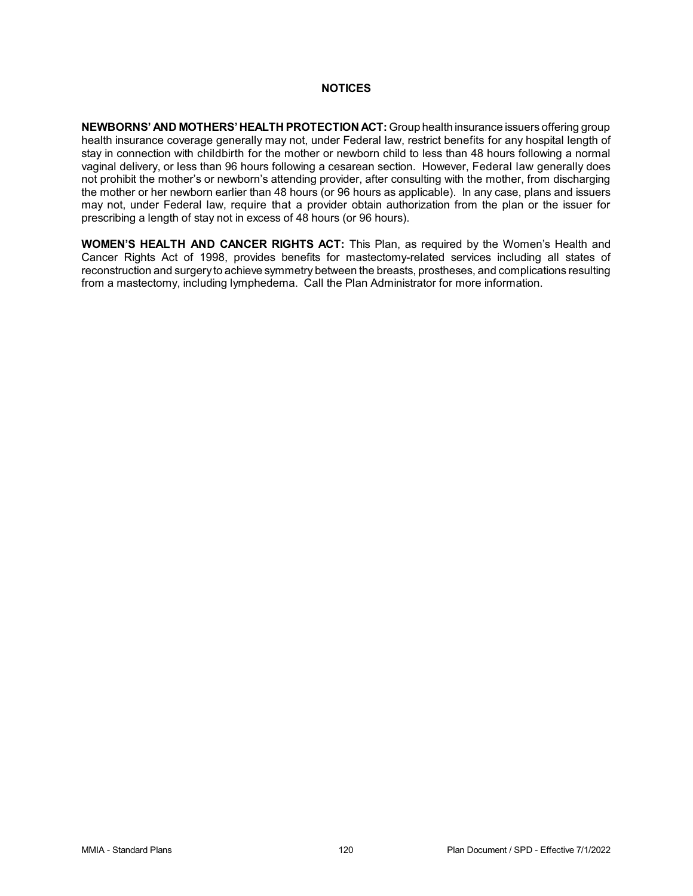# **NOTICES**

**NEWBORNS' AND MOTHERS' HEALTH PROTECTION ACT:** Group health insurance issuers offering group health insurance coverage generally may not, under Federal law, restrict benefits for any hospital length of stay in connection with childbirth for the mother or newborn child to less than 48 hours following a normal vaginal delivery, or less than 96 hours following a cesarean section. However, Federal law generally does not prohibit the mother's or newborn's attending provider, after consulting with the mother, from discharging the mother or her newborn earlier than 48 hours (or 96 hours as applicable). In any case, plans and issuers may not, under Federal law, require that a provider obtain authorization from the plan or the issuer for prescribing a length of stay not in excess of 48 hours (or 96 hours).

**WOMEN'S HEALTH AND CANCER RIGHTS ACT:** This Plan, as required by the Women's Health and Cancer Rights Act of 1998, provides benefits for mastectomy-related services including all states of reconstruction and surgery to achieve symmetry between the breasts, prostheses, and complications resulting from a mastectomy, including lymphedema. Call the Plan Administrator for more information.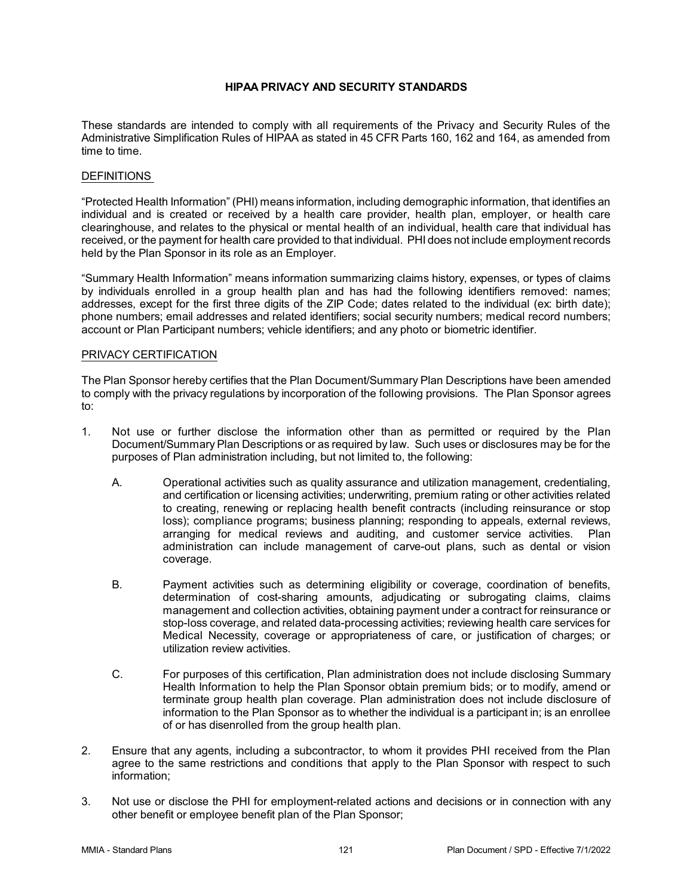# **HIPAA PRIVACY AND SECURITY STANDARDS**

These standards are intended to comply with all requirements of the Privacy and Security Rules of the Administrative Simplification Rules of HIPAA as stated in 45 CFR Parts 160, 162 and 164, as amended from time to time.

# DEFINITIONS

"Protected Health Information" (PHI) means information, including demographic information, that identifies an individual and is created or received by a health care provider, health plan, employer, or health care clearinghouse, and relates to the physical or mental health of an individual, health care that individual has received, or the payment for health care provided to that individual. PHI does not include employment records held by the Plan Sponsor in its role as an Employer.

"Summary Health Information" means information summarizing claims history, expenses, or types of claims by individuals enrolled in a group health plan and has had the following identifiers removed: names; addresses, except for the first three digits of the ZIP Code; dates related to the individual (ex: birth date); phone numbers; email addresses and related identifiers; social security numbers; medical record numbers; account or Plan Participant numbers; vehicle identifiers; and any photo or biometric identifier.

## PRIVACY CERTIFICATION

The Plan Sponsor hereby certifies that the Plan Document/Summary Plan Descriptions have been amended to comply with the privacy regulations by incorporation of the following provisions. The Plan Sponsor agrees to:

- 1. Not use or further disclose the information other than as permitted or required by the Plan Document/Summary Plan Descriptions or as required by law. Such uses or disclosures may be for the purposes of Plan administration including, but not limited to, the following:
	- A. Operational activities such as quality assurance and utilization management, credentialing, and certification or licensing activities; underwriting, premium rating or other activities related to creating, renewing or replacing health benefit contracts (including reinsurance or stop loss); compliance programs; business planning; responding to appeals, external reviews, arranging for medical reviews and auditing, and customer service activities. Plan administration can include management of carve-out plans, such as dental or vision coverage.
	- B. Payment activities such as determining eligibility or coverage, coordination of benefits, determination of cost-sharing amounts, adjudicating or subrogating claims, claims management and collection activities, obtaining payment under a contract for reinsurance or stop-loss coverage, and related data-processing activities; reviewing health care services for Medical Necessity, coverage or appropriateness of care, or justification of charges; or utilization review activities.
	- C. For purposes of this certification, Plan administration does not include disclosing Summary Health Information to help the Plan Sponsor obtain premium bids; or to modify, amend or terminate group health plan coverage. Plan administration does not include disclosure of information to the Plan Sponsor as to whether the individual is a participant in; is an enrollee of or has disenrolled from the group health plan.
- 2. Ensure that any agents, including a subcontractor, to whom it provides PHI received from the Plan agree to the same restrictions and conditions that apply to the Plan Sponsor with respect to such information;
- 3. Not use or disclose the PHI for employment-related actions and decisions or in connection with any other benefit or employee benefit plan of the Plan Sponsor;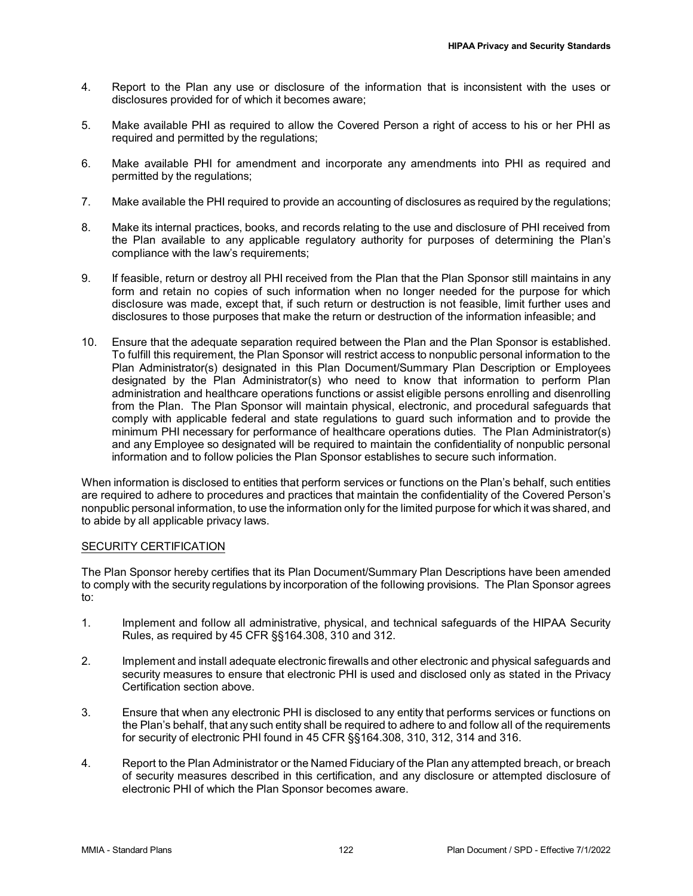- 4. Report to the Plan any use or disclosure of the information that is inconsistent with the uses or disclosures provided for of which it becomes aware;
- 5. Make available PHI as required to allow the Covered Person a right of access to his or her PHI as required and permitted by the regulations;
- 6. Make available PHI for amendment and incorporate any amendments into PHI as required and permitted by the regulations;
- 7. Make available the PHI required to provide an accounting of disclosures as required by the regulations;
- 8. Make its internal practices, books, and records relating to the use and disclosure of PHI received from the Plan available to any applicable regulatory authority for purposes of determining the Plan's compliance with the law's requirements;
- 9. If feasible, return or destroy all PHI received from the Plan that the Plan Sponsor still maintains in any form and retain no copies of such information when no longer needed for the purpose for which disclosure was made, except that, if such return or destruction is not feasible, limit further uses and disclosures to those purposes that make the return or destruction of the information infeasible; and
- 10. Ensure that the adequate separation required between the Plan and the Plan Sponsor is established. To fulfill this requirement, the Plan Sponsor will restrict access to nonpublic personal information to the Plan Administrator(s) designated in this Plan Document/Summary Plan Description or Employees designated by the Plan Administrator(s) who need to know that information to perform Plan administration and healthcare operations functions or assist eligible persons enrolling and disenrolling from the Plan. The Plan Sponsor will maintain physical, electronic, and procedural safeguards that comply with applicable federal and state regulations to guard such information and to provide the minimum PHI necessary for performance of healthcare operations duties. The Plan Administrator(s) and any Employee so designated will be required to maintain the confidentiality of nonpublic personal information and to follow policies the Plan Sponsor establishes to secure such information.

When information is disclosed to entities that perform services or functions on the Plan's behalf, such entities are required to adhere to procedures and practices that maintain the confidentiality of the Covered Person's nonpublic personal information, to use the information only for the limited purpose for which it was shared, and to abide by all applicable privacy laws.

# SECURITY CERTIFICATION

The Plan Sponsor hereby certifies that its Plan Document/Summary Plan Descriptions have been amended to comply with the security regulations by incorporation of the following provisions. The Plan Sponsor agrees to:

- 1. Implement and follow all administrative, physical, and technical safeguards of the HIPAA Security Rules, as required by 45 CFR §§164.308, 310 and 312.
- 2. Implement and install adequate electronic firewalls and other electronic and physical safeguards and security measures to ensure that electronic PHI is used and disclosed only as stated in the Privacy Certification section above.
- 3. Ensure that when any electronic PHI is disclosed to any entity that performs services or functions on the Plan's behalf, that any such entity shall be required to adhere to and follow all of the requirements for security of electronic PHI found in 45 CFR §§164.308, 310, 312, 314 and 316.
- 4. Report to the Plan Administrator or the Named Fiduciary of the Plan any attempted breach, or breach of security measures described in this certification, and any disclosure or attempted disclosure of electronic PHI of which the Plan Sponsor becomes aware.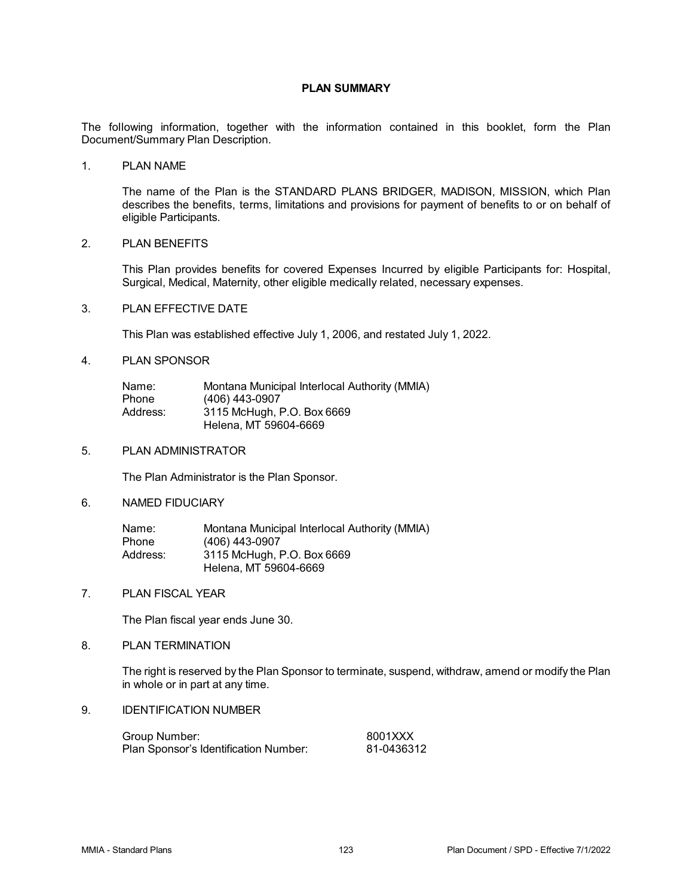## **PLAN SUMMARY**

The following information, together with the information contained in this booklet, form the Plan Document/Summary Plan Description.

1. PLAN NAME

The name of the Plan is the STANDARD PLANS BRIDGER, MADISON, MISSION, which Plan describes the benefits, terms, limitations and provisions for payment of benefits to or on behalf of eligible Participants.

### 2. PLAN BENEFITS

This Plan provides benefits for covered Expenses Incurred by eligible Participants for: Hospital, Surgical, Medical, Maternity, other eligible medically related, necessary expenses.

3. PLAN EFFECTIVE DATE

This Plan was established effective July 1, 2006, and restated July 1, 2022.

4. PLAN SPONSOR

| Name:    | Montana Municipal Interlocal Authority (MMIA) |
|----------|-----------------------------------------------|
| Phone    | (406) 443-0907                                |
| Address: | 3115 McHugh, P.O. Box 6669                    |
|          | Helena, MT 59604-6669                         |

5. PLAN ADMINISTRATOR

The Plan Administrator is the Plan Sponsor.

6. NAMED FIDUCIARY

| Name:    | Montana Municipal Interlocal Authority (MMIA) |
|----------|-----------------------------------------------|
| Phone    | $(406)$ 443-0907                              |
| Address: | 3115 McHugh, P.O. Box 6669                    |
|          | Helena, MT 59604-6669                         |

7. PLAN FISCAL YEAR

The Plan fiscal year ends June 30.

8. PLAN TERMINATION

The right is reserved by the Plan Sponsor to terminate, suspend, withdraw, amend or modify the Plan in whole or in part at any time.

9. IDENTIFICATION NUMBER

| Group Number:                         | 8001XXX    |
|---------------------------------------|------------|
| Plan Sponsor's Identification Number: | 81-0436312 |